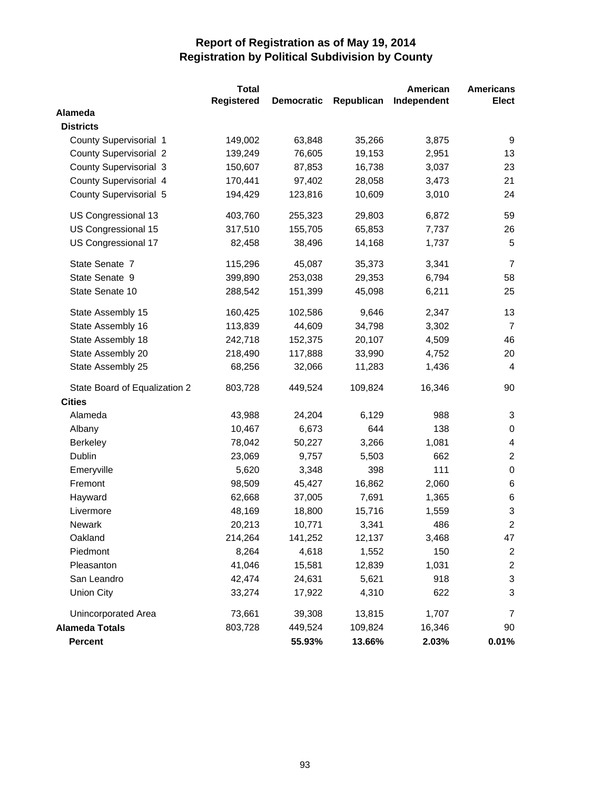|                               | <b>Total</b> |                   |            | American    | <b>Americans</b>        |
|-------------------------------|--------------|-------------------|------------|-------------|-------------------------|
|                               | Registered   | <b>Democratic</b> | Republican | Independent | Elect                   |
| Alameda                       |              |                   |            |             |                         |
| <b>Districts</b>              |              |                   |            |             |                         |
| County Supervisorial 1        | 149,002      | 63,848            | 35,266     | 3,875       | 9                       |
| <b>County Supervisorial 2</b> | 139,249      | 76,605            | 19,153     | 2,951       | 13                      |
| <b>County Supervisorial 3</b> | 150,607      | 87,853            | 16,738     | 3,037       | 23                      |
| County Supervisorial 4        | 170,441      | 97,402            | 28,058     | 3,473       | 21                      |
| County Supervisorial 5        | 194,429      | 123,816           | 10,609     | 3,010       | 24                      |
| US Congressional 13           | 403,760      | 255,323           | 29,803     | 6,872       | 59                      |
| US Congressional 15           | 317,510      | 155,705           | 65,853     | 7,737       | 26                      |
| US Congressional 17           | 82,458       | 38,496            | 14,168     | 1,737       | 5                       |
| State Senate 7                | 115,296      | 45,087            | 35,373     | 3,341       | $\overline{7}$          |
| State Senate 9                | 399,890      | 253,038           | 29,353     | 6,794       | 58                      |
| State Senate 10               | 288,542      | 151,399           | 45,098     | 6,211       | 25                      |
| State Assembly 15             | 160,425      | 102,586           | 9,646      | 2,347       | 13                      |
| State Assembly 16             | 113,839      | 44,609            | 34,798     | 3,302       | $\overline{7}$          |
| State Assembly 18             | 242,718      | 152,375           | 20,107     | 4,509       | 46                      |
| State Assembly 20             | 218,490      | 117,888           | 33,990     | 4,752       | 20                      |
| State Assembly 25             | 68,256       | 32,066            | 11,283     | 1,436       | $\overline{4}$          |
| State Board of Equalization 2 | 803,728      | 449,524           | 109,824    | 16,346      | 90                      |
| <b>Cities</b>                 |              |                   |            |             |                         |
| Alameda                       | 43,988       | 24,204            | 6,129      | 988         | 3                       |
| Albany                        | 10,467       | 6,673             | 644        | 138         | $\pmb{0}$               |
| <b>Berkeley</b>               | 78,042       | 50,227            | 3,266      | 1,081       | 4                       |
| Dublin                        | 23,069       | 9,757             | 5,503      | 662         | $\overline{c}$          |
| Emeryville                    | 5,620        | 3,348             | 398        | 111         | $\pmb{0}$               |
| Fremont                       | 98,509       | 45,427            | 16,862     | 2,060       | 6                       |
| Hayward                       | 62,668       | 37,005            | 7,691      | 1,365       | $\,6$                   |
| Livermore                     | 48,169       | 18,800            | 15,716     | 1,559       | 3                       |
| <b>Newark</b>                 | 20,213       | 10,771            | 3,341      | 486         | $\mathbf 2$             |
| Oakland                       | 214,264      | 141,252           | 12,137     | 3,468       | 47                      |
| Piedmont                      | 8,264        | 4,618             | 1,552      | 150         | $\overline{c}$          |
| Pleasanton                    | 41,046       | 15,581            | 12,839     | 1,031       | $\overline{\mathbf{c}}$ |
| San Leandro                   | 42,474       | 24,631            | 5,621      | 918         | 3                       |
| <b>Union City</b>             | 33,274       | 17,922            | 4,310      | 622         | 3                       |
| Unincorporated Area           | 73,661       | 39,308            | 13,815     | 1,707       | 7                       |
| <b>Alameda Totals</b>         | 803,728      | 449,524           | 109,824    | 16,346      | 90                      |
| Percent                       |              | 55.93%            | 13.66%     | 2.03%       | 0.01%                   |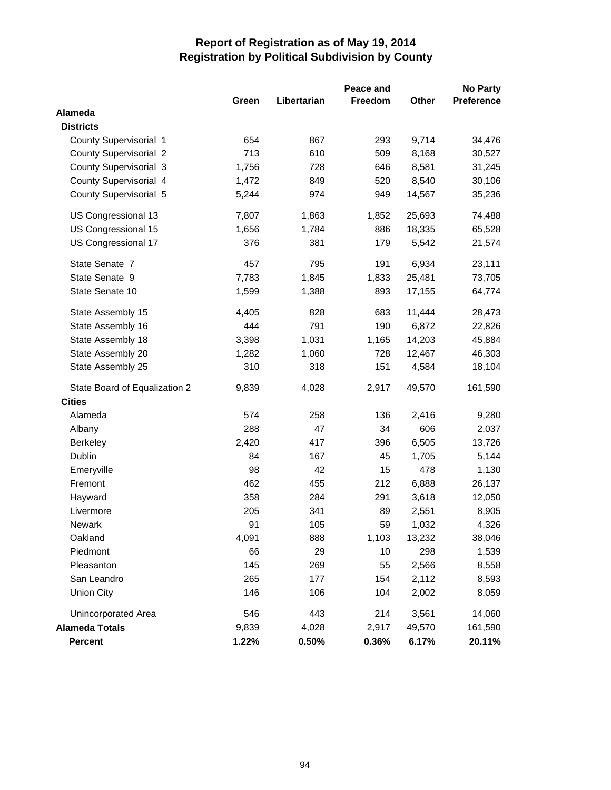|                               | Peace and<br><b>No Party</b> |             |                |        |                   |
|-------------------------------|------------------------------|-------------|----------------|--------|-------------------|
|                               | Green                        | Libertarian | <b>Freedom</b> | Other  | <b>Preference</b> |
| Alameda                       |                              |             |                |        |                   |
| <b>Districts</b>              |                              |             |                |        |                   |
| County Supervisorial 1        | 654                          | 867         | 293            | 9,714  | 34,476            |
| <b>County Supervisorial 2</b> | 713                          | 610         | 509            | 8,168  | 30,527            |
| <b>County Supervisorial 3</b> | 1,756                        | 728         | 646            | 8,581  | 31,245            |
| County Supervisorial 4        | 1,472                        | 849         | 520            | 8,540  | 30,106            |
| County Supervisorial 5        | 5,244                        | 974         | 949            | 14,567 | 35,236            |
| US Congressional 13           | 7,807                        | 1,863       | 1,852          | 25,693 | 74,488            |
| US Congressional 15           | 1,656                        | 1,784       | 886            | 18,335 | 65,528            |
| US Congressional 17           | 376                          | 381         | 179            | 5,542  | 21,574            |
| State Senate 7                | 457                          | 795         | 191            | 6,934  | 23,111            |
| State Senate 9                | 7,783                        | 1,845       | 1,833          | 25,481 | 73,705            |
| State Senate 10               | 1,599                        | 1,388       | 893            | 17,155 | 64,774            |
| State Assembly 15             | 4,405                        | 828         | 683            | 11,444 | 28,473            |
| State Assembly 16             | 444                          | 791         | 190            | 6,872  | 22,826            |
| State Assembly 18             | 3,398                        | 1,031       | 1,165          | 14,203 | 45,884            |
| State Assembly 20             | 1,282                        | 1,060       | 728            | 12,467 | 46,303            |
| State Assembly 25             | 310                          | 318         | 151            | 4,584  | 18,104            |
| State Board of Equalization 2 | 9,839                        | 4,028       | 2,917          | 49,570 | 161,590           |
| <b>Cities</b>                 |                              |             |                |        |                   |
| Alameda                       | 574                          | 258         | 136            | 2,416  | 9,280             |
| Albany                        | 288                          | 47          | 34             | 606    | 2,037             |
| <b>Berkeley</b>               | 2,420                        | 417         | 396            | 6,505  | 13,726            |
| Dublin                        | 84                           | 167         | 45             | 1,705  | 5,144             |
| Emeryville                    | 98                           | 42          | 15             | 478    | 1,130             |
| Fremont                       | 462                          | 455         | 212            | 6,888  | 26,137            |
| Hayward                       | 358                          | 284         | 291            | 3,618  | 12,050            |
| Livermore                     | 205                          | 341         | 89             | 2,551  | 8,905             |
| Newark                        | 91                           | 105         | 59             | 1,032  | 4,326             |
| Oakland                       | 4,091                        | 888         | 1,103          | 13,232 | 38,046            |
| Piedmont                      | 66                           | 29          | 10             | 298    | 1,539             |
| Pleasanton                    | 145                          | 269         | 55             | 2,566  | 8,558             |
| San Leandro                   | 265                          | 177         | 154            | 2,112  | 8,593             |
| <b>Union City</b>             | 146                          | 106         | 104            | 2,002  | 8,059             |
| <b>Unincorporated Area</b>    | 546                          | 443         | 214            | 3,561  | 14,060            |
| <b>Alameda Totals</b>         | 9,839                        | 4,028       | 2,917          | 49,570 | 161,590           |
| Percent                       | 1.22%                        | 0.50%       | 0.36%          | 6.17%  | 20.11%            |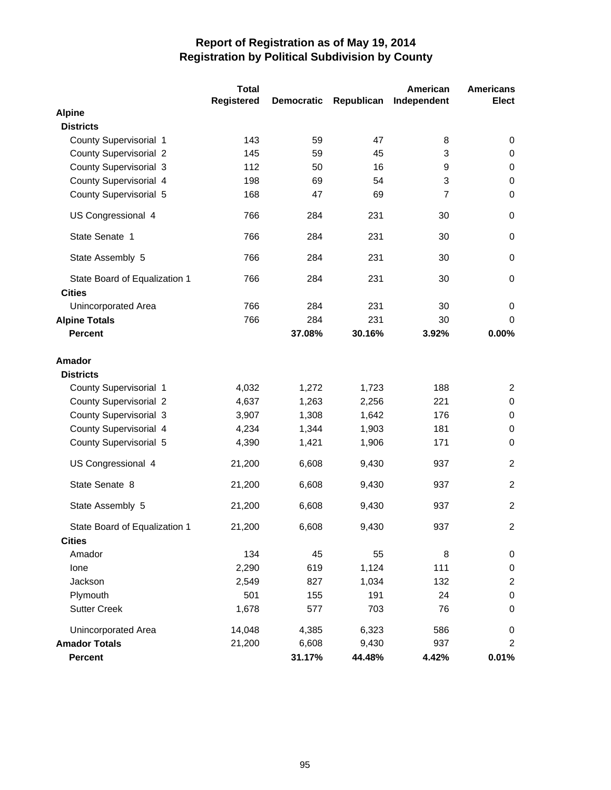|                                                | <b>Total</b> |                   |            | American       | <b>Americans</b> |
|------------------------------------------------|--------------|-------------------|------------|----------------|------------------|
|                                                | Registered   | <b>Democratic</b> | Republican | Independent    | <b>Elect</b>     |
| <b>Alpine</b>                                  |              |                   |            |                |                  |
| <b>Districts</b>                               |              |                   |            |                |                  |
| County Supervisorial 1                         | 143          | 59                | 47         | 8              | 0                |
| <b>County Supervisorial 2</b>                  | 145          | 59                | 45         | 3              | 0                |
| County Supervisorial 3                         | 112          | 50                | 16         | 9              | $\pmb{0}$        |
| County Supervisorial 4                         | 198          | 69                | 54         | 3              | $\mathbf 0$      |
| County Supervisorial 5                         | 168          | 47                | 69         | $\overline{7}$ | $\Omega$         |
| US Congressional 4                             | 766          | 284               | 231        | 30             | $\mathbf 0$      |
| State Senate 1                                 | 766          | 284               | 231        | 30             | $\mathbf 0$      |
| State Assembly 5                               | 766          | 284               | 231        | 30             | $\mathbf 0$      |
| State Board of Equalization 1<br><b>Cities</b> | 766          | 284               | 231        | 30             | $\mathbf 0$      |
| Unincorporated Area                            | 766          | 284               | 231        | 30             | $\mathbf 0$      |
| <b>Alpine Totals</b>                           | 766          | 284               | 231        | 30             | $\Omega$         |
| <b>Percent</b>                                 |              | 37.08%            | 30.16%     | 3.92%          | 0.00%            |
| <b>Amador</b>                                  |              |                   |            |                |                  |
| <b>Districts</b>                               |              |                   |            |                |                  |
| County Supervisorial 1                         | 4,032        | 1,272             | 1,723      | 188            | $\overline{2}$   |
| <b>County Supervisorial 2</b>                  | 4,637        | 1,263             | 2,256      | 221            | $\mathbf 0$      |
| County Supervisorial 3                         | 3,907        | 1,308             | 1,642      | 176            | $\pmb{0}$        |
| County Supervisorial 4                         | 4,234        | 1,344             | 1,903      | 181            | $\pmb{0}$        |
| County Supervisorial 5                         | 4,390        | 1,421             | 1,906      | 171            | $\mathbf 0$      |
| US Congressional 4                             | 21,200       | 6,608             | 9,430      | 937            | $\overline{2}$   |
| State Senate 8                                 | 21,200       | 6,608             | 9,430      | 937            | 2                |
| State Assembly 5                               | 21,200       | 6,608             | 9,430      | 937            | 2                |
| State Board of Equalization 1                  | 21,200       | 6,608             | 9,430      | 937            | $\overline{c}$   |
| <b>Cities</b>                                  |              |                   |            |                |                  |
| Amador                                         | 134          | 45                | 55         | 8              | $\pmb{0}$        |
| lone                                           | 2,290        | 619               | 1,124      | 111            | $\pmb{0}$        |
| Jackson                                        | 2,549        | 827               | 1,034      | 132            | $\overline{c}$   |
| Plymouth                                       | 501          | 155               | 191        | 24             | $\pmb{0}$        |
| <b>Sutter Creek</b>                            | 1,678        | 577               | 703        | 76             | $\pmb{0}$        |
| Unincorporated Area                            | 14,048       | 4,385             | 6,323      | 586            | 0                |
| <b>Amador Totals</b>                           | 21,200       | 6,608             | 9,430      | 937            | $\overline{2}$   |
| Percent                                        |              | 31.17%            | 44.48%     | 4.42%          | 0.01%            |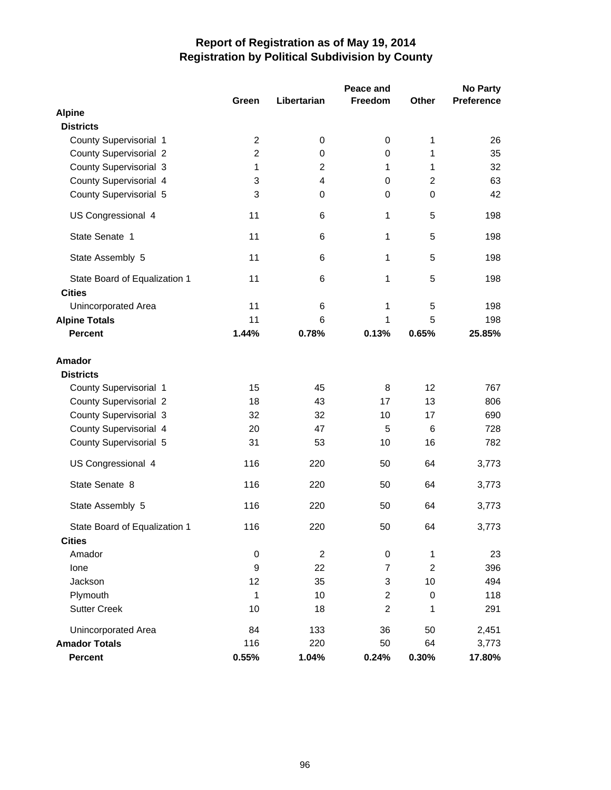|                               |                |                | Peace and      |                | <b>No Party</b>   |
|-------------------------------|----------------|----------------|----------------|----------------|-------------------|
|                               | Green          | Libertarian    | Freedom        | Other          | <b>Preference</b> |
| <b>Alpine</b>                 |                |                |                |                |                   |
| <b>Districts</b>              |                |                |                |                |                   |
| County Supervisorial 1        | $\overline{c}$ | 0              | 0              | 1              | 26                |
| <b>County Supervisorial 2</b> | $\overline{c}$ | 0              | 0              | 1              | 35                |
| County Supervisorial 3        | 1              | $\mathbf 2$    | 1              | 1              | 32                |
| County Supervisorial 4        | 3              | $\overline{4}$ | $\mathbf 0$    | $\overline{2}$ | 63                |
| County Supervisorial 5        | 3              | 0              | 0              | $\mathbf 0$    | 42                |
| US Congressional 4            | 11             | 6              | 1              | 5              | 198               |
| State Senate 1                | 11             | 6              | 1              | 5              | 198               |
| State Assembly 5              | 11             | 6              | 1              | 5              | 198               |
| State Board of Equalization 1 | 11             | 6              | 1              | 5              | 198               |
| <b>Cities</b>                 |                |                |                |                |                   |
| <b>Unincorporated Area</b>    | 11             | 6              | 1              | 5              | 198               |
| <b>Alpine Totals</b>          | 11             | 6              | 1              | 5              | 198               |
| <b>Percent</b>                | 1.44%          | 0.78%          | 0.13%          | 0.65%          | 25.85%            |
| <b>Amador</b>                 |                |                |                |                |                   |
| <b>Districts</b>              |                |                |                |                |                   |
| County Supervisorial 1        | 15             | 45             | 8              | 12             | 767               |
| <b>County Supervisorial 2</b> | 18             | 43             | 17             | 13             | 806               |
| <b>County Supervisorial 3</b> | 32             | 32             | 10             | 17             | 690               |
| County Supervisorial 4        | 20             | 47             | 5              | 6              | 728               |
| County Supervisorial 5        | 31             | 53             | 10             | 16             | 782               |
| US Congressional 4            | 116            | 220            | 50             | 64             | 3,773             |
| State Senate 8                | 116            | 220            | 50             | 64             | 3,773             |
| State Assembly 5              | 116            | 220            | 50             | 64             | 3,773             |
| State Board of Equalization 1 | 116            | 220            | 50             | 64             | 3,773             |
| <b>Cities</b>                 |                |                |                |                |                   |
| Amador                        | 0              | $\overline{c}$ | 0              | 1              | 23                |
| lone                          | 9              | 22             | $\overline{7}$ | $\overline{2}$ | 396               |
| Jackson                       | 12             | 35             | 3              | 10             | 494               |
| Plymouth                      | 1              | 10             | $\overline{c}$ | $\mathbf 0$    | 118               |
| <b>Sutter Creek</b>           | 10             | 18             | $\overline{c}$ | 1              | 291               |
| <b>Unincorporated Area</b>    | 84             | 133            | 36             | 50             | 2,451             |
| <b>Amador Totals</b>          | 116            | 220            | 50             | 64             | 3,773             |
| <b>Percent</b>                | 0.55%          | 1.04%          | 0.24%          | 0.30%          | 17.80%            |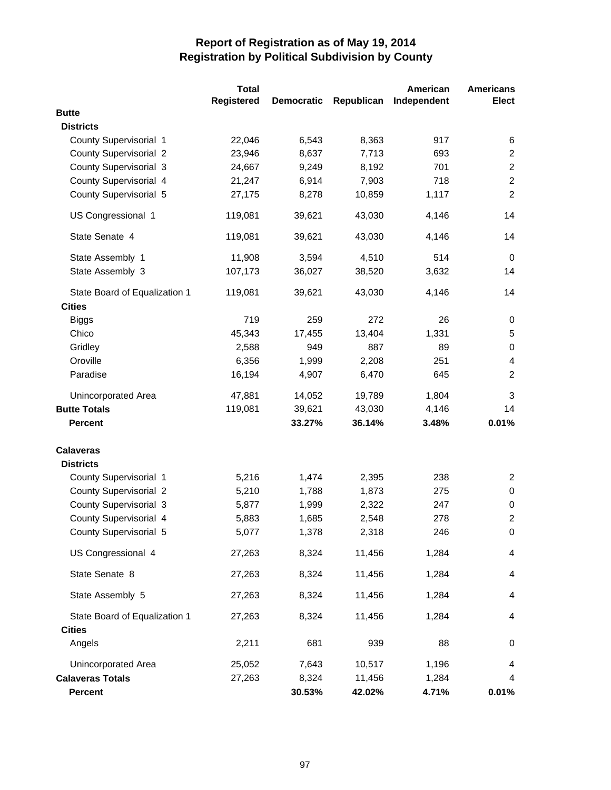|                               | <b>Total</b> |                   |            | American    | <b>Americans</b>        |
|-------------------------------|--------------|-------------------|------------|-------------|-------------------------|
|                               | Registered   | <b>Democratic</b> | Republican | Independent | <b>Elect</b>            |
| <b>Butte</b>                  |              |                   |            |             |                         |
| <b>Districts</b>              |              |                   |            |             |                         |
| County Supervisorial 1        | 22,046       | 6,543             | 8,363      | 917         | 6                       |
| <b>County Supervisorial 2</b> | 23,946       | 8,637             | 7,713      | 693         | $\overline{2}$          |
| <b>County Supervisorial 3</b> | 24,667       | 9,249             | 8,192      | 701         | $\overline{2}$          |
| County Supervisorial 4        | 21,247       | 6,914             | 7,903      | 718         | $\overline{2}$          |
| County Supervisorial 5        | 27,175       | 8,278             | 10,859     | 1,117       | $\overline{2}$          |
| US Congressional 1            | 119,081      | 39,621            | 43,030     | 4,146       | 14                      |
| State Senate 4                | 119,081      | 39,621            | 43,030     | 4,146       | 14                      |
| State Assembly 1              | 11,908       | 3,594             | 4,510      | 514         | $\mathbf 0$             |
| State Assembly 3              | 107,173      | 36,027            | 38,520     | 3,632       | 14                      |
| State Board of Equalization 1 | 119,081      | 39,621            | 43,030     | 4,146       | 14                      |
| <b>Cities</b>                 |              |                   |            |             |                         |
| <b>Biggs</b>                  | 719          | 259               | 272        | 26          | 0                       |
| Chico                         | 45,343       | 17,455            | 13,404     | 1,331       | 5                       |
| Gridley                       | 2,588        | 949               | 887        | 89          | $\pmb{0}$               |
| Oroville                      | 6,356        | 1,999             | 2,208      | 251         | 4                       |
| Paradise                      | 16,194       | 4,907             | 6,470      | 645         | $\overline{2}$          |
| Unincorporated Area           | 47,881       | 14,052            | 19,789     | 1,804       | 3                       |
| <b>Butte Totals</b>           | 119,081      | 39,621            | 43,030     | 4,146       | 14                      |
| <b>Percent</b>                |              | 33.27%            | 36.14%     | 3.48%       | 0.01%                   |
| <b>Calaveras</b>              |              |                   |            |             |                         |
| <b>Districts</b>              |              |                   |            |             |                         |
| County Supervisorial 1        | 5,216        | 1,474             | 2,395      | 238         | $\overline{2}$          |
| <b>County Supervisorial 2</b> | 5,210        | 1,788             | 1,873      | 275         | 0                       |
| <b>County Supervisorial 3</b> | 5,877        | 1,999             | 2,322      | 247         | 0                       |
| County Supervisorial 4        | 5,883        | 1,685             | 2,548      | 278         | $\overline{c}$          |
| County Supervisorial 5        | 5,077        | 1,378             | 2,318      | 246         | $\pmb{0}$               |
| US Congressional 4            | 27,263       | 8,324             | 11,456     | 1,284       | $\overline{\mathbf{4}}$ |
| State Senate 8                | 27,263       | 8,324             | 11,456     | 1,284       | 4                       |
| State Assembly 5              | 27,263       | 8,324             | 11,456     | 1,284       | 4                       |
| State Board of Equalization 1 | 27,263       | 8,324             | 11,456     | 1,284       | 4                       |
| <b>Cities</b>                 |              |                   |            |             |                         |
| Angels                        | 2,211        | 681               | 939        | 88          | 0                       |
| Unincorporated Area           | 25,052       | 7,643             | 10,517     | 1,196       | 4                       |
| <b>Calaveras Totals</b>       | 27,263       | 8,324             | 11,456     | 1,284       | 4                       |
| Percent                       |              | 30.53%            | 42.02%     | 4.71%       | 0.01%                   |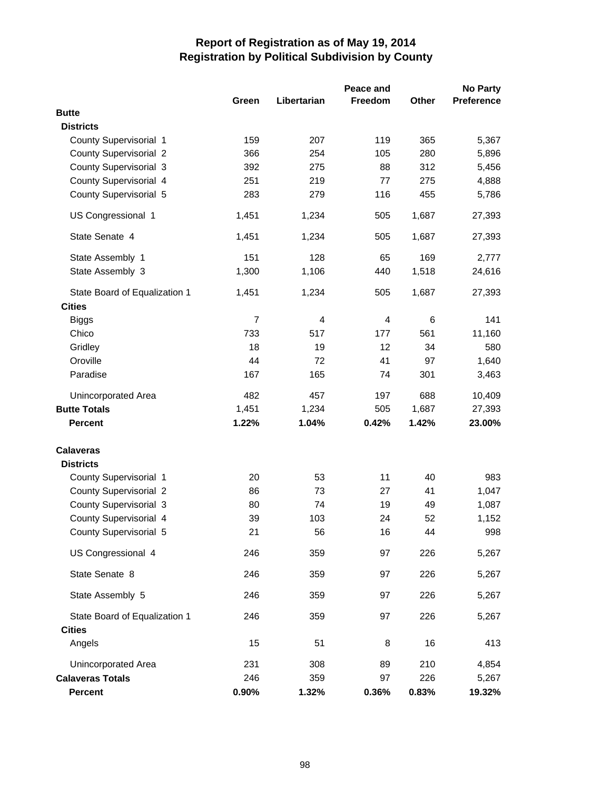|                               |                |             | Peace and      |       | <b>No Party</b>   |
|-------------------------------|----------------|-------------|----------------|-------|-------------------|
|                               | Green          | Libertarian | <b>Freedom</b> | Other | <b>Preference</b> |
| <b>Butte</b>                  |                |             |                |       |                   |
| <b>Districts</b>              |                |             |                |       |                   |
| County Supervisorial 1        | 159            | 207         | 119            | 365   | 5,367             |
| <b>County Supervisorial 2</b> | 366            | 254         | 105            | 280   | 5,896             |
| <b>County Supervisorial 3</b> | 392            | 275         | 88             | 312   | 5,456             |
| County Supervisorial 4        | 251            | 219         | 77             | 275   | 4,888             |
| County Supervisorial 5        | 283            | 279         | 116            | 455   | 5,786             |
| US Congressional 1            | 1,451          | 1,234       | 505            | 1,687 | 27,393            |
| State Senate 4                | 1,451          | 1,234       | 505            | 1,687 | 27,393            |
| State Assembly 1              | 151            | 128         | 65             | 169   | 2,777             |
| State Assembly 3              | 1,300          | 1,106       | 440            | 1,518 | 24,616            |
| State Board of Equalization 1 | 1,451          | 1,234       | 505            | 1,687 | 27,393            |
| <b>Cities</b>                 |                |             |                |       |                   |
| <b>Biggs</b>                  | $\overline{7}$ | 4           | 4              | 6     | 141               |
| Chico                         | 733            | 517         | 177            | 561   | 11,160            |
| Gridley                       | 18             | 19          | 12             | 34    | 580               |
| Oroville                      | 44             | 72          | 41             | 97    | 1,640             |
| Paradise                      | 167            | 165         | 74             | 301   | 3,463             |
| Unincorporated Area           | 482            | 457         | 197            | 688   | 10,409            |
| <b>Butte Totals</b>           | 1,451          | 1,234       | 505            | 1,687 | 27,393            |
| <b>Percent</b>                | 1.22%          | 1.04%       | 0.42%          | 1.42% | 23.00%            |
| <b>Calaveras</b>              |                |             |                |       |                   |
| <b>Districts</b>              |                |             |                |       |                   |
| County Supervisorial 1        | 20             | 53          | 11             | 40    | 983               |
| <b>County Supervisorial 2</b> | 86             | 73          | 27             | 41    | 1,047             |
| <b>County Supervisorial 3</b> | 80             | 74          | 19             | 49    | 1,087             |
| County Supervisorial 4        | 39             | 103         | 24             | 52    | 1,152             |
| County Supervisorial 5        | 21             | 56          | 16             | 44    | 998               |
| US Congressional 4            | 246            | 359         | 97             | 226   | 5,267             |
| State Senate 8                | 246            | 359         | 97             | 226   | 5,267             |
| State Assembly 5              | 246            | 359         | 97             | 226   | 5,267             |
| State Board of Equalization 1 | 246            | 359         | 97             | 226   | 5,267             |
| <b>Cities</b>                 |                |             |                |       |                   |
| Angels                        | 15             | 51          | 8              | 16    | 413               |
| Unincorporated Area           | 231            | 308         | 89             | 210   | 4,854             |
| <b>Calaveras Totals</b>       | 246            | 359         | 97             | 226   | 5,267             |
| Percent                       | 0.90%          | 1.32%       | 0.36%          | 0.83% | 19.32%            |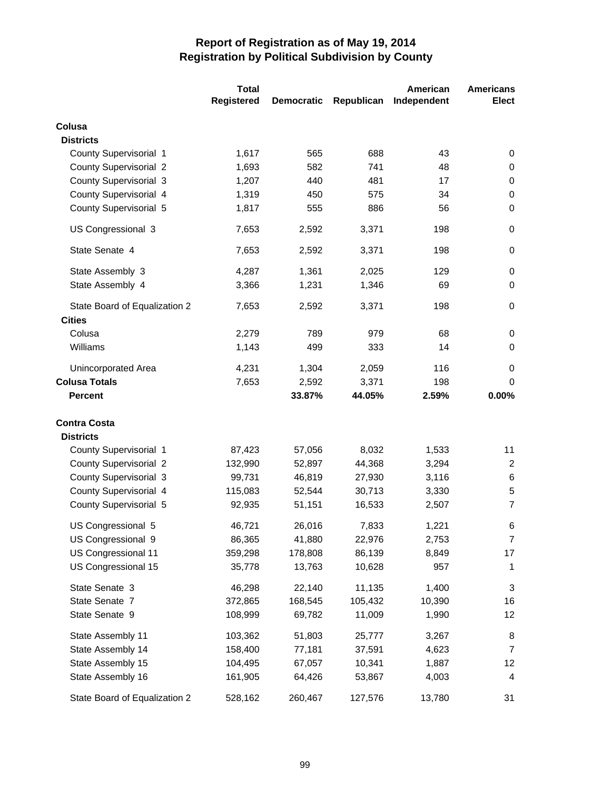|                               | <b>Total</b>      |                   |            | American    | <b>Americans</b> |
|-------------------------------|-------------------|-------------------|------------|-------------|------------------|
|                               | <b>Registered</b> | <b>Democratic</b> | Republican | Independent | <b>Elect</b>     |
| Colusa                        |                   |                   |            |             |                  |
| <b>Districts</b>              |                   |                   |            |             |                  |
| County Supervisorial 1        | 1,617             | 565               | 688        | 43          | 0                |
| <b>County Supervisorial 2</b> | 1,693             | 582               | 741        | 48          | 0                |
| <b>County Supervisorial 3</b> | 1,207             | 440               | 481        | 17          | 0                |
| County Supervisorial 4        | 1,319             | 450               | 575        | 34          | 0                |
| County Supervisorial 5        | 1,817             | 555               | 886        | 56          | $\mathbf 0$      |
| US Congressional 3            | 7,653             | 2,592             | 3,371      | 198         | $\mathbf 0$      |
| State Senate 4                | 7,653             | 2,592             | 3,371      | 198         | 0                |
| State Assembly 3              | 4,287             | 1,361             | 2,025      | 129         | 0                |
| State Assembly 4              | 3,366             | 1,231             | 1,346      | 69          | 0                |
| State Board of Equalization 2 | 7,653             | 2,592             | 3,371      | 198         | $\mathbf 0$      |
| <b>Cities</b>                 |                   |                   |            |             |                  |
| Colusa                        | 2,279             | 789               | 979        | 68          | 0                |
| Williams                      | 1,143             | 499               | 333        | 14          | $\mathbf 0$      |
| Unincorporated Area           | 4,231             | 1,304             | 2,059      | 116         | $\mathbf 0$      |
| <b>Colusa Totals</b>          | 7,653             | 2,592             | 3,371      | 198         | 0                |
| <b>Percent</b>                |                   | 33.87%            | 44.05%     | 2.59%       | 0.00%            |
| <b>Contra Costa</b>           |                   |                   |            |             |                  |
| <b>Districts</b>              |                   |                   |            |             |                  |
| County Supervisorial 1        | 87,423            | 57,056            | 8,032      | 1,533       | 11               |
| <b>County Supervisorial 2</b> | 132,990           | 52,897            | 44,368     | 3,294       | 2                |
| <b>County Supervisorial 3</b> | 99,731            | 46,819            | 27,930     | 3,116       | 6                |
| County Supervisorial 4        | 115,083           | 52,544            | 30,713     | 3,330       | $\sqrt{5}$       |
| County Supervisorial 5        | 92,935            | 51,151            | 16,533     | 2,507       | $\overline{7}$   |
| US Congressional 5            | 46,721            | 26,016            | 7,833      | 1,221       | 6                |
| US Congressional 9            | 86,365            | 41,880            | 22,976     | 2,753       | 7                |
| US Congressional 11           | 359,298           | 178,808           | 86,139     | 8,849       | 17               |
| US Congressional 15           | 35,778            | 13,763            | 10,628     | 957         | 1                |
| State Senate 3                | 46,298            | 22,140            | 11,135     | 1,400       | 3                |
| State Senate 7                | 372,865           | 168,545           | 105,432    | 10,390      | 16               |
| State Senate 9                | 108,999           | 69,782            | 11,009     | 1,990       | 12               |
| State Assembly 11             | 103,362           | 51,803            | 25,777     | 3,267       | 8                |
| State Assembly 14             | 158,400           | 77,181            | 37,591     | 4,623       | $\overline{7}$   |
| State Assembly 15             | 104,495           | 67,057            | 10,341     | 1,887       | 12               |
| State Assembly 16             | 161,905           | 64,426            | 53,867     | 4,003       | 4                |
| State Board of Equalization 2 | 528,162           | 260,467           | 127,576    | 13,780      | 31               |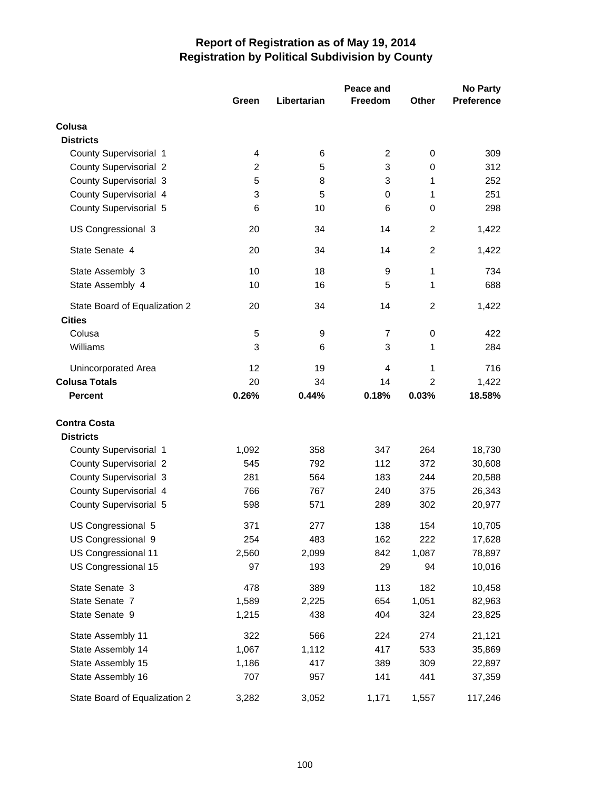|                               | Peace and               |             |                |                | <b>No Party</b>   |
|-------------------------------|-------------------------|-------------|----------------|----------------|-------------------|
|                               | Green                   | Libertarian | <b>Freedom</b> | Other          | <b>Preference</b> |
| Colusa                        |                         |             |                |                |                   |
| <b>Districts</b>              |                         |             |                |                |                   |
| County Supervisorial 1        | 4                       | 6           | 2              | 0              | 309               |
| <b>County Supervisorial 2</b> | $\overline{\mathbf{c}}$ | 5           | 3              | $\mathbf 0$    | 312               |
| <b>County Supervisorial 3</b> | 5                       | 8           | 3              | 1              | 252               |
| County Supervisorial 4        | 3                       | 5           | 0              | 1              | 251               |
| County Supervisorial 5        | 6                       | 10          | 6              | $\mathbf 0$    | 298               |
| US Congressional 3            | 20                      | 34          | 14             | $\overline{c}$ | 1,422             |
| State Senate 4                | 20                      | 34          | 14             | $\overline{2}$ | 1,422             |
| State Assembly 3              | 10                      | 18          | 9              | 1              | 734               |
| State Assembly 4              | 10                      | 16          | 5              | 1              | 688               |
| State Board of Equalization 2 | 20                      | 34          | 14             | $\overline{2}$ | 1,422             |
| <b>Cities</b>                 |                         |             |                |                |                   |
| Colusa                        | 5                       | 9           | 7              | 0              | 422               |
| Williams                      | 3                       | 6           | 3              | 1              | 284               |
| Unincorporated Area           | 12                      | 19          | 4              | 1              | 716               |
| <b>Colusa Totals</b>          | 20                      | 34          | 14             | $\overline{2}$ | 1,422             |
| <b>Percent</b>                | 0.26%                   | 0.44%       | 0.18%          | 0.03%          | 18.58%            |
| <b>Contra Costa</b>           |                         |             |                |                |                   |
| <b>Districts</b>              |                         |             |                |                |                   |
| County Supervisorial 1        | 1,092                   | 358         | 347            | 264            | 18,730            |
| <b>County Supervisorial 2</b> | 545                     | 792         | 112            | 372            | 30,608            |
| <b>County Supervisorial 3</b> | 281                     | 564         | 183            | 244            | 20,588            |
| County Supervisorial 4        | 766                     | 767         | 240            | 375            | 26,343            |
| County Supervisorial 5        | 598                     | 571         | 289            | 302            | 20,977            |
| US Congressional 5            | 371                     | 277         | 138            | 154            | 10,705            |
| US Congressional 9            | 254                     | 483         | 162            | 222            | 17,628            |
| US Congressional 11           | 2,560                   | 2,099       | 842            | 1,087          | 78,897            |
| US Congressional 15           | 97                      | 193         | 29             | 94             | 10,016            |
| State Senate 3                | 478                     | 389         | 113            | 182            | 10,458            |
| State Senate 7                | 1,589                   | 2,225       | 654            | 1,051          | 82,963            |
| State Senate 9                | 1,215                   | 438         | 404            | 324            | 23,825            |
| State Assembly 11             | 322                     | 566         | 224            | 274            | 21,121            |
| State Assembly 14             | 1,067                   | 1,112       | 417            | 533            | 35,869            |
| State Assembly 15             | 1,186                   | 417         | 389            | 309            | 22,897            |
| State Assembly 16             | 707                     | 957         | 141            | 441            | 37,359            |
| State Board of Equalization 2 | 3,282                   | 3,052       | 1,171          | 1,557          | 117,246           |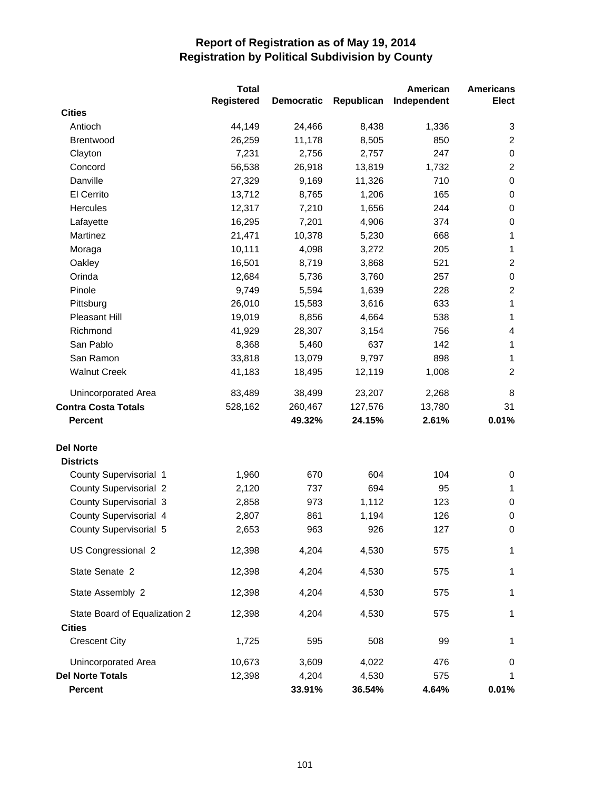|                               | <b>Total</b>      |                   |            | American    | <b>Americans</b> |
|-------------------------------|-------------------|-------------------|------------|-------------|------------------|
|                               | <b>Registered</b> | <b>Democratic</b> | Republican | Independent | <b>Elect</b>     |
| <b>Cities</b>                 |                   |                   |            |             |                  |
| Antioch                       | 44,149            | 24,466            | 8,438      | 1,336       | 3                |
| Brentwood                     | 26,259            | 11,178            | 8,505      | 850         | $\overline{2}$   |
| Clayton                       | 7,231             | 2,756             | 2,757      | 247         | 0                |
| Concord                       | 56,538            | 26,918            | 13,819     | 1,732       | $\overline{2}$   |
| Danville                      | 27,329            | 9,169             | 11,326     | 710         | $\pmb{0}$        |
| El Cerrito                    | 13,712            | 8,765             | 1,206      | 165         | $\pmb{0}$        |
| Hercules                      | 12,317            | 7,210             | 1,656      | 244         | $\pmb{0}$        |
| Lafayette                     | 16,295            | 7,201             | 4,906      | 374         | 0                |
| Martinez                      | 21,471            | 10,378            | 5,230      | 668         | $\mathbf{1}$     |
| Moraga                        | 10,111            | 4,098             | 3,272      | 205         | $\mathbf{1}$     |
| Oakley                        | 16,501            | 8,719             | 3,868      | 521         | $\overline{2}$   |
| Orinda                        | 12,684            | 5,736             | 3,760      | 257         | 0                |
| Pinole                        | 9,749             | 5,594             | 1,639      | 228         | $\overline{c}$   |
| Pittsburg                     | 26,010            | 15,583            | 3,616      | 633         | $\mathbf{1}$     |
| Pleasant Hill                 | 19,019            | 8,856             | 4,664      | 538         | $\mathbf{1}$     |
| Richmond                      | 41,929            | 28,307            | 3,154      | 756         | 4                |
| San Pablo                     | 8,368             | 5,460             | 637        | 142         | 1                |
| San Ramon                     | 33,818            | 13,079            | 9,797      | 898         | 1                |
| <b>Walnut Creek</b>           | 41,183            | 18,495            | 12,119     | 1,008       | $\overline{c}$   |
| Unincorporated Area           | 83,489            | 38,499            | 23,207     | 2,268       | 8                |
| <b>Contra Costa Totals</b>    | 528,162           | 260,467           | 127,576    | 13,780      | 31               |
| <b>Percent</b>                |                   | 49.32%            | 24.15%     | 2.61%       | 0.01%            |
| <b>Del Norte</b>              |                   |                   |            |             |                  |
| <b>Districts</b>              |                   |                   |            |             |                  |
| County Supervisorial 1        | 1,960             | 670               | 604        | 104         | 0                |
| <b>County Supervisorial 2</b> | 2,120             | 737               | 694        | 95          | 1                |
| <b>County Supervisorial 3</b> | 2,858             | 973               | 1,112      | 123         | 0                |
| County Supervisorial 4        | 2,807             | 861               | 1,194      | 126         | 0                |
| County Supervisorial 5        | 2,653             | 963               | 926        | 127         | 0                |
| US Congressional 2            | 12,398            | 4,204             | 4,530      | 575         | 1                |
| State Senate 2                | 12,398            | 4,204             | 4,530      | 575         | 1                |
| State Assembly 2              | 12,398            | 4,204             | 4,530      | 575         | 1                |
| State Board of Equalization 2 | 12,398            | 4,204             | 4,530      | 575         | 1                |
| <b>Cities</b>                 |                   |                   |            |             |                  |
| <b>Crescent City</b>          | 1,725             | 595               | 508        | 99          | 1                |
| Unincorporated Area           | 10,673            | 3,609             | 4,022      | 476         | 0                |
| <b>Del Norte Totals</b>       | 12,398            | 4,204             | 4,530      | 575         | 1                |
| <b>Percent</b>                |                   | 33.91%            | 36.54%     | 4.64%       | 0.01%            |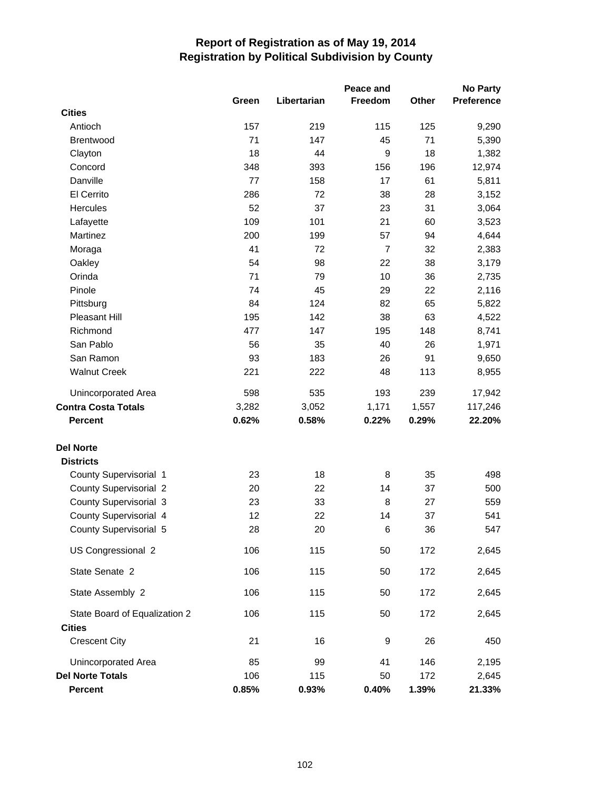|                               |       |             | Peace and      |       | <b>No Party</b> |
|-------------------------------|-------|-------------|----------------|-------|-----------------|
|                               | Green | Libertarian | Freedom        | Other | Preference      |
| <b>Cities</b>                 |       |             |                |       |                 |
| Antioch                       | 157   | 219         | 115            | 125   | 9,290           |
| Brentwood                     | 71    | 147         | 45             | 71    | 5,390           |
| Clayton                       | 18    | 44          | 9              | 18    | 1,382           |
| Concord                       | 348   | 393         | 156            | 196   | 12,974          |
| Danville                      | 77    | 158         | 17             | 61    | 5,811           |
| El Cerrito                    | 286   | 72          | 38             | 28    | 3,152           |
| Hercules                      | 52    | 37          | 23             | 31    | 3,064           |
| Lafayette                     | 109   | 101         | 21             | 60    | 3,523           |
| Martinez                      | 200   | 199         | 57             | 94    | 4,644           |
| Moraga                        | 41    | 72          | $\overline{7}$ | 32    | 2,383           |
| Oakley                        | 54    | 98          | 22             | 38    | 3,179           |
| Orinda                        | 71    | 79          | 10             | 36    | 2,735           |
| Pinole                        | 74    | 45          | 29             | 22    | 2,116           |
| Pittsburg                     | 84    | 124         | 82             | 65    | 5,822           |
| Pleasant Hill                 | 195   | 142         | 38             | 63    | 4,522           |
| Richmond                      | 477   | 147         | 195            | 148   | 8,741           |
| San Pablo                     | 56    | 35          | 40             | 26    | 1,971           |
| San Ramon                     | 93    | 183         | 26             | 91    | 9,650           |
| <b>Walnut Creek</b>           | 221   | 222         | 48             | 113   | 8,955           |
| Unincorporated Area           | 598   | 535         | 193            | 239   | 17,942          |
| <b>Contra Costa Totals</b>    | 3,282 | 3,052       | 1,171          | 1,557 | 117,246         |
| <b>Percent</b>                | 0.62% | 0.58%       | 0.22%          | 0.29% | 22.20%          |
| <b>Del Norte</b>              |       |             |                |       |                 |
| <b>Districts</b>              |       |             |                |       |                 |
| County Supervisorial 1        | 23    | 18          | 8              | 35    | 498             |
| <b>County Supervisorial 2</b> | 20    | 22          | 14             | 37    | 500             |
| <b>County Supervisorial 3</b> | 23    | 33          | 8              | 27    | 559             |
| County Supervisorial 4        | 12    | 22          | 14             | 37    | 541             |
| County Supervisorial 5        | 28    | 20          | $\,6$          | 36    | 547             |
| US Congressional 2            | 106   | 115         | 50             | 172   | 2,645           |
| State Senate 2                | 106   | 115         | 50             | 172   | 2,645           |
| State Assembly 2              | 106   | 115         | 50             | 172   | 2,645           |
| State Board of Equalization 2 | 106   | 115         | 50             | 172   | 2,645           |
| <b>Cities</b>                 |       |             |                |       |                 |
| <b>Crescent City</b>          | 21    | 16          | 9              | 26    | 450             |
| Unincorporated Area           | 85    | 99          | 41             | 146   | 2,195           |
| <b>Del Norte Totals</b>       | 106   | 115         | 50             | 172   | 2,645           |
| <b>Percent</b>                | 0.85% | 0.93%       | 0.40%          | 1.39% | 21.33%          |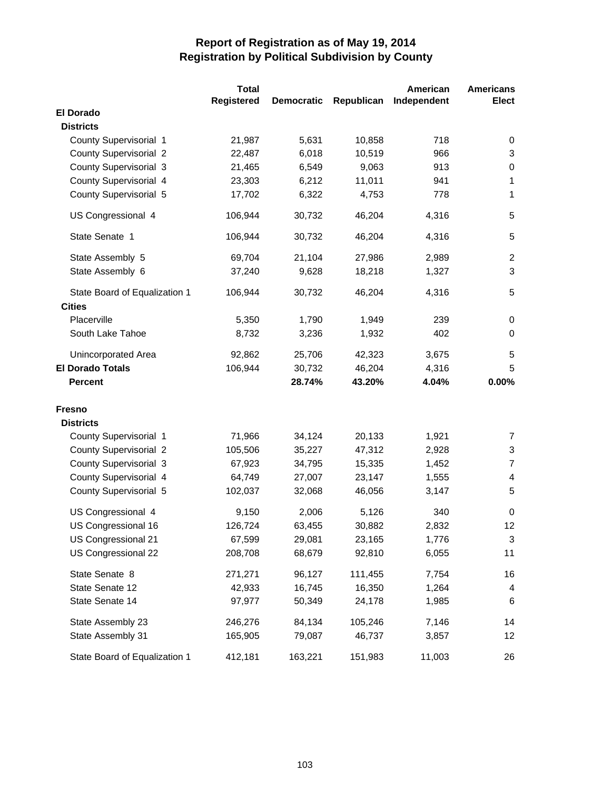|                               | <b>Total</b>      |                   |            | American    | <b>Americans</b> |
|-------------------------------|-------------------|-------------------|------------|-------------|------------------|
|                               | <b>Registered</b> | <b>Democratic</b> | Republican | Independent | <b>Elect</b>     |
| <b>El Dorado</b>              |                   |                   |            |             |                  |
| <b>Districts</b>              |                   |                   |            |             |                  |
| County Supervisorial 1        | 21,987            | 5,631             | 10,858     | 718         | 0                |
| <b>County Supervisorial 2</b> | 22,487            | 6,018             | 10,519     | 966         | $\sqrt{3}$       |
| <b>County Supervisorial 3</b> | 21,465            | 6,549             | 9,063      | 913         | 0                |
| County Supervisorial 4        | 23,303            | 6,212             | 11,011     | 941         | 1                |
| County Supervisorial 5        | 17,702            | 6,322             | 4,753      | 778         | 1                |
| US Congressional 4            | 106,944           | 30,732            | 46,204     | 4,316       | 5                |
| State Senate 1                | 106,944           | 30,732            | 46,204     | 4,316       | 5                |
| State Assembly 5              | 69,704            | 21,104            | 27,986     | 2,989       | $\overline{c}$   |
| State Assembly 6              | 37,240            | 9,628             | 18,218     | 1,327       | 3                |
| State Board of Equalization 1 | 106,944           | 30,732            | 46,204     | 4,316       | 5                |
| <b>Cities</b>                 |                   |                   |            |             |                  |
| Placerville                   | 5,350             | 1,790             | 1,949      | 239         | 0                |
| South Lake Tahoe              | 8,732             | 3,236             | 1,932      | 402         | 0                |
| <b>Unincorporated Area</b>    | 92,862            | 25,706            | 42,323     | 3,675       | $\,$ 5 $\,$      |
| <b>El Dorado Totals</b>       | 106,944           | 30,732            | 46,204     | 4,316       | 5                |
| <b>Percent</b>                |                   | 28.74%            | 43.20%     | 4.04%       | 0.00%            |
| <b>Fresno</b>                 |                   |                   |            |             |                  |
| <b>Districts</b>              |                   |                   |            |             |                  |
| County Supervisorial 1        | 71,966            | 34,124            | 20,133     | 1,921       | 7                |
| <b>County Supervisorial 2</b> | 105,506           | 35,227            | 47,312     | 2,928       | $\sqrt{3}$       |
| <b>County Supervisorial 3</b> | 67,923            | 34,795            | 15,335     | 1,452       | $\overline{7}$   |
| County Supervisorial 4        | 64,749            | 27,007            | 23,147     | 1,555       | 4                |
| County Supervisorial 5        | 102,037           | 32,068            | 46,056     | 3,147       | 5                |
| US Congressional 4            | 9,150             | 2,006             | 5,126      | 340         | 0                |
| US Congressional 16           | 126,724           | 63,455            | 30,882     | 2,832       | 12               |
| US Congressional 21           | 67,599            | 29,081            | 23,165     | 1,776       | 3                |
| US Congressional 22           | 208,708           | 68,679            | 92,810     | 6,055       | 11               |
| State Senate 8                | 271,271           | 96,127            | 111,455    | 7,754       | 16               |
| State Senate 12               | 42,933            | 16,745            | 16,350     | 1,264       | 4                |
| State Senate 14               | 97,977            | 50,349            | 24,178     | 1,985       | 6                |
| State Assembly 23             | 246,276           | 84,134            | 105,246    | 7,146       | 14               |
| State Assembly 31             | 165,905           | 79,087            | 46,737     | 3,857       | 12               |
| State Board of Equalization 1 | 412,181           | 163,221           | 151,983    | 11,003      | 26               |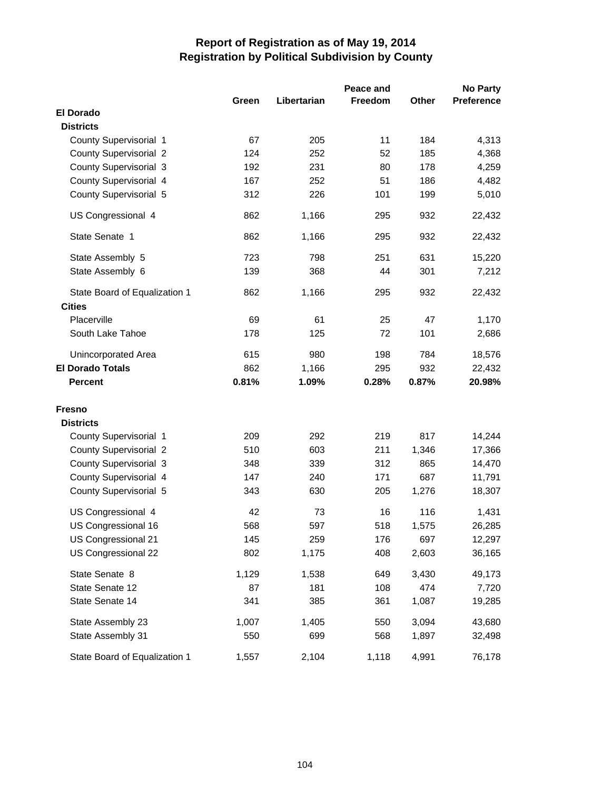|                                                | Peace and<br><b>No Party</b> |             |                |              |                   |
|------------------------------------------------|------------------------------|-------------|----------------|--------------|-------------------|
|                                                | Green                        | Libertarian | <b>Freedom</b> | <b>Other</b> | <b>Preference</b> |
| <b>El Dorado</b>                               |                              |             |                |              |                   |
| <b>Districts</b>                               |                              |             |                |              |                   |
| County Supervisorial 1                         | 67                           | 205         | 11             | 184          | 4,313             |
| <b>County Supervisorial 2</b>                  | 124                          | 252         | 52             | 185          | 4,368             |
| County Supervisorial 3                         | 192                          | 231         | 80             | 178          | 4,259             |
| County Supervisorial 4                         | 167                          | 252         | 51             | 186          | 4,482             |
| County Supervisorial 5                         | 312                          | 226         | 101            | 199          | 5,010             |
| US Congressional 4                             | 862                          | 1,166       | 295            | 932          | 22,432            |
| State Senate 1                                 | 862                          | 1,166       | 295            | 932          | 22,432            |
| State Assembly 5                               | 723                          | 798         | 251            | 631          | 15,220            |
| State Assembly 6                               | 139                          | 368         | 44             | 301          | 7,212             |
| State Board of Equalization 1<br><b>Cities</b> | 862                          | 1,166       | 295            | 932          | 22,432            |
| Placerville                                    | 69                           | 61          | 25             | 47           | 1,170             |
| South Lake Tahoe                               | 178                          | 125         | 72             | 101          | 2,686             |
| <b>Unincorporated Area</b>                     | 615                          | 980         | 198            | 784          | 18,576            |
| <b>El Dorado Totals</b>                        | 862                          | 1,166       | 295            | 932          | 22,432            |
| <b>Percent</b>                                 | 0.81%                        | 1.09%       | 0.28%          | 0.87%        | 20.98%            |
| <b>Fresno</b>                                  |                              |             |                |              |                   |
| <b>Districts</b>                               |                              |             |                |              |                   |
| County Supervisorial 1                         | 209                          | 292         | 219            | 817          | 14,244            |
| <b>County Supervisorial 2</b>                  | 510                          | 603         | 211            | 1,346        | 17,366            |
| <b>County Supervisorial 3</b>                  | 348                          | 339         | 312            | 865          | 14,470            |
| County Supervisorial 4                         | 147                          | 240         | 171            | 687          | 11,791            |
| County Supervisorial 5                         | 343                          | 630         | 205            | 1,276        | 18,307            |
| US Congressional 4                             | 42                           | 73          | 16             | 116          | 1,431             |
| US Congressional 16                            | 568                          | 597         | 518            | 1,575        | 26,285            |
| US Congressional 21                            | 145                          | 259         | 176            | 697          | 12,297            |
| US Congressional 22                            | 802                          | 1,175       | 408            | 2,603        | 36,165            |
| State Senate 8                                 | 1,129                        | 1,538       | 649            | 3,430        | 49,173            |
| State Senate 12                                | 87                           | 181         | 108            | 474          | 7,720             |
| State Senate 14                                | 341                          | 385         | 361            | 1,087        | 19,285            |
| State Assembly 23                              | 1,007                        | 1,405       | 550            | 3,094        | 43,680            |
| State Assembly 31                              | 550                          | 699         | 568            | 1,897        | 32,498            |
| State Board of Equalization 1                  | 1,557                        | 2,104       | 1,118          | 4,991        | 76,178            |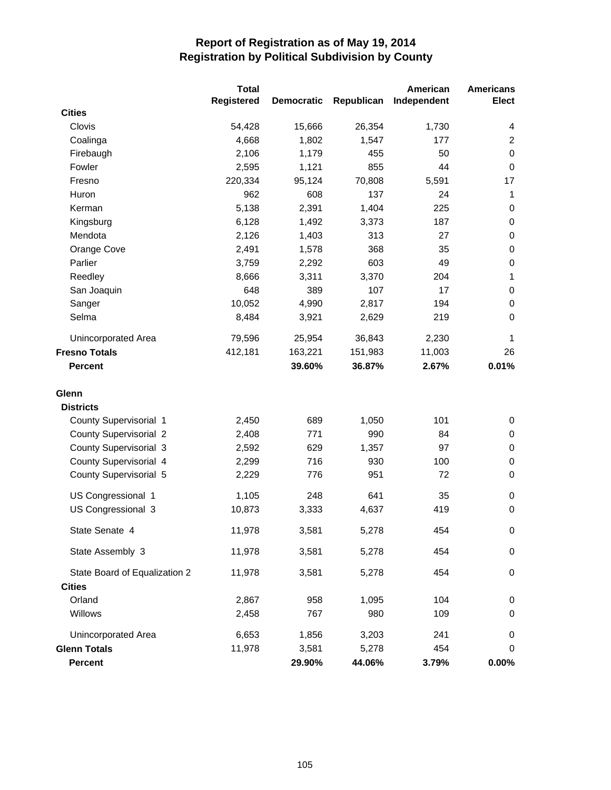|                               | <b>Total</b>      |                   |            | American    | <b>Americans</b> |
|-------------------------------|-------------------|-------------------|------------|-------------|------------------|
|                               | <b>Registered</b> | <b>Democratic</b> | Republican | Independent | <b>Elect</b>     |
| <b>Cities</b>                 |                   |                   |            |             |                  |
| Clovis                        | 54,428            | 15,666            | 26,354     | 1,730       | 4                |
| Coalinga                      | 4,668             | 1,802             | 1,547      | 177         | $\overline{2}$   |
| Firebaugh                     | 2,106             | 1,179             | 455        | 50          | $\pmb{0}$        |
| Fowler                        | 2,595             | 1,121             | 855        | 44          | $\pmb{0}$        |
| Fresno                        | 220,334           | 95,124            | 70,808     | 5,591       | 17               |
| Huron                         | 962               | 608               | 137        | 24          | 1                |
| Kerman                        | 5,138             | 2,391             | 1,404      | 225         | 0                |
| Kingsburg                     | 6,128             | 1,492             | 3,373      | 187         | $\pmb{0}$        |
| Mendota                       | 2,126             | 1,403             | 313        | 27          | 0                |
| Orange Cove                   | 2,491             | 1,578             | 368        | 35          | $\pmb{0}$        |
| Parlier                       | 3,759             | 2,292             | 603        | 49          | $\pmb{0}$        |
| Reedley                       | 8,666             | 3,311             | 3,370      | 204         | $\mathbf{1}$     |
| San Joaquin                   | 648               | 389               | 107        | 17          | $\pmb{0}$        |
| Sanger                        | 10,052            | 4,990             | 2,817      | 194         | $\pmb{0}$        |
| Selma                         | 8,484             | 3,921             | 2,629      | 219         | $\pmb{0}$        |
| Unincorporated Area           | 79,596            | 25,954            | 36,843     | 2,230       | $\mathbf{1}$     |
| <b>Fresno Totals</b>          | 412,181           | 163,221           | 151,983    | 11,003      | 26               |
| <b>Percent</b>                |                   | 39.60%            | 36.87%     | 2.67%       | 0.01%            |
| Glenn                         |                   |                   |            |             |                  |
| <b>Districts</b>              |                   |                   |            |             |                  |
| County Supervisorial 1        | 2,450             | 689               | 1,050      | 101         | 0                |
| <b>County Supervisorial 2</b> | 2,408             | 771               | 990        | 84          | 0                |
| <b>County Supervisorial 3</b> | 2,592             | 629               | 1,357      | 97          | 0                |
| County Supervisorial 4        | 2,299             | 716               | 930        | 100         | 0                |
| County Supervisorial 5        | 2,229             | 776               | 951        | 72          | 0                |
| US Congressional 1            | 1,105             | 248               | 641        | 35          | 0                |
| US Congressional 3            | 10,873            | 3,333             | 4,637      | 419         | 0                |
| State Senate 4                | 11,978            | 3,581             | 5,278      | 454         | 0                |
| State Assembly 3              | 11,978            | 3,581             | 5,278      | 454         | 0                |
| State Board of Equalization 2 | 11,978            | 3,581             | 5,278      | 454         | 0                |
| <b>Cities</b>                 |                   |                   |            |             |                  |
| Orland                        | 2,867             | 958               | 1,095      | 104         | 0                |
| Willows                       | 2,458             | 767               | 980        | 109         | 0                |
| <b>Unincorporated Area</b>    | 6,653             | 1,856             | 3,203      | 241         | 0                |
| <b>Glenn Totals</b>           | 11,978            | 3,581             | 5,278      | 454         | 0                |
| Percent                       |                   | 29.90%            | 44.06%     | 3.79%       | $0.00\%$         |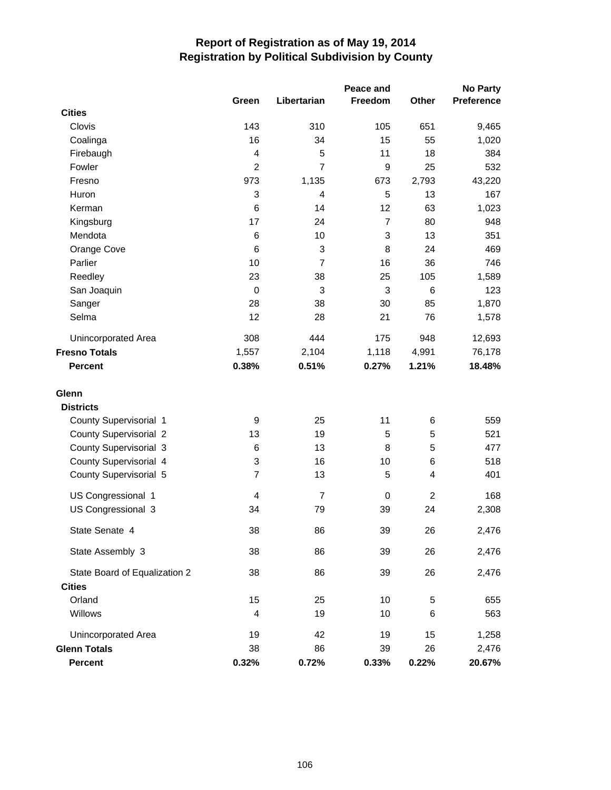|                               |                |                | Peace and      |                | <b>No Party</b> |
|-------------------------------|----------------|----------------|----------------|----------------|-----------------|
|                               | Green          | Libertarian    | Freedom        | Other          | Preference      |
| <b>Cities</b>                 |                |                |                |                |                 |
| Clovis                        | 143            | 310            | 105            | 651            | 9,465           |
| Coalinga                      | 16             | 34             | 15             | 55             | 1,020           |
| Firebaugh                     | 4              | 5              | 11             | 18             | 384             |
| Fowler                        | $\overline{2}$ | $\overline{7}$ | 9              | 25             | 532             |
| Fresno                        | 973            | 1,135          | 673            | 2,793          | 43,220          |
| Huron                         | 3              | 4              | 5              | 13             | 167             |
| Kerman                        | 6              | 14             | 12             | 63             | 1,023           |
| Kingsburg                     | 17             | 24             | $\overline{7}$ | 80             | 948             |
| Mendota                       | 6              | 10             | 3              | 13             | 351             |
| Orange Cove                   | 6              | 3              | 8              | 24             | 469             |
| Parlier                       | 10             | $\overline{7}$ | 16             | 36             | 746             |
| Reedley                       | 23             | 38             | 25             | 105            | 1,589           |
| San Joaquin                   | $\mathbf 0$    | 3              | 3              | 6              | 123             |
| Sanger                        | 28             | 38             | 30             | 85             | 1,870           |
| Selma                         | 12             | 28             | 21             | 76             | 1,578           |
| <b>Unincorporated Area</b>    | 308            | 444            | 175            | 948            | 12,693          |
| <b>Fresno Totals</b>          | 1,557          | 2,104          | 1,118          | 4,991          | 76,178          |
| <b>Percent</b>                | 0.38%          | 0.51%          | 0.27%          | 1.21%          | 18.48%          |
|                               |                |                |                |                |                 |
| Glenn                         |                |                |                |                |                 |
| <b>Districts</b>              |                |                |                |                |                 |
| County Supervisorial 1        | 9              | 25             | 11             | 6              | 559             |
| <b>County Supervisorial 2</b> | 13             | 19             | 5              | 5              | 521             |
| <b>County Supervisorial 3</b> | 6              | 13             | 8              | 5              | 477             |
| County Supervisorial 4        | 3              | 16             | 10             | 6              | 518             |
| County Supervisorial 5        | $\overline{7}$ | 13             | 5              | 4              | 401             |
| US Congressional 1            | 4              | $\overline{7}$ | 0              | $\overline{c}$ | 168             |
| US Congressional 3            | 34             | 79             | 39             | 24             | 2,308           |
| State Senate 4                | 38             | 86             | 39             | 26             | 2,476           |
|                               |                |                |                |                |                 |
| State Assembly 3              | 38             | 86             | 39             | 26             | 2,476           |
| State Board of Equalization 2 | 38             | 86             | 39             | 26             | 2,476           |
| <b>Cities</b>                 |                |                |                |                |                 |
| Orland                        | 15             | 25             | 10             | 5              | 655             |
| Willows                       | 4              | 19             | 10             | 6              | 563             |
| <b>Unincorporated Area</b>    | 19             | 42             | 19             | 15             | 1,258           |
| <b>Glenn Totals</b>           | 38             | 86             | 39             | 26             | 2,476           |
| <b>Percent</b>                | 0.32%          | 0.72%          | 0.33%          | 0.22%          | 20.67%          |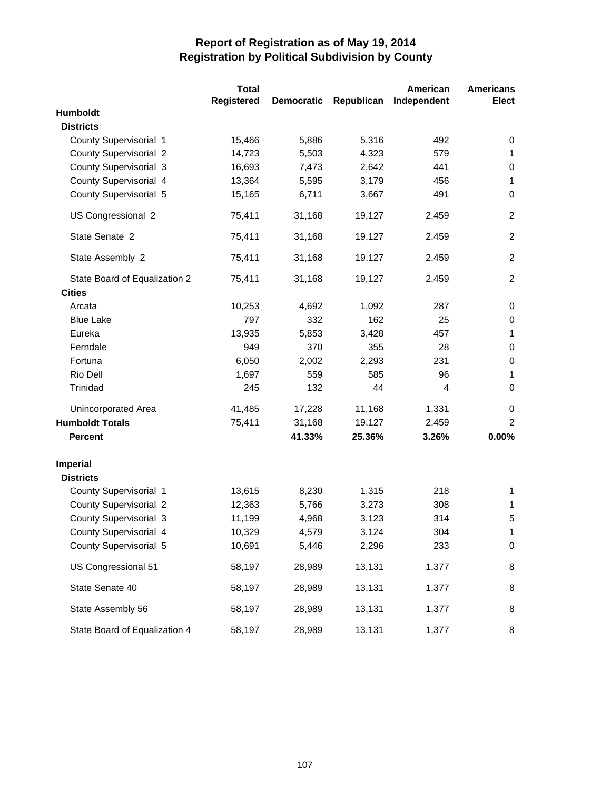|                               | <b>Total</b> |                   |            | American    | <b>Americans</b> |
|-------------------------------|--------------|-------------------|------------|-------------|------------------|
|                               | Registered   | <b>Democratic</b> | Republican | Independent | <b>Elect</b>     |
| <b>Humboldt</b>               |              |                   |            |             |                  |
| <b>Districts</b>              |              |                   |            |             |                  |
| County Supervisorial 1        | 15,466       | 5,886             | 5,316      | 492         | 0                |
| <b>County Supervisorial 2</b> | 14,723       | 5,503             | 4,323      | 579         | 1                |
| <b>County Supervisorial 3</b> | 16,693       | 7,473             | 2,642      | 441         | 0                |
| County Supervisorial 4        | 13,364       | 5,595             | 3,179      | 456         | 1                |
| County Supervisorial 5        | 15,165       | 6,711             | 3,667      | 491         | 0                |
| US Congressional 2            | 75,411       | 31,168            | 19,127     | 2,459       | $\overline{2}$   |
| State Senate 2                | 75,411       | 31,168            | 19,127     | 2,459       | $\overline{c}$   |
| State Assembly 2              | 75,411       | 31,168            | 19,127     | 2,459       | $\overline{2}$   |
| State Board of Equalization 2 | 75,411       | 31,168            | 19,127     | 2,459       | $\overline{2}$   |
| <b>Cities</b>                 |              |                   |            |             |                  |
| Arcata                        | 10,253       | 4,692             | 1,092      | 287         | 0                |
| <b>Blue Lake</b>              | 797          | 332               | 162        | 25          | 0                |
| Eureka                        | 13,935       | 5,853             | 3,428      | 457         | 1                |
| Ferndale                      | 949          | 370               | 355        | 28          | 0                |
| Fortuna                       | 6,050        | 2,002             | 2,293      | 231         | 0                |
| Rio Dell                      | 1,697        | 559               | 585        | 96          | $\mathbf{1}$     |
| Trinidad                      | 245          | 132               | 44         | 4           | 0                |
| Unincorporated Area           | 41,485       | 17,228            | 11,168     | 1,331       | 0                |
| <b>Humboldt Totals</b>        | 75,411       | 31,168            | 19,127     | 2,459       | 2                |
| <b>Percent</b>                |              | 41.33%            | 25.36%     | 3.26%       | $0.00\%$         |
| <b>Imperial</b>               |              |                   |            |             |                  |
| <b>Districts</b>              |              |                   |            |             |                  |
| County Supervisorial 1        | 13,615       | 8,230             | 1,315      | 218         | 1                |
| <b>County Supervisorial 2</b> | 12,363       | 5,766             | 3,273      | 308         | 1                |
| <b>County Supervisorial 3</b> | 11,199       | 4,968             | 3,123      | 314         | 5                |
| County Supervisorial 4        | 10,329       | 4,579             | 3,124      | 304         | $\mathbf 1$      |
| County Supervisorial 5        | 10,691       | 5,446             | 2,296      | 233         | $\mathbf 0$      |
| US Congressional 51           | 58,197       | 28,989            | 13,131     | 1,377       | 8                |
| State Senate 40               | 58,197       | 28,989            | 13,131     | 1,377       | 8                |
| State Assembly 56             | 58,197       | 28,989            | 13,131     | 1,377       | 8                |
| State Board of Equalization 4 | 58,197       | 28,989            | 13,131     | 1,377       | 8                |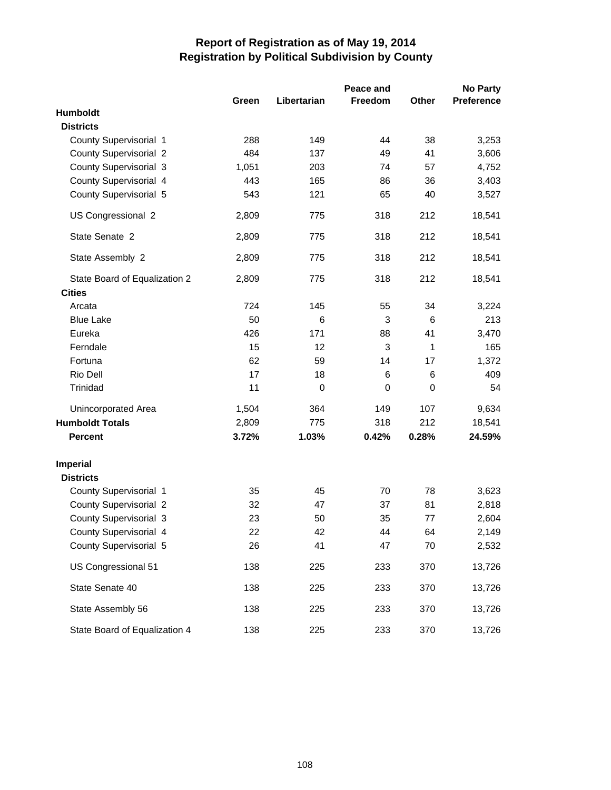|                               |       |             | Peace and |              | <b>No Party</b>   |
|-------------------------------|-------|-------------|-----------|--------------|-------------------|
|                               | Green | Libertarian | Freedom   | <b>Other</b> | <b>Preference</b> |
| Humboldt                      |       |             |           |              |                   |
| <b>Districts</b>              |       |             |           |              |                   |
| County Supervisorial 1        | 288   | 149         | 44        | 38           | 3,253             |
| <b>County Supervisorial 2</b> | 484   | 137         | 49        | 41           | 3,606             |
| County Supervisorial 3        | 1,051 | 203         | 74        | 57           | 4,752             |
| County Supervisorial 4        | 443   | 165         | 86        | 36           | 3,403             |
| County Supervisorial 5        | 543   | 121         | 65        | 40           | 3,527             |
| US Congressional 2            | 2,809 | 775         | 318       | 212          | 18,541            |
| State Senate 2                | 2,809 | 775         | 318       | 212          | 18,541            |
| State Assembly 2              | 2,809 | 775         | 318       | 212          | 18,541            |
| State Board of Equalization 2 | 2,809 | 775         | 318       | 212          | 18,541            |
| <b>Cities</b>                 |       |             |           |              |                   |
| Arcata                        | 724   | 145         | 55        | 34           | 3,224             |
| <b>Blue Lake</b>              | 50    | 6           | 3         | 6            | 213               |
| Eureka                        | 426   | 171         | 88        | 41           | 3,470             |
| Ferndale                      | 15    | 12          | 3         | 1            | 165               |
| Fortuna                       | 62    | 59          | 14        | 17           | 1,372             |
| Rio Dell                      | 17    | 18          | 6         | 6            | 409               |
| Trinidad                      | 11    | $\mathbf 0$ | 0         | $\mathbf 0$  | 54                |
| Unincorporated Area           | 1,504 | 364         | 149       | 107          | 9,634             |
| <b>Humboldt Totals</b>        | 2,809 | 775         | 318       | 212          | 18,541            |
| <b>Percent</b>                | 3.72% | 1.03%       | 0.42%     | 0.28%        | 24.59%            |
| <b>Imperial</b>               |       |             |           |              |                   |
| <b>Districts</b>              |       |             |           |              |                   |
| County Supervisorial 1        | 35    | 45          | 70        | 78           | 3,623             |
| <b>County Supervisorial 2</b> | 32    | 47          | 37        | 81           | 2,818             |
| County Supervisorial 3        | 23    | 50          | 35        | 77           | 2,604             |
| County Supervisorial 4        | 22    | 42          | 44        | 64           | 2,149             |
| County Supervisorial 5        | 26    | 41          | 47        | 70           | 2,532             |
| US Congressional 51           | 138   | 225         | 233       | 370          | 13,726            |
| State Senate 40               | 138   | 225         | 233       | 370          | 13,726            |
| State Assembly 56             | 138   | 225         | 233       | 370          | 13,726            |
| State Board of Equalization 4 | 138   | 225         | 233       | 370          | 13,726            |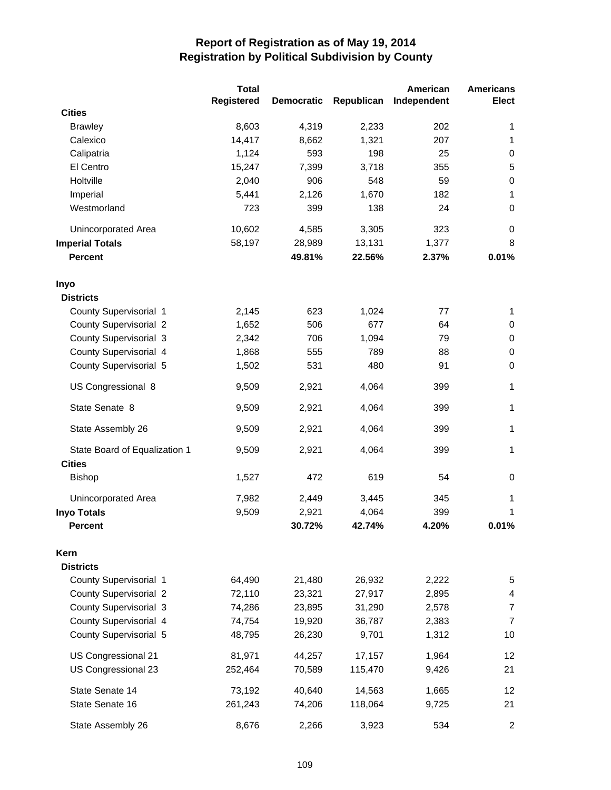|                               | <b>Total</b>      |                   |            | American    | <b>Americans</b> |
|-------------------------------|-------------------|-------------------|------------|-------------|------------------|
|                               | <b>Registered</b> | <b>Democratic</b> | Republican | Independent | Elect            |
| <b>Cities</b>                 |                   |                   |            |             |                  |
| <b>Brawley</b>                | 8,603             | 4,319             | 2,233      | 202         | 1                |
| Calexico                      | 14,417            | 8,662             | 1,321      | 207         | 1                |
| Calipatria                    | 1,124             | 593               | 198        | 25          | 0                |
| El Centro                     | 15,247            | 7,399             | 3,718      | 355         | 5                |
| Holtville                     | 2,040             | 906               | 548        | 59          | $\pmb{0}$        |
| Imperial                      | 5,441             | 2,126             | 1,670      | 182         | 1                |
| Westmorland                   | 723               | 399               | 138        | 24          | 0                |
| <b>Unincorporated Area</b>    | 10,602            | 4,585             | 3,305      | 323         | 0                |
| <b>Imperial Totals</b>        | 58,197            | 28,989            | 13,131     | 1,377       | 8                |
| <b>Percent</b>                |                   | 49.81%            | 22.56%     | 2.37%       | 0.01%            |
| Inyo                          |                   |                   |            |             |                  |
| <b>Districts</b>              |                   |                   |            |             |                  |
| County Supervisorial 1        | 2,145             | 623               | 1,024      | 77          | 1                |
| <b>County Supervisorial 2</b> | 1,652             | 506               | 677        | 64          | 0                |
| <b>County Supervisorial 3</b> | 2,342             | 706               | 1,094      | 79          | 0                |
| County Supervisorial 4        | 1,868             | 555               | 789        | 88          | $\pmb{0}$        |
| County Supervisorial 5        | 1,502             | 531               | 480        | 91          | $\mathbf 0$      |
| US Congressional 8            | 9,509             | 2,921             | 4,064      | 399         | 1                |
| State Senate 8                | 9,509             | 2,921             | 4,064      | 399         | 1                |
| State Assembly 26             | 9,509             | 2,921             | 4,064      | 399         | 1                |
| State Board of Equalization 1 | 9,509             | 2,921             | 4,064      | 399         | 1                |
| <b>Cities</b>                 |                   |                   |            |             |                  |
| <b>Bishop</b>                 | 1,527             | 472               | 619        | 54          | 0                |
| Unincorporated Area           | 7,982             | 2,449             | 3,445      | 345         | 1                |
| <b>Inyo Totals</b>            | 9,509             | 2,921             | 4,064      | 399         | 1                |
| <b>Percent</b>                |                   | 30.72%            | 42.74%     | 4.20%       | 0.01%            |
| Kern                          |                   |                   |            |             |                  |
| <b>Districts</b>              |                   |                   |            |             |                  |
| County Supervisorial 1        | 64,490            | 21,480            | 26,932     | 2,222       | 5                |
| <b>County Supervisorial 2</b> | 72,110            | 23,321            | 27,917     | 2,895       | 4                |
| <b>County Supervisorial 3</b> | 74,286            | 23,895            | 31,290     | 2,578       | $\overline{7}$   |
| County Supervisorial 4        | 74,754            | 19,920            | 36,787     | 2,383       | $\overline{7}$   |
| County Supervisorial 5        | 48,795            | 26,230            | 9,701      | 1,312       | 10               |
| US Congressional 21           | 81,971            | 44,257            | 17,157     | 1,964       | 12               |
| US Congressional 23           | 252,464           | 70,589            | 115,470    | 9,426       | 21               |
| State Senate 14               | 73,192            | 40,640            | 14,563     | 1,665       | 12               |
| State Senate 16               | 261,243           | 74,206            | 118,064    | 9,725       | 21               |
| State Assembly 26             | 8,676             | 2,266             | 3,923      | 534         | $\overline{c}$   |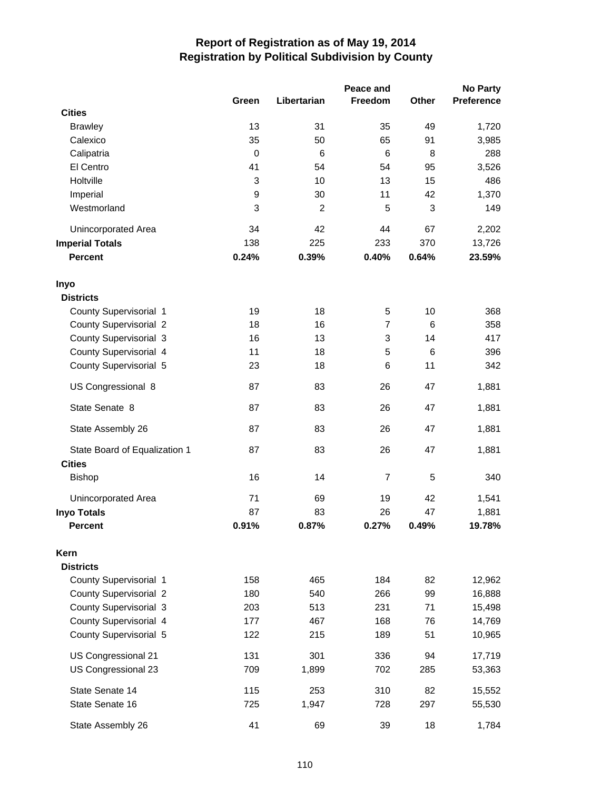|                               |                       |                      | Peace and      |         | <b>No Party</b> |
|-------------------------------|-----------------------|----------------------|----------------|---------|-----------------|
|                               | Green                 | Libertarian          | <b>Freedom</b> | Other   | Preference      |
| <b>Cities</b>                 |                       |                      |                |         |                 |
| <b>Brawley</b>                | 13                    | 31                   | 35             | 49      | 1,720           |
| Calexico                      | 35                    | 50                   | 65             | 91      | 3,985           |
| Calipatria                    | $\mathbf 0$           | 6                    | 6              | 8       | 288             |
| El Centro                     | 41                    | 54                   | 54             | 95      | 3,526           |
| Holtville                     | 3                     | 10                   | 13             | 15      | 486             |
| Imperial                      | $\boldsymbol{9}$<br>3 | 30<br>$\overline{c}$ | 11             | 42<br>3 | 1,370           |
| Westmorland                   |                       |                      | 5              |         | 149             |
| Unincorporated Area           | 34                    | 42                   | 44             | 67      | 2,202           |
| <b>Imperial Totals</b>        | 138                   | 225                  | 233            | 370     | 13,726          |
| <b>Percent</b>                | 0.24%                 | 0.39%                | 0.40%          | 0.64%   | 23.59%          |
| Inyo                          |                       |                      |                |         |                 |
| <b>Districts</b>              |                       |                      |                |         |                 |
| County Supervisorial 1        | 19                    | 18                   | 5              | 10      | 368             |
| <b>County Supervisorial 2</b> | 18                    | 16                   | $\overline{7}$ | 6       | 358             |
| County Supervisorial 3        | 16                    | 13                   | 3              | 14      | 417             |
| County Supervisorial 4        | 11                    | 18                   | 5              | 6       | 396             |
| County Supervisorial 5        | 23                    | 18                   | 6              | 11      | 342             |
| US Congressional 8            | 87                    | 83                   | 26             | 47      | 1,881           |
| State Senate 8                | 87                    | 83                   | 26             | 47      | 1,881           |
| State Assembly 26             | 87                    | 83                   | 26             | 47      | 1,881           |
| State Board of Equalization 1 | 87                    | 83                   | 26             | 47      | 1,881           |
| <b>Cities</b>                 |                       |                      |                |         |                 |
| <b>Bishop</b>                 | 16                    | 14                   | $\overline{7}$ | 5       | 340             |
| <b>Unincorporated Area</b>    | 71                    | 69                   | 19             | 42      | 1,541           |
| <b>Inyo Totals</b>            | 87                    | 83                   | 26             | 47      | 1,881           |
| <b>Percent</b>                | 0.91%                 | 0.87%                | 0.27%          | 0.49%   | 19.78%          |
| Kern                          |                       |                      |                |         |                 |
| <b>Districts</b>              |                       |                      |                |         |                 |
| County Supervisorial 1        | 158                   | 465                  | 184            | 82      | 12,962          |
| <b>County Supervisorial 2</b> | 180                   | 540                  | 266            | 99      | 16,888          |
| County Supervisorial 3        | 203                   | 513                  | 231            | 71      | 15,498          |
| County Supervisorial 4        | 177                   | 467                  | 168            | 76      | 14,769          |
| County Supervisorial 5        | 122                   | 215                  | 189            | 51      | 10,965          |
| US Congressional 21           | 131                   | 301                  | 336            | 94      | 17,719          |
| US Congressional 23           | 709                   | 1,899                | 702            | 285     | 53,363          |
| State Senate 14               | 115                   | 253                  | 310            | 82      | 15,552          |
| State Senate 16               | 725                   | 1,947                | 728            | 297     | 55,530          |
| State Assembly 26             | 41                    | 69                   | 39             | 18      | 1,784           |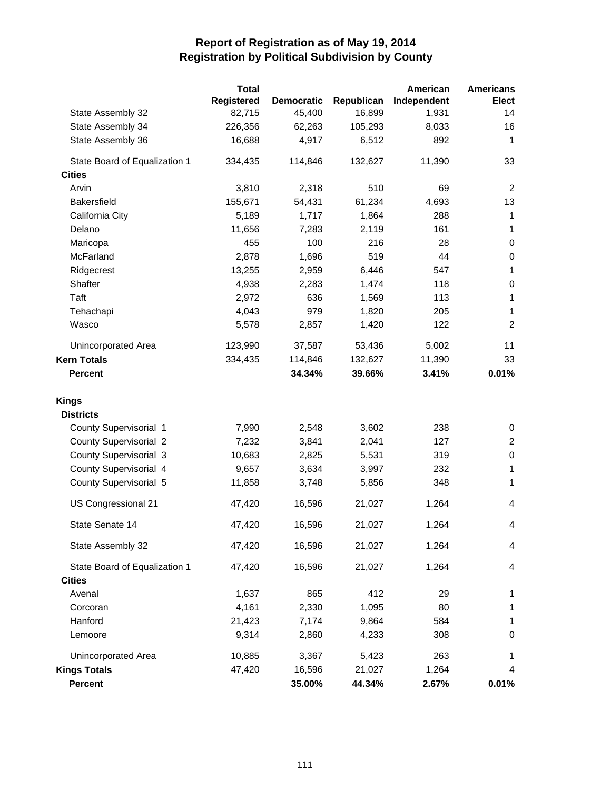|                               | <b>Total</b> |                   |            | American    | <b>Americans</b> |
|-------------------------------|--------------|-------------------|------------|-------------|------------------|
|                               | Registered   | <b>Democratic</b> | Republican | Independent | <b>Elect</b>     |
| State Assembly 32             | 82,715       | 45,400            | 16,899     | 1,931       | 14               |
| State Assembly 34             | 226,356      | 62,263            | 105,293    | 8,033       | 16               |
| State Assembly 36             | 16,688       | 4,917             | 6,512      | 892         | 1                |
| State Board of Equalization 1 | 334,435      | 114,846           | 132,627    | 11,390      | 33               |
| <b>Cities</b>                 |              |                   |            |             |                  |
| Arvin                         | 3,810        | 2,318             | 510        | 69          | 2                |
| <b>Bakersfield</b>            | 155,671      | 54,431            | 61,234     | 4,693       | 13               |
| California City               | 5,189        | 1,717             | 1,864      | 288         | $\mathbf{1}$     |
| Delano                        | 11,656       | 7,283             | 2,119      | 161         | $\mathbf{1}$     |
| Maricopa                      | 455          | 100               | 216        | 28          | $\pmb{0}$        |
| McFarland                     | 2,878        | 1,696             | 519        | 44          | $\pmb{0}$        |
| Ridgecrest                    | 13,255       | 2,959             | 6,446      | 547         | $\mathbf{1}$     |
| Shafter                       | 4,938        | 2,283             | 1,474      | 118         | 0                |
| Taft                          | 2,972        | 636               | 1,569      | 113         | 1                |
| Tehachapi                     | 4,043        | 979               | 1,820      | 205         | 1                |
| Wasco                         | 5,578        | 2,857             | 1,420      | 122         | $\overline{2}$   |
| Unincorporated Area           | 123,990      | 37,587            | 53,436     | 5,002       | 11               |
| <b>Kern Totals</b>            | 334,435      | 114,846           | 132,627    | 11,390      | 33               |
| <b>Percent</b>                |              | 34.34%            | 39.66%     | 3.41%       | 0.01%            |
| <b>Kings</b>                  |              |                   |            |             |                  |
| <b>Districts</b>              |              |                   |            |             |                  |
| County Supervisorial 1        | 7,990        | 2,548             | 3,602      | 238         | 0                |
| <b>County Supervisorial 2</b> | 7,232        | 3,841             | 2,041      | 127         | $\overline{2}$   |
| <b>County Supervisorial 3</b> | 10,683       | 2,825             | 5,531      | 319         | $\pmb{0}$        |
| County Supervisorial 4        | 9,657        | 3,634             | 3,997      | 232         | 1                |
| County Supervisorial 5        | 11,858       | 3,748             | 5,856      | 348         | 1                |
| US Congressional 21           | 47,420       | 16,596            | 21,027     | 1,264       | 4                |
| State Senate 14               | 47,420       | 16,596            | 21,027     | 1,264       | 4                |
| State Assembly 32             | 47,420       | 16,596            | 21,027     | 1,264       | 4                |
| State Board of Equalization 1 | 47,420       | 16,596            | 21,027     | 1,264       | 4                |
| <b>Cities</b>                 |              |                   |            |             |                  |
| Avenal                        | 1,637        | 865               | 412        | 29          | 1                |
| Corcoran                      | 4,161        | 2,330             | 1,095      | 80          | 1                |
| Hanford                       | 21,423       | 7,174             | 9,864      | 584         | 1                |
| Lemoore                       | 9,314        | 2,860             | 4,233      | 308         | 0                |
| Unincorporated Area           | 10,885       | 3,367             | 5,423      | 263         | 1                |
| <b>Kings Totals</b>           | 47,420       | 16,596            | 21,027     | 1,264       | 4                |
| Percent                       |              | 35.00%            | 44.34%     | 2.67%       | 0.01%            |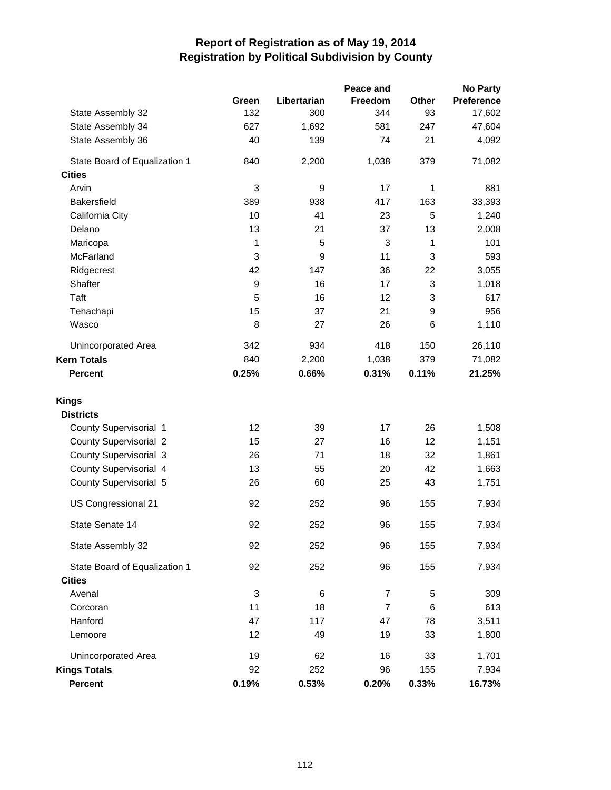|                               |             |             | Peace and                 |            | <b>No Party</b> |
|-------------------------------|-------------|-------------|---------------------------|------------|-----------------|
|                               | Green       | Libertarian | Freedom                   | Other      | Preference      |
| State Assembly 32             | 132         | 300         | 344                       | 93         | 17,602          |
| State Assembly 34             | 627         | 1,692       | 581                       | 247        | 47,604          |
| State Assembly 36             | 40          | 139         | 74                        | 21         | 4,092           |
| State Board of Equalization 1 | 840         | 2,200       | 1,038                     | 379        | 71,082          |
| <b>Cities</b>                 |             |             |                           |            |                 |
| Arvin                         | 3           | 9           | 17                        | 1          | 881             |
| <b>Bakersfield</b>            | 389         | 938         | 417                       | 163        | 33,393          |
| California City               | 10          | 41          | 23                        | $\sqrt{5}$ | 1,240           |
| Delano                        | 13          | 21          | 37                        | 13         | 2,008           |
| Maricopa                      | 1           | 5           | $\ensuremath{\mathsf{3}}$ | 1          | 101             |
| McFarland                     | 3           | 9           | 11                        | 3          | 593             |
| Ridgecrest                    | 42          | 147         | 36                        | 22         | 3,055           |
| Shafter                       | 9           | 16          | 17                        | 3          | 1,018           |
| Taft                          | 5           | 16          | 12                        | 3          | 617             |
| Tehachapi                     | 15          | 37          | 21                        | 9          | 956             |
| Wasco                         | 8           | 27          | 26                        | 6          | 1,110           |
| Unincorporated Area           | 342         | 934         | 418                       | 150        | 26,110          |
| <b>Kern Totals</b>            | 840         | 2,200       | 1,038                     | 379        | 71,082          |
| <b>Percent</b>                | 0.25%       | 0.66%       | 0.31%                     | 0.11%      | 21.25%          |
| <b>Kings</b>                  |             |             |                           |            |                 |
| <b>Districts</b>              |             |             |                           |            |                 |
| County Supervisorial 1        | 12          | 39          | 17                        | 26         | 1,508           |
| <b>County Supervisorial 2</b> | 15          | 27          | 16                        | 12         | 1,151           |
| <b>County Supervisorial 3</b> | 26          | 71          | 18                        | 32         | 1,861           |
| County Supervisorial 4        | 13          | 55          | 20                        | 42         | 1,663           |
| County Supervisorial 5        | 26          | 60          | 25                        | 43         | 1,751           |
| US Congressional 21           | 92          | 252         | 96                        | 155        | 7,934           |
| State Senate 14               | 92          | 252         | 96                        | 155        | 7,934           |
| State Assembly 32             | 92          | 252         | 96                        | 155        | 7,934           |
| State Board of Equalization 1 | 92          | 252         | 96                        | 155        | 7,934           |
| <b>Cities</b>                 |             |             |                           |            |                 |
| Avenal                        | $\mathsf 3$ | 6           | $\overline{7}$            | 5          | 309             |
| Corcoran                      | 11          | 18          | $\overline{7}$            | 6          | 613             |
| Hanford                       | 47          | 117         | 47                        | 78         | 3,511           |
| Lemoore                       | 12          | 49          | 19                        | 33         | 1,800           |
| Unincorporated Area           | 19          | 62          | 16                        | 33         | 1,701           |
| <b>Kings Totals</b>           | 92          | 252         | 96                        | 155        | 7,934           |
| Percent                       | 0.19%       | 0.53%       | 0.20%                     | 0.33%      | 16.73%          |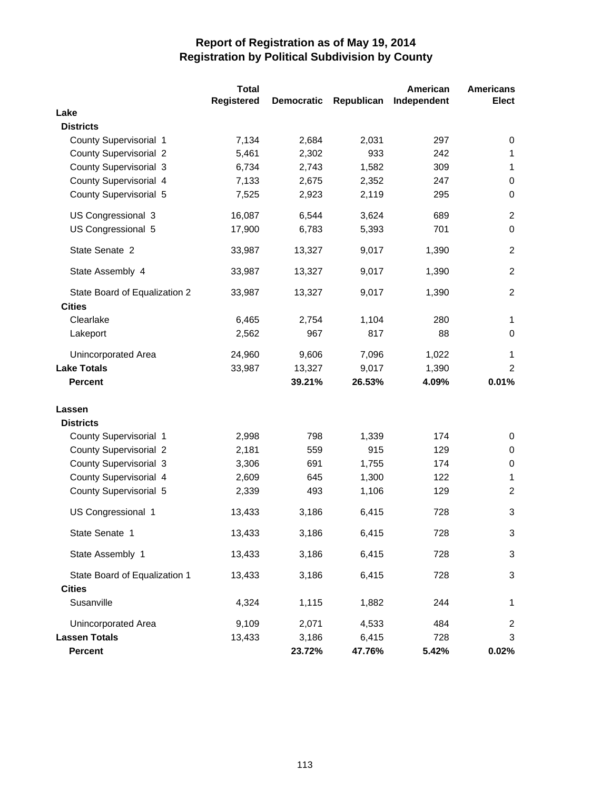|                               | <b>Total</b>      |                   |            | American    | <b>Americans</b> |
|-------------------------------|-------------------|-------------------|------------|-------------|------------------|
|                               | <b>Registered</b> | <b>Democratic</b> | Republican | Independent | <b>Elect</b>     |
| Lake                          |                   |                   |            |             |                  |
| <b>Districts</b>              |                   |                   |            |             |                  |
| County Supervisorial 1        | 7,134             | 2,684             | 2,031      | 297         | 0                |
| <b>County Supervisorial 2</b> | 5,461             | 2,302             | 933        | 242         | 1                |
| <b>County Supervisorial 3</b> | 6,734             | 2,743             | 1,582      | 309         | $\mathbf{1}$     |
| County Supervisorial 4        | 7,133             | 2,675             | 2,352      | 247         | 0                |
| County Supervisorial 5        | 7,525             | 2,923             | 2,119      | 295         | $\mathbf 0$      |
| US Congressional 3            | 16,087            | 6,544             | 3,624      | 689         | $\overline{c}$   |
| US Congressional 5            | 17,900            | 6,783             | 5,393      | 701         | $\mathbf 0$      |
| State Senate 2                | 33,987            | 13,327            | 9,017      | 1,390       | $\overline{c}$   |
| State Assembly 4              | 33,987            | 13,327            | 9,017      | 1,390       | $\overline{c}$   |
| State Board of Equalization 2 | 33,987            | 13,327            | 9,017      | 1,390       | $\overline{2}$   |
| <b>Cities</b>                 |                   |                   |            | 280         |                  |
| Clearlake                     | 6,465             | 2,754<br>967      | 1,104      | 88          | 1                |
| Lakeport                      | 2,562             |                   | 817        |             | 0                |
| <b>Unincorporated Area</b>    | 24,960            | 9,606             | 7,096      | 1,022       | 1                |
| <b>Lake Totals</b>            | 33,987            | 13,327            | 9,017      | 1,390       | $\overline{2}$   |
| <b>Percent</b>                |                   | 39.21%            | 26.53%     | 4.09%       | 0.01%            |
| Lassen                        |                   |                   |            |             |                  |
| <b>Districts</b>              |                   |                   |            |             |                  |
| County Supervisorial 1        | 2,998             | 798               | 1,339      | 174         | 0                |
| <b>County Supervisorial 2</b> | 2,181             | 559               | 915        | 129         | 0                |
| <b>County Supervisorial 3</b> | 3,306             | 691               | 1,755      | 174         | 0                |
| County Supervisorial 4        | 2,609             | 645               | 1,300      | 122         | $\mathbf 1$      |
| County Supervisorial 5        | 2,339             | 493               | 1,106      | 129         | $\overline{c}$   |
| US Congressional 1            | 13,433            | 3,186             | 6,415      | 728         | $\sqrt{3}$       |
| State Senate 1                | 13,433            | 3,186             | 6,415      | 728         | 3                |
| State Assembly 1              | 13,433            | 3,186             | 6,415      | 728         | $\sqrt{3}$       |
| State Board of Equalization 1 | 13,433            | 3,186             | 6,415      | 728         | 3                |
| <b>Cities</b>                 |                   |                   |            |             |                  |
| Susanville                    | 4,324             | 1,115             | 1,882      | 244         | 1                |
| <b>Unincorporated Area</b>    | 9,109             | 2,071             | 4,533      | 484         | 2                |
| <b>Lassen Totals</b>          | 13,433            | 3,186             | 6,415      | 728         | 3                |
| Percent                       |                   | 23.72%            | 47.76%     | 5.42%       | 0.02%            |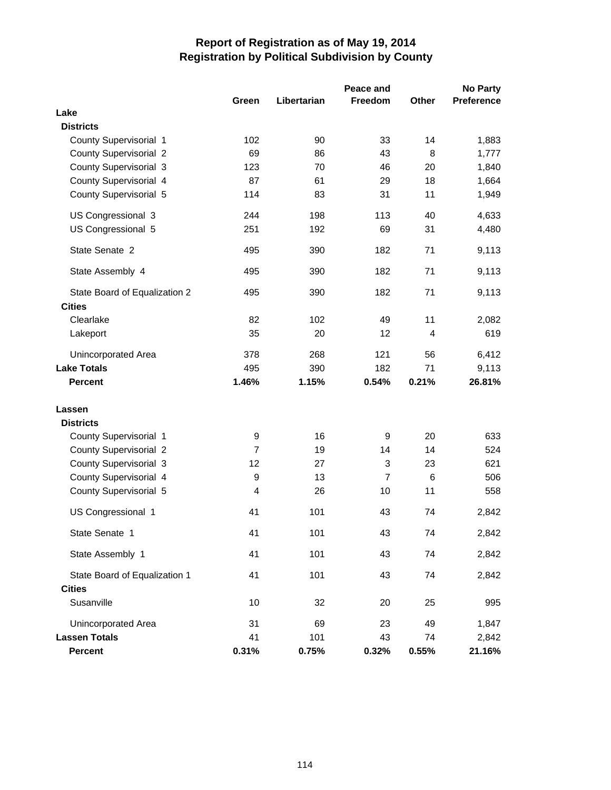|                               |                |             | Peace and      |                | <b>No Party</b>   |
|-------------------------------|----------------|-------------|----------------|----------------|-------------------|
|                               | Green          | Libertarian | Freedom        | Other          | <b>Preference</b> |
| Lake                          |                |             |                |                |                   |
| <b>Districts</b>              |                |             |                |                |                   |
| County Supervisorial 1        | 102            | 90          | 33             | 14             | 1,883             |
| <b>County Supervisorial 2</b> | 69             | 86          | 43             | 8              | 1,777             |
| <b>County Supervisorial 3</b> | 123            | 70          | 46             | 20             | 1,840             |
| County Supervisorial 4        | 87             | 61          | 29             | 18             | 1,664             |
| County Supervisorial 5        | 114            | 83          | 31             | 11             | 1,949             |
| US Congressional 3            | 244            | 198         | 113            | 40             | 4,633             |
| US Congressional 5            | 251            | 192         | 69             | 31             | 4,480             |
| State Senate 2                | 495            | 390         | 182            | 71             | 9,113             |
| State Assembly 4              | 495            | 390         | 182            | 71             | 9,113             |
| State Board of Equalization 2 | 495            | 390         | 182            | 71             | 9,113             |
| <b>Cities</b>                 |                |             |                |                |                   |
| Clearlake                     | 82             | 102         | 49             | 11             | 2,082             |
| Lakeport                      | 35             | 20          | 12             | $\overline{4}$ | 619               |
| <b>Unincorporated Area</b>    | 378            | 268         | 121            | 56             | 6,412             |
| <b>Lake Totals</b>            | 495            | 390         | 182            | 71             | 9,113             |
| <b>Percent</b>                | 1.46%          | 1.15%       | 0.54%          | 0.21%          | 26.81%            |
| Lassen                        |                |             |                |                |                   |
| <b>Districts</b>              |                |             |                |                |                   |
| County Supervisorial 1        | 9              | 16          | 9              | 20             | 633               |
| <b>County Supervisorial 2</b> | $\overline{7}$ | 19          | 14             | 14             | 524               |
| <b>County Supervisorial 3</b> | 12             | 27          | 3              | 23             | 621               |
| County Supervisorial 4        | 9              | 13          | $\overline{7}$ | 6              | 506               |
| County Supervisorial 5        | 4              | 26          | 10             | 11             | 558               |
| US Congressional 1            | 41             | 101         | 43             | 74             | 2,842             |
| State Senate 1                | 41             | 101         | 43             | 74             | 2,842             |
| State Assembly 1              | 41             | 101         | 43             | 74             | 2,842             |
| State Board of Equalization 1 | 41             | 101         | 43             | 74             | 2,842             |
| <b>Cities</b>                 |                |             |                |                |                   |
| Susanville                    | 10             | 32          | 20             | 25             | 995               |
| <b>Unincorporated Area</b>    | 31             | 69          | 23             | 49             | 1,847             |
| <b>Lassen Totals</b>          | 41             | 101         | 43             | 74             | 2,842             |
| <b>Percent</b>                | 0.31%          | 0.75%       | 0.32%          | 0.55%          | 21.16%            |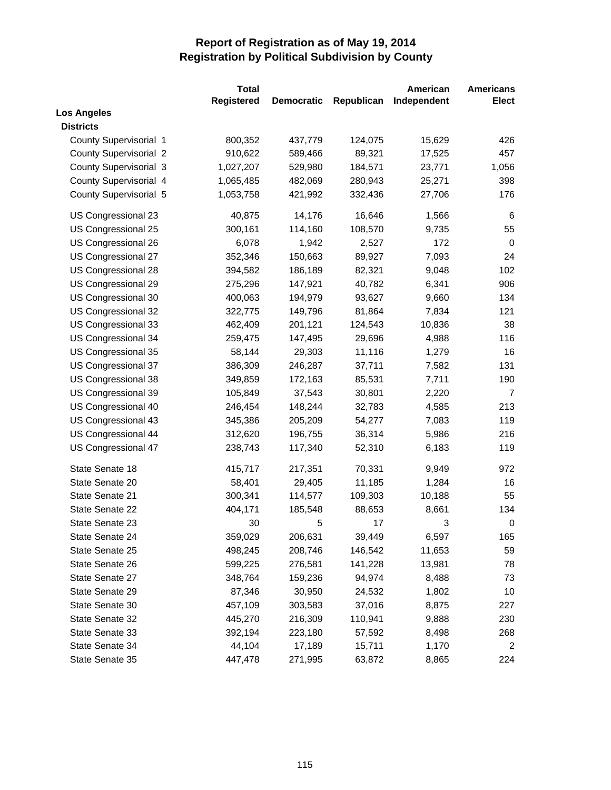|                               | <b>Total</b> |                   |            | American    | <b>Americans</b> |
|-------------------------------|--------------|-------------------|------------|-------------|------------------|
|                               | Registered   | <b>Democratic</b> | Republican | Independent | Elect            |
| <b>Los Angeles</b>            |              |                   |            |             |                  |
| <b>Districts</b>              |              |                   |            |             |                  |
| County Supervisorial 1        | 800,352      | 437,779           | 124,075    | 15,629      | 426              |
| <b>County Supervisorial 2</b> | 910,622      | 589,466           | 89,321     | 17,525      | 457              |
| <b>County Supervisorial 3</b> | 1,027,207    | 529,980           | 184,571    | 23,771      | 1,056            |
| County Supervisorial 4        | 1,065,485    | 482,069           | 280,943    | 25,271      | 398              |
| County Supervisorial 5        | 1,053,758    | 421,992           | 332,436    | 27,706      | 176              |
| US Congressional 23           | 40,875       | 14,176            | 16,646     | 1,566       | 6                |
| US Congressional 25           | 300,161      | 114,160           | 108,570    | 9,735       | 55               |
| US Congressional 26           | 6,078        | 1,942             | 2,527      | 172         | 0                |
| US Congressional 27           | 352,346      | 150,663           | 89,927     | 7,093       | 24               |
| US Congressional 28           | 394,582      | 186,189           | 82,321     | 9,048       | 102              |
| US Congressional 29           | 275,296      | 147,921           | 40,782     | 6,341       | 906              |
| US Congressional 30           | 400,063      | 194,979           | 93,627     | 9,660       | 134              |
| US Congressional 32           | 322,775      | 149,796           | 81,864     | 7,834       | 121              |
| US Congressional 33           | 462,409      | 201,121           | 124,543    | 10,836      | 38               |
| US Congressional 34           | 259,475      | 147,495           | 29,696     | 4,988       | 116              |
| US Congressional 35           | 58,144       | 29,303            | 11,116     | 1,279       | 16               |
| US Congressional 37           | 386,309      | 246,287           | 37,711     | 7,582       | 131              |
| US Congressional 38           | 349,859      | 172,163           | 85,531     | 7,711       | 190              |
| US Congressional 39           | 105,849      | 37,543            | 30,801     | 2,220       | $\overline{7}$   |
| US Congressional 40           | 246,454      | 148,244           | 32,783     | 4,585       | 213              |
| US Congressional 43           | 345,386      | 205,209           | 54,277     | 7,083       | 119              |
| US Congressional 44           | 312,620      | 196,755           | 36,314     | 5,986       | 216              |
| US Congressional 47           | 238,743      | 117,340           | 52,310     | 6,183       | 119              |
| State Senate 18               | 415,717      | 217,351           | 70,331     | 9,949       | 972              |
| State Senate 20               | 58,401       | 29,405            | 11,185     | 1,284       | 16               |
| State Senate 21               | 300,341      | 114,577           | 109,303    | 10,188      | 55               |
| State Senate 22               | 404,171      | 185,548           | 88,653     | 8,661       | 134              |
| State Senate 23               | 30           | 5                 | 17         | 3           | $\pmb{0}$        |
| State Senate 24               | 359,029      | 206,631           | 39,449     | 6,597       | 165              |
| State Senate 25               | 498,245      | 208,746           | 146,542    | 11,653      | 59               |
| State Senate 26               | 599,225      | 276,581           | 141,228    | 13,981      | 78               |
| State Senate 27               | 348,764      | 159,236           | 94,974     | 8,488       | 73               |
| State Senate 29               | 87,346       | 30,950            | 24,532     | 1,802       | 10               |
| State Senate 30               | 457,109      | 303,583           | 37,016     | 8,875       | 227              |
| State Senate 32               | 445,270      | 216,309           | 110,941    | 9,888       | 230              |
| State Senate 33               | 392,194      | 223,180           | 57,592     | 8,498       | 268              |
| State Senate 34               | 44,104       | 17,189            | 15,711     | 1,170       | 2                |
| State Senate 35               | 447,478      | 271,995           | 63,872     | 8,865       | 224              |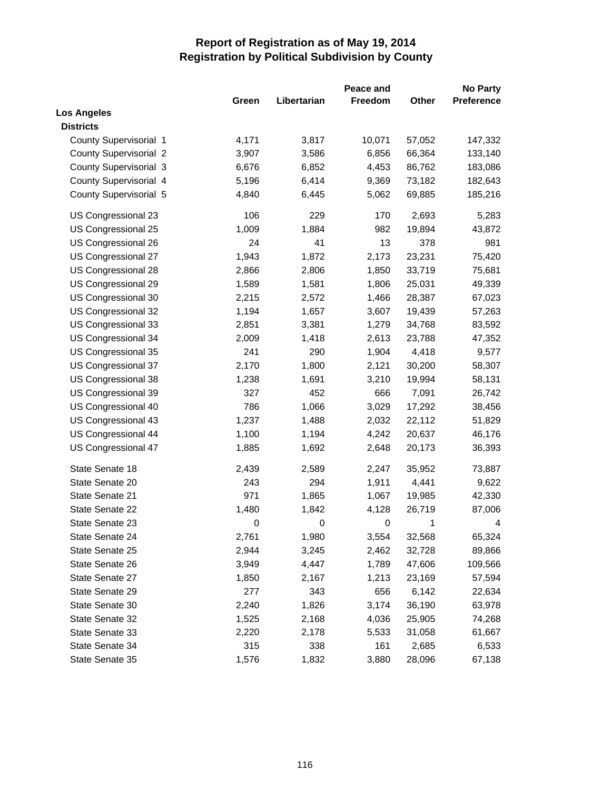|                               |       |             | Peace and |        | <b>No Party</b>   |
|-------------------------------|-------|-------------|-----------|--------|-------------------|
|                               | Green | Libertarian | Freedom   | Other  | <b>Preference</b> |
| <b>Los Angeles</b>            |       |             |           |        |                   |
| <b>Districts</b>              |       |             |           |        |                   |
| County Supervisorial 1        | 4,171 | 3,817       | 10,071    | 57,052 | 147,332           |
| <b>County Supervisorial 2</b> | 3,907 | 3,586       | 6,856     | 66,364 | 133,140           |
| <b>County Supervisorial 3</b> | 6,676 | 6,852       | 4,453     | 86,762 | 183,086           |
| County Supervisorial 4        | 5,196 | 6,414       | 9,369     | 73,182 | 182,643           |
| County Supervisorial 5        | 4,840 | 6,445       | 5,062     | 69,885 | 185,216           |
| US Congressional 23           | 106   | 229         | 170       | 2,693  | 5,283             |
| US Congressional 25           | 1,009 | 1,884       | 982       | 19,894 | 43,872            |
| US Congressional 26           | 24    | 41          | 13        | 378    | 981               |
| US Congressional 27           | 1,943 | 1,872       | 2,173     | 23,231 | 75,420            |
| US Congressional 28           | 2,866 | 2,806       | 1,850     | 33,719 | 75,681            |
| US Congressional 29           | 1,589 | 1,581       | 1,806     | 25,031 | 49,339            |
| US Congressional 30           | 2,215 | 2,572       | 1,466     | 28,387 | 67,023            |
| US Congressional 32           | 1,194 | 1,657       | 3,607     | 19,439 | 57,263            |
| US Congressional 33           | 2,851 | 3,381       | 1,279     | 34,768 | 83,592            |
| US Congressional 34           | 2,009 | 1,418       | 2,613     | 23,788 | 47,352            |
| US Congressional 35           | 241   | 290         | 1,904     | 4,418  | 9,577             |
| US Congressional 37           | 2,170 | 1,800       | 2,121     | 30,200 | 58,307            |
| US Congressional 38           | 1,238 | 1,691       | 3,210     | 19,994 | 58,131            |
| US Congressional 39           | 327   | 452         | 666       | 7,091  | 26,742            |
| US Congressional 40           | 786   | 1,066       | 3,029     | 17,292 | 38,456            |
| US Congressional 43           | 1,237 | 1,488       | 2,032     | 22,112 | 51,829            |
| US Congressional 44           | 1,100 | 1,194       | 4,242     | 20,637 | 46,176            |
| US Congressional 47           | 1,885 | 1,692       | 2,648     | 20,173 | 36,393            |
| State Senate 18               | 2,439 | 2,589       | 2,247     | 35,952 | 73,887            |
| State Senate 20               | 243   | 294         | 1,911     | 4,441  | 9,622             |
| State Senate 21               | 971   | 1,865       | 1,067     | 19,985 | 42,330            |
| State Senate 22               | 1,480 | 1,842       | 4,128     | 26,719 | 87,006            |
| State Senate 23               | 0     | $\pmb{0}$   | $\pmb{0}$ | 1      | 4                 |
| State Senate 24               | 2,761 | 1,980       | 3,554     | 32,568 | 65,324            |
| State Senate 25               | 2,944 | 3,245       | 2,462     | 32,728 | 89,866            |
| State Senate 26               | 3,949 | 4,447       | 1,789     | 47,606 | 109,566           |
| State Senate 27               | 1,850 | 2,167       | 1,213     | 23,169 | 57,594            |
| State Senate 29               | 277   | 343         | 656       | 6,142  | 22,634            |
| State Senate 30               | 2,240 | 1,826       | 3,174     | 36,190 | 63,978            |
| State Senate 32               | 1,525 | 2,168       | 4,036     | 25,905 | 74,268            |
| State Senate 33               | 2,220 | 2,178       | 5,533     | 31,058 | 61,667            |
| State Senate 34               | 315   | 338         | 161       | 2,685  | 6,533             |
| State Senate 35               | 1,576 | 1,832       | 3,880     | 28,096 | 67,138            |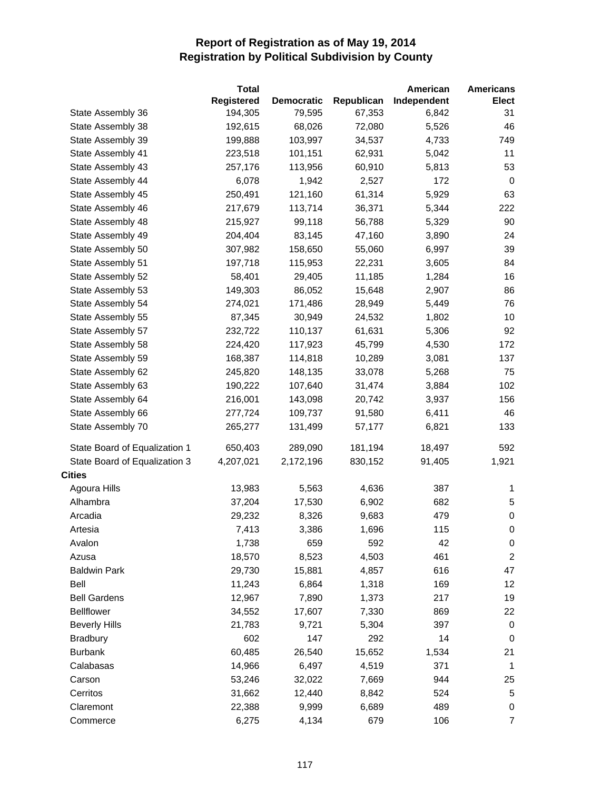|                               | <b>Total</b>      |                   |            | American    | <b>Americans</b> |
|-------------------------------|-------------------|-------------------|------------|-------------|------------------|
|                               | <b>Registered</b> | <b>Democratic</b> | Republican | Independent | Elect            |
| State Assembly 36             | 194,305           | 79,595            | 67,353     | 6,842       | 31               |
| State Assembly 38             | 192,615           | 68,026            | 72,080     | 5,526       | 46               |
| State Assembly 39             | 199,888           | 103,997           | 34,537     | 4,733       | 749              |
| State Assembly 41             | 223,518           | 101,151           | 62,931     | 5,042       | 11               |
| State Assembly 43             | 257,176           | 113,956           | 60,910     | 5,813       | 53               |
| State Assembly 44             | 6,078             | 1,942             | 2,527      | 172         | 0                |
| State Assembly 45             | 250,491           | 121,160           | 61,314     | 5,929       | 63               |
| State Assembly 46             | 217,679           | 113,714           | 36,371     | 5,344       | 222              |
| State Assembly 48             | 215,927           | 99,118            | 56,788     | 5,329       | 90               |
| State Assembly 49             | 204,404           | 83,145            | 47,160     | 3,890       | 24               |
| State Assembly 50             | 307,982           | 158,650           | 55,060     | 6,997       | 39               |
| State Assembly 51             | 197,718           | 115,953           | 22,231     | 3,605       | 84               |
| State Assembly 52             | 58,401            | 29,405            | 11,185     | 1,284       | 16               |
| State Assembly 53             | 149,303           | 86,052            | 15,648     | 2,907       | 86               |
| State Assembly 54             | 274,021           | 171,486           | 28,949     | 5,449       | 76               |
| State Assembly 55             | 87,345            | 30,949            | 24,532     | 1,802       | 10               |
| State Assembly 57             | 232,722           | 110,137           | 61,631     | 5,306       | 92               |
| State Assembly 58             | 224,420           | 117,923           | 45,799     | 4,530       | 172              |
| State Assembly 59             | 168,387           | 114,818           | 10,289     | 3,081       | 137              |
| State Assembly 62             | 245,820           | 148,135           | 33,078     | 5,268       | 75               |
| State Assembly 63             | 190,222           | 107,640           | 31,474     | 3,884       | 102              |
| State Assembly 64             | 216,001           | 143,098           | 20,742     | 3,937       | 156              |
| State Assembly 66             | 277,724           | 109,737           | 91,580     | 6,411       | 46               |
| State Assembly 70             | 265,277           | 131,499           | 57,177     | 6,821       | 133              |
| State Board of Equalization 1 | 650,403           | 289,090           | 181,194    | 18,497      | 592              |
| State Board of Equalization 3 | 4,207,021         | 2,172,196         | 830,152    | 91,405      | 1,921            |
| <b>Cities</b>                 |                   |                   |            |             |                  |
| Agoura Hills                  | 13,983            | 5,563             | 4,636      | 387         | 1                |
| Alhambra                      | 37,204            | 17,530            | 6,902      | 682         | 5                |
| Arcadia                       | 29,232            | 8,326             | 9,683      | 479         | $\pmb{0}$        |
| Artesia                       | 7,413             | 3,386             | 1,696      | 115         | 0                |
| Avalon                        | 1,738             | 659               | 592        | 42          | 0                |
| Azusa                         | 18,570            | 8,523             | 4,503      | 461         | $\overline{2}$   |
| <b>Baldwin Park</b>           | 29,730            | 15,881            | 4,857      | 616         | 47               |
| Bell                          | 11,243            | 6,864             | 1,318      | 169         | 12               |
| <b>Bell Gardens</b>           | 12,967            | 7,890             | 1,373      | 217         | 19               |
| <b>Bellflower</b>             | 34,552            | 17,607            | 7,330      | 869         | 22               |
| <b>Beverly Hills</b>          | 21,783            | 9,721             | 5,304      | 397         | $\pmb{0}$        |
| <b>Bradbury</b>               | 602               | 147               | 292        | 14          | $\pmb{0}$        |
| <b>Burbank</b>                | 60,485            | 26,540            | 15,652     | 1,534       | 21               |
| Calabasas                     | 14,966            | 6,497             | 4,519      | 371         | -1               |
| Carson                        | 53,246            | 32,022            | 7,669      | 944         | 25               |
| Cerritos                      | 31,662            | 12,440            | 8,842      | 524         | 5                |
| Claremont                     | 22,388            | 9,999             | 6,689      | 489         | 0                |
| Commerce                      | 6,275             | 4,134             | 679        | 106         | $\overline{7}$   |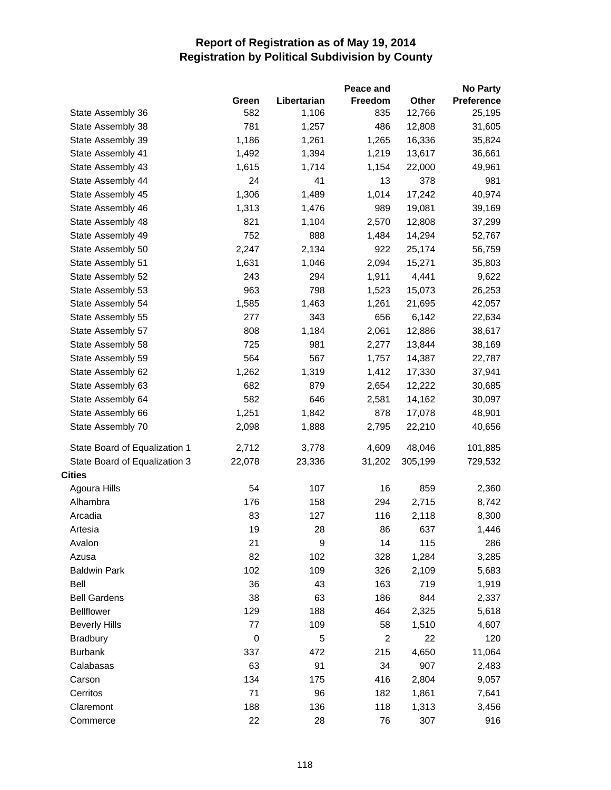|                               |           |             | Peace and      |         | <b>No Party</b>   |
|-------------------------------|-----------|-------------|----------------|---------|-------------------|
|                               | Green     | Libertarian | Freedom        | Other   | <b>Preference</b> |
| State Assembly 36             | 582       | 1,106       | 835            | 12,766  | 25,195            |
| State Assembly 38             | 781       | 1,257       | 486            | 12,808  | 31,605            |
| State Assembly 39             | 1,186     | 1,261       | 1,265          | 16,336  | 35,824            |
| State Assembly 41             | 1,492     | 1,394       | 1,219          | 13,617  | 36,661            |
| State Assembly 43             | 1,615     | 1,714       | 1,154          | 22,000  | 49,961            |
| State Assembly 44             | 24        | 41          | 13             | 378     | 981               |
| State Assembly 45             | 1,306     | 1,489       | 1,014          | 17,242  | 40,974            |
| State Assembly 46             | 1,313     | 1,476       | 989            | 19,081  | 39,169            |
| State Assembly 48             | 821       | 1,104       | 2,570          | 12,808  | 37,299            |
| State Assembly 49             | 752       | 888         | 1,484          | 14,294  | 52,767            |
| State Assembly 50             | 2,247     | 2,134       | 922            | 25,174  | 56,759            |
| State Assembly 51             | 1,631     | 1,046       | 2,094          | 15,271  | 35,803            |
| State Assembly 52             | 243       | 294         | 1,911          | 4,441   | 9,622             |
| State Assembly 53             | 963       | 798         | 1,523          | 15,073  | 26,253            |
| State Assembly 54             | 1,585     | 1,463       | 1,261          | 21,695  | 42,057            |
| State Assembly 55             | 277       | 343         | 656            | 6,142   | 22,634            |
| State Assembly 57             | 808       | 1,184       | 2,061          | 12,886  | 38,617            |
| State Assembly 58             | 725       | 981         | 2,277          | 13,844  | 38,169            |
| State Assembly 59             | 564       | 567         | 1,757          | 14,387  | 22,787            |
| State Assembly 62             | 1,262     | 1,319       | 1,412          | 17,330  | 37,941            |
| State Assembly 63             | 682       | 879         | 2,654          | 12,222  | 30,685            |
| State Assembly 64             | 582       | 646         | 2,581          | 14,162  | 30,097            |
| State Assembly 66             | 1,251     | 1,842       | 878            | 17,078  | 48,901            |
| State Assembly 70             | 2,098     | 1,888       | 2,795          | 22,210  | 40,656            |
| State Board of Equalization 1 | 2,712     | 3,778       | 4,609          | 48,046  | 101,885           |
| State Board of Equalization 3 | 22,078    | 23,336      | 31,202         | 305,199 | 729,532           |
| <b>Cities</b>                 |           |             |                |         |                   |
| Agoura Hills                  | 54        | 107         | 16             | 859     | 2,360             |
| Alhambra                      | 176       | 158         | 294            | 2,715   | 8,742             |
| Arcadia                       | 83        | 127         | 116            | 2,118   | 8,300             |
| Artesia                       | 19        | 28          | 86             | 637     | 1,446             |
| Avalon                        | 21        | 9           | 14             | 115     | 286               |
| Azusa                         | 82        | 102         | 328            | 1,284   | 3,285             |
| <b>Baldwin Park</b>           | 102       | 109         | 326            | 2,109   | 5,683             |
| Bell                          | 36        | 43          | 163            | 719     | 1,919             |
| <b>Bell Gardens</b>           | 38        | 63          | 186            | 844     | 2,337             |
| <b>Bellflower</b>             | 129       | 188         | 464            | 2,325   | 5,618             |
| <b>Beverly Hills</b>          | 77        | 109         | 58             | 1,510   | 4,607             |
| <b>Bradbury</b>               | $\pmb{0}$ | 5           | $\overline{c}$ | 22      | 120               |
| <b>Burbank</b>                | 337       | 472         | 215            | 4,650   | 11,064            |
| Calabasas                     | 63        | 91          | 34             | 907     | 2,483             |
| Carson                        | 134       | 175         | 416            | 2,804   | 9,057             |
| Cerritos                      | 71        | 96          | 182            | 1,861   | 7,641             |
| Claremont                     | 188       | 136         | 118            | 1,313   | 3,456             |
| Commerce                      | 22        | 28          | 76             | 307     | 916               |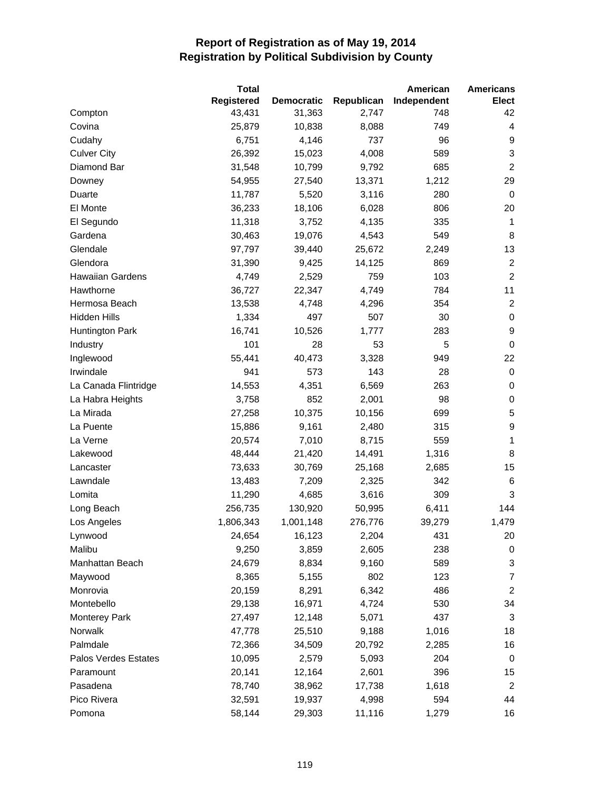|                      | <b>Total</b>      |                   |            | American    | <b>Americans</b>          |
|----------------------|-------------------|-------------------|------------|-------------|---------------------------|
|                      | <b>Registered</b> | <b>Democratic</b> | Republican | Independent | Elect                     |
| Compton              | 43,431            | 31,363            | 2,747      | 748         | 42                        |
| Covina               | 25,879            | 10,838            | 8,088      | 749         | 4                         |
| Cudahy               | 6,751             | 4,146             | 737        | 96          | 9                         |
| <b>Culver City</b>   | 26,392            | 15,023            | 4,008      | 589         | $\ensuremath{\mathsf{3}}$ |
| Diamond Bar          | 31,548            | 10,799            | 9,792      | 685         | $\boldsymbol{2}$          |
| Downey               | 54,955            | 27,540            | 13,371     | 1,212       | 29                        |
| Duarte               | 11,787            | 5,520             | 3,116      | 280         | $\mathbf 0$               |
| El Monte             | 36,233            | 18,106            | 6,028      | 806         | 20                        |
| El Segundo           | 11,318            | 3,752             | 4,135      | 335         | 1                         |
| Gardena              | 30,463            | 19,076            | 4,543      | 549         | 8                         |
| Glendale             | 97,797            | 39,440            | 25,672     | 2,249       | 13                        |
| Glendora             | 31,390            | 9,425             | 14,125     | 869         | $\overline{2}$            |
| Hawaiian Gardens     | 4,749             | 2,529             | 759        | 103         | $\boldsymbol{2}$          |
| Hawthorne            | 36,727            | 22,347            | 4,749      | 784         | 11                        |
| Hermosa Beach        | 13,538            | 4,748             | 4,296      | 354         | $\overline{c}$            |
| <b>Hidden Hills</b>  | 1,334             | 497               | 507        | 30          | $\pmb{0}$                 |
| Huntington Park      | 16,741            | 10,526            | 1,777      | 283         | 9                         |
| Industry             | 101               | 28                | 53         | 5           | $\mathbf 0$               |
| Inglewood            | 55,441            | 40,473            | 3,328      | 949         | 22                        |
| Irwindale            | 941               | 573               | 143        | 28          | $\pmb{0}$                 |
| La Canada Flintridge | 14,553            | 4,351             | 6,569      | 263         | 0                         |
| La Habra Heights     | 3,758             | 852               | 2,001      | 98          | $\pmb{0}$                 |
| La Mirada            | 27,258            | 10,375            | 10,156     | 699         | $\mathbf 5$               |
| La Puente            | 15,886            | 9,161             | 2,480      | 315         | 9                         |
| La Verne             | 20,574            | 7,010             | 8,715      | 559         | 1                         |
| Lakewood             | 48,444            | 21,420            | 14,491     | 1,316       | 8                         |
| Lancaster            | 73,633            | 30,769            | 25,168     | 2,685       | 15                        |
| Lawndale             | 13,483            | 7,209             | 2,325      | 342         | 6                         |
| Lomita               | 11,290            | 4,685             | 3,616      | 309         | $\mathsf 3$               |
| Long Beach           | 256,735           | 130,920           | 50,995     | 6,411       | 144                       |
| Los Angeles          | 1,806,343         | 1,001,148         | 276,776    | 39,279      | 1,479                     |
| Lynwood              | 24,654            | 16,123            | 2,204      | 431         | 20                        |
| Malibu               | 9,250             | 3,859             | 2,605      | 238         | $\pmb{0}$                 |
| Manhattan Beach      | 24,679            | 8,834             | 9,160      | 589         | 3                         |
| Maywood              | 8,365             | 5,155             | 802        | 123         | $\overline{7}$            |
| Monrovia             | 20,159            | 8,291             | 6,342      | 486         | $\boldsymbol{2}$          |
| Montebello           | 29,138            | 16,971            | 4,724      | 530         | 34                        |
| <b>Monterey Park</b> | 27,497            | 12,148            | 5,071      | 437         | 3                         |
| Norwalk              | 47,778            | 25,510            | 9,188      | 1,016       | 18                        |
| Palmdale             | 72,366            | 34,509            | 20,792     | 2,285       | 16                        |
| Palos Verdes Estates | 10,095            | 2,579             | 5,093      | 204         | 0                         |
| Paramount            | 20,141            | 12,164            | 2,601      | 396         | 15                        |
| Pasadena             | 78,740            | 38,962            | 17,738     | 1,618       | $\overline{2}$            |
| Pico Rivera          | 32,591            | 19,937            | 4,998      | 594         | 44                        |
| Pomona               | 58,144            | 29,303            | 11,116     | 1,279       | 16                        |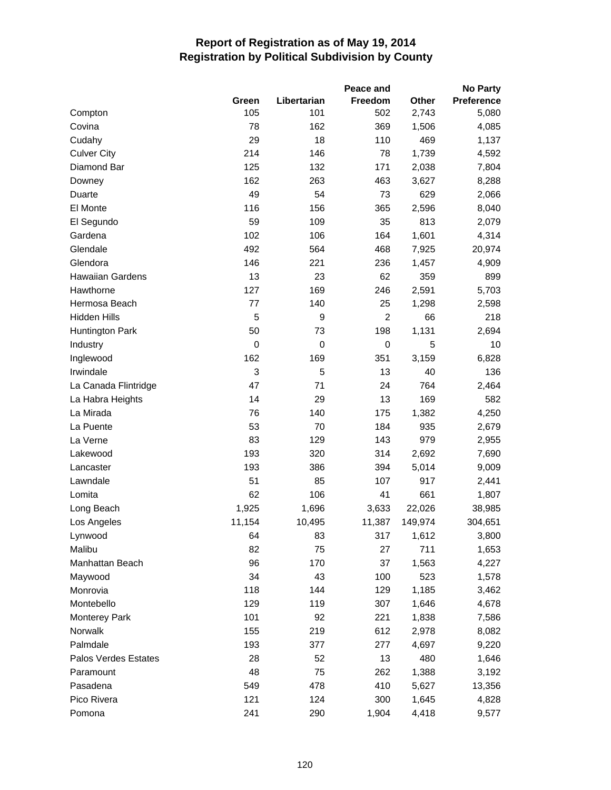|                         |             |             | Peace and      |              | <b>No Party</b> |
|-------------------------|-------------|-------------|----------------|--------------|-----------------|
|                         | Green       | Libertarian | <b>Freedom</b> | <b>Other</b> | Preference      |
| Compton                 | 105         | 101         | 502            | 2,743        | 5,080           |
| Covina                  | 78          | 162         | 369            | 1,506        | 4,085           |
| Cudahy                  | 29          | 18          | 110            | 469          | 1,137           |
| <b>Culver City</b>      | 214         | 146         | 78             | 1,739        | 4,592           |
| Diamond Bar             | 125         | 132         | 171            | 2,038        | 7,804           |
| Downey                  | 162         | 263         | 463            | 3,627        | 8,288           |
| Duarte                  | 49          | 54          | 73             | 629          | 2,066           |
| El Monte                | 116         | 156         | 365            | 2,596        | 8,040           |
| El Segundo              | 59          | 109         | 35             | 813          | 2,079           |
| Gardena                 | 102         | 106         | 164            | 1,601        | 4,314           |
| Glendale                | 492         | 564         | 468            | 7,925        | 20,974          |
| Glendora                | 146         | 221         | 236            | 1,457        | 4,909           |
| <b>Hawaiian Gardens</b> | 13          | 23          | 62             | 359          | 899             |
| Hawthorne               | 127         | 169         | 246            | 2,591        | 5,703           |
| Hermosa Beach           | 77          | 140         | 25             | 1,298        | 2,598           |
| <b>Hidden Hills</b>     | 5           | 9           | $\overline{2}$ | 66           | 218             |
| <b>Huntington Park</b>  | 50          | 73          | 198            | 1,131        | 2,694           |
| Industry                | $\mathbf 0$ | 0           | $\pmb{0}$      | 5            | 10              |
| Inglewood               | 162         | 169         | 351            | 3,159        | 6,828           |
| Irwindale               | 3           | 5           | 13             | 40           | 136             |
| La Canada Flintridge    | 47          | 71          | 24             | 764          | 2,464           |
| La Habra Heights        | 14          | 29          | 13             | 169          | 582             |
| La Mirada               | 76          | 140         | 175            | 1,382        | 4,250           |
| La Puente               | 53          | 70          | 184            | 935          | 2,679           |
| La Verne                | 83          | 129         | 143            | 979          | 2,955           |
| Lakewood                | 193         | 320         | 314            | 2,692        | 7,690           |
| Lancaster               | 193         | 386         | 394            | 5,014        | 9,009           |
| Lawndale                | 51          | 85          | 107            | 917          | 2,441           |
| Lomita                  | 62          | 106         | 41             | 661          | 1,807           |
| Long Beach              | 1,925       | 1,696       | 3,633          | 22,026       | 38,985          |
| Los Angeles             | 11,154      | 10,495      | 11,387         | 149,974      | 304,651         |
| Lynwood                 | 64          | 83          | 317            | 1,612        | 3,800           |
| Malibu                  | 82          | 75          | 27             | 711          | 1,653           |
| Manhattan Beach         | 96          | 170         | 37             | 1,563        | 4,227           |
| Maywood                 | 34          | 43          | 100            | 523          | 1,578           |
| Monrovia                | 118         | 144         | 129            | 1,185        | 3,462           |
| Montebello              | 129         | 119         | 307            | 1,646        | 4,678           |
| <b>Monterey Park</b>    | 101         | 92          | 221            | 1,838        | 7,586           |
| Norwalk                 | 155         | 219         | 612            | 2,978        | 8,082           |
| Palmdale                | 193         | 377         | 277            | 4,697        | 9,220           |
| Palos Verdes Estates    | 28          | 52          | 13             | 480          | 1,646           |
| Paramount               | 48          | 75          | 262            | 1,388        | 3,192           |
| Pasadena                | 549         | 478         | 410            | 5,627        | 13,356          |
| Pico Rivera             | 121         | 124         | 300            | 1,645        | 4,828           |
| Pomona                  | 241         | 290         | 1,904          | 4,418        | 9,577           |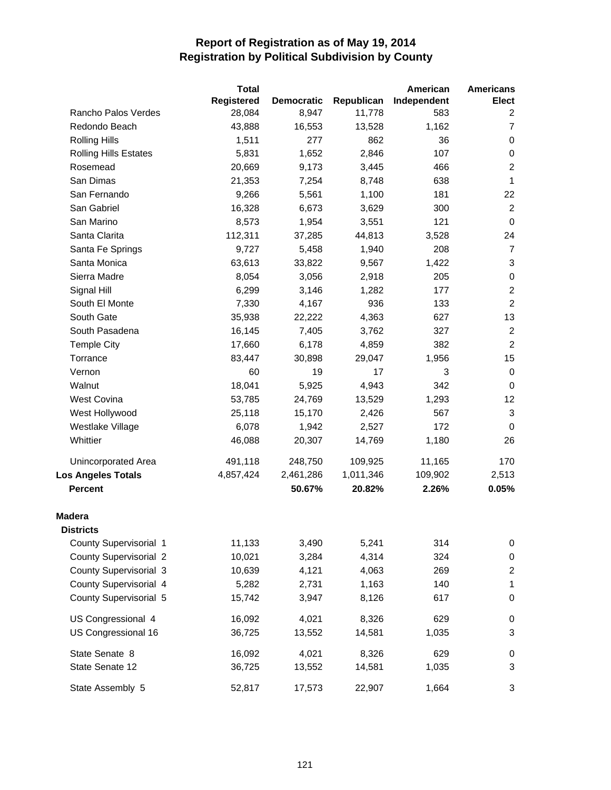|                               | <b>Total</b>      |                   |            | American    | <b>Americans</b>        |
|-------------------------------|-------------------|-------------------|------------|-------------|-------------------------|
|                               | <b>Registered</b> | <b>Democratic</b> | Republican | Independent | Elect                   |
| Rancho Palos Verdes           | 28,084            | 8,947             | 11,778     | 583         | $\overline{2}$          |
| Redondo Beach                 | 43,888            | 16,553            | 13,528     | 1,162       | $\overline{7}$          |
| <b>Rolling Hills</b>          | 1,511             | 277               | 862        | 36          | 0                       |
| <b>Rolling Hills Estates</b>  | 5,831             | 1,652             | 2,846      | 107         | $\pmb{0}$               |
| Rosemead                      | 20,669            | 9,173             | 3,445      | 466         | $\boldsymbol{2}$        |
| San Dimas                     | 21,353            | 7,254             | 8,748      | 638         | $\mathbf 1$             |
| San Fernando                  | 9,266             | 5,561             | 1,100      | 181         | 22                      |
| San Gabriel                   | 16,328            | 6,673             | 3,629      | 300         | $\overline{2}$          |
| San Marino                    | 8,573             | 1,954             | 3,551      | 121         | $\mathbf 0$             |
| Santa Clarita                 | 112,311           | 37,285            | 44,813     | 3,528       | 24                      |
| Santa Fe Springs              | 9,727             | 5,458             | 1,940      | 208         | $\overline{7}$          |
| Santa Monica                  | 63,613            | 33,822            | 9,567      | 1,422       | 3                       |
| Sierra Madre                  | 8,054             | 3,056             | 2,918      | 205         | $\pmb{0}$               |
| Signal Hill                   | 6,299             | 3,146             | 1,282      | 177         | $\boldsymbol{2}$        |
| South El Monte                | 7,330             | 4,167             | 936        | 133         | $\overline{c}$          |
| South Gate                    | 35,938            | 22,222            | 4,363      | 627         | 13                      |
| South Pasadena                | 16,145            | 7,405             | 3,762      | 327         | $\overline{2}$          |
| <b>Temple City</b>            | 17,660            | 6,178             | 4,859      | 382         | $\overline{c}$          |
| Torrance                      | 83,447            | 30,898            | 29,047     | 1,956       | 15                      |
| Vernon                        | 60                | 19                | 17         | 3           | $\pmb{0}$               |
| Walnut                        | 18,041            | 5,925             | 4,943      | 342         | 0                       |
| West Covina                   | 53,785            | 24,769            | 13,529     | 1,293       | 12                      |
| West Hollywood                | 25,118            | 15,170            | 2,426      | 567         | $\mathsf 3$             |
| Westlake Village              | 6,078             | 1,942             | 2,527      | 172         | 0                       |
| Whittier                      | 46,088            | 20,307            | 14,769     | 1,180       | 26                      |
| Unincorporated Area           | 491,118           | 248,750           | 109,925    | 11,165      | 170                     |
| <b>Los Angeles Totals</b>     | 4,857,424         | 2,461,286         | 1,011,346  | 109,902     | 2,513                   |
| <b>Percent</b>                |                   | 50.67%            | 20.82%     | 2.26%       | 0.05%                   |
| <b>Madera</b>                 |                   |                   |            |             |                         |
| <b>Districts</b>              |                   |                   |            |             |                         |
| County Supervisorial 1        | 11,133            | 3,490             | 5,241      | 314         | $\pmb{0}$               |
| <b>County Supervisorial 2</b> | 10,021            | 3,284             | 4,314      | 324         | $\pmb{0}$               |
| <b>County Supervisorial 3</b> | 10,639            | 4,121             | 4,063      | 269         | $\overline{\mathbf{c}}$ |
| County Supervisorial 4        | 5,282             | 2,731             | 1,163      | 140         | 1                       |
| County Supervisorial 5        | 15,742            | 3,947             | 8,126      | 617         | $\pmb{0}$               |
| US Congressional 4            | 16,092            | 4,021             | 8,326      | 629         | 0                       |
| US Congressional 16           | 36,725            | 13,552            | 14,581     | 1,035       | 3                       |
| State Senate 8                | 16,092            | 4,021             | 8,326      | 629         | 0                       |
| State Senate 12               | 36,725            | 13,552            | 14,581     | 1,035       | 3                       |
| State Assembly 5              | 52,817            | 17,573            | 22,907     | 1,664       | 3                       |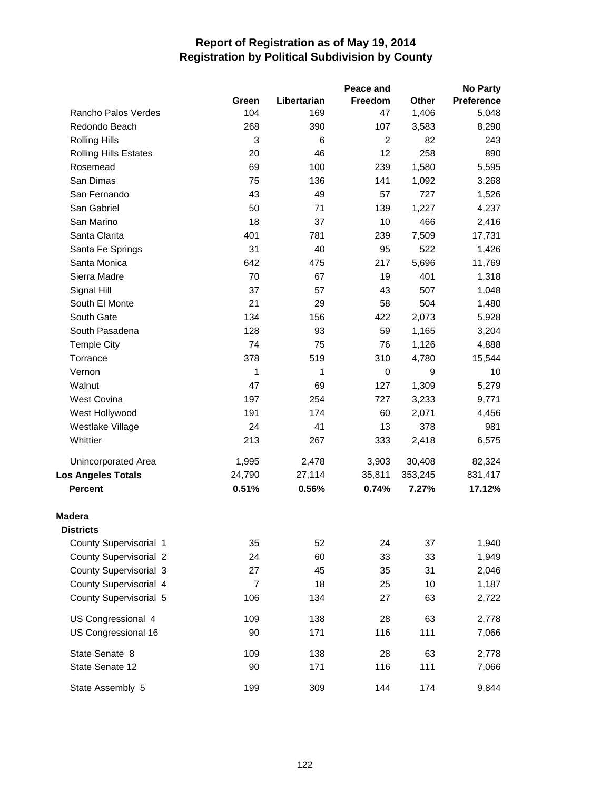|                               |                |             | Peace and      |         | <b>No Party</b> |
|-------------------------------|----------------|-------------|----------------|---------|-----------------|
|                               | Green          | Libertarian | Freedom        | Other   | Preference      |
| Rancho Palos Verdes           | 104            | 169         | 47             | 1,406   | 5,048           |
| Redondo Beach                 | 268            | 390         | 107            | 3,583   | 8,290           |
| <b>Rolling Hills</b>          | 3              | 6           | $\overline{c}$ | 82      | 243             |
| <b>Rolling Hills Estates</b>  | 20             | 46          | 12             | 258     | 890             |
| Rosemead                      | 69             | 100         | 239            | 1,580   | 5,595           |
| San Dimas                     | 75             | 136         | 141            | 1,092   | 3,268           |
| San Fernando                  | 43             | 49          | 57             | 727     | 1,526           |
| San Gabriel                   | 50             | 71          | 139            | 1,227   | 4,237           |
| San Marino                    | 18             | 37          | 10             | 466     | 2,416           |
| Santa Clarita                 | 401            | 781         | 239            | 7,509   | 17,731          |
| Santa Fe Springs              | 31             | 40          | 95             | 522     | 1,426           |
| Santa Monica                  | 642            | 475         | 217            | 5,696   | 11,769          |
| Sierra Madre                  | 70             | 67          | 19             | 401     | 1,318           |
| Signal Hill                   | 37             | 57          | 43             | 507     | 1,048           |
| South El Monte                | 21             | 29          | 58             | 504     | 1,480           |
| South Gate                    | 134            | 156         | 422            | 2,073   | 5,928           |
| South Pasadena                | 128            | 93          | 59             | 1,165   | 3,204           |
| <b>Temple City</b>            | 74             | 75          | 76             | 1,126   | 4,888           |
| Torrance                      | 378            | 519         | 310            | 4,780   | 15,544          |
| Vernon                        | 1              | 1           | 0              | 9       | 10              |
| Walnut                        | 47             | 69          | 127            | 1,309   | 5,279           |
| West Covina                   | 197            | 254         | 727            | 3,233   | 9,771           |
| West Hollywood                | 191            | 174         | 60             | 2,071   | 4,456           |
| Westlake Village              | 24             | 41          | 13             | 378     | 981             |
| Whittier                      | 213            | 267         | 333            | 2,418   | 6,575           |
| <b>Unincorporated Area</b>    | 1,995          | 2,478       | 3,903          | 30,408  | 82,324          |
| <b>Los Angeles Totals</b>     | 24,790         | 27,114      | 35,811         | 353,245 | 831,417         |
| <b>Percent</b>                | 0.51%          | 0.56%       | 0.74%          | 7.27%   | 17.12%          |
| <b>Madera</b>                 |                |             |                |         |                 |
| <b>Districts</b>              |                |             |                |         |                 |
| County Supervisorial 1        | 35             | 52          | 24             | 37      | 1,940           |
| <b>County Supervisorial 2</b> | 24             | 60          | 33             | 33      | 1,949           |
| <b>County Supervisorial 3</b> | 27             | 45          | 35             | 31      | 2,046           |
| County Supervisorial 4        | $\overline{7}$ | 18          | 25             | 10      | 1,187           |
| County Supervisorial 5        | 106            | 134         | 27             | 63      | 2,722           |
| US Congressional 4            | 109            | 138         | 28             | 63      | 2,778           |
| US Congressional 16           | 90             | 171         | 116            | 111     | 7,066           |
| State Senate 8                | 109            | 138         | 28             | 63      | 2,778           |
| State Senate 12               | 90             | 171         | 116            | 111     | 7,066           |
| State Assembly 5              | 199            | 309         | 144            | 174     | 9,844           |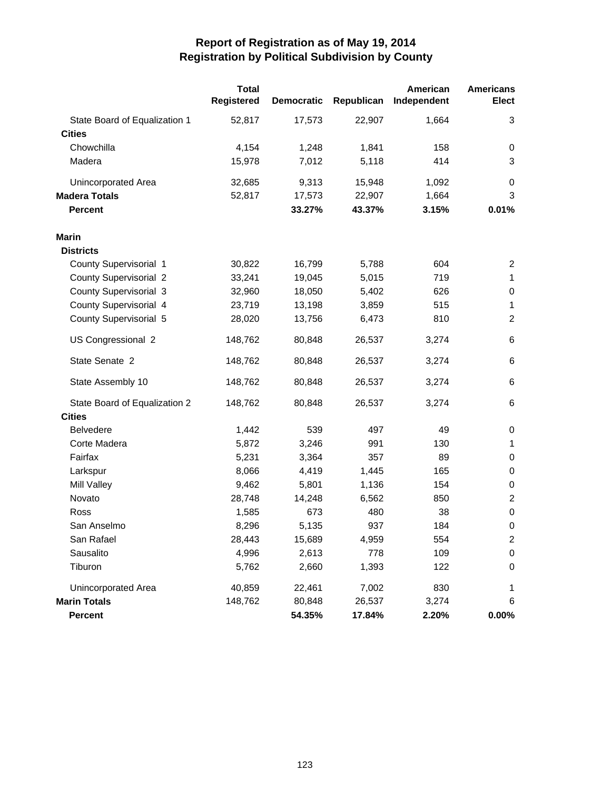|                               | <b>Total</b><br><b>Registered</b> | <b>Democratic</b> | Republican | American<br>Independent | <b>Americans</b><br>Elect |
|-------------------------------|-----------------------------------|-------------------|------------|-------------------------|---------------------------|
| State Board of Equalization 1 | 52,817                            | 17,573            | 22,907     | 1,664                   | 3                         |
| <b>Cities</b>                 |                                   |                   |            |                         |                           |
| Chowchilla                    | 4,154                             | 1,248             | 1,841      | 158                     | 0                         |
| Madera                        | 15,978                            | 7,012             | 5,118      | 414                     | 3                         |
| Unincorporated Area           | 32,685                            | 9,313             | 15,948     | 1,092                   | 0                         |
| <b>Madera Totals</b>          | 52,817                            | 17,573            | 22,907     | 1,664                   | 3                         |
| <b>Percent</b>                |                                   | 33.27%            | 43.37%     | 3.15%                   | 0.01%                     |
| <b>Marin</b>                  |                                   |                   |            |                         |                           |
| <b>Districts</b>              |                                   |                   |            |                         |                           |
| County Supervisorial 1        | 30,822                            | 16,799            | 5,788      | 604                     | 2                         |
| <b>County Supervisorial 2</b> | 33,241                            | 19,045            | 5,015      | 719                     | $\mathbf{1}$              |
| <b>County Supervisorial 3</b> | 32,960                            | 18,050            | 5,402      | 626                     | 0                         |
| County Supervisorial 4        | 23,719                            | 13,198            | 3,859      | 515                     | 1                         |
| County Supervisorial 5        | 28,020                            | 13,756            | 6,473      | 810                     | $\overline{c}$            |
| US Congressional 2            | 148,762                           | 80,848            | 26,537     | 3,274                   | 6                         |
| State Senate 2                | 148,762                           | 80,848            | 26,537     | 3,274                   | 6                         |
| State Assembly 10             | 148,762                           | 80,848            | 26,537     | 3,274                   | 6                         |
| State Board of Equalization 2 | 148,762                           | 80,848            | 26,537     | 3,274                   | 6                         |
| <b>Cities</b>                 |                                   |                   |            |                         |                           |
| <b>Belvedere</b>              | 1,442                             | 539               | 497        | 49                      | $\pmb{0}$                 |
| Corte Madera                  | 5,872                             | 3,246             | 991        | 130                     | 1                         |
| Fairfax                       | 5,231                             | 3,364             | 357        | 89                      | 0                         |
| Larkspur                      | 8,066                             | 4,419             | 1,445      | 165                     | 0                         |
| Mill Valley                   | 9,462                             | 5,801             | 1,136      | 154                     | 0                         |
| Novato                        | 28,748                            | 14,248            | 6,562      | 850                     | $\overline{c}$            |
| Ross                          | 1,585                             | 673               | 480        | 38                      | $\pmb{0}$                 |
| San Anselmo                   | 8,296                             | 5,135             | 937        | 184                     | 0                         |
| San Rafael                    | 28,443                            | 15,689            | 4,959      | 554                     | 2                         |
| Sausalito                     | 4,996                             | 2,613             | 778        | 109                     | 0                         |
| Tiburon                       | 5,762                             | 2,660             | 1,393      | 122                     | 0                         |
| Unincorporated Area           | 40,859                            | 22,461            | 7,002      | 830                     | 1                         |
| <b>Marin Totals</b>           | 148,762                           | 80,848            | 26,537     | 3,274                   | 6                         |
| Percent                       |                                   | 54.35%            | 17.84%     | 2.20%                   | $0.00\%$                  |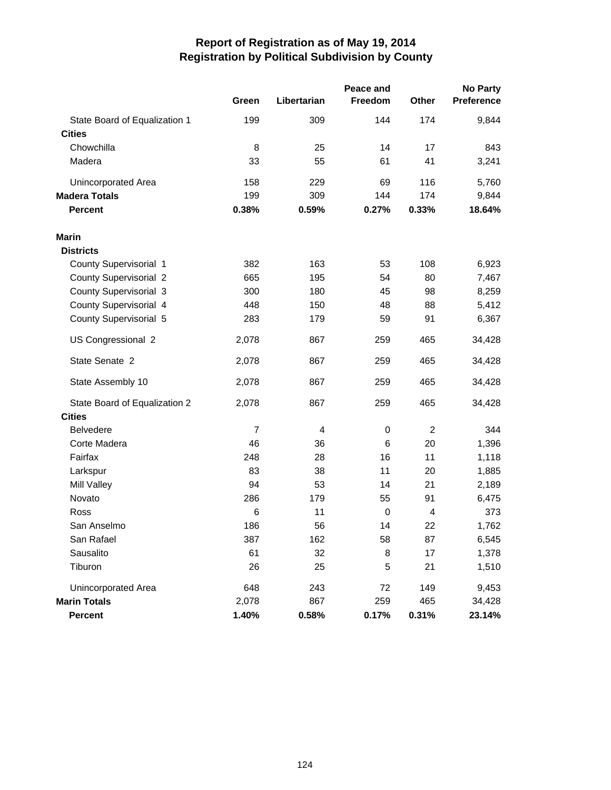|                               | Peace and      |                |             |                |            |
|-------------------------------|----------------|----------------|-------------|----------------|------------|
|                               | Green          | Libertarian    | Freedom     | <b>Other</b>   | Preference |
| State Board of Equalization 1 | 199            | 309            | 144         | 174            | 9,844      |
| <b>Cities</b>                 |                |                |             |                |            |
| Chowchilla                    | 8              | 25             | 14          | 17             | 843        |
| Madera                        | 33             | 55             | 61          | 41             | 3,241      |
| <b>Unincorporated Area</b>    | 158            | 229            | 69          | 116            | 5,760      |
| <b>Madera Totals</b>          | 199            | 309            | 144         | 174            | 9,844      |
| <b>Percent</b>                | 0.38%          | 0.59%          | 0.27%       | 0.33%          | 18.64%     |
| <b>Marin</b>                  |                |                |             |                |            |
| <b>Districts</b>              |                |                |             |                |            |
| County Supervisorial 1        | 382            | 163            | 53          | 108            | 6,923      |
| <b>County Supervisorial 2</b> | 665            | 195            | 54          | 80             | 7,467      |
| <b>County Supervisorial 3</b> | 300            | 180            | 45          | 98             | 8,259      |
| County Supervisorial 4        | 448            | 150            | 48          | 88             | 5,412      |
| County Supervisorial 5        | 283            | 179            | 59          | 91             | 6,367      |
| US Congressional 2            | 2,078          | 867            | 259         | 465            | 34,428     |
| State Senate 2                | 2,078          | 867            | 259         | 465            | 34,428     |
| State Assembly 10             | 2,078          | 867            | 259         | 465            | 34,428     |
| State Board of Equalization 2 | 2,078          | 867            | 259         | 465            | 34,428     |
| <b>Cities</b>                 |                |                |             |                |            |
| <b>Belvedere</b>              | $\overline{7}$ | $\overline{4}$ | $\mathsf 0$ | $\overline{c}$ | 344        |
| Corte Madera                  | 46             | 36             | 6           | 20             | 1,396      |
| Fairfax                       | 248            | 28             | 16          | 11             | 1,118      |
| Larkspur                      | 83             | 38             | 11          | 20             | 1,885      |
| Mill Valley                   | 94             | 53             | 14          | 21             | 2,189      |
| Novato                        | 286            | 179            | 55          | 91             | 6,475      |
| Ross                          | 6              | 11             | $\mathbf 0$ | 4              | 373        |
| San Anselmo                   | 186            | 56             | 14          | 22             | 1,762      |
| San Rafael                    | 387            | 162            | 58          | 87             | 6,545      |
| Sausalito                     | 61             | 32             | 8           | 17             | 1,378      |
| Tiburon                       | 26             | 25             | 5           | 21             | 1,510      |
| <b>Unincorporated Area</b>    | 648            | 243            | 72          | 149            | 9,453      |
| <b>Marin Totals</b>           | 2,078          | 867            | 259         | 465            | 34,428     |
| Percent                       | 1.40%          | 0.58%          | 0.17%       | 0.31%          | 23.14%     |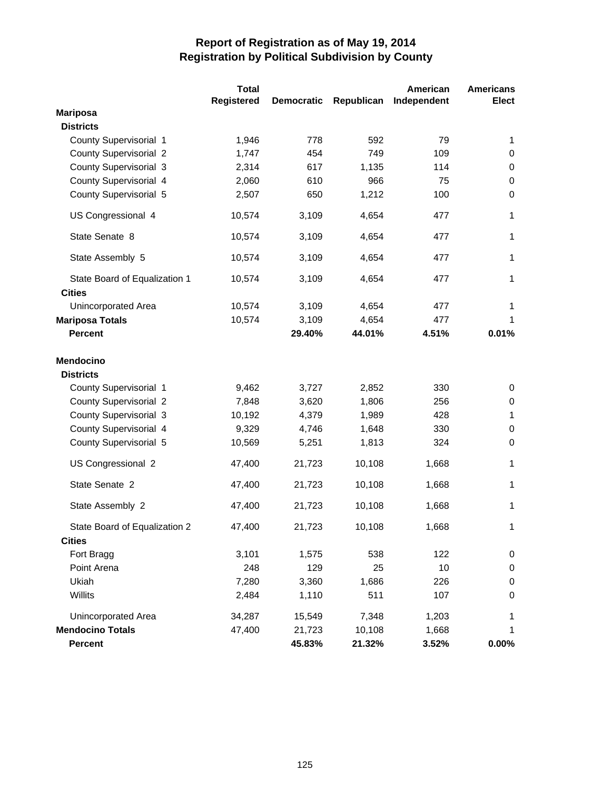|                                                | <b>Total</b> |                   |            | American    | <b>Americans</b>  |
|------------------------------------------------|--------------|-------------------|------------|-------------|-------------------|
|                                                | Registered   | <b>Democratic</b> | Republican | Independent | <b>Elect</b>      |
| <b>Mariposa</b>                                |              |                   |            |             |                   |
| <b>Districts</b>                               |              |                   |            |             |                   |
| County Supervisorial 1                         | 1,946        | 778               | 592        | 79          | 1                 |
| <b>County Supervisorial 2</b>                  | 1,747        | 454               | 749        | 109         | 0                 |
| County Supervisorial 3                         | 2,314        | 617               | 1,135      | 114         | 0                 |
| County Supervisorial 4                         | 2,060        | 610               | 966        | 75          | $\mathbf 0$       |
| County Supervisorial 5                         | 2,507        | 650               | 1,212      | 100         | $\mathbf 0$       |
| US Congressional 4                             | 10,574       | 3,109             | 4,654      | 477         | 1                 |
| State Senate 8                                 | 10,574       | 3,109             | 4,654      | 477         | $\mathbf{1}$      |
| State Assembly 5                               | 10,574       | 3,109             | 4,654      | 477         | 1                 |
| State Board of Equalization 1<br><b>Cities</b> | 10,574       | 3,109             | 4,654      | 477         | 1                 |
| Unincorporated Area                            | 10,574       | 3,109             | 4,654      | 477         | 1                 |
| <b>Mariposa Totals</b>                         | 10,574       | 3,109             | 4,654      | 477         | 1                 |
| <b>Percent</b>                                 |              | 29.40%            | 44.01%     | 4.51%       | 0.01%             |
| <b>Mendocino</b>                               |              |                   |            |             |                   |
| <b>Districts</b>                               |              |                   |            | 330         |                   |
| County Supervisorial 1                         | 9,462        | 3,727             | 2,852      |             | 0                 |
| <b>County Supervisorial 2</b>                  | 7,848        | 3,620             | 1,806      | 256<br>428  | 0<br>$\mathbf{1}$ |
| County Supervisorial 3                         | 10,192       | 4,379             | 1,989      |             |                   |
| County Supervisorial 4                         | 9,329        | 4,746             | 1,648      | 330         | 0                 |
| County Supervisorial 5                         | 10,569       | 5,251             | 1,813      | 324         | 0                 |
| US Congressional 2                             | 47,400       | 21,723            | 10,108     | 1,668       | 1                 |
| State Senate 2                                 | 47,400       | 21,723            | 10,108     | 1,668       | 1                 |
| State Assembly 2                               | 47,400       | 21,723            | 10,108     | 1,668       | 1                 |
| State Board of Equalization 2                  | 47,400       | 21,723            | 10,108     | 1,668       | 1                 |
| <b>Cities</b>                                  |              |                   |            |             |                   |
| Fort Bragg                                     | 3,101        | 1,575             | 538        | 122         | $\pmb{0}$         |
| Point Arena                                    | 248          | 129               | 25         | 10          | $\pmb{0}$         |
| Ukiah                                          | 7,280        | 3,360             | 1,686      | 226         | $\mathbf 0$       |
| Willits                                        | 2,484        | 1,110             | 511        | 107         | $\mathbf 0$       |
| Unincorporated Area                            | 34,287       | 15,549            | 7,348      | 1,203       | 1                 |
| <b>Mendocino Totals</b>                        | 47,400       | 21,723            | 10,108     | 1,668       | 1                 |
| Percent                                        |              | 45.83%            | 21.32%     | 3.52%       | $0.00\%$          |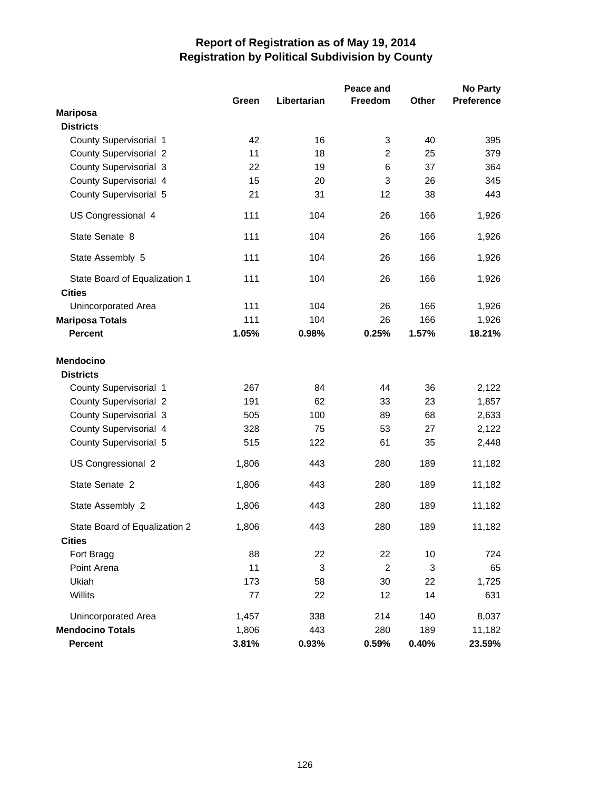|                               | <b>No Party</b><br>Peace and |             |                |              |                   |
|-------------------------------|------------------------------|-------------|----------------|--------------|-------------------|
|                               | Green                        | Libertarian | Freedom        | <b>Other</b> | <b>Preference</b> |
| <b>Mariposa</b>               |                              |             |                |              |                   |
| <b>Districts</b>              |                              |             |                |              |                   |
| County Supervisorial 1        | 42                           | 16          | 3              | 40           | 395               |
| <b>County Supervisorial 2</b> | 11                           | 18          | $\overline{c}$ | 25           | 379               |
| <b>County Supervisorial 3</b> | 22                           | 19          | 6              | 37           | 364               |
| County Supervisorial 4        | 15                           | 20          | 3              | 26           | 345               |
| County Supervisorial 5        | 21                           | 31          | 12             | 38           | 443               |
| US Congressional 4            | 111                          | 104         | 26             | 166          | 1,926             |
| State Senate 8                | 111                          | 104         | 26             | 166          | 1,926             |
| State Assembly 5              | 111                          | 104         | 26             | 166          | 1,926             |
| State Board of Equalization 1 | 111                          | 104         | 26             | 166          | 1,926             |
| <b>Cities</b>                 |                              |             |                |              |                   |
| <b>Unincorporated Area</b>    | 111                          | 104         | 26             | 166          | 1,926             |
| <b>Mariposa Totals</b>        | 111                          | 104         | 26             | 166          | 1,926             |
| <b>Percent</b>                | 1.05%                        | 0.98%       | 0.25%          | 1.57%        | 18.21%            |
| <b>Mendocino</b>              |                              |             |                |              |                   |
| <b>Districts</b>              |                              |             |                |              |                   |
| County Supervisorial 1        | 267                          | 84          | 44             | 36           | 2,122             |
| <b>County Supervisorial 2</b> | 191                          | 62          | 33             | 23           | 1,857             |
| <b>County Supervisorial 3</b> | 505                          | 100         | 89             | 68           | 2,633             |
| County Supervisorial 4        | 328                          | 75          | 53             | 27           | 2,122             |
| County Supervisorial 5        | 515                          | 122         | 61             | 35           | 2,448             |
| US Congressional 2            | 1,806                        | 443         | 280            | 189          | 11,182            |
| State Senate 2                | 1,806                        | 443         | 280            | 189          | 11,182            |
| State Assembly 2              | 1,806                        | 443         | 280            | 189          | 11,182            |
| State Board of Equalization 2 | 1,806                        | 443         | 280            | 189          | 11,182            |
| <b>Cities</b>                 |                              |             |                |              |                   |
| Fort Bragg                    | 88                           | 22          | 22             | 10           | 724               |
| Point Arena                   | 11                           | 3           | $\overline{c}$ | 3            | 65                |
| Ukiah                         | 173                          | 58          | 30             | 22           | 1,725             |
| Willits                       | 77                           | 22          | 12             | 14           | 631               |
| <b>Unincorporated Area</b>    | 1,457                        | 338         | 214            | 140          | 8,037             |
| <b>Mendocino Totals</b>       | 1,806                        | 443         | 280            | 189          | 11,182            |
| <b>Percent</b>                | 3.81%                        | 0.93%       | 0.59%          | 0.40%        | 23.59%            |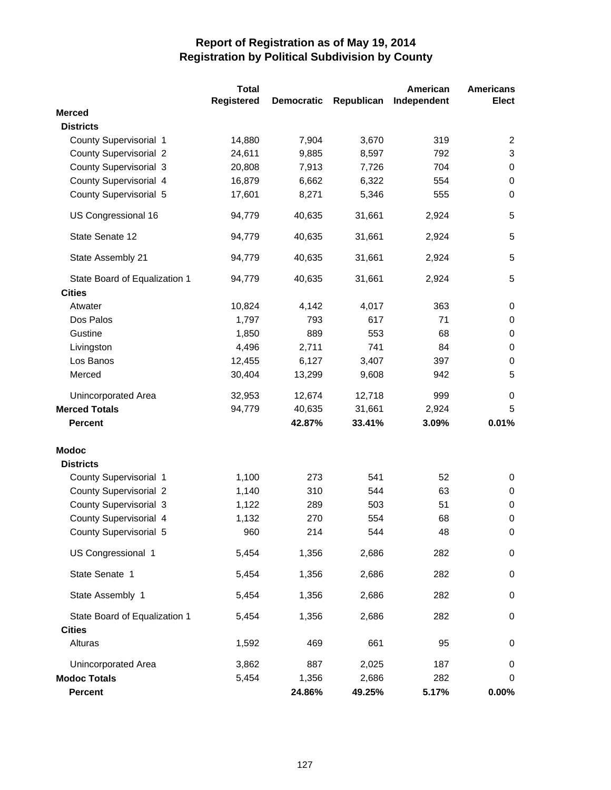|                               | <b>Total</b>      |                   |            | American    | <b>Americans</b> |
|-------------------------------|-------------------|-------------------|------------|-------------|------------------|
|                               | <b>Registered</b> | <b>Democratic</b> | Republican | Independent | <b>Elect</b>     |
| <b>Merced</b>                 |                   |                   |            |             |                  |
| <b>Districts</b>              |                   |                   |            |             |                  |
| County Supervisorial 1        | 14,880            | 7,904             | 3,670      | 319         | 2                |
| <b>County Supervisorial 2</b> | 24,611            | 9,885             | 8,597      | 792         | 3                |
| <b>County Supervisorial 3</b> | 20,808            | 7,913             | 7,726      | 704         | 0                |
| County Supervisorial 4        | 16,879            | 6,662             | 6,322      | 554         | $\mathbf 0$      |
| County Supervisorial 5        | 17,601            | 8,271             | 5,346      | 555         | $\Omega$         |
| US Congressional 16           | 94,779            | 40,635            | 31,661     | 2,924       | 5                |
| State Senate 12               | 94,779            | 40,635            | 31,661     | 2,924       | 5                |
| State Assembly 21             | 94,779            | 40,635            | 31,661     | 2,924       | 5                |
| State Board of Equalization 1 | 94,779            | 40,635            | 31,661     | 2,924       | 5                |
| <b>Cities</b>                 |                   |                   |            |             |                  |
| Atwater                       | 10,824            | 4,142             | 4,017      | 363         | 0                |
| Dos Palos                     | 1,797             | 793               | 617        | 71          | 0                |
| Gustine                       | 1,850             | 889               | 553        | 68          | 0                |
| Livingston                    | 4,496             | 2,711             | 741        | 84          | 0                |
| Los Banos                     | 12,455            | 6,127             | 3,407      | 397         | 0                |
| Merced                        | 30,404            | 13,299            | 9,608      | 942         | 5                |
| Unincorporated Area           | 32,953            | 12,674            | 12,718     | 999         | 0                |
| <b>Merced Totals</b>          | 94,779            | 40,635            | 31,661     | 2,924       | 5                |
| <b>Percent</b>                |                   | 42.87%            | 33.41%     | 3.09%       | 0.01%            |
| <b>Modoc</b>                  |                   |                   |            |             |                  |
| <b>Districts</b>              |                   |                   |            |             |                  |
| County Supervisorial 1        | 1,100             | 273               | 541        | 52          | 0                |
| <b>County Supervisorial 2</b> | 1,140             | 310               | 544        | 63          | 0                |
| <b>County Supervisorial 3</b> | 1,122             | 289               | 503        | 51          | 0                |
| County Supervisorial 4        | 1,132             | 270               | 554        | 68          | 0                |
| County Supervisorial 5        | 960               | 214               | 544        | 48          | $\pmb{0}$        |
| US Congressional 1            | 5,454             | 1,356             | 2,686      | 282         | $\pmb{0}$        |
| State Senate 1                | 5,454             | 1,356             | 2,686      | 282         | $\pmb{0}$        |
| State Assembly 1              | 5,454             | 1,356             | 2,686      | 282         | $\mathbf 0$      |
| State Board of Equalization 1 | 5,454             | 1,356             | 2,686      | 282         | $\pmb{0}$        |
| <b>Cities</b>                 |                   |                   |            |             |                  |
| Alturas                       | 1,592             | 469               | 661        | 95          | 0                |
| Unincorporated Area           | 3,862             | 887               | 2,025      | 187         | 0                |
| <b>Modoc Totals</b>           | 5,454             | 1,356             | 2,686      | 282         | 0                |
| Percent                       |                   | 24.86%            | 49.25%     | 5.17%       | 0.00%            |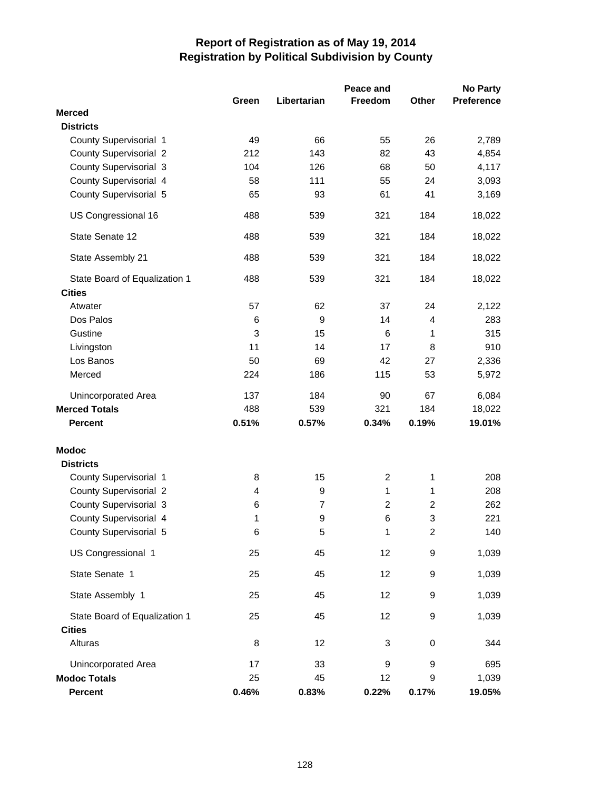|                               |       |                  | Peace and      |                  | <b>No Party</b>   |
|-------------------------------|-------|------------------|----------------|------------------|-------------------|
|                               | Green | Libertarian      | Freedom        | Other            | <b>Preference</b> |
| <b>Merced</b>                 |       |                  |                |                  |                   |
| <b>Districts</b>              |       |                  |                |                  |                   |
| County Supervisorial 1        | 49    | 66               | 55             | 26               | 2,789             |
| <b>County Supervisorial 2</b> | 212   | 143              | 82             | 43               | 4,854             |
| <b>County Supervisorial 3</b> | 104   | 126              | 68             | 50               | 4,117             |
| County Supervisorial 4        | 58    | 111              | 55             | 24               | 3,093             |
| County Supervisorial 5        | 65    | 93               | 61             | 41               | 3,169             |
| US Congressional 16           | 488   | 539              | 321            | 184              | 18,022            |
| State Senate 12               | 488   | 539              | 321            | 184              | 18,022            |
| State Assembly 21             | 488   | 539              | 321            | 184              | 18,022            |
| State Board of Equalization 1 | 488   | 539              | 321            | 184              | 18,022            |
| <b>Cities</b>                 |       |                  |                |                  |                   |
| Atwater                       | 57    | 62               | 37             | 24               | 2,122             |
| Dos Palos                     | 6     | 9                | 14             | 4                | 283               |
| Gustine                       | 3     | 15               | 6              | 1                | 315               |
| Livingston                    | 11    | 14               | 17             | 8                | 910               |
| Los Banos                     | 50    | 69               | 42             | 27               | 2,336             |
| Merced                        | 224   | 186              | 115            | 53               | 5,972             |
| Unincorporated Area           | 137   | 184              | 90             | 67               | 6,084             |
| <b>Merced Totals</b>          | 488   | 539              | 321            | 184              | 18,022            |
| <b>Percent</b>                | 0.51% | 0.57%            | 0.34%          | 0.19%            | 19.01%            |
| <b>Modoc</b>                  |       |                  |                |                  |                   |
| <b>Districts</b>              |       |                  |                |                  |                   |
| County Supervisorial 1        | 8     | 15               | 2              | 1                | 208               |
| <b>County Supervisorial 2</b> | 4     | $\boldsymbol{9}$ | 1              | 1                | 208               |
| <b>County Supervisorial 3</b> | 6     | $\overline{7}$   | $\overline{c}$ | 2                | 262               |
| County Supervisorial 4        | 1     | 9                | 6              | 3                | 221               |
| County Supervisorial 5        | 6     | 5                | 1              | $\overline{c}$   | 140               |
| US Congressional 1            | 25    | 45               | 12             | 9                | 1,039             |
| State Senate 1                | 25    | 45               | 12             | $\boldsymbol{9}$ | 1,039             |
| State Assembly 1              | 25    | 45               | 12             | 9                | 1,039             |
| State Board of Equalization 1 | 25    | 45               | 12             | $\boldsymbol{9}$ | 1,039             |
| <b>Cities</b>                 |       |                  |                |                  |                   |
| Alturas                       | 8     | 12               | 3              | $\mathbf 0$      | 344               |
| Unincorporated Area           | 17    | 33               | 9              | 9                | 695               |
| <b>Modoc Totals</b>           | 25    | 45               | 12             | 9                | 1,039             |
| Percent                       | 0.46% | 0.83%            | 0.22%          | 0.17%            | 19.05%            |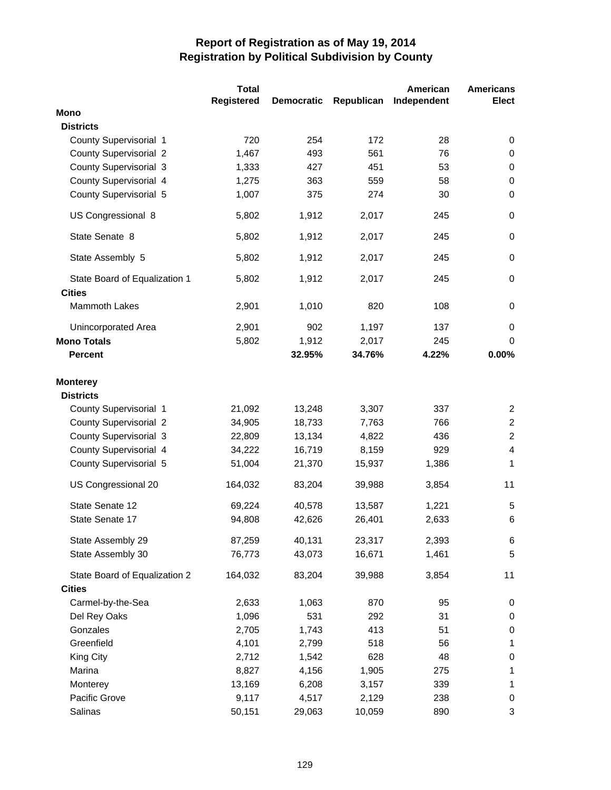|                               | <b>Total</b>      |                   |            | American    | <b>Americans</b> |
|-------------------------------|-------------------|-------------------|------------|-------------|------------------|
|                               | <b>Registered</b> | <b>Democratic</b> | Republican | Independent | <b>Elect</b>     |
| <b>Mono</b>                   |                   |                   |            |             |                  |
| <b>Districts</b>              |                   |                   |            |             |                  |
| County Supervisorial 1        | 720               | 254               | 172        | 28          | 0                |
| <b>County Supervisorial 2</b> | 1,467             | 493               | 561        | 76          | $\mathbf 0$      |
| <b>County Supervisorial 3</b> | 1,333             | 427               | 451        | 53          | 0                |
| County Supervisorial 4        | 1,275             | 363               | 559        | 58          | $\mathbf 0$      |
| County Supervisorial 5        | 1,007             | 375               | 274        | 30          | $\mathbf 0$      |
| US Congressional 8            | 5,802             | 1,912             | 2,017      | 245         | $\mathbf 0$      |
| State Senate 8                | 5,802             | 1,912             | 2,017      | 245         | $\mathbf 0$      |
| State Assembly 5              | 5,802             | 1,912             | 2,017      | 245         | $\mathbf 0$      |
| State Board of Equalization 1 | 5,802             | 1,912             | 2,017      | 245         | $\mathbf 0$      |
| <b>Cities</b>                 |                   |                   |            |             |                  |
| <b>Mammoth Lakes</b>          | 2,901             | 1,010             | 820        | 108         | $\mathbf 0$      |
| <b>Unincorporated Area</b>    | 2,901             | 902               | 1,197      | 137         | $\mathbf 0$      |
| <b>Mono Totals</b>            | 5,802             | 1,912             | 2,017      | 245         | 0                |
| <b>Percent</b>                |                   | 32.95%            | 34.76%     | 4.22%       | 0.00%            |
| <b>Monterey</b>               |                   |                   |            |             |                  |
| <b>Districts</b>              |                   |                   |            |             |                  |
| County Supervisorial 1        | 21,092            | 13,248            | 3,307      | 337         | 2                |
| <b>County Supervisorial 2</b> | 34,905            | 18,733            | 7,763      | 766         | $\overline{c}$   |
| <b>County Supervisorial 3</b> | 22,809            | 13,134            | 4,822      | 436         | $\overline{2}$   |
| County Supervisorial 4        | 34,222            | 16,719            | 8,159      | 929         | $\overline{4}$   |
| County Supervisorial 5        | 51,004            | 21,370            | 15,937     | 1,386       | 1                |
| US Congressional 20           | 164,032           | 83,204            | 39,988     | 3,854       | 11               |
| State Senate 12               | 69,224            | 40,578            | 13,587     | 1,221       | 5                |
| State Senate 17               | 94,808            | 42,626            | 26,401     | 2,633       | 6                |
| State Assembly 29             | 87,259            | 40,131            | 23,317     | 2,393       | 6                |
| State Assembly 30             | 76,773            | 43,073            | 16,671     | 1,461       | $\,$ 5 $\,$      |
| State Board of Equalization 2 | 164,032           | 83,204            | 39,988     | 3,854       | 11               |
| <b>Cities</b>                 |                   |                   |            |             |                  |
| Carmel-by-the-Sea             | 2,633             | 1,063             | 870        | 95          | 0                |
| Del Rey Oaks                  | 1,096             | 531               | 292        | 31          | $\pmb{0}$        |
| Gonzales                      | 2,705             | 1,743             | 413        | 51          | $\pmb{0}$        |
| Greenfield                    | 4,101             | 2,799             | 518        | 56          | 1                |
| King City                     | 2,712             | 1,542             | 628        | 48          | $\pmb{0}$        |
| Marina                        | 8,827             | 4,156             | 1,905      | 275         | 1                |
| Monterey                      | 13,169            | 6,208             | 3,157      | 339         | 1                |
| Pacific Grove                 | 9,117             | 4,517             | 2,129      | 238         | 0                |
| Salinas                       | 50,151            | 29,063            | 10,059     | 890         | 3                |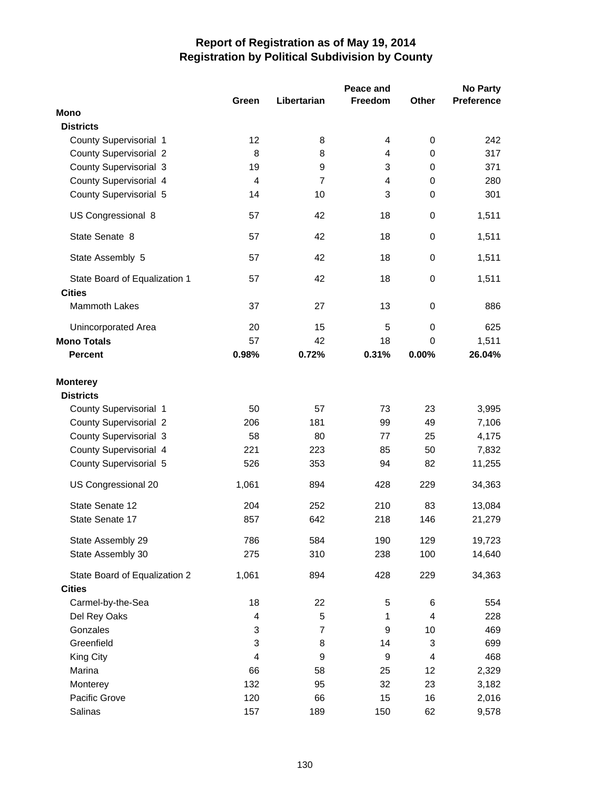|                                     |                |                | Peace and      |                | <b>No Party</b>   |
|-------------------------------------|----------------|----------------|----------------|----------------|-------------------|
|                                     | Green          | Libertarian    | <b>Freedom</b> | Other          | <b>Preference</b> |
| <b>Mono</b>                         |                |                |                |                |                   |
| <b>Districts</b>                    |                |                |                |                |                   |
| County Supervisorial 1              | 12             | 8              | 4              | $\mathbf 0$    | 242               |
| <b>County Supervisorial 2</b>       | 8              | 8              | 4              | 0              | 317               |
| County Supervisorial 3              | 19             | 9              | 3              | $\mathbf 0$    | 371               |
| County Supervisorial 4              | $\overline{4}$ | $\overline{7}$ | 4              | 0              | 280               |
| County Supervisorial 5              | 14             | 10             | 3              | $\mathbf 0$    | 301               |
| US Congressional 8                  | 57             | 42             | 18             | 0              | 1,511             |
| State Senate 8                      | 57             | 42             | 18             | 0              | 1,511             |
| State Assembly 5                    | 57             | 42             | 18             | $\mathbf 0$    | 1,511             |
| State Board of Equalization 1       | 57             | 42             | 18             | 0              | 1,511             |
| <b>Cities</b>                       |                |                |                |                |                   |
| <b>Mammoth Lakes</b>                | 37             | 27             | 13             | $\mathbf 0$    | 886               |
| Unincorporated Area                 | 20             | 15             | 5              | $\mathbf 0$    | 625               |
| <b>Mono Totals</b>                  | 57             | 42             | 18             | 0              | 1,511             |
| <b>Percent</b>                      | 0.98%          | 0.72%          | 0.31%          | 0.00%          | 26.04%            |
| <b>Monterey</b><br><b>Districts</b> |                |                |                |                |                   |
| County Supervisorial 1              | 50             | 57             | 73             | 23             | 3,995             |
| <b>County Supervisorial 2</b>       | 206            | 181            | 99             | 49             | 7,106             |
| <b>County Supervisorial 3</b>       | 58             | 80             | 77             | 25             | 4,175             |
| County Supervisorial 4              | 221            | 223            | 85             | 50             | 7,832             |
| County Supervisorial 5              | 526            | 353            | 94             | 82             | 11,255            |
| US Congressional 20                 | 1,061          | 894            | 428            | 229            | 34,363            |
| State Senate 12                     | 204            | 252            | 210            | 83             | 13,084            |
| State Senate 17                     | 857            | 642            | 218            | 146            | 21,279            |
| State Assembly 29                   | 786            | 584            | 190            | 129            | 19,723            |
| State Assembly 30                   | 275            | 310            | 238            | 100            | 14,640            |
| State Board of Equalization 2       | 1,061          | 894            | 428            | 229            | 34,363            |
| <b>Cities</b>                       |                |                |                |                |                   |
| Carmel-by-the-Sea                   | 18             | 22             | 5              | 6              | 554               |
| Del Rey Oaks                        | 4              | 5              | 1              | $\overline{4}$ | 228               |
| Gonzales                            | 3              | $\overline{7}$ | 9              | 10             | 469               |
| Greenfield                          | 3              | 8              | 14             | 3              | 699               |
| King City                           | 4              | 9              | 9              | $\overline{4}$ | 468               |
| Marina                              | 66             | 58             | 25             | 12             | 2,329             |
| Monterey                            | 132            | 95             | 32             | 23             | 3,182             |
| Pacific Grove                       | 120            | 66             | 15             | 16             | 2,016             |
| Salinas                             | 157            | 189            | 150            | 62             | 9,578             |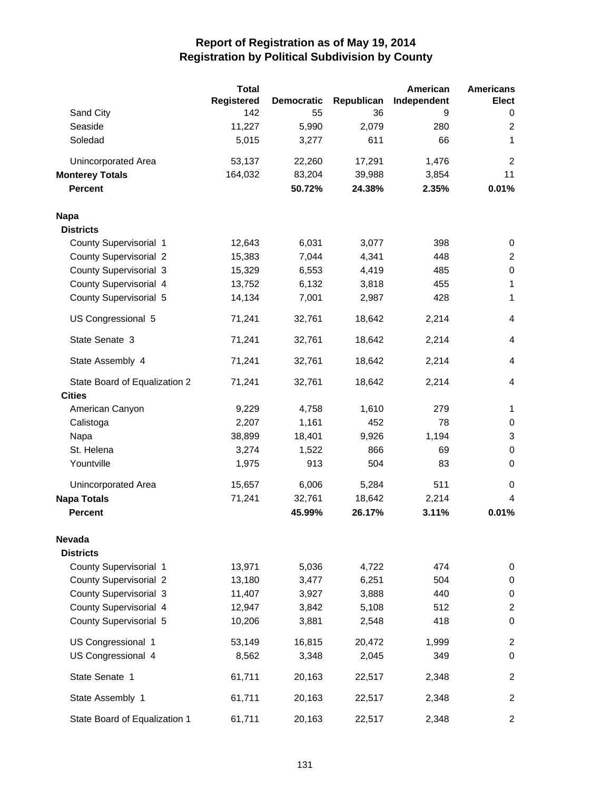|                               | <b>Total</b>      |                   |            | American    | <b>Americans</b>         |
|-------------------------------|-------------------|-------------------|------------|-------------|--------------------------|
|                               | <b>Registered</b> | <b>Democratic</b> | Republican | Independent | <b>Elect</b>             |
| Sand City                     | 142               | 55                | 36         | 9           | 0                        |
| Seaside                       | 11,227            | 5,990             | 2,079      | 280         | $\overline{2}$           |
| Soledad                       | 5,015             | 3,277             | 611        | 66          | 1                        |
| Unincorporated Area           | 53,137            | 22,260            | 17,291     | 1,476       | $\overline{2}$           |
| <b>Monterey Totals</b>        | 164,032           | 83,204            | 39,988     | 3,854       | 11                       |
| <b>Percent</b>                |                   | 50.72%            | 24.38%     | 2.35%       | 0.01%                    |
| <b>Napa</b>                   |                   |                   |            |             |                          |
| <b>Districts</b>              |                   |                   |            |             |                          |
| County Supervisorial 1        | 12,643            | 6,031             | 3,077      | 398         | 0                        |
| <b>County Supervisorial 2</b> | 15,383            | 7,044             | 4,341      | 448         | $\overline{2}$           |
| County Supervisorial 3        | 15,329            | 6,553             | 4,419      | 485         | $\pmb{0}$                |
| County Supervisorial 4        | 13,752            | 6,132             | 3,818      | 455         | 1                        |
| County Supervisorial 5        | 14,134            | 7,001             | 2,987      | 428         | 1                        |
| US Congressional 5            | 71,241            | 32,761            | 18,642     | 2,214       | $\overline{\mathcal{L}}$ |
| State Senate 3                | 71,241            | 32,761            | 18,642     | 2,214       | $\overline{4}$           |
| State Assembly 4              | 71,241            | 32,761            | 18,642     | 2,214       | $\overline{4}$           |
| State Board of Equalization 2 | 71,241            | 32,761            | 18,642     | 2,214       | $\overline{4}$           |
| <b>Cities</b>                 |                   |                   |            |             |                          |
| American Canyon               | 9,229             | 4,758             | 1,610      | 279         | 1                        |
| Calistoga                     | 2,207             | 1,161             | 452        | 78          | 0                        |
| Napa                          | 38,899            | 18,401            | 9,926      | 1,194       | 3                        |
| St. Helena                    | 3,274             | 1,522             | 866        | 69          | $\mathbf 0$              |
| Yountville                    | 1,975             | 913               | 504        | 83          | 0                        |
| Unincorporated Area           | 15,657            | 6,006             | 5,284      | 511         | 0                        |
| <b>Napa Totals</b>            | 71,241            | 32,761            | 18,642     | 2,214       | 4                        |
| <b>Percent</b>                |                   | 45.99%            | 26.17%     | 3.11%       | 0.01%                    |
| Nevada                        |                   |                   |            |             |                          |
| <b>Districts</b>              |                   |                   |            |             |                          |
| County Supervisorial 1        | 13,971            | 5,036             | 4,722      | 474         | 0                        |
| <b>County Supervisorial 2</b> | 13,180            | 3,477             | 6,251      | 504         | 0                        |
| County Supervisorial 3        | 11,407            | 3,927             | 3,888      | 440         | 0                        |
| County Supervisorial 4        | 12,947            | 3,842             | 5,108      | 512         | $\overline{c}$           |
| County Supervisorial 5        | 10,206            | 3,881             | 2,548      | 418         | $\mathbf 0$              |
| US Congressional 1            | 53,149            | 16,815            | 20,472     | 1,999       | $\overline{c}$           |
| US Congressional 4            | 8,562             | 3,348             | 2,045      | 349         | $\mathbf 0$              |
| State Senate 1                | 61,711            | 20,163            | 22,517     | 2,348       | $\overline{c}$           |
| State Assembly 1              | 61,711            | 20,163            | 22,517     | 2,348       | $\overline{c}$           |
| State Board of Equalization 1 | 61,711            | 20,163            | 22,517     | 2,348       | $\overline{\mathbf{c}}$  |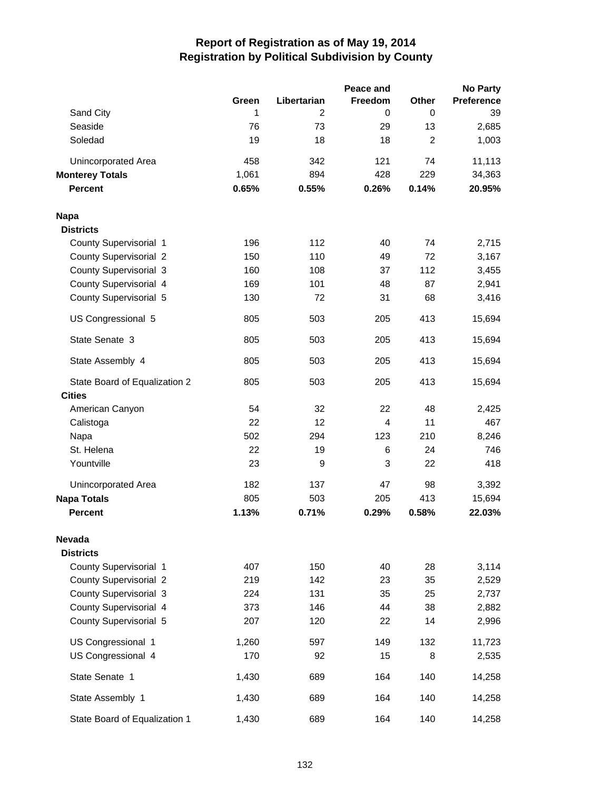|                               |       |                | Peace and |                | <b>No Party</b>   |
|-------------------------------|-------|----------------|-----------|----------------|-------------------|
|                               | Green | Libertarian    | Freedom   | <b>Other</b>   | <b>Preference</b> |
| Sand City                     | 1     | $\overline{c}$ | 0         | 0              | 39                |
| Seaside                       | 76    | 73             | 29        | 13             | 2,685             |
| Soledad                       | 19    | 18             | 18        | $\overline{2}$ | 1,003             |
| Unincorporated Area           | 458   | 342            | 121       | 74             | 11,113            |
| <b>Monterey Totals</b>        | 1,061 | 894            | 428       | 229            | 34,363            |
| <b>Percent</b>                | 0.65% | 0.55%          | 0.26%     | 0.14%          | 20.95%            |
| <b>Napa</b>                   |       |                |           |                |                   |
| <b>Districts</b>              |       |                |           |                |                   |
| County Supervisorial 1        | 196   | 112            | 40        | 74             | 2,715             |
| <b>County Supervisorial 2</b> | 150   | 110            | 49        | 72             | 3,167             |
| <b>County Supervisorial 3</b> | 160   | 108            | 37        | 112            | 3,455             |
| County Supervisorial 4        | 169   | 101            | 48        | 87             | 2,941             |
| County Supervisorial 5        | 130   | 72             | 31        | 68             | 3,416             |
| US Congressional 5            | 805   | 503            | 205       | 413            | 15,694            |
| State Senate 3                | 805   | 503            | 205       | 413            | 15,694            |
| State Assembly 4              | 805   | 503            | 205       | 413            | 15,694            |
| State Board of Equalization 2 | 805   | 503            | 205       | 413            | 15,694            |
| <b>Cities</b>                 |       |                |           |                |                   |
| American Canyon               | 54    | 32             | 22        | 48             | 2,425             |
| Calistoga                     | 22    | 12             | 4         | 11             | 467               |
| Napa                          | 502   | 294            | 123       | 210            | 8,246             |
| St. Helena                    | 22    | 19             | 6         | 24             | 746               |
| Yountville                    | 23    | 9              | 3         | 22             | 418               |
| Unincorporated Area           | 182   | 137            | 47        | 98             | 3,392             |
| <b>Napa Totals</b>            | 805   | 503            | 205       | 413            | 15,694            |
| <b>Percent</b>                | 1.13% | 0.71%          | 0.29%     | 0.58%          | 22.03%            |
| Nevada                        |       |                |           |                |                   |
| <b>Districts</b>              |       |                |           |                |                   |
| County Supervisorial 1        | 407   | 150            | 40        | 28             | 3,114             |
| <b>County Supervisorial 2</b> | 219   | 142            | 23        | 35             | 2,529             |
| <b>County Supervisorial 3</b> | 224   | 131            | 35        | 25             | 2,737             |
| County Supervisorial 4        | 373   | 146            | 44        | 38             | 2,882             |
| County Supervisorial 5        | 207   | 120            | 22        | 14             | 2,996             |
| US Congressional 1            | 1,260 | 597            | 149       | 132            | 11,723            |
| US Congressional 4            | 170   | 92             | 15        | 8              | 2,535             |
| State Senate 1                | 1,430 | 689            | 164       | 140            | 14,258            |
| State Assembly 1              | 1,430 | 689            | 164       | 140            | 14,258            |
| State Board of Equalization 1 | 1,430 | 689            | 164       | 140            | 14,258            |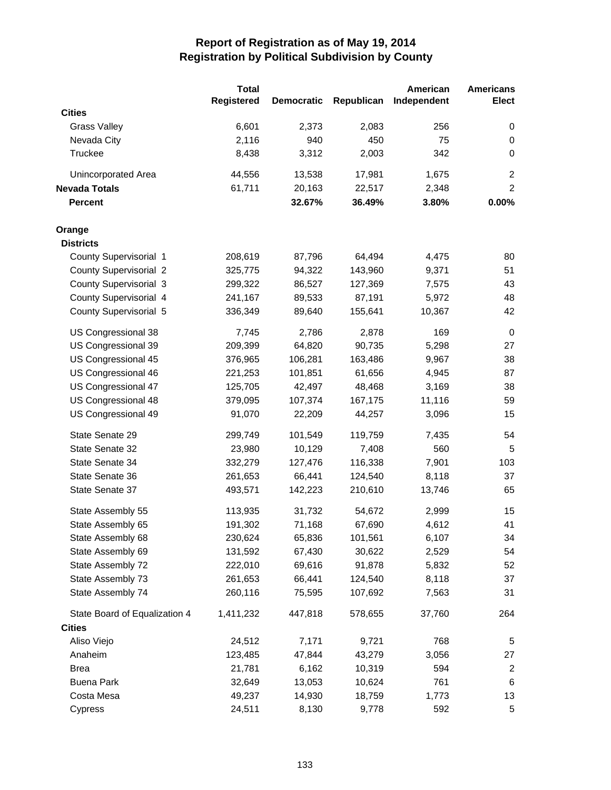|                               | <b>Total</b>      |                   |            | American    | <b>Americans</b> |
|-------------------------------|-------------------|-------------------|------------|-------------|------------------|
|                               | <b>Registered</b> | <b>Democratic</b> | Republican | Independent | <b>Elect</b>     |
| <b>Cities</b>                 |                   |                   |            |             |                  |
| <b>Grass Valley</b>           | 6,601             | 2,373             | 2,083      | 256         | 0                |
| Nevada City                   | 2,116             | 940               | 450        | 75          | 0                |
| Truckee                       | 8,438             | 3,312             | 2,003      | 342         | 0                |
| <b>Unincorporated Area</b>    | 44,556            | 13,538            | 17,981     | 1,675       | $\overline{c}$   |
| <b>Nevada Totals</b>          | 61,711            | 20,163            | 22,517     | 2,348       | $\overline{c}$   |
| <b>Percent</b>                |                   | 32.67%            | 36.49%     | 3.80%       | 0.00%            |
| Orange                        |                   |                   |            |             |                  |
| <b>Districts</b>              |                   |                   |            |             |                  |
| County Supervisorial 1        | 208,619           | 87,796            | 64,494     | 4,475       | 80               |
| <b>County Supervisorial 2</b> | 325,775           | 94,322            | 143,960    | 9,371       | 51               |
| County Supervisorial 3        | 299,322           | 86,527            | 127,369    | 7,575       | 43               |
| County Supervisorial 4        | 241,167           | 89,533            | 87,191     | 5,972       | 48               |
| County Supervisorial 5        | 336,349           | 89,640            | 155,641    | 10,367      | 42               |
| US Congressional 38           | 7,745             | 2,786             | 2,878      | 169         | $\mathbf 0$      |
| US Congressional 39           | 209,399           | 64,820            | 90,735     | 5,298       | 27               |
| US Congressional 45           | 376,965           | 106,281           | 163,486    | 9,967       | 38               |
| US Congressional 46           | 221,253           | 101,851           | 61,656     | 4,945       | 87               |
| US Congressional 47           | 125,705           | 42,497            | 48,468     | 3,169       | 38               |
| US Congressional 48           | 379,095           | 107,374           | 167,175    | 11,116      | 59               |
| US Congressional 49           | 91,070            | 22,209            | 44,257     | 3,096       | 15               |
| State Senate 29               | 299,749           | 101,549           | 119,759    | 7,435       | 54               |
| State Senate 32               | 23,980            | 10,129            | 7,408      | 560         | 5                |
| State Senate 34               | 332,279           | 127,476           | 116,338    | 7,901       | 103              |
| State Senate 36               | 261,653           | 66,441            | 124,540    | 8,118       | 37               |
| State Senate 37               | 493,571           | 142,223           | 210,610    | 13,746      | 65               |
| State Assembly 55             | 113,935           | 31,732            | 54,672     | 2,999       | 15               |
| State Assembly 65             | 191,302           | 71,168            | 67,690     | 4,612       | 41               |
| State Assembly 68             | 230,624           | 65,836            | 101,561    | 6,107       | 34               |
| State Assembly 69             | 131,592           | 67,430            | 30,622     | 2,529       | 54               |
| State Assembly 72             | 222,010           | 69,616            | 91,878     | 5,832       | 52               |
| State Assembly 73             | 261,653           | 66,441            | 124,540    | 8,118       | 37               |
| State Assembly 74             | 260,116           | 75,595            | 107,692    | 7,563       | 31               |
| State Board of Equalization 4 | 1,411,232         | 447,818           | 578,655    | 37,760      | 264              |
| <b>Cities</b>                 |                   |                   |            |             |                  |
| Aliso Viejo                   | 24,512            | 7,171             | 9,721      | 768         | 5                |
| Anaheim                       | 123,485           | 47,844            | 43,279     | 3,056       | 27               |
| Brea                          | 21,781            | 6,162             | 10,319     | 594         | $\overline{c}$   |
| <b>Buena Park</b>             | 32,649            | 13,053            | 10,624     | 761         | $\,6$            |
| Costa Mesa                    | 49,237            | 14,930            | 18,759     | 1,773       | 13               |
| Cypress                       | 24,511            | 8,130             | 9,778      | 592         | 5                |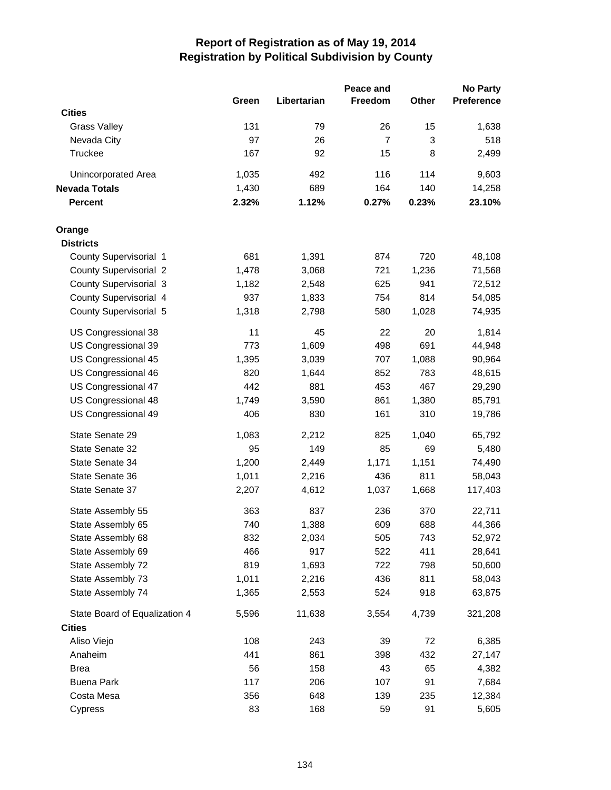|                               |       |             | Peace and      |       | <b>No Party</b> |
|-------------------------------|-------|-------------|----------------|-------|-----------------|
|                               | Green | Libertarian | Freedom        | Other | Preference      |
| <b>Cities</b>                 |       |             |                |       |                 |
| <b>Grass Valley</b>           | 131   | 79          | 26             | 15    | 1,638           |
| Nevada City                   | 97    | 26          | $\overline{7}$ | 3     | 518             |
| <b>Truckee</b>                | 167   | 92          | 15             | 8     | 2,499           |
| Unincorporated Area           | 1,035 | 492         | 116            | 114   | 9,603           |
| <b>Nevada Totals</b>          | 1,430 | 689         | 164            | 140   | 14,258          |
| <b>Percent</b>                | 2.32% | 1.12%       | 0.27%          | 0.23% | 23.10%          |
| Orange                        |       |             |                |       |                 |
| <b>Districts</b>              |       |             |                |       |                 |
| County Supervisorial 1        | 681   | 1,391       | 874            | 720   | 48,108          |
| <b>County Supervisorial 2</b> | 1,478 | 3,068       | 721            | 1,236 | 71,568          |
| <b>County Supervisorial 3</b> | 1,182 | 2,548       | 625            | 941   | 72,512          |
| County Supervisorial 4        | 937   | 1,833       | 754            | 814   | 54,085          |
| County Supervisorial 5        | 1,318 | 2,798       | 580            | 1,028 | 74,935          |
| US Congressional 38           | 11    | 45          | 22             | 20    | 1,814           |
| US Congressional 39           | 773   | 1,609       | 498            | 691   | 44,948          |
| US Congressional 45           | 1,395 | 3,039       | 707            | 1,088 | 90,964          |
| US Congressional 46           | 820   | 1,644       | 852            | 783   | 48,615          |
| US Congressional 47           | 442   | 881         | 453            | 467   | 29,290          |
| US Congressional 48           | 1,749 | 3,590       | 861            | 1,380 | 85,791          |
| US Congressional 49           | 406   | 830         | 161            | 310   | 19,786          |
| State Senate 29               | 1,083 | 2,212       | 825            | 1,040 | 65,792          |
| State Senate 32               | 95    | 149         | 85             | 69    | 5,480           |
| State Senate 34               | 1,200 | 2,449       | 1,171          | 1,151 | 74,490          |
| State Senate 36               | 1,011 | 2,216       | 436            | 811   | 58,043          |
| State Senate 37               | 2,207 | 4,612       | 1,037          | 1,668 | 117,403         |
| State Assembly 55             | 363   | 837         | 236            | 370   | 22,711          |
| State Assembly 65             | 740   | 1,388       | 609            | 688   | 44,366          |
| State Assembly 68             | 832   | 2,034       | 505            | 743   | 52,972          |
| State Assembly 69             | 466   | 917         | 522            | 411   | 28,641          |
| State Assembly 72             | 819   | 1,693       | 722            | 798   | 50,600          |
| State Assembly 73             | 1,011 | 2,216       | 436            | 811   | 58,043          |
| State Assembly 74             | 1,365 | 2,553       | 524            | 918   | 63,875          |
| State Board of Equalization 4 | 5,596 | 11,638      | 3,554          | 4,739 | 321,208         |
| <b>Cities</b>                 |       |             |                |       |                 |
| Aliso Viejo                   | 108   | 243         | 39             | 72    | 6,385           |
| Anaheim                       | 441   | 861         | 398            | 432   | 27,147          |
| <b>Brea</b>                   | 56    | 158         | 43             | 65    | 4,382           |
| <b>Buena Park</b>             | 117   | 206         | 107            | 91    | 7,684           |
| Costa Mesa                    | 356   | 648         | 139            | 235   | 12,384          |
| Cypress                       | 83    | 168         | 59             | 91    | 5,605           |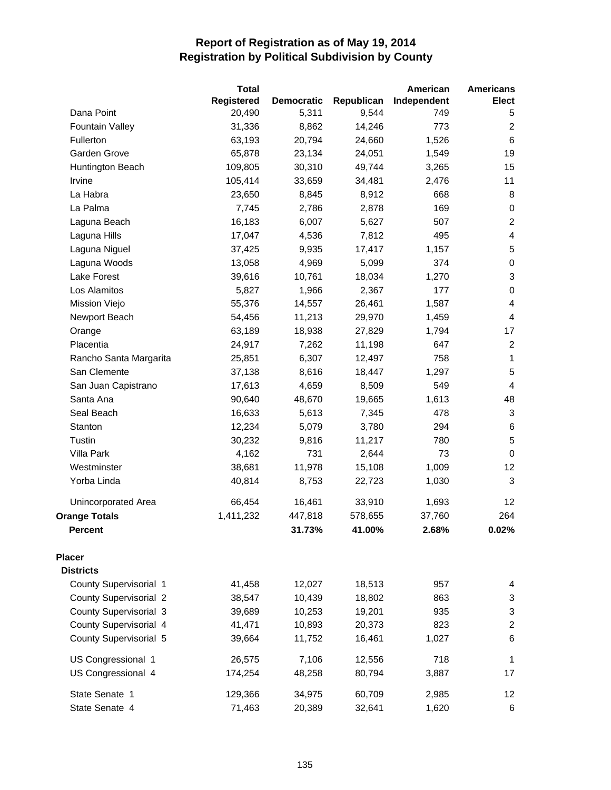|                               | <b>Total</b>      |                   |            | American    | <b>Americans</b>        |
|-------------------------------|-------------------|-------------------|------------|-------------|-------------------------|
|                               | <b>Registered</b> | <b>Democratic</b> | Republican | Independent | Elect                   |
| Dana Point                    | 20,490            | 5,311             | 9,544      | 749         | 5                       |
| <b>Fountain Valley</b>        | 31,336            | 8,862             | 14,246     | 773         | $\overline{c}$          |
| Fullerton                     | 63,193            | 20,794            | 24,660     | 1,526       | $\,6$                   |
| Garden Grove                  | 65,878            | 23,134            | 24,051     | 1,549       | 19                      |
| Huntington Beach              | 109,805           | 30,310            | 49,744     | 3,265       | 15                      |
| Irvine                        | 105,414           | 33,659            | 34,481     | 2,476       | 11                      |
| La Habra                      | 23,650            | 8,845             | 8,912      | 668         | 8                       |
| La Palma                      | 7,745             | 2,786             | 2,878      | 169         | 0                       |
| Laguna Beach                  | 16,183            | 6,007             | 5,627      | 507         | $\overline{2}$          |
| Laguna Hills                  | 17,047            | 4,536             | 7,812      | 495         | $\overline{\mathbf{4}}$ |
| Laguna Niguel                 | 37,425            | 9,935             | 17,417     | 1,157       | 5                       |
| Laguna Woods                  | 13,058            | 4,969             | 5,099      | 374         | $\pmb{0}$               |
| Lake Forest                   | 39,616            | 10,761            | 18,034     | 1,270       | 3                       |
| Los Alamitos                  | 5,827             | 1,966             | 2,367      | 177         | $\pmb{0}$               |
| Mission Viejo                 | 55,376            | 14,557            | 26,461     | 1,587       | 4                       |
| Newport Beach                 | 54,456            | 11,213            | 29,970     | 1,459       | 4                       |
| Orange                        | 63,189            | 18,938            | 27,829     | 1,794       | 17                      |
| Placentia                     | 24,917            | 7,262             | 11,198     | 647         | $\sqrt{2}$              |
| Rancho Santa Margarita        | 25,851            | 6,307             | 12,497     | 758         | $\mathbf 1$             |
| San Clemente                  | 37,138            | 8,616             | 18,447     | 1,297       | 5                       |
| San Juan Capistrano           | 17,613            | 4,659             | 8,509      | 549         | 4                       |
| Santa Ana                     | 90,640            | 48,670            | 19,665     | 1,613       | 48                      |
| Seal Beach                    | 16,633            | 5,613             | 7,345      | 478         | 3                       |
| Stanton                       | 12,234            | 5,079             | 3,780      | 294         | 6                       |
| Tustin                        | 30,232            | 9,816             | 11,217     | 780         | 5                       |
| <b>Villa Park</b>             | 4,162             | 731               | 2,644      | 73          | $\mathbf 0$             |
| Westminster                   | 38,681            | 11,978            | 15,108     | 1,009       | 12                      |
| Yorba Linda                   | 40,814            | 8,753             | 22,723     | 1,030       | $\mathsf 3$             |
| Unincorporated Area           | 66,454            | 16,461            | 33,910     | 1,693       | 12                      |
| <b>Orange Totals</b>          | 1,411,232         | 447,818           | 578,655    | 37,760      | 264                     |
| <b>Percent</b>                |                   | 31.73%            | 41.00%     | 2.68%       | 0.02%                   |
| <b>Placer</b>                 |                   |                   |            |             |                         |
| <b>Districts</b>              |                   |                   |            |             |                         |
| County Supervisorial 1        | 41,458            | 12,027            | 18,513     | 957         | 4                       |
| <b>County Supervisorial 2</b> | 38,547            | 10,439            | 18,802     | 863         | 3                       |
| <b>County Supervisorial 3</b> | 39,689            | 10,253            | 19,201     | 935         | 3                       |
| County Supervisorial 4        | 41,471            | 10,893            | 20,373     | 823         | $\overline{\mathbf{c}}$ |
| County Supervisorial 5        | 39,664            | 11,752            | 16,461     | 1,027       | 6                       |
| US Congressional 1            | 26,575            | 7,106             | 12,556     | 718         | 1                       |
| US Congressional 4            | 174,254           | 48,258            | 80,794     | 3,887       | 17                      |
| State Senate 1                | 129,366           | 34,975            | 60,709     | 2,985       | 12                      |
| State Senate 4                | 71,463            | 20,389            | 32,641     | 1,620       | 6                       |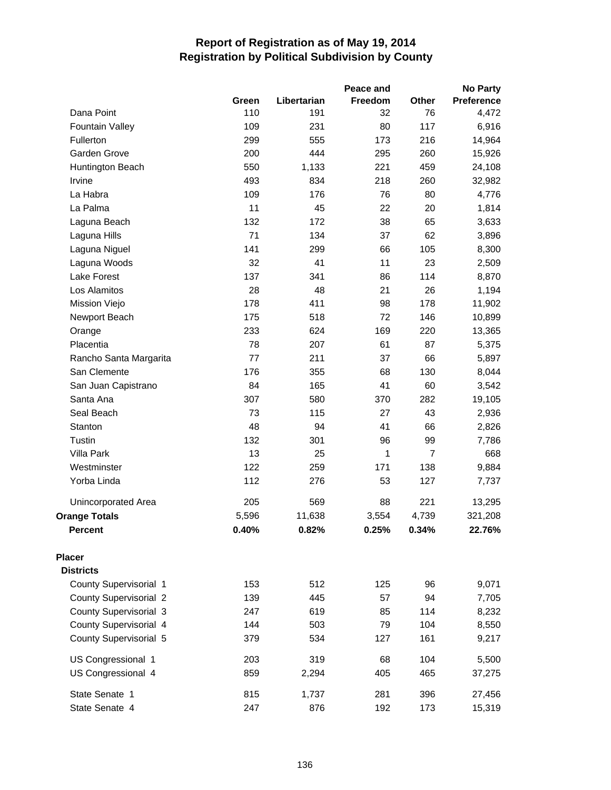|                               |       |             | Peace and |                | <b>No Party</b> |
|-------------------------------|-------|-------------|-----------|----------------|-----------------|
|                               | Green | Libertarian | Freedom   | Other          | Preference      |
| Dana Point                    | 110   | 191         | 32        | 76             | 4,472           |
| <b>Fountain Valley</b>        | 109   | 231         | 80        | 117            | 6,916           |
| Fullerton                     | 299   | 555         | 173       | 216            | 14,964          |
| Garden Grove                  | 200   | 444         | 295       | 260            | 15,926          |
| Huntington Beach              | 550   | 1,133       | 221       | 459            | 24,108          |
| Irvine                        | 493   | 834         | 218       | 260            | 32,982          |
| La Habra                      | 109   | 176         | 76        | 80             | 4,776           |
| La Palma                      | 11    | 45          | 22        | 20             | 1,814           |
| Laguna Beach                  | 132   | 172         | 38        | 65             | 3,633           |
| Laguna Hills                  | 71    | 134         | 37        | 62             | 3,896           |
| Laguna Niguel                 | 141   | 299         | 66        | 105            | 8,300           |
| Laguna Woods                  | 32    | 41          | 11        | 23             | 2,509           |
| Lake Forest                   | 137   | 341         | 86        | 114            | 8,870           |
| Los Alamitos                  | 28    | 48          | 21        | 26             | 1,194           |
| Mission Viejo                 | 178   | 411         | 98        | 178            | 11,902          |
| Newport Beach                 | 175   | 518         | 72        | 146            | 10,899          |
| Orange                        | 233   | 624         | 169       | 220            | 13,365          |
| Placentia                     | 78    | 207         | 61        | 87             | 5,375           |
| Rancho Santa Margarita        | 77    | 211         | 37        | 66             | 5,897           |
| San Clemente                  | 176   | 355         | 68        | 130            | 8,044           |
| San Juan Capistrano           | 84    | 165         | 41        | 60             | 3,542           |
| Santa Ana                     | 307   | 580         | 370       | 282            | 19,105          |
| Seal Beach                    | 73    | 115         | 27        | 43             | 2,936           |
| Stanton                       | 48    | 94          | 41        | 66             | 2,826           |
| Tustin                        | 132   | 301         | 96        | 99             | 7,786           |
| Villa Park                    | 13    | 25          | 1         | $\overline{7}$ | 668             |
| Westminster                   | 122   | 259         | 171       | 138            | 9,884           |
| Yorba Linda                   | 112   | 276         | 53        | 127            | 7,737           |
| Unincorporated Area           | 205   | 569         | 88        | 221            | 13,295          |
| <b>Orange Totals</b>          | 5,596 | 11,638      | 3,554     | 4,739          | 321,208         |
| <b>Percent</b>                | 0.40% | 0.82%       | 0.25%     | 0.34%          | 22.76%          |
| <b>Placer</b>                 |       |             |           |                |                 |
| <b>Districts</b>              |       |             |           |                |                 |
| County Supervisorial 1        | 153   | 512         | 125       | 96             | 9,071           |
| <b>County Supervisorial 2</b> | 139   | 445         | 57        | 94             | 7,705           |
| County Supervisorial 3        | 247   | 619         | 85        | 114            | 8,232           |
| County Supervisorial 4        | 144   | 503         | 79        | 104            | 8,550           |
| County Supervisorial 5        | 379   | 534         | 127       | 161            | 9,217           |
| US Congressional 1            | 203   | 319         | 68        | 104            | 5,500           |
| US Congressional 4            | 859   | 2,294       | 405       | 465            | 37,275          |
| State Senate 1                | 815   | 1,737       | 281       | 396            | 27,456          |
| State Senate 4                | 247   | 876         | 192       | 173            | 15,319          |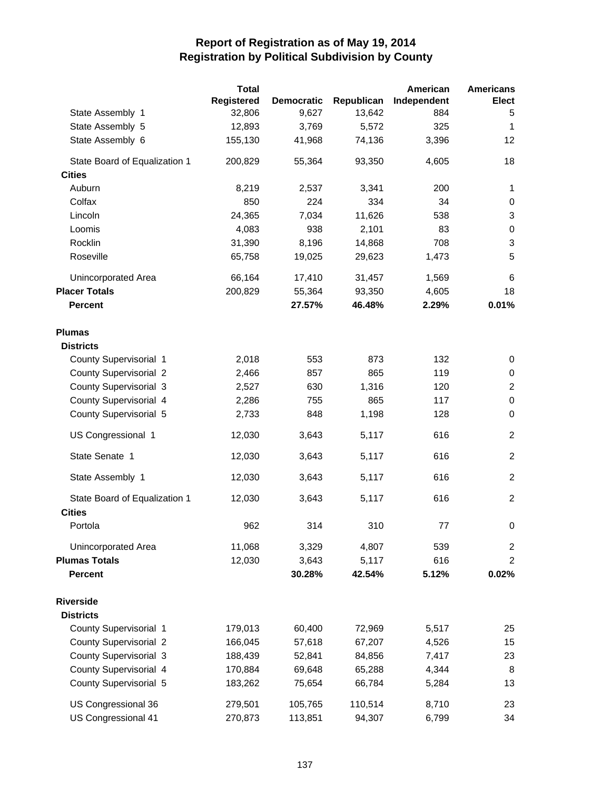|                               | <b>Total</b>      |                   |            | American    | <b>Americans</b>          |
|-------------------------------|-------------------|-------------------|------------|-------------|---------------------------|
|                               | <b>Registered</b> | <b>Democratic</b> | Republican | Independent | <b>Elect</b>              |
| State Assembly 1              | 32,806            | 9,627             | 13,642     | 884         | 5                         |
| State Assembly 5              | 12,893            | 3,769             | 5,572      | 325         | $\mathbf 1$               |
| State Assembly 6              | 155,130           | 41,968            | 74,136     | 3,396       | 12                        |
| State Board of Equalization 1 | 200,829           | 55,364            | 93,350     | 4,605       | 18                        |
| <b>Cities</b>                 |                   |                   |            |             |                           |
| Auburn                        | 8,219             | 2,537             | 3,341      | 200         | 1                         |
| Colfax                        | 850               | 224               | 334        | 34          | 0                         |
| Lincoln                       | 24,365            | 7,034             | 11,626     | 538         | $\ensuremath{\mathsf{3}}$ |
| Loomis                        | 4,083             | 938               | 2,101      | 83          | $\pmb{0}$                 |
| Rocklin                       | 31,390            | 8,196             | 14,868     | 708         | $\mathbf{3}$              |
| Roseville                     | 65,758            | 19,025            | 29,623     | 1,473       | 5                         |
| Unincorporated Area           | 66,164            | 17,410            | 31,457     | 1,569       | 6                         |
| <b>Placer Totals</b>          | 200,829           | 55,364            | 93,350     | 4,605       | 18                        |
| <b>Percent</b>                |                   | 27.57%            | 46.48%     | 2.29%       | 0.01%                     |
| <b>Plumas</b>                 |                   |                   |            |             |                           |
| <b>Districts</b>              |                   |                   |            |             |                           |
| County Supervisorial 1        | 2,018             | 553               | 873        | 132         | 0                         |
| <b>County Supervisorial 2</b> | 2,466             | 857               | 865        | 119         | 0                         |
| <b>County Supervisorial 3</b> | 2,527             | 630               | 1,316      | 120         | $\boldsymbol{2}$          |
| County Supervisorial 4        | 2,286             | 755               | 865        | 117         | $\pmb{0}$                 |
| County Supervisorial 5        | 2,733             | 848               | 1,198      | 128         | $\mathbf 0$               |
| US Congressional 1            | 12,030            | 3,643             | 5,117      | 616         | $\overline{2}$            |
| State Senate 1                | 12,030            | 3,643             | 5,117      | 616         | $\overline{c}$            |
| State Assembly 1              | 12,030            | 3,643             | 5,117      | 616         | $\overline{c}$            |
| State Board of Equalization 1 | 12,030            | 3,643             | 5,117      | 616         | $\overline{c}$            |
| <b>Cities</b>                 |                   |                   |            |             |                           |
| Portola                       | 962               | 314               | 310        | 77          | 0                         |
| Unincorporated Area           | 11,068            | 3,329             | 4,807      | 539         | $\overline{2}$            |
| <b>Plumas Totals</b>          | 12,030            | 3,643             | 5,117      | 616         | $\overline{2}$            |
| <b>Percent</b>                |                   | 30.28%            | 42.54%     | 5.12%       | 0.02%                     |
| <b>Riverside</b>              |                   |                   |            |             |                           |
| <b>Districts</b>              |                   |                   |            |             |                           |
| County Supervisorial 1        | 179,013           | 60,400            | 72,969     | 5,517       | 25                        |
| <b>County Supervisorial 2</b> | 166,045           | 57,618            | 67,207     | 4,526       | 15                        |
| <b>County Supervisorial 3</b> | 188,439           | 52,841            | 84,856     | 7,417       | 23                        |
| County Supervisorial 4        | 170,884           | 69,648            | 65,288     | 4,344       | 8                         |
| County Supervisorial 5        | 183,262           | 75,654            | 66,784     | 5,284       | 13                        |
| US Congressional 36           | 279,501           | 105,765           | 110,514    | 8,710       | 23                        |
| US Congressional 41           | 270,873           | 113,851           | 94,307     | 6,799       | 34                        |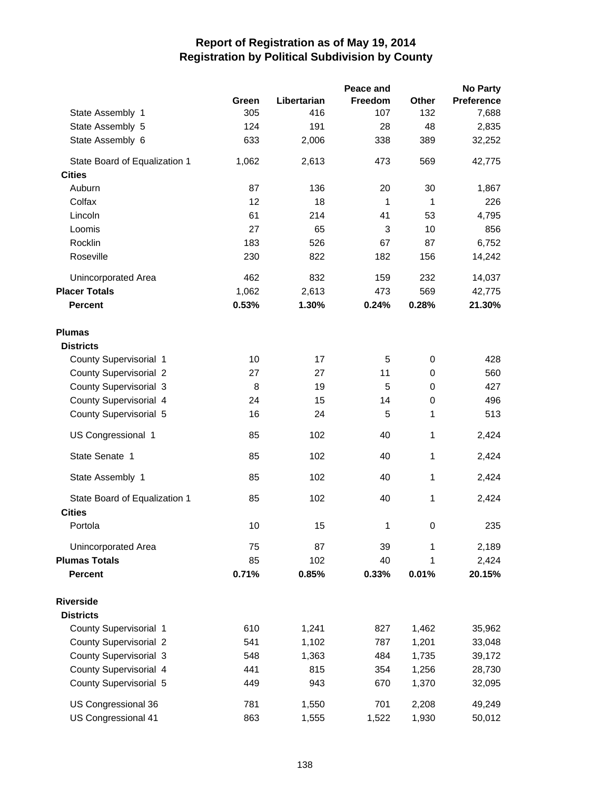|                               |       |             | Peace and      |             | <b>No Party</b>   |
|-------------------------------|-------|-------------|----------------|-------------|-------------------|
|                               | Green | Libertarian | <b>Freedom</b> | Other       | <b>Preference</b> |
| State Assembly 1              | 305   | 416         | 107            | 132         | 7,688             |
| State Assembly 5              | 124   | 191         | 28             | 48          | 2,835             |
| State Assembly 6              | 633   | 2,006       | 338            | 389         | 32,252            |
| State Board of Equalization 1 | 1,062 | 2,613       | 473            | 569         | 42,775            |
| <b>Cities</b>                 |       |             |                |             |                   |
| Auburn                        | 87    | 136         | 20             | 30          | 1,867             |
| Colfax                        | 12    | 18          | 1              | 1           | 226               |
| Lincoln                       | 61    | 214         | 41             | 53          | 4,795             |
| Loomis                        | 27    | 65          | 3              | 10          | 856               |
| Rocklin                       | 183   | 526         | 67             | 87          | 6,752             |
| Roseville                     | 230   | 822         | 182            | 156         | 14,242            |
| Unincorporated Area           | 462   | 832         | 159            | 232         | 14,037            |
| <b>Placer Totals</b>          | 1,062 | 2,613       | 473            | 569         | 42,775            |
| <b>Percent</b>                | 0.53% | 1.30%       | 0.24%          | 0.28%       | 21.30%            |
| <b>Plumas</b>                 |       |             |                |             |                   |
| <b>Districts</b>              |       |             |                |             |                   |
| County Supervisorial 1        | 10    | 17          | 5              | $\mathbf 0$ | 428               |
| <b>County Supervisorial 2</b> | 27    | 27          | 11             | 0           | 560               |
| <b>County Supervisorial 3</b> | 8     | 19          | 5              | 0           | 427               |
| County Supervisorial 4        | 24    | 15          | 14             | $\mathbf 0$ | 496               |
| County Supervisorial 5        | 16    | 24          | 5              | 1           | 513               |
| US Congressional 1            | 85    | 102         | 40             | 1           | 2,424             |
| State Senate 1                | 85    | 102         | 40             | 1           | 2,424             |
| State Assembly 1              | 85    | 102         | 40             | 1           | 2,424             |
| State Board of Equalization 1 | 85    | 102         | 40             | 1           | 2,424             |
| <b>Cities</b>                 |       |             |                |             |                   |
| Portola                       | 10    | 15          | 1              | $\pmb{0}$   | 235               |
| <b>Unincorporated Area</b>    | 75    | 87          | 39             | 1           | 2,189             |
| <b>Plumas Totals</b>          | 85    | 102         | 40             | 1           | 2,424             |
| <b>Percent</b>                | 0.71% | 0.85%       | 0.33%          | 0.01%       | 20.15%            |
| <b>Riverside</b>              |       |             |                |             |                   |
| <b>Districts</b>              |       |             |                |             |                   |
| County Supervisorial 1        | 610   | 1,241       | 827            | 1,462       | 35,962            |
| <b>County Supervisorial 2</b> | 541   | 1,102       | 787            | 1,201       | 33,048            |
| <b>County Supervisorial 3</b> | 548   | 1,363       | 484            | 1,735       | 39,172            |
| County Supervisorial 4        | 441   | 815         | 354            | 1,256       | 28,730            |
| County Supervisorial 5        | 449   | 943         | 670            | 1,370       | 32,095            |
| US Congressional 36           | 781   | 1,550       | 701            | 2,208       | 49,249            |
| US Congressional 41           | 863   | 1,555       | 1,522          | 1,930       | 50,012            |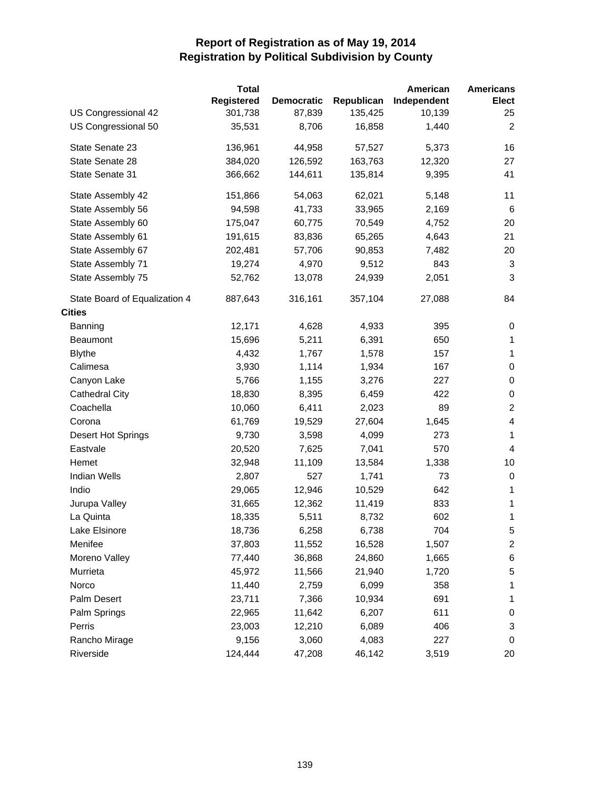|                               | <b>Total</b> |                   |            | American    | <b>Americans</b> |
|-------------------------------|--------------|-------------------|------------|-------------|------------------|
|                               | Registered   | <b>Democratic</b> | Republican | Independent | <b>Elect</b>     |
| US Congressional 42           | 301,738      | 87,839            | 135,425    | 10,139      | 25               |
| US Congressional 50           | 35,531       | 8,706             | 16,858     | 1,440       | 2                |
| State Senate 23               | 136,961      | 44,958            | 57,527     | 5,373       | 16               |
| State Senate 28               | 384,020      | 126,592           | 163,763    | 12,320      | 27               |
| State Senate 31               | 366,662      | 144,611           | 135,814    | 9,395       | 41               |
| State Assembly 42             | 151,866      | 54,063            | 62,021     | 5,148       | 11               |
| State Assembly 56             | 94,598       | 41,733            | 33,965     | 2,169       | 6                |
| State Assembly 60             | 175,047      | 60,775            | 70,549     | 4,752       | 20               |
| State Assembly 61             | 191,615      | 83,836            | 65,265     | 4,643       | 21               |
| State Assembly 67             | 202,481      | 57,706            | 90,853     | 7,482       | 20               |
| State Assembly 71             | 19,274       | 4,970             | 9,512      | 843         | 3                |
| State Assembly 75             | 52,762       | 13,078            | 24,939     | 2,051       | 3                |
| State Board of Equalization 4 | 887,643      | 316,161           | 357,104    | 27,088      | 84               |
| <b>Cities</b>                 |              |                   |            |             |                  |
| Banning                       | 12,171       | 4,628             | 4,933      | 395         | 0                |
| <b>Beaumont</b>               | 15,696       | 5,211             | 6,391      | 650         | $\mathbf{1}$     |
| <b>Blythe</b>                 | 4,432        | 1,767             | 1,578      | 157         | $\mathbf{1}$     |
| Calimesa                      | 3,930        | 1,114             | 1,934      | 167         | 0                |
| Canyon Lake                   | 5,766        | 1,155             | 3,276      | 227         | 0                |
| <b>Cathedral City</b>         | 18,830       | 8,395             | 6,459      | 422         | 0                |
| Coachella                     | 10,060       | 6,411             | 2,023      | 89          | $\overline{c}$   |
| Corona                        | 61,769       | 19,529            | 27,604     | 1,645       | 4                |
| Desert Hot Springs            | 9,730        | 3,598             | 4,099      | 273         | $\mathbf{1}$     |
| Eastvale                      | 20,520       | 7,625             | 7,041      | 570         | $\overline{4}$   |
| Hemet                         | 32,948       | 11,109            | 13,584     | 1,338       | 10               |
| <b>Indian Wells</b>           | 2,807        | 527               | 1,741      | 73          | 0                |
| Indio                         | 29,065       | 12,946            | 10,529     | 642         | 1                |
| Jurupa Valley                 | 31,665       | 12,362            | 11,419     | 833         | $\mathbf{1}$     |
| La Quinta                     | 18,335       | 5,511             | 8,732      | 602         | 1                |
| Lake Elsinore                 | 18,736       | 6,258             | 6,738      | 704         | $\mathbf 5$      |
| Menifee                       | 37,803       | 11,552            | 16,528     | 1,507       | $\overline{c}$   |
| Moreno Valley                 | 77,440       | 36,868            | 24,860     | 1,665       | 6                |
| Murrieta                      | 45,972       | 11,566            | 21,940     | 1,720       | 5                |
| Norco                         | 11,440       | 2,759             | 6,099      | 358         | 1                |
| Palm Desert                   | 23,711       | 7,366             | 10,934     | 691         | 1                |
| Palm Springs                  | 22,965       | 11,642            | 6,207      | 611         | 0                |
| Perris                        | 23,003       | 12,210            | 6,089      | 406         | 3                |
| Rancho Mirage                 | 9,156        | 3,060             | 4,083      | 227         | 0                |
| Riverside                     | 124,444      | 47,208            | 46,142     | 3,519       | 20               |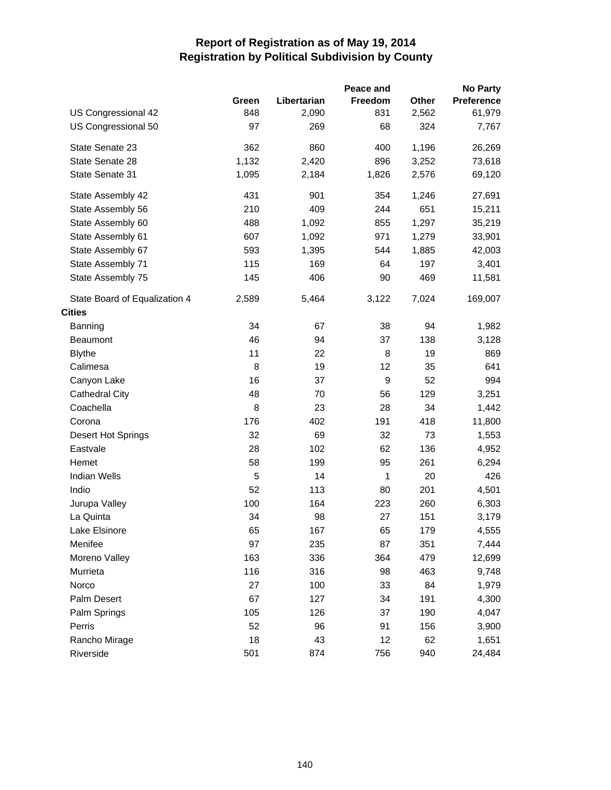|                               |       |             | Peace and |       | <b>No Party</b> |
|-------------------------------|-------|-------------|-----------|-------|-----------------|
|                               | Green | Libertarian | Freedom   | Other | Preference      |
| US Congressional 42           | 848   | 2,090       | 831       | 2,562 | 61,979          |
| US Congressional 50           | 97    | 269         | 68        | 324   | 7,767           |
| State Senate 23               | 362   | 860         | 400       | 1,196 | 26,269          |
| State Senate 28               | 1,132 | 2,420       | 896       | 3,252 | 73,618          |
| State Senate 31               | 1,095 | 2,184       | 1,826     | 2,576 | 69,120          |
| State Assembly 42             | 431   | 901         | 354       | 1,246 | 27,691          |
| State Assembly 56             | 210   | 409         | 244       | 651   | 15,211          |
| State Assembly 60             | 488   | 1,092       | 855       | 1,297 | 35,219          |
| State Assembly 61             | 607   | 1,092       | 971       | 1,279 | 33,901          |
| State Assembly 67             | 593   | 1,395       | 544       | 1,885 | 42,003          |
| State Assembly 71             | 115   | 169         | 64        | 197   | 3,401           |
| State Assembly 75             | 145   | 406         | 90        | 469   | 11,581          |
| State Board of Equalization 4 | 2,589 | 5,464       | 3,122     | 7,024 | 169,007         |
| <b>Cities</b>                 |       |             |           |       |                 |
| Banning                       | 34    | 67          | 38        | 94    | 1,982           |
| <b>Beaumont</b>               | 46    | 94          | 37        | 138   | 3,128           |
| <b>Blythe</b>                 | 11    | 22          | 8         | 19    | 869             |
| Calimesa                      | 8     | 19          | 12        | 35    | 641             |
| Canyon Lake                   | 16    | 37          | 9         | 52    | 994             |
| <b>Cathedral City</b>         | 48    | 70          | 56        | 129   | 3,251           |
| Coachella                     | 8     | 23          | 28        | 34    | 1,442           |
| Corona                        | 176   | 402         | 191       | 418   | 11,800          |
| <b>Desert Hot Springs</b>     | 32    | 69          | 32        | 73    | 1,553           |
| Eastvale                      | 28    | 102         | 62        | 136   | 4,952           |
| Hemet                         | 58    | 199         | 95        | 261   | 6,294           |
| <b>Indian Wells</b>           | 5     | 14          | 1         | 20    | 426             |
| Indio                         | 52    | 113         | 80        | 201   | 4,501           |
| Jurupa Valley                 | 100   | 164         | 223       | 260   | 6,303           |
| La Quinta                     | 34    | 98          | 27        | 151   | 3,179           |
| Lake Elsinore                 | 65    | 167         | 65        | 179   | 4,555           |
| Menifee                       | 97    | 235         | 87        | 351   | 7,444           |
| Moreno Valley                 | 163   | 336         | 364       | 479   | 12,699          |
| Murrieta                      | 116   | 316         | 98        | 463   | 9,748           |
| Norco                         | 27    | 100         | 33        | 84    | 1,979           |
| Palm Desert                   | 67    | 127         | 34        | 191   | 4,300           |
| Palm Springs                  | 105   | 126         | 37        | 190   | 4,047           |
| Perris                        | 52    | 96          | 91        | 156   | 3,900           |
| Rancho Mirage                 | 18    | 43          | 12        | 62    | 1,651           |
| Riverside                     | 501   | 874         | 756       | 940   | 24,484          |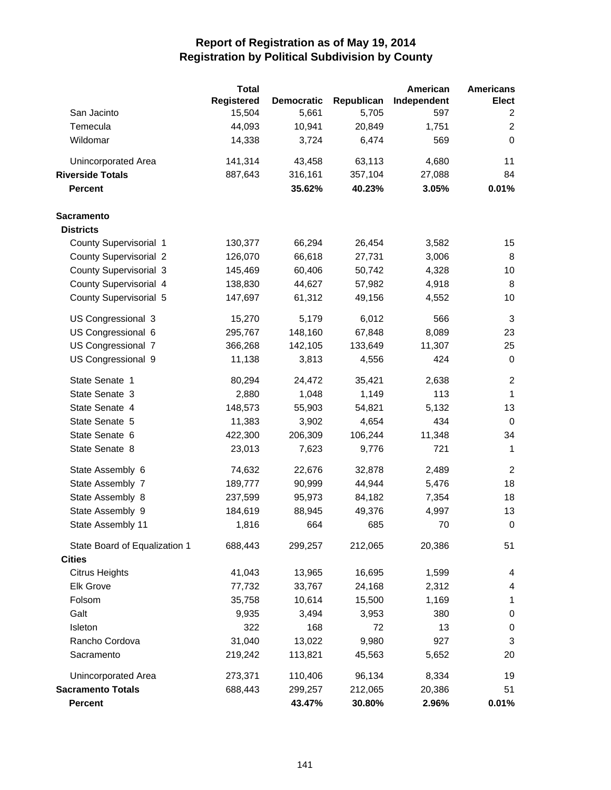|                               | <b>Total</b> |                   |            | American    | <b>Americans</b>        |
|-------------------------------|--------------|-------------------|------------|-------------|-------------------------|
|                               | Registered   | <b>Democratic</b> | Republican | Independent | Elect                   |
| San Jacinto                   | 15,504       | 5,661             | 5,705      | 597         | 2                       |
| Temecula                      | 44,093       | 10,941            | 20,849     | 1,751       | $\overline{\mathbf{c}}$ |
| Wildomar                      | 14,338       | 3,724             | 6,474      | 569         | $\mathbf 0$             |
| Unincorporated Area           | 141,314      | 43,458            | 63,113     | 4,680       | 11                      |
| <b>Riverside Totals</b>       | 887,643      | 316,161           | 357,104    | 27,088      | 84                      |
| <b>Percent</b>                |              | 35.62%            | 40.23%     | 3.05%       | 0.01%                   |
| <b>Sacramento</b>             |              |                   |            |             |                         |
| <b>Districts</b>              |              |                   |            |             |                         |
| County Supervisorial 1        | 130,377      | 66,294            | 26,454     | 3,582       | 15                      |
| <b>County Supervisorial 2</b> | 126,070      | 66,618            | 27,731     | 3,006       | 8                       |
| <b>County Supervisorial 3</b> | 145,469      | 60,406            | 50,742     | 4,328       | 10                      |
| County Supervisorial 4        | 138,830      | 44,627            | 57,982     | 4,918       | 8                       |
| County Supervisorial 5        | 147,697      | 61,312            | 49,156     | 4,552       | 10                      |
| US Congressional 3            | 15,270       | 5,179             | 6,012      | 566         | 3                       |
| US Congressional 6            | 295,767      | 148,160           | 67,848     | 8,089       | 23                      |
| US Congressional 7            | 366,268      | 142,105           | 133,649    | 11,307      | 25                      |
| US Congressional 9            | 11,138       | 3,813             | 4,556      | 424         | $\pmb{0}$               |
| State Senate 1                | 80,294       | 24,472            | 35,421     | 2,638       | $\overline{c}$          |
| State Senate 3                | 2,880        | 1,048             | 1,149      | 113         | 1                       |
| State Senate 4                | 148,573      | 55,903            | 54,821     | 5,132       | 13                      |
| State Senate 5                | 11,383       | 3,902             | 4,654      | 434         | 0                       |
| State Senate 6                | 422,300      | 206,309           | 106,244    | 11,348      | 34                      |
| State Senate 8                | 23,013       | 7,623             | 9,776      | 721         | 1                       |
| State Assembly 6              | 74,632       | 22,676            | 32,878     | 2,489       | $\overline{2}$          |
| State Assembly 7              | 189,777      | 90,999            | 44,944     | 5,476       | 18                      |
| State Assembly 8              | 237,599      | 95,973            | 84,182     | 7,354       | 18                      |
| State Assembly 9              | 184,619      | 88,945            | 49,376     | 4,997       | 13                      |
| State Assembly 11             | 1,816        | 664               | 685        | 70          | $\pmb{0}$               |
| State Board of Equalization 1 | 688,443      | 299,257           | 212,065    | 20,386      | 51                      |
| <b>Cities</b>                 |              |                   |            |             |                         |
| <b>Citrus Heights</b>         | 41,043       | 13,965            | 16,695     | 1,599       | 4                       |
| <b>Elk Grove</b>              | 77,732       | 33,767            | 24,168     | 2,312       | 4                       |
| Folsom                        | 35,758       | 10,614            | 15,500     | 1,169       | 1                       |
| Galt                          | 9,935        | 3,494             | 3,953      | 380         | $\pmb{0}$               |
| Isleton                       | 322          | 168               | 72         | 13          | $\pmb{0}$               |
| Rancho Cordova                | 31,040       | 13,022            | 9,980      | 927         | 3                       |
| Sacramento                    | 219,242      | 113,821           | 45,563     | 5,652       | 20                      |
| <b>Unincorporated Area</b>    | 273,371      | 110,406           | 96,134     | 8,334       | 19                      |
| <b>Sacramento Totals</b>      | 688,443      | 299,257           | 212,065    | 20,386      | 51                      |
| <b>Percent</b>                |              | 43.47%            | 30.80%     | 2.96%       | 0.01%                   |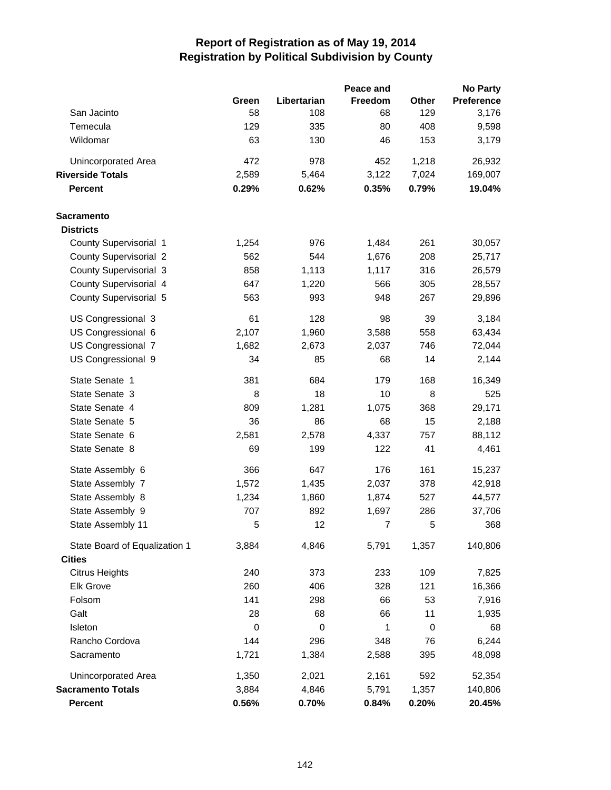|                               |       |             | Peace and      |             | <b>No Party</b>   |
|-------------------------------|-------|-------------|----------------|-------------|-------------------|
|                               | Green | Libertarian | <b>Freedom</b> | Other       | <b>Preference</b> |
| San Jacinto                   | 58    | 108         | 68             | 129         | 3,176             |
| Temecula                      | 129   | 335         | 80             | 408         | 9,598             |
| Wildomar                      | 63    | 130         | 46             | 153         | 3,179             |
| <b>Unincorporated Area</b>    | 472   | 978         | 452            | 1,218       | 26,932            |
| <b>Riverside Totals</b>       | 2,589 | 5,464       | 3,122          | 7,024       | 169,007           |
| <b>Percent</b>                | 0.29% | 0.62%       | 0.35%          | 0.79%       | 19.04%            |
| <b>Sacramento</b>             |       |             |                |             |                   |
| <b>Districts</b>              |       |             |                |             |                   |
| County Supervisorial 1        | 1,254 | 976         | 1,484          | 261         | 30,057            |
| <b>County Supervisorial 2</b> | 562   | 544         | 1,676          | 208         | 25,717            |
| <b>County Supervisorial 3</b> | 858   | 1,113       | 1,117          | 316         | 26,579            |
| County Supervisorial 4        | 647   | 1,220       | 566            | 305         | 28,557            |
| County Supervisorial 5        | 563   | 993         | 948            | 267         | 29,896            |
| US Congressional 3            | 61    | 128         | 98             | 39          | 3,184             |
| US Congressional 6            | 2,107 | 1,960       | 3,588          | 558         | 63,434            |
| US Congressional 7            | 1,682 | 2,673       | 2,037          | 746         | 72,044            |
| US Congressional 9            | 34    | 85          | 68             | 14          | 2,144             |
| State Senate 1                | 381   | 684         | 179            | 168         | 16,349            |
| State Senate 3                | 8     | 18          | 10             | 8           | 525               |
| State Senate 4                | 809   | 1,281       | 1,075          | 368         | 29,171            |
| State Senate 5                | 36    | 86          | 68             | 15          | 2,188             |
| State Senate 6                | 2,581 | 2,578       | 4,337          | 757         | 88,112            |
| State Senate 8                | 69    | 199         | 122            | 41          | 4,461             |
| State Assembly 6              | 366   | 647         | 176            | 161         | 15,237            |
| State Assembly 7              | 1,572 | 1,435       | 2,037          | 378         | 42,918            |
| State Assembly 8              | 1,234 | 1,860       | 1,874          | 527         | 44,577            |
| State Assembly 9              | 707   | 892         | 1,697          | 286         | 37,706            |
| State Assembly 11             | 5     | 12          | 7              | 5           | 368               |
| State Board of Equalization 1 | 3,884 | 4,846       | 5,791          | 1,357       | 140,806           |
| <b>Cities</b>                 |       |             |                |             |                   |
| <b>Citrus Heights</b>         | 240   | 373         | 233            | 109         | 7,825             |
| <b>Elk Grove</b>              | 260   | 406         | 328            | 121         | 16,366            |
| Folsom                        | 141   | 298         | 66             | 53          | 7,916             |
| Galt                          | 28    | 68          | 66             | 11          | 1,935             |
| Isleton                       | 0     | $\mathbf 0$ | 1              | $\mathbf 0$ | 68                |
| Rancho Cordova                | 144   | 296         | 348            | 76          | 6,244             |
| Sacramento                    | 1,721 | 1,384       | 2,588          | 395         | 48,098            |
| <b>Unincorporated Area</b>    | 1,350 | 2,021       | 2,161          | 592         | 52,354            |
| <b>Sacramento Totals</b>      | 3,884 | 4,846       | 5,791          | 1,357       | 140,806           |
| <b>Percent</b>                | 0.56% | 0.70%       | 0.84%          | 0.20%       | 20.45%            |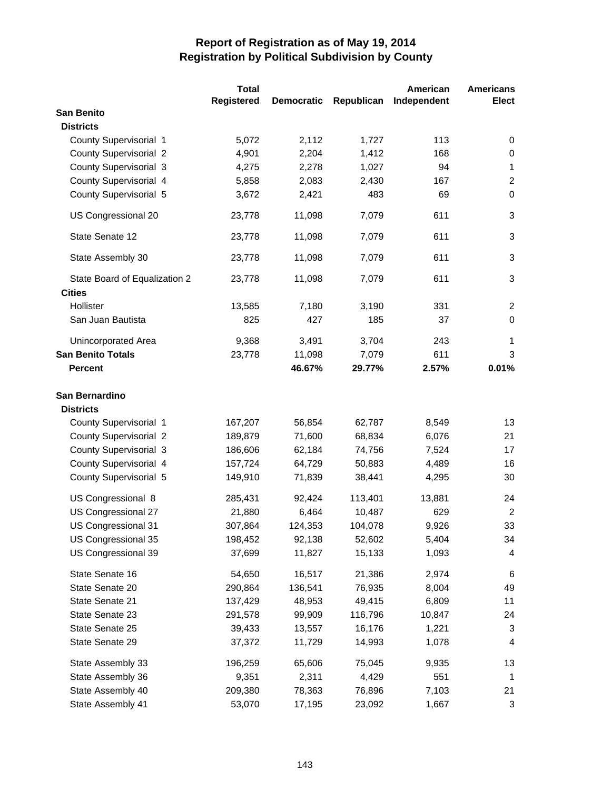|                               | <b>Total</b> |                   |            | American    | <b>Americans</b>         |
|-------------------------------|--------------|-------------------|------------|-------------|--------------------------|
|                               | Registered   | <b>Democratic</b> | Republican | Independent | <b>Elect</b>             |
| <b>San Benito</b>             |              |                   |            |             |                          |
| <b>Districts</b>              |              |                   |            |             |                          |
| County Supervisorial 1        | 5,072        | 2,112             | 1,727      | 113         | 0                        |
| <b>County Supervisorial 2</b> | 4,901        | 2,204             | 1,412      | 168         | 0                        |
| County Supervisorial 3        | 4,275        | 2,278             | 1,027      | 94          | $\mathbf{1}$             |
| County Supervisorial 4        | 5,858        | 2,083             | 2,430      | 167         | $\overline{2}$           |
| County Supervisorial 5        | 3,672        | 2,421             | 483        | 69          | $\Omega$                 |
| US Congressional 20           | 23,778       | 11,098            | 7,079      | 611         | $\sqrt{3}$               |
| State Senate 12               | 23,778       | 11,098            | 7,079      | 611         | 3                        |
| State Assembly 30             | 23,778       | 11,098            | 7,079      | 611         | 3                        |
| State Board of Equalization 2 | 23,778       | 11,098            | 7,079      | 611         | 3                        |
| <b>Cities</b>                 |              |                   |            |             |                          |
| Hollister                     | 13,585       | 7,180             | 3,190      | 331         | 2                        |
| San Juan Bautista             | 825          | 427               | 185        | 37          | $\mathbf 0$              |
| Unincorporated Area           | 9,368        | 3,491             | 3,704      | 243         | $\mathbf{1}$             |
| <b>San Benito Totals</b>      | 23,778       | 11,098            | 7,079      | 611         | 3                        |
| <b>Percent</b>                |              | 46.67%            | 29.77%     | 2.57%       | 0.01%                    |
| San Bernardino                |              |                   |            |             |                          |
| <b>Districts</b>              |              |                   |            |             |                          |
| County Supervisorial 1        | 167,207      | 56,854            | 62,787     | 8,549       | 13                       |
| <b>County Supervisorial 2</b> | 189,879      | 71,600            | 68,834     | 6,076       | 21                       |
| County Supervisorial 3        | 186,606      | 62,184            | 74,756     | 7,524       | 17                       |
| County Supervisorial 4        | 157,724      | 64,729            | 50,883     | 4,489       | 16                       |
| County Supervisorial 5        | 149,910      | 71,839            | 38,441     | 4,295       | 30                       |
| US Congressional 8            | 285,431      | 92,424            | 113,401    | 13,881      | 24                       |
| US Congressional 27           | 21,880       | 6,464             | 10,487     | 629         | $\boldsymbol{2}$         |
| US Congressional 31           | 307,864      | 124,353           | 104,078    | 9,926       | 33                       |
| US Congressional 35           | 198,452      | 92,138            | 52,602     | 5,404       | 34                       |
| US Congressional 39           | 37,699       | 11,827            | 15,133     | 1,093       | $\overline{\mathcal{A}}$ |
| State Senate 16               | 54,650       | 16,517            | 21,386     | 2,974       | 6                        |
| State Senate 20               | 290,864      | 136,541           | 76,935     | 8,004       | 49                       |
| State Senate 21               | 137,429      | 48,953            | 49,415     | 6,809       | 11                       |
| State Senate 23               | 291,578      | 99,909            | 116,796    | 10,847      | 24                       |
| State Senate 25               | 39,433       | 13,557            | 16,176     | 1,221       | 3                        |
| State Senate 29               | 37,372       | 11,729            | 14,993     | 1,078       | 4                        |
| State Assembly 33             | 196,259      | 65,606            | 75,045     | 9,935       | 13                       |
| State Assembly 36             | 9,351        | 2,311             | 4,429      | 551         | $\mathbf{1}$             |
| State Assembly 40             | 209,380      | 78,363            | 76,896     | 7,103       | 21                       |
| State Assembly 41             | 53,070       | 17,195            | 23,092     | 1,667       | $\sqrt{3}$               |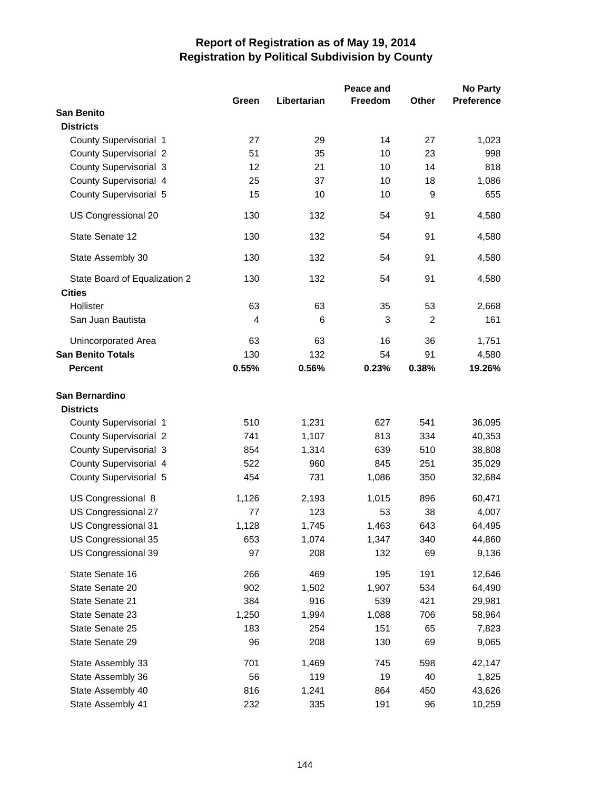|                               |       |             | Peace and      |       | <b>No Party</b>   |
|-------------------------------|-------|-------------|----------------|-------|-------------------|
|                               | Green | Libertarian | <b>Freedom</b> | Other | <b>Preference</b> |
| <b>San Benito</b>             |       |             |                |       |                   |
| <b>Districts</b>              |       |             |                |       |                   |
| County Supervisorial 1        | 27    | 29          | 14             | 27    | 1,023             |
| <b>County Supervisorial 2</b> | 51    | 35          | 10             | 23    | 998               |
| <b>County Supervisorial 3</b> | 12    | 21          | 10             | 14    | 818               |
| County Supervisorial 4        | 25    | 37          | 10             | 18    | 1,086             |
| County Supervisorial 5        | 15    | 10          | 10             | 9     | 655               |
| US Congressional 20           | 130   | 132         | 54             | 91    | 4,580             |
| State Senate 12               | 130   | 132         | 54             | 91    | 4,580             |
| State Assembly 30             | 130   | 132         | 54             | 91    | 4,580             |
| State Board of Equalization 2 | 130   | 132         | 54             | 91    | 4,580             |
| <b>Cities</b>                 |       |             |                |       |                   |
| Hollister                     | 63    | 63          | 35             | 53    | 2,668             |
| San Juan Bautista             | 4     | 6           | 3              | 2     | 161               |
| Unincorporated Area           | 63    | 63          | 16             | 36    | 1,751             |
| <b>San Benito Totals</b>      | 130   | 132         | 54             | 91    | 4,580             |
| <b>Percent</b>                | 0.55% | 0.56%       | 0.23%          | 0.38% | 19.26%            |
| San Bernardino                |       |             |                |       |                   |
| <b>Districts</b>              |       |             |                |       |                   |
| County Supervisorial 1        | 510   | 1,231       | 627            | 541   | 36,095            |
| <b>County Supervisorial 2</b> | 741   | 1,107       | 813            | 334   | 40,353            |
| County Supervisorial 3        | 854   | 1,314       | 639            | 510   | 38,808            |
| County Supervisorial 4        | 522   | 960         | 845            | 251   | 35,029            |
| County Supervisorial 5        | 454   | 731         | 1,086          | 350   | 32,684            |
| US Congressional 8            | 1,126 | 2,193       | 1,015          | 896   | 60,471            |
| US Congressional 27           | 77    | 123         | 53             | 38    | 4,007             |
| US Congressional 31           | 1,128 | 1,745       | 1,463          | 643   | 64,495            |
| US Congressional 35           | 653   | 1,074       | 1,347          | 340   | 44,860            |
| US Congressional 39           | 97    | 208         | 132            | 69    | 9,136             |
| State Senate 16               | 266   | 469         | 195            | 191   | 12,646            |
| State Senate 20               | 902   | 1,502       | 1,907          | 534   | 64,490            |
| State Senate 21               | 384   | 916         | 539            | 421   | 29,981            |
| State Senate 23               | 1,250 | 1,994       | 1,088          | 706   | 58,964            |
| State Senate 25               | 183   | 254         | 151            | 65    | 7,823             |
| State Senate 29               | 96    | 208         | 130            | 69    | 9,065             |
| State Assembly 33             | 701   | 1,469       | 745            | 598   | 42,147            |
| State Assembly 36             | 56    | 119         | 19             | 40    | 1,825             |
| State Assembly 40             | 816   | 1,241       | 864            | 450   | 43,626            |
| State Assembly 41             | 232   | 335         | 191            | 96    | 10,259            |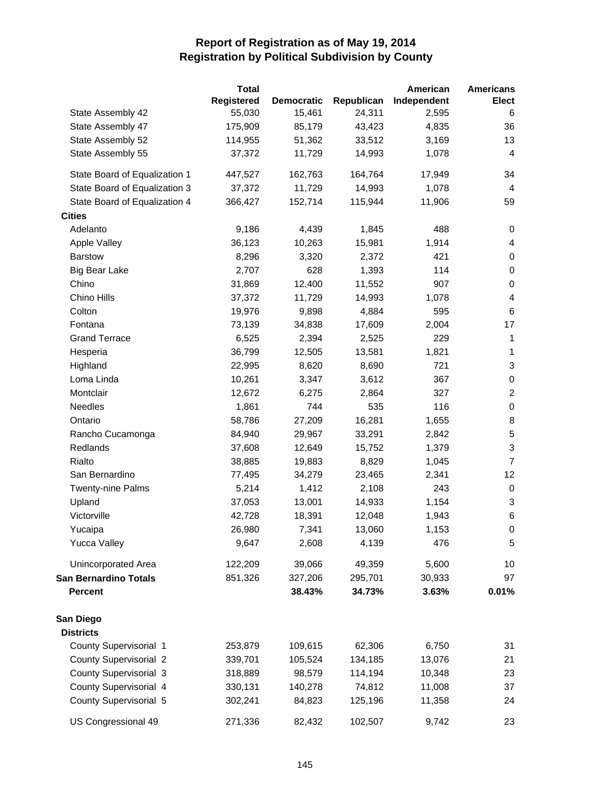|                               | <b>Total</b>      |                   |            | American    | <b>Americans</b>          |
|-------------------------------|-------------------|-------------------|------------|-------------|---------------------------|
|                               | <b>Registered</b> | <b>Democratic</b> | Republican | Independent | <b>Elect</b>              |
| State Assembly 42             | 55,030            | 15,461            | 24,311     | 2,595       | 6                         |
| State Assembly 47             | 175,909           | 85,179            | 43,423     | 4,835       | 36                        |
| State Assembly 52             | 114,955           | 51,362            | 33,512     | 3,169       | 13                        |
| State Assembly 55             | 37,372            | 11,729            | 14,993     | 1,078       | $\overline{\mathbf{4}}$   |
| State Board of Equalization 1 | 447,527           | 162,763           | 164,764    | 17,949      | 34                        |
| State Board of Equalization 3 | 37,372            | 11,729            | 14,993     | 1,078       | 4                         |
| State Board of Equalization 4 | 366,427           | 152,714           | 115,944    | 11,906      | 59                        |
| <b>Cities</b>                 |                   |                   |            |             |                           |
| Adelanto                      | 9,186             | 4,439             | 1,845      | 488         | 0                         |
| Apple Valley                  | 36,123            | 10,263            | 15,981     | 1,914       | 4                         |
| <b>Barstow</b>                | 8,296             | 3,320             | 2,372      | 421         | 0                         |
| <b>Big Bear Lake</b>          | 2,707             | 628               | 1,393      | 114         | $\pmb{0}$                 |
| Chino                         | 31,869            | 12,400            | 11,552     | 907         | $\pmb{0}$                 |
| Chino Hills                   | 37,372            | 11,729            | 14,993     | 1,078       | 4                         |
| Colton                        | 19,976            | 9,898             | 4,884      | 595         | $\,6$                     |
| Fontana                       | 73,139            | 34,838            | 17,609     | 2,004       | 17                        |
| <b>Grand Terrace</b>          | 6,525             | 2,394             | 2,525      | 229         | $\mathbf 1$               |
| Hesperia                      | 36,799            | 12,505            | 13,581     | 1,821       | 1                         |
| Highland                      | 22,995            | 8,620             | 8,690      | 721         | $\sqrt{3}$                |
| Loma Linda                    | 10,261            | 3,347             | 3,612      | 367         | $\pmb{0}$                 |
| Montclair                     | 12,672            | 6,275             | 2,864      | 327         | $\overline{c}$            |
| Needles                       | 1,861             | 744               | 535        | 116         | $\pmb{0}$                 |
| Ontario                       | 58,786            | 27,209            | 16,281     | 1,655       | 8                         |
| Rancho Cucamonga              | 84,940            | 29,967            | 33,291     | 2,842       | $\mathbf 5$               |
| Redlands                      | 37,608            | 12,649            | 15,752     | 1,379       | $\ensuremath{\mathsf{3}}$ |
| Rialto                        | 38,885            | 19,883            | 8,829      | 1,045       | $\overline{7}$            |
| San Bernardino                | 77,495            | 34,279            | 23,465     | 2,341       | 12                        |
| <b>Twenty-nine Palms</b>      | 5,214             | 1,412             | 2,108      | 243         | $\pmb{0}$                 |
| Upland                        | 37,053            | 13,001            | 14,933     | 1,154       | 3                         |
| Victorville                   | 42,728            | 18,391            | 12,048     | 1,943       | $\,6$                     |
| Yucaipa                       | 26,980            | 7,341             | 13,060     | 1,153       | 0                         |
| <b>Yucca Valley</b>           | 9,647             | 2,608             | 4,139      | 476         | 5                         |
| <b>Unincorporated Area</b>    | 122,209           | 39,066            | 49,359     | 5,600       | 10                        |
| <b>San Bernardino Totals</b>  | 851,326           | 327,206           | 295,701    | 30,933      | 97                        |
| <b>Percent</b>                |                   | 38.43%            | 34.73%     | 3.63%       | 0.01%                     |
| San Diego                     |                   |                   |            |             |                           |
| <b>Districts</b>              |                   |                   |            |             |                           |
| County Supervisorial 1        | 253,879           | 109,615           | 62,306     | 6,750       | 31                        |
| <b>County Supervisorial 2</b> | 339,701           | 105,524           | 134,185    | 13,076      | 21                        |
| <b>County Supervisorial 3</b> | 318,889           | 98,579            | 114,194    | 10,348      | 23                        |
| County Supervisorial 4        | 330,131           | 140,278           | 74,812     | 11,008      | 37                        |
| County Supervisorial 5        | 302,241           | 84,823            | 125,196    | 11,358      | 24                        |
| US Congressional 49           | 271,336           | 82,432            | 102,507    | 9,742       | 23                        |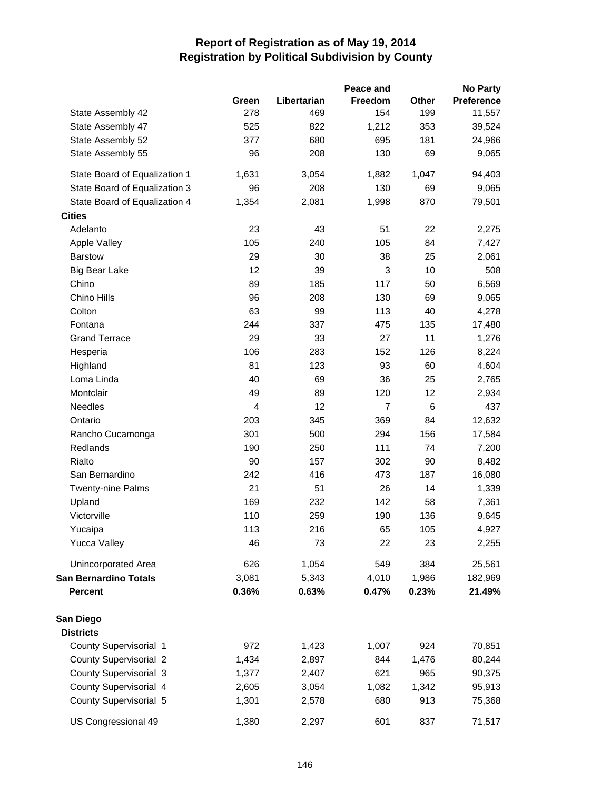|                               |       |             | Peace and      |       | <b>No Party</b> |
|-------------------------------|-------|-------------|----------------|-------|-----------------|
|                               | Green | Libertarian | <b>Freedom</b> | Other | Preference      |
| State Assembly 42             | 278   | 469         | 154            | 199   | 11,557          |
| State Assembly 47             | 525   | 822         | 1,212          | 353   | 39,524          |
| State Assembly 52             | 377   | 680         | 695            | 181   | 24,966          |
| State Assembly 55             | 96    | 208         | 130            | 69    | 9,065           |
| State Board of Equalization 1 | 1,631 | 3,054       | 1,882          | 1,047 | 94,403          |
| State Board of Equalization 3 | 96    | 208         | 130            | 69    | 9,065           |
| State Board of Equalization 4 | 1,354 | 2,081       | 1,998          | 870   | 79,501          |
| <b>Cities</b>                 |       |             |                |       |                 |
| Adelanto                      | 23    | 43          | 51             | 22    | 2,275           |
| Apple Valley                  | 105   | 240         | 105            | 84    | 7,427           |
| <b>Barstow</b>                | 29    | 30          | 38             | 25    | 2,061           |
| <b>Big Bear Lake</b>          | 12    | 39          | 3              | 10    | 508             |
| Chino                         | 89    | 185         | 117            | 50    | 6,569           |
| Chino Hills                   | 96    | 208         | 130            | 69    | 9,065           |
| Colton                        | 63    | 99          | 113            | 40    | 4,278           |
| Fontana                       | 244   | 337         | 475            | 135   | 17,480          |
| <b>Grand Terrace</b>          | 29    | 33          | 27             | 11    | 1,276           |
| Hesperia                      | 106   | 283         | 152            | 126   | 8,224           |
| Highland                      | 81    | 123         | 93             | 60    | 4,604           |
| Loma Linda                    | 40    | 69          | 36             | 25    | 2,765           |
| Montclair                     | 49    | 89          | 120            | 12    | 2,934           |
| Needles                       | 4     | 12          | $\overline{7}$ | $\,6$ | 437             |
| Ontario                       | 203   | 345         | 369            | 84    | 12,632          |
| Rancho Cucamonga              | 301   | 500         | 294            | 156   | 17,584          |
| Redlands                      | 190   | 250         | 111            | 74    | 7,200           |
| Rialto                        | 90    | 157         | 302            | 90    | 8,482           |
| San Bernardino                | 242   | 416         | 473            | 187   | 16,080          |
| <b>Twenty-nine Palms</b>      | 21    | 51          | 26             | 14    | 1,339           |
| Upland                        | 169   | 232         | 142            | 58    | 7,361           |
| Victorville                   | 110   | 259         | 190            | 136   | 9,645           |
| Yucaipa                       | 113   | 216         | 65             | 105   | 4,927           |
| <b>Yucca Valley</b>           | 46    | 73          | 22             | 23    | 2,255           |
| <b>Unincorporated Area</b>    | 626   | 1,054       | 549            | 384   | 25,561          |
| <b>San Bernardino Totals</b>  | 3,081 | 5,343       | 4,010          | 1,986 | 182,969         |
| <b>Percent</b>                | 0.36% | 0.63%       | 0.47%          | 0.23% | 21.49%          |
| San Diego                     |       |             |                |       |                 |
| <b>Districts</b>              |       |             |                |       |                 |
| County Supervisorial 1        | 972   | 1,423       | 1,007          | 924   | 70,851          |
| <b>County Supervisorial 2</b> | 1,434 | 2,897       | 844            | 1,476 | 80,244          |
| <b>County Supervisorial 3</b> | 1,377 | 2,407       | 621            | 965   | 90,375          |
| County Supervisorial 4        | 2,605 | 3,054       | 1,082          | 1,342 | 95,913          |
| County Supervisorial 5        | 1,301 | 2,578       | 680            | 913   | 75,368          |
|                               |       |             |                |       |                 |
| US Congressional 49           | 1,380 | 2,297       | 601            | 837   | 71,517          |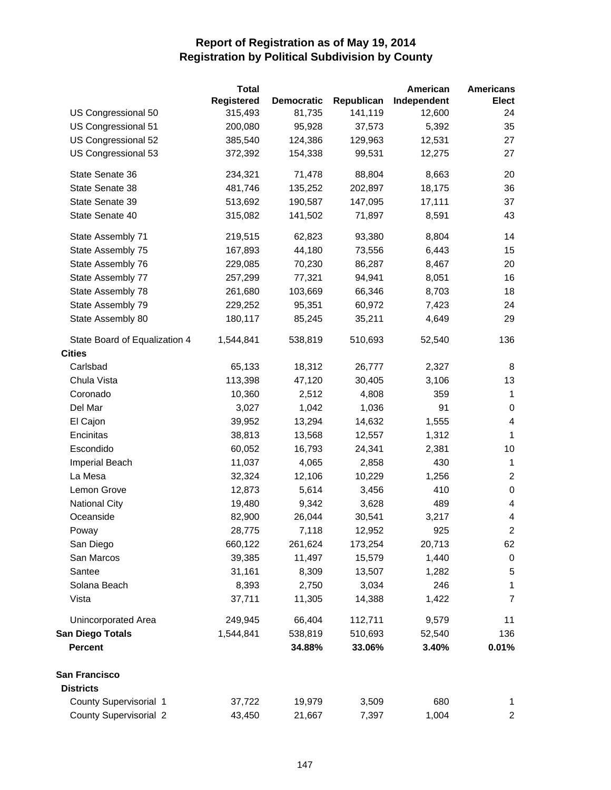|                                                | <b>Total</b> |                   |            | American    | <b>Americans</b>         |
|------------------------------------------------|--------------|-------------------|------------|-------------|--------------------------|
|                                                | Registered   | <b>Democratic</b> | Republican | Independent | <b>Elect</b>             |
| US Congressional 50                            | 315,493      | 81,735            | 141,119    | 12,600      | 24                       |
| US Congressional 51                            | 200,080      | 95,928            | 37,573     | 5,392       | 35                       |
| US Congressional 52                            | 385,540      | 124,386           | 129,963    | 12,531      | 27                       |
| US Congressional 53                            | 372,392      | 154,338           | 99,531     | 12,275      | 27                       |
| State Senate 36                                | 234,321      | 71,478            | 88,804     | 8,663       | 20                       |
| State Senate 38                                | 481,746      | 135,252           | 202,897    | 18,175      | 36                       |
| State Senate 39                                | 513,692      | 190,587           | 147,095    | 17,111      | 37                       |
| State Senate 40                                | 315,082      | 141,502           | 71,897     | 8,591       | 43                       |
| State Assembly 71                              | 219,515      | 62,823            | 93,380     | 8,804       | 14                       |
| State Assembly 75                              | 167,893      | 44,180            | 73,556     | 6,443       | 15                       |
| State Assembly 76                              | 229,085      | 70,230            | 86,287     | 8,467       | 20                       |
| State Assembly 77                              | 257,299      | 77,321            | 94,941     | 8,051       | 16                       |
| State Assembly 78                              | 261,680      | 103,669           | 66,346     | 8,703       | 18                       |
| State Assembly 79                              | 229,252      | 95,351            | 60,972     | 7,423       | 24                       |
| State Assembly 80                              | 180,117      | 85,245            | 35,211     | 4,649       | 29                       |
| State Board of Equalization 4<br><b>Cities</b> | 1,544,841    | 538,819           | 510,693    | 52,540      | 136                      |
| Carlsbad                                       | 65,133       | 18,312            | 26,777     | 2,327       |                          |
| Chula Vista                                    | 113,398      | 47,120            | 30,405     | 3,106       | 8<br>13                  |
|                                                |              |                   |            | 359         |                          |
| Coronado                                       | 10,360       | 2,512             | 4,808      |             | $\mathbf 1$<br>$\pmb{0}$ |
| Del Mar                                        | 3,027        | 1,042             | 1,036      | 91          | $\overline{\mathbf{4}}$  |
| El Cajon                                       | 39,952       | 13,294            | 14,632     | 1,555       |                          |
| Encinitas                                      | 38,813       | 13,568            | 12,557     | 1,312       | $\mathbf{1}$             |
| Escondido                                      | 60,052       | 16,793            | 24,341     | 2,381       | 10                       |
| Imperial Beach                                 | 11,037       | 4,065             | 2,858      | 430         | $\mathbf{1}$             |
| La Mesa                                        | 32,324       | 12,106            | 10,229     | 1,256       | $\overline{2}$           |
| Lemon Grove                                    | 12,873       | 5,614             | 3,456      | 410         | $\pmb{0}$                |
| <b>National City</b>                           | 19,480       | 9,342             | 3,628      | 489         | 4                        |
| Oceanside                                      | 82,900       | 26,044            | 30,541     | 3,217       | 4                        |
| Poway                                          | 28,775       | 7,118             | 12,952     | 925         | $\overline{\mathbf{c}}$  |
| San Diego                                      | 660,122      | 261,624           | 173,254    | 20,713      | 62                       |
| San Marcos                                     | 39,385       | 11,497            | 15,579     | 1,440       | $\pmb{0}$                |
| Santee                                         | 31,161       | 8,309             | 13,507     | 1,282       | 5                        |
| Solana Beach                                   | 8,393        | 2,750             | 3,034      | 246         | 1                        |
| Vista                                          | 37,711       | 11,305            | 14,388     | 1,422       | $\overline{7}$           |
| Unincorporated Area                            | 249,945      | 66,404            | 112,711    | 9,579       | 11                       |
| <b>San Diego Totals</b>                        | 1,544,841    | 538,819           | 510,693    | 52,540      | 136                      |
| <b>Percent</b>                                 |              | 34.88%            | 33.06%     | 3.40%       | 0.01%                    |
| San Francisco                                  |              |                   |            |             |                          |
| <b>Districts</b>                               |              |                   |            |             |                          |
| County Supervisorial 1                         | 37,722       | 19,979            | 3,509      | 680         | 1                        |
| <b>County Supervisorial 2</b>                  | 43,450       | 21,667            | 7,397      | 1,004       | $\overline{\mathbf{c}}$  |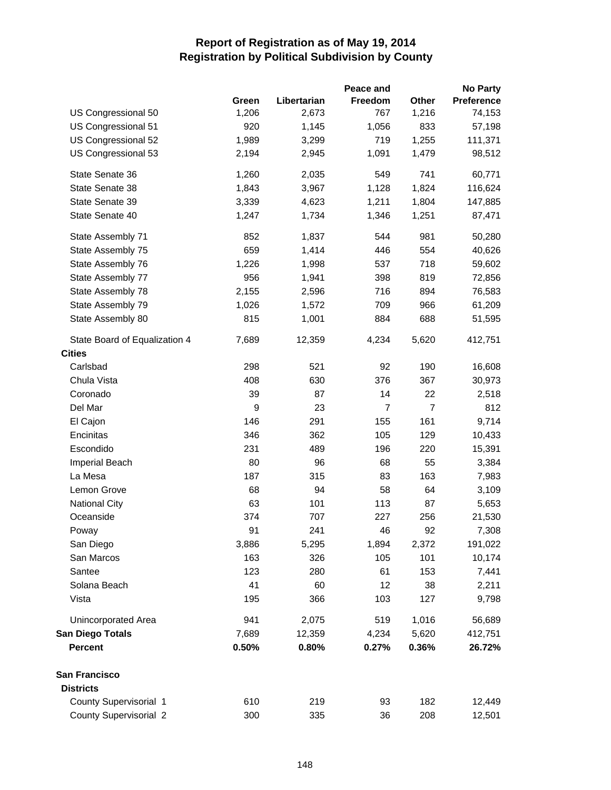|                               |       |             | Peace and      |                | <b>No Party</b>   |
|-------------------------------|-------|-------------|----------------|----------------|-------------------|
|                               | Green | Libertarian | Freedom        | Other          | <b>Preference</b> |
| US Congressional 50           | 1,206 | 2,673       | 767            | 1,216          | 74,153            |
| US Congressional 51           | 920   | 1,145       | 1,056          | 833            | 57,198            |
| US Congressional 52           | 1,989 | 3,299       | 719            | 1,255          | 111,371           |
| US Congressional 53           | 2,194 | 2,945       | 1,091          | 1,479          | 98,512            |
| State Senate 36               | 1,260 | 2,035       | 549            | 741            | 60,771            |
| State Senate 38               | 1,843 | 3,967       | 1,128          | 1,824          | 116,624           |
| State Senate 39               | 3,339 | 4,623       | 1,211          | 1,804          | 147,885           |
| State Senate 40               | 1,247 | 1,734       | 1,346          | 1,251          | 87,471            |
| State Assembly 71             | 852   | 1,837       | 544            | 981            | 50,280            |
| State Assembly 75             | 659   | 1,414       | 446            | 554            | 40,626            |
| State Assembly 76             | 1,226 | 1,998       | 537            | 718            | 59,602            |
| State Assembly 77             | 956   | 1,941       | 398            | 819            | 72,856            |
| State Assembly 78             | 2,155 | 2,596       | 716            | 894            | 76,583            |
| State Assembly 79             | 1,026 | 1,572       | 709            | 966            | 61,209            |
| State Assembly 80             | 815   | 1,001       | 884            | 688            | 51,595            |
| State Board of Equalization 4 | 7,689 | 12,359      | 4,234          | 5,620          | 412,751           |
| <b>Cities</b>                 |       |             |                |                |                   |
| Carlsbad                      | 298   | 521         | 92             | 190            | 16,608            |
| Chula Vista                   | 408   | 630         | 376            | 367            | 30,973            |
| Coronado                      | 39    | 87          | 14             | 22             | 2,518             |
| Del Mar                       | 9     | 23          | $\overline{7}$ | $\overline{7}$ | 812               |
| El Cajon                      | 146   | 291         | 155            | 161            | 9,714             |
| Encinitas                     | 346   | 362         | 105            | 129            | 10,433            |
| Escondido                     | 231   | 489         | 196            | 220            | 15,391            |
| <b>Imperial Beach</b>         | 80    | 96          | 68             | 55             | 3,384             |
| La Mesa                       | 187   | 315         | 83             | 163            | 7,983             |
| Lemon Grove                   | 68    | 94          | 58             | 64             | 3,109             |
| <b>National City</b>          | 63    | 101         | 113            | 87             | 5,653             |
| Oceanside                     | 374   | 707         | 227            | 256            | 21,530            |
| Poway                         | 91    | 241         | 46             | 92             | 7,308             |
| San Diego                     | 3,886 | 5,295       | 1,894          | 2,372          | 191,022           |
| San Marcos                    | 163   | 326         | 105            | 101            | 10,174            |
| Santee                        | 123   | 280         | 61             | 153            | 7,441             |
| Solana Beach                  | 41    | 60          | 12             | 38             | 2,211             |
| Vista                         | 195   | 366         | 103            | 127            | 9,798             |
| Unincorporated Area           | 941   | 2,075       | 519            | 1,016          | 56,689            |
| <b>San Diego Totals</b>       | 7,689 | 12,359      | 4,234          | 5,620          | 412,751           |
| <b>Percent</b>                | 0.50% | 0.80%       | 0.27%          | 0.36%          | 26.72%            |
| San Francisco                 |       |             |                |                |                   |
| <b>Districts</b>              |       |             |                |                |                   |
| County Supervisorial 1        | 610   | 219         | 93             | 182            | 12,449            |
| <b>County Supervisorial 2</b> | 300   | 335         | 36             | 208            | 12,501            |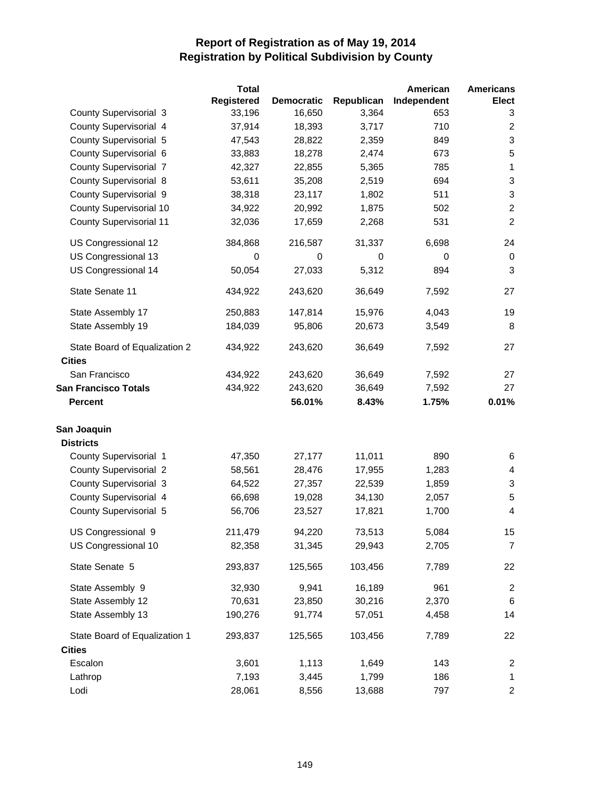|                                                | <b>Total</b>      |                   |            | American    | <b>Americans</b> |
|------------------------------------------------|-------------------|-------------------|------------|-------------|------------------|
|                                                | <b>Registered</b> | <b>Democratic</b> | Republican | Independent | <b>Elect</b>     |
| <b>County Supervisorial 3</b>                  | 33,196            | 16,650            | 3,364      | 653         | 3                |
| County Supervisorial 4                         | 37,914            | 18,393            | 3,717      | 710         | $\overline{c}$   |
| County Supervisorial 5                         | 47,543            | 28,822            | 2,359      | 849         | 3                |
| County Supervisorial 6                         | 33,883            | 18,278            | 2,474      | 673         | $\sqrt{5}$       |
| <b>County Supervisorial 7</b>                  | 42,327            | 22,855            | 5,365      | 785         | $\mathbf 1$      |
| <b>County Supervisorial 8</b>                  | 53,611            | 35,208            | 2,519      | 694         | $\sqrt{3}$       |
| County Supervisorial 9                         | 38,318            | 23,117            | 1,802      | 511         | $\sqrt{3}$       |
| County Supervisorial 10                        | 34,922            | 20,992            | 1,875      | 502         | $\overline{c}$   |
| <b>County Supervisorial 11</b>                 | 32,036            | 17,659            | 2,268      | 531         | $\overline{c}$   |
| US Congressional 12                            | 384,868           | 216,587           | 31,337     | 6,698       | 24               |
| US Congressional 13                            | 0                 | 0                 | 0          | 0           | 0                |
| US Congressional 14                            | 50,054            | 27,033            | 5,312      | 894         | $\mathbf{3}$     |
| State Senate 11                                | 434,922           | 243,620           | 36,649     | 7,592       | 27               |
| State Assembly 17                              | 250,883           | 147,814           | 15,976     | 4,043       | 19               |
| State Assembly 19                              | 184,039           | 95,806            | 20,673     | 3,549       | 8                |
| State Board of Equalization 2<br><b>Cities</b> | 434,922           | 243,620           | 36,649     | 7,592       | 27               |
| San Francisco                                  | 434,922           | 243,620           | 36,649     | 7,592       | 27               |
| <b>San Francisco Totals</b>                    | 434,922           | 243,620           | 36,649     | 7,592       | 27               |
| <b>Percent</b>                                 |                   | 56.01%            | 8.43%      | 1.75%       | 0.01%            |
| San Joaquin                                    |                   |                   |            |             |                  |
| <b>Districts</b>                               |                   |                   |            |             |                  |
| County Supervisorial 1                         | 47,350            | 27,177            | 11,011     | 890         | 6                |
| <b>County Supervisorial 2</b>                  | 58,561            | 28,476            | 17,955     | 1,283       | 4                |
| <b>County Supervisorial 3</b>                  | 64,522            | 27,357            | 22,539     | 1,859       | 3                |
| County Supervisorial 4                         | 66,698            | 19,028            | 34,130     | 2,057       | $\sqrt{5}$       |
| County Supervisorial 5                         | 56,706            | 23,527            | 17,821     | 1,700       | 4                |
| US Congressional 9                             | 211,479           | 94,220            | 73,513     | 5,084       | 15               |
| US Congressional 10                            | 82,358            | 31,345            | 29,943     | 2,705       | 7                |
| State Senate 5                                 | 293,837           | 125,565           | 103,456    | 7,789       | 22               |
| State Assembly 9                               | 32,930            | 9,941             | 16,189     | 961         | $\overline{c}$   |
| State Assembly 12                              | 70,631            | 23,850            | 30,216     | 2,370       | 6                |
| State Assembly 13                              | 190,276           | 91,774            | 57,051     | 4,458       | 14               |
| State Board of Equalization 1                  | 293,837           | 125,565           | 103,456    | 7,789       | 22               |
| <b>Cities</b>                                  |                   |                   |            |             |                  |
| Escalon                                        | 3,601             | 1,113             | 1,649      | 143         | 2                |
| Lathrop                                        | 7,193             | 3,445             | 1,799      | 186         | 1                |
| Lodi                                           | 28,061            | 8,556             | 13,688     | 797         | $\overline{c}$   |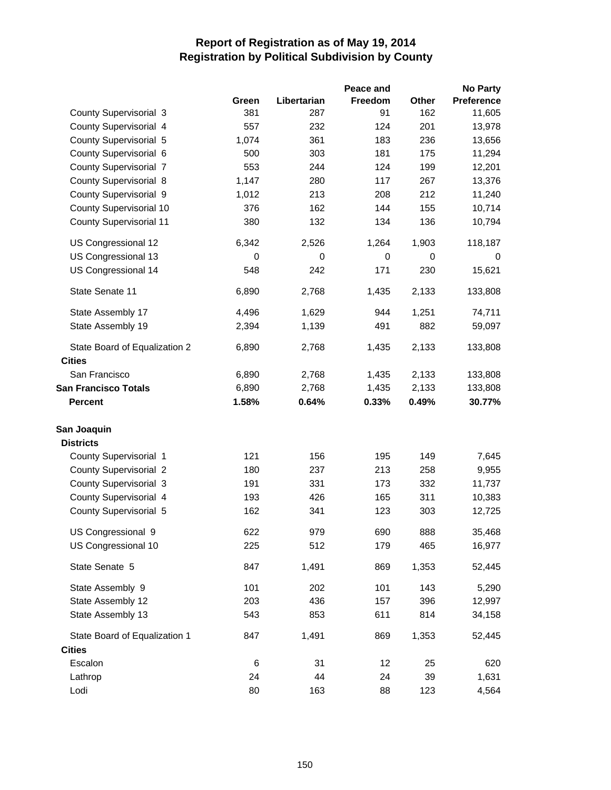|                                                |             |             | Peace and |             | <b>No Party</b>   |
|------------------------------------------------|-------------|-------------|-----------|-------------|-------------------|
|                                                | Green       | Libertarian | Freedom   | Other       | <b>Preference</b> |
| County Supervisorial 3                         | 381         | 287         | 91        | 162         | 11,605            |
| County Supervisorial 4                         | 557         | 232         | 124       | 201         | 13,978            |
| County Supervisorial 5                         | 1,074       | 361         | 183       | 236         | 13,656            |
| County Supervisorial 6                         | 500         | 303         | 181       | 175         | 11,294            |
| <b>County Supervisorial 7</b>                  | 553         | 244         | 124       | 199         | 12,201            |
| County Supervisorial 8                         | 1,147       | 280         | 117       | 267         | 13,376            |
| County Supervisorial 9                         | 1,012       | 213         | 208       | 212         | 11,240            |
| County Supervisorial 10                        | 376         | 162         | 144       | 155         | 10,714            |
| <b>County Supervisorial 11</b>                 | 380         | 132         | 134       | 136         | 10,794            |
| US Congressional 12                            | 6,342       | 2,526       | 1,264     | 1,903       | 118,187           |
| US Congressional 13                            | $\mathbf 0$ | 0           | 0         | $\mathbf 0$ | 0                 |
| US Congressional 14                            | 548         | 242         | 171       | 230         | 15,621            |
| State Senate 11                                | 6,890       | 2,768       | 1,435     | 2,133       | 133,808           |
| State Assembly 17                              | 4,496       | 1,629       | 944       | 1,251       | 74,711            |
| State Assembly 19                              | 2,394       | 1,139       | 491       | 882         | 59,097            |
| State Board of Equalization 2<br><b>Cities</b> | 6,890       | 2,768       | 1,435     | 2,133       | 133,808           |
| San Francisco                                  | 6,890       | 2,768       | 1,435     | 2,133       | 133,808           |
| <b>San Francisco Totals</b>                    | 6,890       | 2,768       | 1,435     | 2,133       | 133,808           |
| <b>Percent</b>                                 | 1.58%       | 0.64%       | 0.33%     | 0.49%       | 30.77%            |
| San Joaquin                                    |             |             |           |             |                   |
| <b>Districts</b>                               |             |             |           |             |                   |
| County Supervisorial 1                         | 121         | 156         | 195       | 149         | 7,645             |
| <b>County Supervisorial 2</b>                  | 180         | 237         | 213       | 258         | 9,955             |
| <b>County Supervisorial 3</b>                  | 191         | 331         | 173       | 332         | 11,737            |
| County Supervisorial 4                         | 193         | 426         | 165       | 311         | 10,383            |
| County Supervisorial 5                         | 162         | 341         | 123       | 303         | 12,725            |
| US Congressional 9                             | 622         | 979         | 690       | 888         | 35,468            |
| US Congressional 10                            | 225         | 512         | 179       | 465         | 16,977            |
| State Senate 5                                 | 847         | 1,491       | 869       | 1,353       | 52,445            |
| State Assembly 9                               | 101         | 202         | 101       | 143         | 5,290             |
| State Assembly 12                              | 203         | 436         | 157       | 396         | 12,997            |
| State Assembly 13                              | 543         | 853         | 611       | 814         | 34,158            |
| State Board of Equalization 1                  | 847         | 1,491       | 869       | 1,353       | 52,445            |
| <b>Cities</b>                                  |             |             |           |             |                   |
| Escalon                                        | 6           | 31          | 12        | 25          | 620               |
| Lathrop                                        | 24          | 44          | 24        | 39          | 1,631             |
| Lodi                                           | 80          | 163         | 88        | 123         | 4,564             |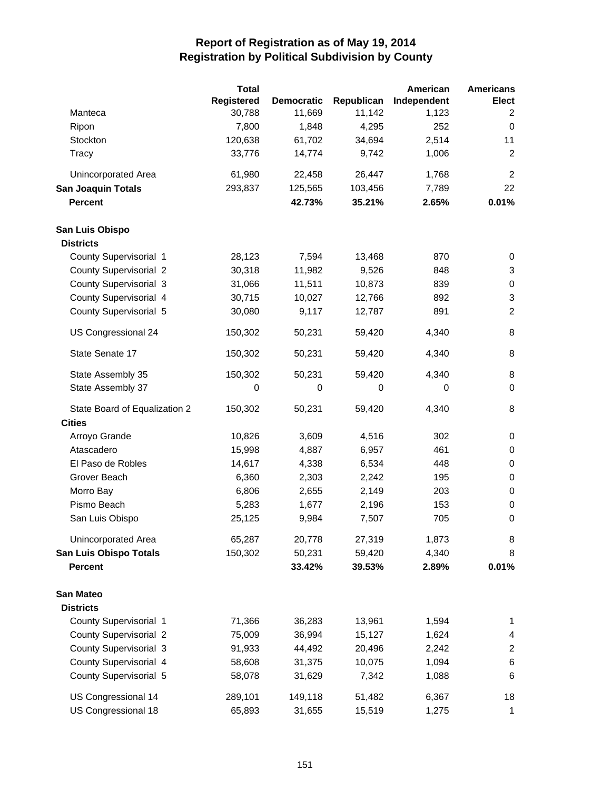|                               | <b>Total</b>      |                   |            | American    | <b>Americans</b> |
|-------------------------------|-------------------|-------------------|------------|-------------|------------------|
|                               | <b>Registered</b> | <b>Democratic</b> | Republican | Independent | <b>Elect</b>     |
| Manteca                       | 30,788            | 11,669            | 11,142     | 1,123       | 2                |
| Ripon                         | 7,800             | 1,848             | 4,295      | 252         | 0                |
| Stockton                      | 120,638           | 61,702            | 34,694     | 2,514       | 11               |
| Tracy                         | 33,776            | 14,774            | 9,742      | 1,006       | $\boldsymbol{2}$ |
| Unincorporated Area           | 61,980            | 22,458            | 26,447     | 1,768       | $\overline{2}$   |
| <b>San Joaquin Totals</b>     | 293,837           | 125,565           | 103,456    | 7,789       | 22               |
| <b>Percent</b>                |                   | 42.73%            | 35.21%     | 2.65%       | 0.01%            |
| San Luis Obispo               |                   |                   |            |             |                  |
| <b>Districts</b>              |                   |                   |            |             |                  |
| County Supervisorial 1        | 28,123            | 7,594             | 13,468     | 870         | 0                |
| <b>County Supervisorial 2</b> | 30,318            | 11,982            | 9,526      | 848         | 3                |
| County Supervisorial 3        | 31,066            | 11,511            | 10,873     | 839         | $\pmb{0}$        |
| County Supervisorial 4        | 30,715            | 10,027            | 12,766     | 892         | 3                |
| County Supervisorial 5        | 30,080            | 9,117             | 12,787     | 891         | $\overline{c}$   |
| US Congressional 24           | 150,302           | 50,231            | 59,420     | 4,340       | 8                |
| State Senate 17               | 150,302           | 50,231            | 59,420     | 4,340       | 8                |
| State Assembly 35             | 150,302           | 50,231            | 59,420     | 4,340       | 8                |
| State Assembly 37             | 0                 | $\mathbf 0$       | 0          | 0           | 0                |
| State Board of Equalization 2 | 150,302           | 50,231            | 59,420     | 4,340       | 8                |
| <b>Cities</b>                 |                   |                   |            |             |                  |
| Arroyo Grande                 | 10,826            | 3,609             | 4,516      | 302         | 0                |
| Atascadero                    | 15,998            | 4,887             | 6,957      | 461         | 0                |
| El Paso de Robles             | 14,617            | 4,338             | 6,534      | 448         | $\pmb{0}$        |
| Grover Beach                  | 6,360             | 2,303             | 2,242      | 195         | $\pmb{0}$        |
| Morro Bay                     | 6,806             | 2,655             | 2,149      | 203         | $\pmb{0}$        |
| Pismo Beach                   | 5,283             | 1,677             | 2,196      | 153         | 0                |
| San Luis Obispo               | 25,125            | 9,984             | 7,507      | 705         | $\mathbf 0$      |
| Unincorporated Area           | 65,287            | 20,778            | 27,319     | 1,873       | 8                |
| <b>San Luis Obispo Totals</b> | 150,302           | 50,231            | 59,420     | 4,340       | 8                |
| <b>Percent</b>                |                   | 33.42%            | 39.53%     | 2.89%       | 0.01%            |
| San Mateo                     |                   |                   |            |             |                  |
| <b>Districts</b>              |                   |                   |            |             |                  |
| County Supervisorial 1        | 71,366            | 36,283            | 13,961     | 1,594       | 1                |
| <b>County Supervisorial 2</b> | 75,009            | 36,994            | 15,127     | 1,624       | 4                |
| <b>County Supervisorial 3</b> | 91,933            | 44,492            | 20,496     | 2,242       | $\overline{c}$   |
| County Supervisorial 4        | 58,608            | 31,375            | 10,075     | 1,094       | 6                |
| County Supervisorial 5        | 58,078            | 31,629            | 7,342      | 1,088       | $\,6$            |
| US Congressional 14           | 289,101           | 149,118           | 51,482     | 6,367       | 18               |
| US Congressional 18           | 65,893            | 31,655            | 15,519     | 1,275       | 1                |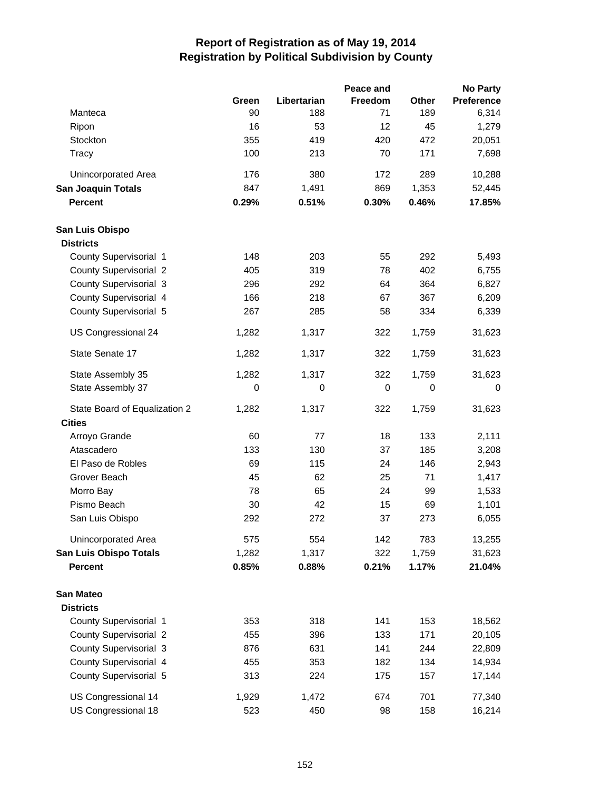|                               |       |             | Peace and |       | <b>No Party</b>   |
|-------------------------------|-------|-------------|-----------|-------|-------------------|
|                               | Green | Libertarian | Freedom   | Other | <b>Preference</b> |
| Manteca                       | 90    | 188         | 71        | 189   | 6,314             |
| Ripon                         | 16    | 53          | 12        | 45    | 1,279             |
| Stockton                      | 355   | 419         | 420       | 472   | 20,051            |
| Tracy                         | 100   | 213         | 70        | 171   | 7,698             |
| <b>Unincorporated Area</b>    | 176   | 380         | 172       | 289   | 10,288            |
| <b>San Joaquin Totals</b>     | 847   | 1,491       | 869       | 1,353 | 52,445            |
| <b>Percent</b>                | 0.29% | 0.51%       | 0.30%     | 0.46% | 17.85%            |
| San Luis Obispo               |       |             |           |       |                   |
| <b>Districts</b>              |       |             |           |       |                   |
| County Supervisorial 1        | 148   | 203         | 55        | 292   | 5,493             |
| <b>County Supervisorial 2</b> | 405   | 319         | 78        | 402   | 6,755             |
| <b>County Supervisorial 3</b> | 296   | 292         | 64        | 364   | 6,827             |
| County Supervisorial 4        | 166   | 218         | 67        | 367   | 6,209             |
| County Supervisorial 5        | 267   | 285         | 58        | 334   | 6,339             |
| US Congressional 24           | 1,282 | 1,317       | 322       | 1,759 | 31,623            |
| State Senate 17               | 1,282 | 1,317       | 322       | 1,759 | 31,623            |
| State Assembly 35             | 1,282 | 1,317       | 322       | 1,759 | 31,623            |
| State Assembly 37             | 0     | 0           | 0         | 0     | 0                 |
| State Board of Equalization 2 | 1,282 | 1,317       | 322       | 1,759 | 31,623            |
| <b>Cities</b>                 |       |             |           |       |                   |
| Arroyo Grande                 | 60    | 77          | 18        | 133   | 2,111             |
| Atascadero                    | 133   | 130         | 37        | 185   | 3,208             |
| El Paso de Robles             | 69    | 115         | 24        | 146   | 2,943             |
| Grover Beach                  | 45    | 62          | 25        | 71    | 1,417             |
| Morro Bay                     | 78    | 65          | 24        | 99    | 1,533             |
| Pismo Beach                   | 30    | 42          | 15        | 69    | 1,101             |
| San Luis Obispo               | 292   | 272         | 37        | 273   | 6,055             |
| Unincorporated Area           | 575   | 554         | 142       | 783   | 13,255            |
| <b>San Luis Obispo Totals</b> | 1,282 | 1,317       | 322       | 1,759 | 31,623            |
| <b>Percent</b>                | 0.85% | 0.88%       | 0.21%     | 1.17% | 21.04%            |
| <b>San Mateo</b>              |       |             |           |       |                   |
| <b>Districts</b>              |       |             |           |       |                   |
| County Supervisorial 1        | 353   | 318         | 141       | 153   | 18,562            |
| <b>County Supervisorial 2</b> | 455   | 396         | 133       | 171   | 20,105            |
| <b>County Supervisorial 3</b> | 876   | 631         | 141       | 244   | 22,809            |
| County Supervisorial 4        | 455   | 353         | 182       | 134   | 14,934            |
| County Supervisorial 5        | 313   | 224         | 175       | 157   | 17,144            |
| US Congressional 14           | 1,929 | 1,472       | 674       | 701   | 77,340            |
| US Congressional 18           | 523   | 450         | 98        | 158   | 16,214            |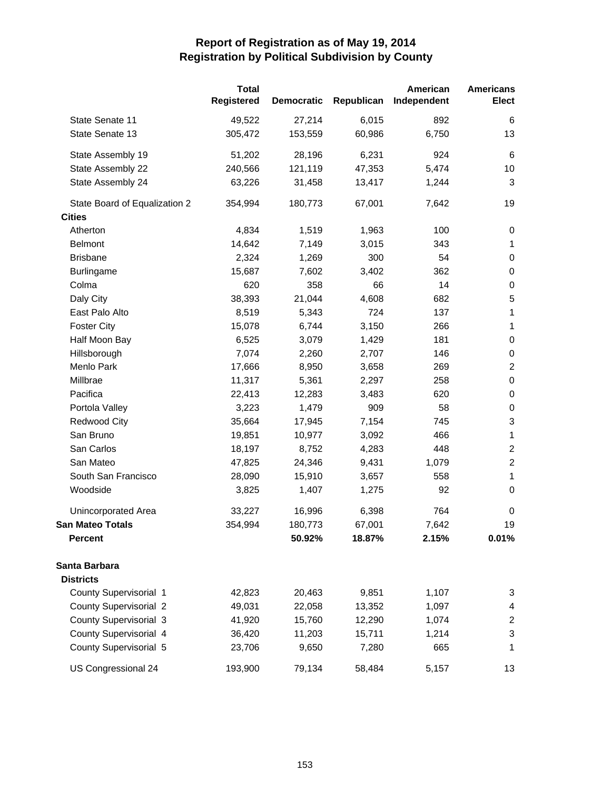|                               | <b>Total</b><br>Registered | <b>Democratic</b> | Republican | American<br>Independent | <b>Americans</b><br><b>Elect</b> |
|-------------------------------|----------------------------|-------------------|------------|-------------------------|----------------------------------|
| State Senate 11               | 49,522                     | 27,214            | 6,015      | 892                     | 6                                |
| State Senate 13               | 305,472                    | 153,559           | 60,986     | 6,750                   | 13                               |
| State Assembly 19             | 51,202                     | 28,196            | 6,231      | 924                     | $\,6$                            |
| State Assembly 22             | 240,566                    | 121,119           | 47,353     | 5,474                   | 10                               |
| State Assembly 24             | 63,226                     | 31,458            | 13,417     | 1,244                   | 3                                |
| State Board of Equalization 2 | 354,994                    | 180,773           | 67,001     | 7,642                   | 19                               |
| <b>Cities</b>                 |                            |                   |            |                         |                                  |
| Atherton                      | 4,834                      | 1,519             | 1,963      | 100                     | 0                                |
| <b>Belmont</b>                | 14,642                     | 7,149             | 3,015      | 343                     | $\mathbf{1}$                     |
| <b>Brisbane</b>               | 2,324                      | 1,269             | 300        | 54                      | $\pmb{0}$                        |
| <b>Burlingame</b>             | 15,687                     | 7,602             | 3,402      | 362                     | $\pmb{0}$                        |
| Colma                         | 620                        | 358               | 66         | 14                      | $\pmb{0}$                        |
| Daly City                     | 38,393                     | 21,044            | 4,608      | 682                     | $\mathbf 5$                      |
| East Palo Alto                | 8,519                      | 5,343             | 724        | 137                     | $\mathbf 1$                      |
| <b>Foster City</b>            | 15,078                     | 6,744             | 3,150      | 266                     | $\mathbf 1$                      |
| Half Moon Bay                 | 6,525                      | 3,079             | 1,429      | 181                     | $\pmb{0}$                        |
| Hillsborough                  | 7,074                      | 2,260             | 2,707      | 146                     | $\pmb{0}$                        |
| Menlo Park                    | 17,666                     | 8,950             | 3,658      | 269                     | $\sqrt{2}$                       |
| Millbrae                      | 11,317                     | 5,361             | 2,297      | 258                     | $\pmb{0}$                        |
| Pacifica                      | 22,413                     | 12,283            | 3,483      | 620                     | $\pmb{0}$                        |
| Portola Valley                | 3,223                      | 1,479             | 909        | 58                      | $\pmb{0}$                        |
| <b>Redwood City</b>           | 35,664                     | 17,945            | 7,154      | 745                     | $\ensuremath{\mathsf{3}}$        |
| San Bruno                     | 19,851                     | 10,977            | 3,092      | 466                     | $\mathbf{1}$                     |
| San Carlos                    | 18,197                     | 8,752             | 4,283      | 448                     | $\sqrt{2}$                       |
| San Mateo                     | 47,825                     | 24,346            | 9,431      | 1,079                   | $\boldsymbol{2}$                 |
| South San Francisco           | 28,090                     | 15,910            | 3,657      | 558                     | $\mathbf{1}$                     |
| Woodside                      | 3,825                      | 1,407             | 1,275      | 92                      | $\pmb{0}$                        |
| Unincorporated Area           | 33,227                     | 16,996            | 6,398      | 764                     | 0                                |
| <b>San Mateo Totals</b>       | 354,994                    | 180,773           | 67,001     | 7,642                   | 19                               |
| <b>Percent</b>                |                            | 50.92%            | 18.87%     | 2.15%                   | 0.01%                            |
| Santa Barbara                 |                            |                   |            |                         |                                  |
| <b>Districts</b>              |                            |                   |            |                         |                                  |
| County Supervisorial 1        | 42,823                     | 20,463            | 9,851      | 1,107                   | 3                                |
| <b>County Supervisorial 2</b> | 49,031                     | 22,058            | 13,352     | 1,097                   | 4                                |
| <b>County Supervisorial 3</b> | 41,920                     | 15,760            | 12,290     | 1,074                   | $\overline{\mathbf{c}}$          |
| County Supervisorial 4        | 36,420                     | 11,203            | 15,711     | 1,214                   | $\ensuremath{\mathsf{3}}$        |
| County Supervisorial 5        | 23,706                     | 9,650             | 7,280      | 665                     | 1                                |
| US Congressional 24           | 193,900                    | 79,134            | 58,484     | 5,157                   | 13                               |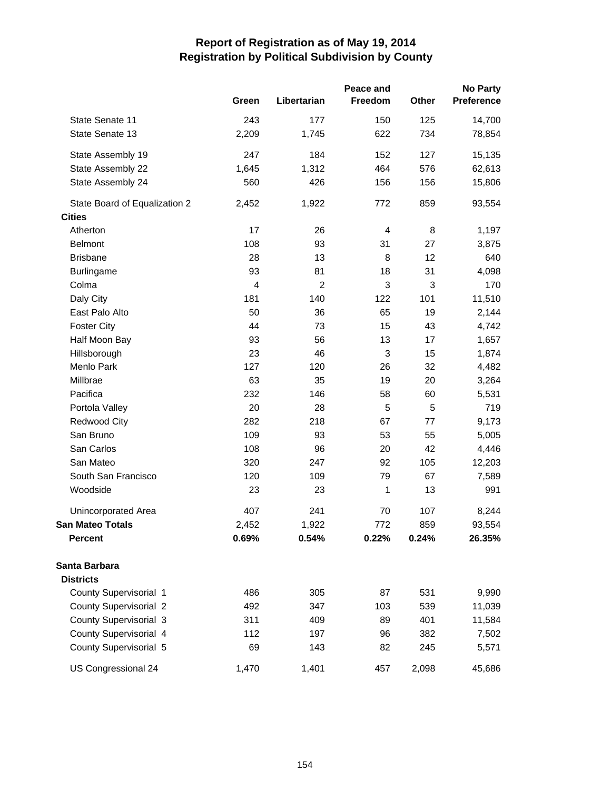|                               |       |                | Peace and |       | No Party          |
|-------------------------------|-------|----------------|-----------|-------|-------------------|
|                               | Green | Libertarian    | Freedom   | Other | <b>Preference</b> |
| State Senate 11               | 243   | 177            | 150       | 125   | 14,700            |
| State Senate 13               | 2,209 | 1,745          | 622       | 734   | 78,854            |
| State Assembly 19             | 247   | 184            | 152       | 127   | 15,135            |
| State Assembly 22             | 1,645 | 1,312          | 464       | 576   | 62,613            |
| State Assembly 24             | 560   | 426            | 156       | 156   | 15,806            |
| State Board of Equalization 2 | 2,452 | 1,922          | 772       | 859   | 93,554            |
| <b>Cities</b>                 |       |                |           |       |                   |
| Atherton                      | 17    | 26             | 4         | 8     | 1,197             |
| <b>Belmont</b>                | 108   | 93             | 31        | 27    | 3,875             |
| <b>Brisbane</b>               | 28    | 13             | 8         | 12    | 640               |
| <b>Burlingame</b>             | 93    | 81             | 18        | 31    | 4,098             |
| Colma                         | 4     | $\overline{2}$ | 3         | 3     | 170               |
| Daly City                     | 181   | 140            | 122       | 101   | 11,510            |
| East Palo Alto                | 50    | 36             | 65        | 19    | 2,144             |
| <b>Foster City</b>            | 44    | 73             | 15        | 43    | 4,742             |
| Half Moon Bay                 | 93    | 56             | 13        | 17    | 1,657             |
| Hillsborough                  | 23    | 46             | 3         | 15    | 1,874             |
| Menlo Park                    | 127   | 120            | 26        | 32    | 4,482             |
| Millbrae                      | 63    | 35             | 19        | 20    | 3,264             |
| Pacifica                      | 232   | 146            | 58        | 60    | 5,531             |
| Portola Valley                | 20    | 28             | 5         | 5     | 719               |
| <b>Redwood City</b>           | 282   | 218            | 67        | 77    | 9,173             |
| San Bruno                     | 109   | 93             | 53        | 55    | 5,005             |
| San Carlos                    | 108   | 96             | 20        | 42    | 4,446             |
| San Mateo                     | 320   | 247            | 92        | 105   | 12,203            |
| South San Francisco           | 120   | 109            | 79        | 67    | 7,589             |
| Woodside                      | 23    | 23             | 1         | 13    | 991               |
| Unincorporated Area           | 407   | 241            | 70        | 107   | 8,244             |
| San Mateo Totals              | 2,452 | 1,922          | 772       | 859   | 93,554            |
| <b>Percent</b>                | 0.69% | 0.54%          | 0.22%     | 0.24% | 26.35%            |
| Santa Barbara                 |       |                |           |       |                   |
| <b>Districts</b>              |       |                |           |       |                   |
| County Supervisorial 1        | 486   | 305            | 87        | 531   | 9,990             |
| <b>County Supervisorial 2</b> | 492   | 347            | 103       | 539   | 11,039            |
| <b>County Supervisorial 3</b> | 311   | 409            | 89        | 401   | 11,584            |
| County Supervisorial 4        | 112   | 197            | 96        | 382   | 7,502             |
| County Supervisorial 5        | 69    | 143            | 82        | 245   | 5,571             |
| US Congressional 24           | 1,470 | 1,401          | 457       | 2,098 | 45,686            |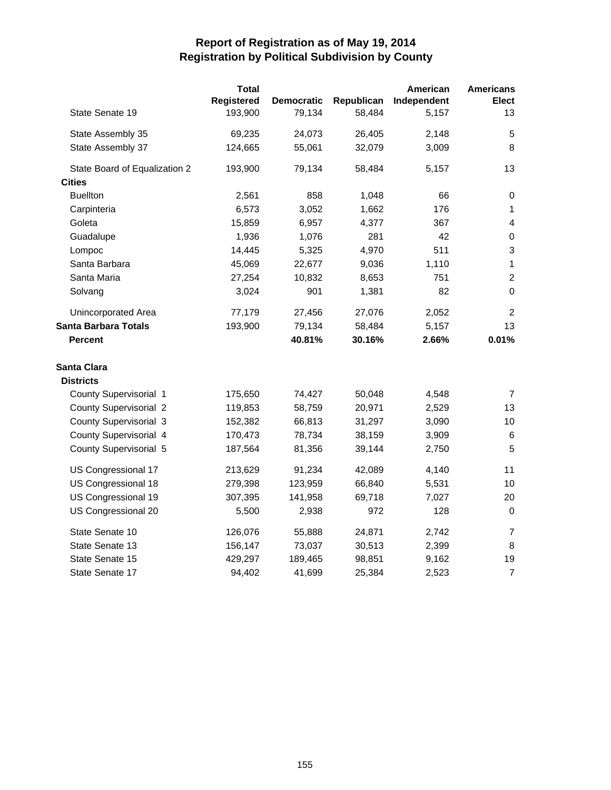|                               | <b>Total</b><br>Registered | <b>Democratic</b> | Republican | American<br>Independent | <b>Americans</b><br><b>Elect</b> |
|-------------------------------|----------------------------|-------------------|------------|-------------------------|----------------------------------|
| State Senate 19               | 193,900                    | 79,134            | 58,484     | 5,157                   | 13                               |
| State Assembly 35             | 69,235                     | 24,073            | 26,405     | 2,148                   | 5                                |
| State Assembly 37             | 124,665                    | 55,061            | 32,079     | 3,009                   | 8                                |
| State Board of Equalization 2 | 193,900                    | 79,134            | 58,484     | 5,157                   | 13                               |
| <b>Cities</b>                 |                            |                   |            |                         |                                  |
| <b>Buellton</b>               | 2,561                      | 858               | 1,048      | 66                      | $\pmb{0}$                        |
| Carpinteria                   | 6,573                      | 3,052             | 1,662      | 176                     | 1                                |
| Goleta                        | 15,859                     | 6,957             | 4,377      | 367                     | $\overline{4}$                   |
| Guadalupe                     | 1,936                      | 1,076             | 281        | 42                      | $\boldsymbol{0}$                 |
| Lompoc                        | 14,445                     | 5,325             | 4,970      | 511                     | $\mathsf 3$                      |
| Santa Barbara                 | 45,069                     | 22,677            | 9,036      | 1,110                   | $\mathbf{1}$                     |
| Santa Maria                   | 27,254                     | 10,832            | 8,653      | 751                     | $\overline{c}$                   |
| Solvang                       | 3,024                      | 901               | 1,381      | 82                      | $\Omega$                         |
| Unincorporated Area           | 77,179                     | 27,456            | 27,076     | 2,052                   | $\overline{2}$                   |
| <b>Santa Barbara Totals</b>   | 193,900                    | 79,134            | 58,484     | 5,157                   | 13                               |
| <b>Percent</b>                |                            | 40.81%            | 30.16%     | 2.66%                   | 0.01%                            |
| <b>Santa Clara</b>            |                            |                   |            |                         |                                  |
| <b>Districts</b>              |                            |                   |            |                         |                                  |
| County Supervisorial 1        | 175,650                    | 74,427            | 50,048     | 4,548                   | 7                                |
| <b>County Supervisorial 2</b> | 119,853                    | 58,759            | 20,971     | 2,529                   | 13                               |
| <b>County Supervisorial 3</b> | 152,382                    | 66,813            | 31,297     | 3,090                   | 10                               |
| County Supervisorial 4        | 170,473                    | 78,734            | 38,159     | 3,909                   | 6                                |
| County Supervisorial 5        | 187,564                    | 81,356            | 39,144     | 2,750                   | 5                                |
| US Congressional 17           | 213,629                    | 91,234            | 42,089     | 4,140                   | 11                               |
| US Congressional 18           | 279,398                    | 123,959           | 66,840     | 5,531                   | 10                               |
| US Congressional 19           | 307,395                    | 141,958           | 69,718     | 7,027                   | 20                               |
| US Congressional 20           | 5,500                      | 2,938             | 972        | 128                     | $\mathbf 0$                      |
| State Senate 10               | 126,076                    | 55,888            | 24,871     | 2,742                   | 7                                |
| State Senate 13               | 156,147                    | 73,037            | 30,513     | 2,399                   | 8                                |
| State Senate 15               | 429,297                    | 189,465           | 98,851     | 9,162                   | 19                               |
| State Senate 17               | 94,402                     | 41,699            | 25,384     | 2,523                   | $\overline{7}$                   |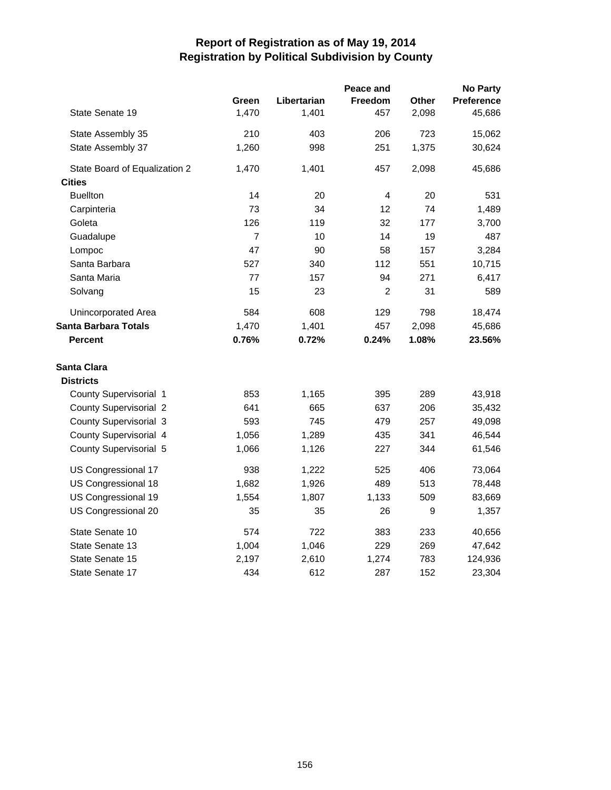|                               |                |             | Peace and      |              | <b>No Party</b>   |
|-------------------------------|----------------|-------------|----------------|--------------|-------------------|
|                               | Green          | Libertarian | <b>Freedom</b> | <b>Other</b> | <b>Preference</b> |
| State Senate 19               | 1,470          | 1,401       | 457            | 2,098        | 45,686            |
| State Assembly 35             | 210            | 403         | 206            | 723          | 15,062            |
| State Assembly 37             | 1,260          | 998         | 251            | 1,375        | 30,624            |
| State Board of Equalization 2 | 1,470          | 1,401       | 457            | 2,098        | 45,686            |
| <b>Cities</b>                 |                |             |                |              |                   |
| <b>Buellton</b>               | 14             | 20          | 4              | 20           | 531               |
| Carpinteria                   | 73             | 34          | 12             | 74           | 1,489             |
| Goleta                        | 126            | 119         | 32             | 177          | 3,700             |
| Guadalupe                     | $\overline{7}$ | 10          | 14             | 19           | 487               |
| Lompoc                        | 47             | 90          | 58             | 157          | 3,284             |
| Santa Barbara                 | 527            | 340         | 112            | 551          | 10,715            |
| Santa Maria                   | 77             | 157         | 94             | 271          | 6,417             |
| Solvang                       | 15             | 23          | $\overline{2}$ | 31           | 589               |
| Unincorporated Area           | 584            | 608         | 129            | 798          | 18,474            |
| <b>Santa Barbara Totals</b>   | 1,470          | 1,401       | 457            | 2,098        | 45,686            |
| <b>Percent</b>                | 0.76%          | 0.72%       | 0.24%          | 1.08%        | 23.56%            |
| <b>Santa Clara</b>            |                |             |                |              |                   |
| <b>Districts</b>              |                |             |                |              |                   |
| County Supervisorial 1        | 853            | 1,165       | 395            | 289          | 43,918            |
| <b>County Supervisorial 2</b> | 641            | 665         | 637            | 206          | 35,432            |
| County Supervisorial 3        | 593            | 745         | 479            | 257          | 49,098            |
| County Supervisorial 4        | 1,056          | 1,289       | 435            | 341          | 46,544            |
| County Supervisorial 5        | 1,066          | 1,126       | 227            | 344          | 61,546            |
| US Congressional 17           | 938            | 1,222       | 525            | 406          | 73,064            |
| US Congressional 18           | 1,682          | 1,926       | 489            | 513          | 78,448            |
| US Congressional 19           | 1,554          | 1,807       | 1,133          | 509          | 83,669            |
| US Congressional 20           | 35             | 35          | 26             | 9            | 1,357             |
| State Senate 10               | 574            | 722         | 383            | 233          | 40,656            |
| State Senate 13               | 1,004          | 1,046       | 229            | 269          | 47,642            |
| State Senate 15               | 2,197          | 2,610       | 1,274          | 783          | 124,936           |
| State Senate 17               | 434            | 612         | 287            | 152          | 23,304            |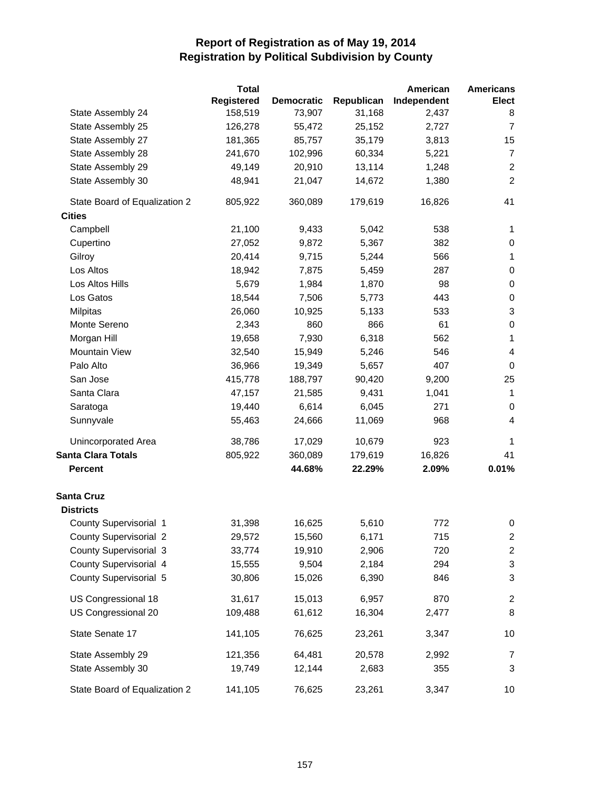|                               | <b>Total</b> |                   |            | American    | <b>Americans</b>          |
|-------------------------------|--------------|-------------------|------------|-------------|---------------------------|
|                               | Registered   | <b>Democratic</b> | Republican | Independent | <b>Elect</b>              |
| State Assembly 24             | 158,519      | 73,907            | 31,168     | 2,437       | 8                         |
| State Assembly 25             | 126,278      | 55,472            | 25,152     | 2,727       | $\overline{7}$            |
| State Assembly 27             | 181,365      | 85,757            | 35,179     | 3,813       | 15                        |
| State Assembly 28             | 241,670      | 102,996           | 60,334     | 5,221       | $\overline{7}$            |
| State Assembly 29             | 49,149       | 20,910            | 13,114     | 1,248       | $\sqrt{2}$                |
| State Assembly 30             | 48,941       | 21,047            | 14,672     | 1,380       | $\boldsymbol{2}$          |
| State Board of Equalization 2 | 805,922      | 360,089           | 179,619    | 16,826      | 41                        |
| <b>Cities</b>                 |              |                   |            |             |                           |
| Campbell                      | 21,100       | 9,433             | 5,042      | 538         | 1                         |
| Cupertino                     | 27,052       | 9,872             | 5,367      | 382         | 0                         |
| Gilroy                        | 20,414       | 9,715             | 5,244      | 566         | 1                         |
| Los Altos                     | 18,942       | 7,875             | 5,459      | 287         | $\pmb{0}$                 |
| Los Altos Hills               | 5,679        | 1,984             | 1,870      | 98          | 0                         |
| Los Gatos                     | 18,544       | 7,506             | 5,773      | 443         | $\pmb{0}$                 |
| <b>Milpitas</b>               | 26,060       | 10,925            | 5,133      | 533         | $\ensuremath{\mathsf{3}}$ |
| Monte Sereno                  | 2,343        | 860               | 866        | 61          | $\pmb{0}$                 |
| Morgan Hill                   | 19,658       | 7,930             | 6,318      | 562         | 1                         |
| Mountain View                 | 32,540       | 15,949            | 5,246      | 546         | 4                         |
| Palo Alto                     | 36,966       | 19,349            | 5,657      | 407         | $\pmb{0}$                 |
| San Jose                      | 415,778      | 188,797           | 90,420     | 9,200       | 25                        |
| Santa Clara                   | 47,157       | 21,585            | 9,431      | 1,041       | $\mathbf{1}$              |
| Saratoga                      | 19,440       | 6,614             | 6,045      | 271         | 0                         |
| Sunnyvale                     | 55,463       | 24,666            | 11,069     | 968         | 4                         |
| <b>Unincorporated Area</b>    | 38,786       | 17,029            | 10,679     | 923         | 1                         |
| <b>Santa Clara Totals</b>     | 805,922      | 360,089           | 179,619    | 16,826      | 41                        |
| <b>Percent</b>                |              | 44.68%            | 22.29%     | 2.09%       | 0.01%                     |
| <b>Santa Cruz</b>             |              |                   |            |             |                           |
| <b>Districts</b>              |              |                   |            |             |                           |
| County Supervisorial 1        | 31,398       | 16,625            | 5,610      | 772         | $\pmb{0}$                 |
| <b>County Supervisorial 2</b> | 29,572       | 15,560            | 6,171      | 715         | 2                         |
| County Supervisorial 3        | 33,774       | 19,910            | 2,906      | 720         | $\boldsymbol{2}$          |
| County Supervisorial 4        | 15,555       | 9,504             | 2,184      | 294         | $\ensuremath{\mathsf{3}}$ |
| County Supervisorial 5        | 30,806       | 15,026            | 6,390      | 846         | $\ensuremath{\mathsf{3}}$ |
| US Congressional 18           | 31,617       | 15,013            | 6,957      | 870         | $\overline{c}$            |
| US Congressional 20           | 109,488      | 61,612            | 16,304     | 2,477       | 8                         |
| State Senate 17               | 141,105      | 76,625            | 23,261     | 3,347       | 10                        |
| State Assembly 29             | 121,356      | 64,481            | 20,578     | 2,992       | 7                         |
| State Assembly 30             | 19,749       | 12,144            | 2,683      | 355         | 3                         |
| State Board of Equalization 2 | 141,105      | 76,625            | 23,261     | 3,347       | 10                        |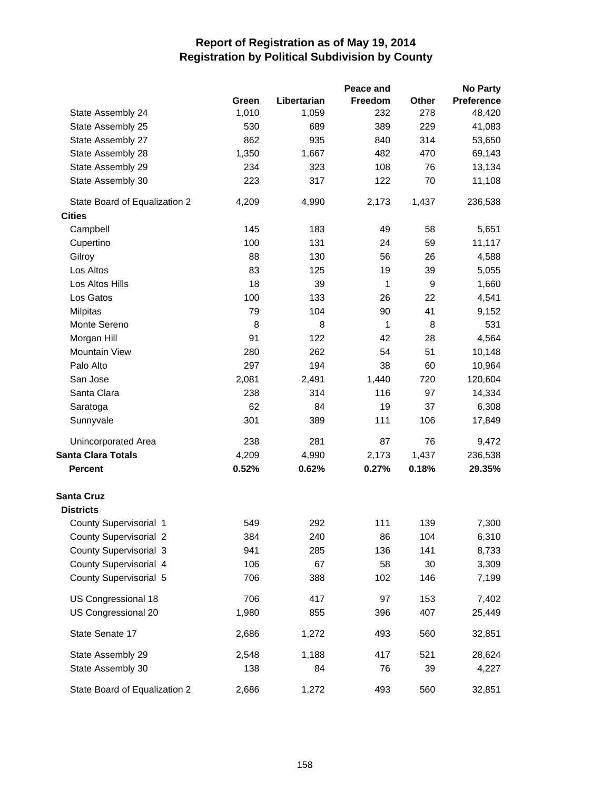|                                       |       |             | Peace and      |       | <b>No Party</b>   |
|---------------------------------------|-------|-------------|----------------|-------|-------------------|
|                                       | Green | Libertarian | <b>Freedom</b> | Other | <b>Preference</b> |
| State Assembly 24                     | 1,010 | 1,059       | 232            | 278   | 48,420            |
| State Assembly 25                     | 530   | 689         | 389            | 229   | 41,083            |
| State Assembly 27                     | 862   | 935         | 840            | 314   | 53,650            |
| State Assembly 28                     | 1,350 | 1,667       | 482            | 470   | 69,143            |
| State Assembly 29                     | 234   | 323         | 108            | 76    | 13,134            |
| State Assembly 30                     | 223   | 317         | 122            | 70    | 11,108            |
| State Board of Equalization 2         | 4,209 | 4,990       | 2,173          | 1,437 | 236,538           |
| <b>Cities</b>                         |       |             |                |       |                   |
| Campbell                              | 145   | 183         | 49             | 58    | 5,651             |
| Cupertino                             | 100   | 131         | 24             | 59    | 11,117            |
| Gilroy                                | 88    | 130         | 56             | 26    | 4,588             |
| Los Altos                             | 83    | 125         | 19             | 39    | 5,055             |
| Los Altos Hills                       | 18    | 39          | 1              | 9     | 1,660             |
| Los Gatos                             | 100   | 133         | 26             | 22    | 4,541             |
| <b>Milpitas</b>                       | 79    | 104         | 90             | 41    | 9,152             |
| Monte Sereno                          | 8     | 8           | 1              | 8     | 531               |
| Morgan Hill                           | 91    | 122         | 42             | 28    | 4,564             |
| Mountain View                         | 280   | 262         | 54             | 51    | 10,148            |
| Palo Alto                             | 297   | 194         | 38             | 60    | 10,964            |
| San Jose                              | 2,081 | 2,491       | 1,440          | 720   | 120,604           |
| Santa Clara                           | 238   | 314         | 116            | 97    | 14,334            |
| Saratoga                              | 62    | 84          | 19             | 37    | 6,308             |
| Sunnyvale                             | 301   | 389         | 111            | 106   | 17,849            |
| Unincorporated Area                   | 238   | 281         | 87             | 76    | 9,472             |
| <b>Santa Clara Totals</b>             | 4,209 | 4,990       | 2,173          | 1,437 | 236,538           |
| <b>Percent</b>                        | 0.52% | 0.62%       | 0.27%          | 0.18% | 29.35%            |
| <b>Santa Cruz</b><br><b>Districts</b> |       |             |                |       |                   |
| County Supervisorial 1                | 549   | 292         | 111            | 139   | 7,300             |
| <b>County Supervisorial 2</b>         | 384   | 240         | 86             | 104   | 6,310             |
| County Supervisorial 3                | 941   | 285         | 136            | 141   | 8,733             |
| County Supervisorial 4                | 106   | 67          | 58             | 30    | 3,309             |
| County Supervisorial 5                | 706   | 388         | 102            | 146   | 7,199             |
|                                       |       |             |                |       |                   |
| US Congressional 18                   | 706   | 417         | 97             | 153   | 7,402             |
| US Congressional 20                   | 1,980 | 855         | 396            | 407   | 25,449            |
| State Senate 17                       | 2,686 | 1,272       | 493            | 560   | 32,851            |
| State Assembly 29                     | 2,548 | 1,188       | 417            | 521   | 28,624            |
| State Assembly 30                     | 138   | 84          | 76             | 39    | 4,227             |
| State Board of Equalization 2         | 2,686 | 1,272       | 493            | 560   | 32,851            |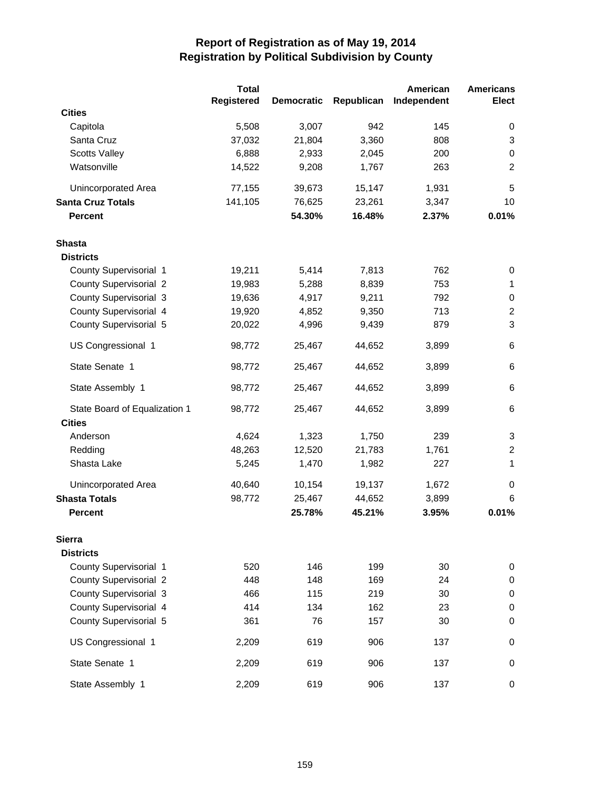|                               | <b>Total</b>      |                   |            | American    | <b>Americans</b> |
|-------------------------------|-------------------|-------------------|------------|-------------|------------------|
|                               | <b>Registered</b> | <b>Democratic</b> | Republican | Independent | Elect            |
| <b>Cities</b>                 |                   |                   |            |             |                  |
| Capitola                      | 5,508             | 3,007             | 942        | 145         | 0                |
| Santa Cruz                    | 37,032            | 21,804            | 3,360      | 808         | $\mathsf 3$      |
| <b>Scotts Valley</b>          | 6,888             | 2,933             | 2,045      | 200         | $\pmb{0}$        |
| Watsonville                   | 14,522            | 9,208             | 1,767      | 263         | $\overline{c}$   |
| Unincorporated Area           | 77,155            | 39,673            | 15,147     | 1,931       | 5                |
| <b>Santa Cruz Totals</b>      | 141,105           | 76,625            | 23,261     | 3,347       | 10               |
| <b>Percent</b>                |                   | 54.30%            | 16.48%     | 2.37%       | 0.01%            |
| <b>Shasta</b>                 |                   |                   |            |             |                  |
| <b>Districts</b>              |                   |                   |            |             |                  |
| County Supervisorial 1        | 19,211            | 5,414             | 7,813      | 762         | 0                |
| <b>County Supervisorial 2</b> | 19,983            | 5,288             | 8,839      | 753         | 1                |
| <b>County Supervisorial 3</b> | 19,636            | 4,917             | 9,211      | 792         | $\pmb{0}$        |
| County Supervisorial 4        | 19,920            | 4,852             | 9,350      | 713         | $\boldsymbol{2}$ |
| County Supervisorial 5        | 20,022            | 4,996             | 9,439      | 879         | 3                |
| US Congressional 1            | 98,772            | 25,467            | 44,652     | 3,899       | 6                |
| State Senate 1                | 98,772            | 25,467            | 44,652     | 3,899       | 6                |
| State Assembly 1              | 98,772            | 25,467            | 44,652     | 3,899       | 6                |
| State Board of Equalization 1 | 98,772            | 25,467            | 44,652     | 3,899       | 6                |
| <b>Cities</b>                 |                   |                   |            |             |                  |
| Anderson                      | 4,624             | 1,323             | 1,750      | 239         | 3                |
| Redding                       | 48,263            | 12,520            | 21,783     | 1,761       | $\overline{c}$   |
| Shasta Lake                   | 5,245             | 1,470             | 1,982      | 227         | 1                |
| Unincorporated Area           | 40,640            | 10,154            | 19,137     | 1,672       | 0                |
| <b>Shasta Totals</b>          | 98,772            | 25,467            | 44,652     | 3,899       | 6                |
| <b>Percent</b>                |                   | 25.78%            | 45.21%     | 3.95%       | 0.01%            |
| <b>Sierra</b>                 |                   |                   |            |             |                  |
| <b>Districts</b>              |                   |                   |            |             |                  |
| County Supervisorial 1        | 520               | 146               | 199        | 30          | $\pmb{0}$        |
| <b>County Supervisorial 2</b> | 448               | 148               | 169        | 24          | $\pmb{0}$        |
| <b>County Supervisorial 3</b> | 466               | 115               | 219        | 30          | $\pmb{0}$        |
| County Supervisorial 4        | 414               | 134               | 162        | 23          | $\pmb{0}$        |
| County Supervisorial 5        | 361               | 76                | 157        | 30          | 0                |
| US Congressional 1            | 2,209             | 619               | 906        | 137         | 0                |
| State Senate 1                | 2,209             | 619               | 906        | 137         | 0                |
| State Assembly 1              | 2,209             | 619               | 906        | 137         | 0                |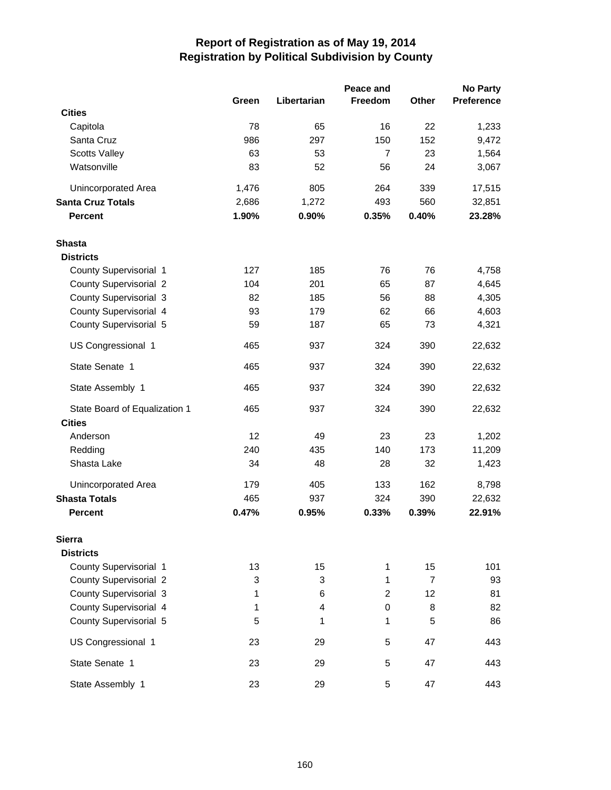|                               |       | <b>No Party</b> |                |                |                   |
|-------------------------------|-------|-----------------|----------------|----------------|-------------------|
|                               | Green | Libertarian     | Freedom        | Other          | <b>Preference</b> |
| <b>Cities</b>                 |       |                 |                |                |                   |
| Capitola                      | 78    | 65              | 16             | 22             | 1,233             |
| Santa Cruz                    | 986   | 297             | 150            | 152            | 9,472             |
| <b>Scotts Valley</b>          | 63    | 53              | $\overline{7}$ | 23             | 1,564             |
| Watsonville                   | 83    | 52              | 56             | 24             | 3,067             |
| Unincorporated Area           | 1,476 | 805             | 264            | 339            | 17,515            |
| <b>Santa Cruz Totals</b>      | 2,686 | 1,272           | 493            | 560            | 32,851            |
| <b>Percent</b>                | 1.90% | 0.90%           | 0.35%          | 0.40%          | 23.28%            |
| Shasta                        |       |                 |                |                |                   |
| <b>Districts</b>              |       |                 |                |                |                   |
| County Supervisorial 1        | 127   | 185             | 76             | 76             | 4,758             |
| <b>County Supervisorial 2</b> | 104   | 201             | 65             | 87             | 4,645             |
| <b>County Supervisorial 3</b> | 82    | 185             | 56             | 88             | 4,305             |
| County Supervisorial 4        | 93    | 179             | 62             | 66             | 4,603             |
| County Supervisorial 5        | 59    | 187             | 65             | 73             | 4,321             |
| US Congressional 1            | 465   | 937             | 324            | 390            | 22,632            |
| State Senate 1                | 465   | 937             | 324            | 390            | 22,632            |
| State Assembly 1              | 465   | 937             | 324            | 390            | 22,632            |
| State Board of Equalization 1 | 465   | 937             | 324            | 390            | 22,632            |
| <b>Cities</b>                 |       |                 |                |                |                   |
| Anderson                      | 12    | 49              | 23             | 23             | 1,202             |
| Redding                       | 240   | 435             | 140            | 173            | 11,209            |
| Shasta Lake                   | 34    | 48              | 28             | 32             | 1,423             |
| Unincorporated Area           | 179   | 405             | 133            | 162            | 8,798             |
| <b>Shasta Totals</b>          | 465   | 937             | 324            | 390            | 22,632            |
| <b>Percent</b>                | 0.47% | 0.95%           | 0.33%          | 0.39%          | 22.91%            |
| <b>Sierra</b>                 |       |                 |                |                |                   |
| <b>Districts</b>              |       |                 |                |                |                   |
| County Supervisorial 1        | 13    | 15              | 1              | 15             | 101               |
| <b>County Supervisorial 2</b> | 3     | 3               | 1              | $\overline{7}$ | 93                |
| <b>County Supervisorial 3</b> | 1     | 6               | $\overline{c}$ | 12             | 81                |
| County Supervisorial 4        | 1     | 4               | 0              | 8              | 82                |
| County Supervisorial 5        | 5     | 1               | 1              | 5              | 86                |
| US Congressional 1            | 23    | 29              | 5              | 47             | 443               |
| State Senate 1                | 23    | 29              | 5              | 47             | 443               |
| State Assembly 1              | 23    | 29              | 5              | 47             | 443               |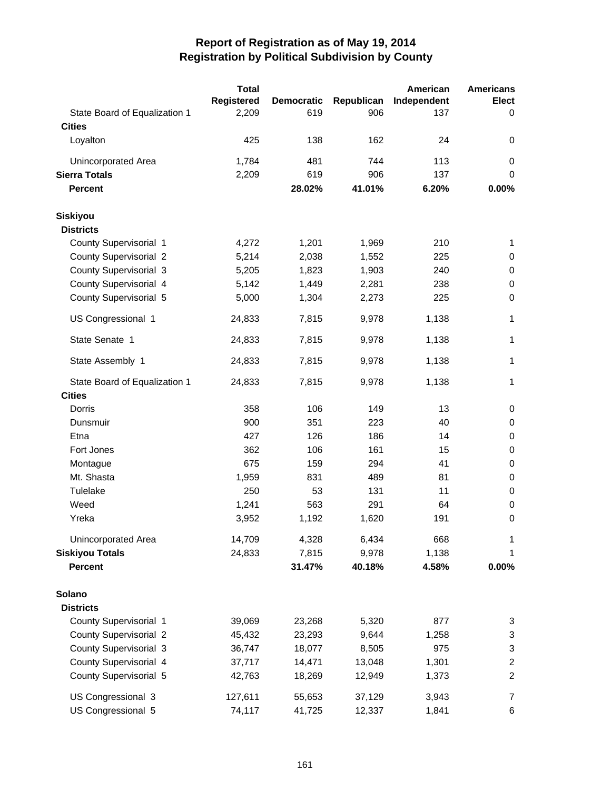|                               | <b>Total</b>      |                   |            | American    | <b>Americans</b>        |
|-------------------------------|-------------------|-------------------|------------|-------------|-------------------------|
|                               | <b>Registered</b> | <b>Democratic</b> | Republican | Independent | Elect                   |
| State Board of Equalization 1 | 2,209             | 619               | 906        | 137         | 0                       |
| <b>Cities</b>                 |                   |                   |            |             |                         |
| Loyalton                      | 425               | 138               | 162        | 24          | 0                       |
| Unincorporated Area           | 1,784             | 481               | 744        | 113         | 0                       |
| <b>Sierra Totals</b>          | 2,209             | 619               | 906        | 137         | $\mathbf 0$             |
| <b>Percent</b>                |                   | 28.02%            | 41.01%     | 6.20%       | 0.00%                   |
| <b>Siskiyou</b>               |                   |                   |            |             |                         |
| <b>Districts</b>              |                   |                   |            |             |                         |
| County Supervisorial 1        | 4,272             | 1,201             | 1,969      | 210         | 1                       |
| <b>County Supervisorial 2</b> | 5,214             | 2,038             | 1,552      | 225         | $\pmb{0}$               |
| <b>County Supervisorial 3</b> | 5,205             | 1,823             | 1,903      | 240         | $\pmb{0}$               |
| County Supervisorial 4        | 5,142             | 1,449             | 2,281      | 238         | $\pmb{0}$               |
| County Supervisorial 5        | 5,000             | 1,304             | 2,273      | 225         | $\mathbf 0$             |
| US Congressional 1            | 24,833            | 7,815             | 9,978      | 1,138       | 1                       |
| State Senate 1                | 24,833            | 7,815             | 9,978      | 1,138       | 1                       |
| State Assembly 1              | 24,833            | 7,815             | 9,978      | 1,138       | 1                       |
| State Board of Equalization 1 | 24,833            | 7,815             | 9,978      | 1,138       | $\mathbf 1$             |
| <b>Cities</b>                 |                   |                   |            |             |                         |
| Dorris                        | 358               | 106               | 149        | 13          | 0                       |
| Dunsmuir                      | 900               | 351               | 223        | 40          | $\pmb{0}$               |
| Etna                          | 427               | 126               | 186        | 14          | $\pmb{0}$               |
| Fort Jones                    | 362               | 106               | 161        | 15          | $\pmb{0}$               |
| Montague                      | 675               | 159               | 294        | 41          | $\pmb{0}$               |
| Mt. Shasta                    | 1,959             | 831               | 489        | 81          | $\pmb{0}$               |
| Tulelake                      | 250               | 53                | 131        | 11          | $\pmb{0}$               |
| Weed                          | 1,241             | 563               | 291        | 64          | $\pmb{0}$               |
| Yreka                         | 3,952             | 1,192             | 1,620      | 191         | $\mathbf 0$             |
| Unincorporated Area           | 14,709            | 4,328             | 6,434      | 668         | 1                       |
| <b>Siskiyou Totals</b>        | 24,833            | 7,815             | 9,978      | 1,138       | 1                       |
| <b>Percent</b>                |                   | 31.47%            | 40.18%     | 4.58%       | 0.00%                   |
| Solano                        |                   |                   |            |             |                         |
| <b>Districts</b>              |                   |                   |            |             |                         |
| County Supervisorial 1        | 39,069            | 23,268            | 5,320      | 877         | 3                       |
| <b>County Supervisorial 2</b> | 45,432            | 23,293            | 9,644      | 1,258       | 3                       |
| County Supervisorial 3        | 36,747            | 18,077            | 8,505      | 975         | 3                       |
| County Supervisorial 4        | 37,717            | 14,471            | 13,048     | 1,301       | $\overline{\mathbf{c}}$ |
| County Supervisorial 5        | 42,763            | 18,269            | 12,949     | 1,373       | $\boldsymbol{2}$        |
| US Congressional 3            | 127,611           | 55,653            | 37,129     | 3,943       | 7                       |
| US Congressional 5            | 74,117            | 41,725            | 12,337     | 1,841       | 6                       |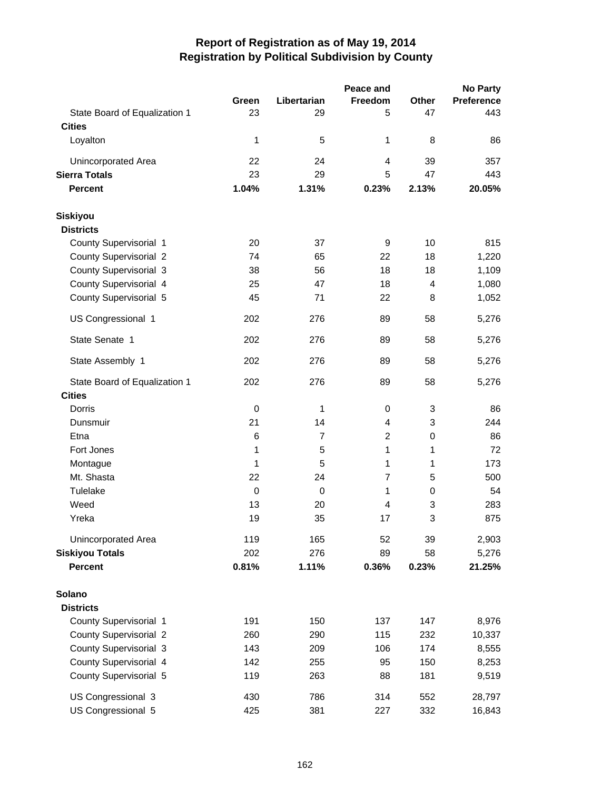|                               |             |                | Peace and      |             | <b>No Party</b>   |
|-------------------------------|-------------|----------------|----------------|-------------|-------------------|
|                               | Green       | Libertarian    | Freedom        | Other       | <b>Preference</b> |
| State Board of Equalization 1 | 23          | 29             | 5              | 47          | 443               |
| <b>Cities</b>                 |             |                |                |             |                   |
| Loyalton                      | 1           | 5              | 1              | 8           | 86                |
| Unincorporated Area           | 22          | 24             | 4              | 39          | 357               |
| <b>Sierra Totals</b>          | 23          | 29             | 5              | 47          | 443               |
| <b>Percent</b>                | 1.04%       | 1.31%          | 0.23%          | 2.13%       | 20.05%            |
| <b>Siskiyou</b>               |             |                |                |             |                   |
| <b>Districts</b>              |             |                |                |             |                   |
| County Supervisorial 1        | 20          | 37             | 9              | 10          | 815               |
| <b>County Supervisorial 2</b> | 74          | 65             | 22             | 18          | 1,220             |
| County Supervisorial 3        | 38          | 56             | 18             | 18          | 1,109             |
| County Supervisorial 4        | 25          | 47             | 18             | 4           | 1,080             |
| County Supervisorial 5        | 45          | 71             | 22             | 8           | 1,052             |
| US Congressional 1            | 202         | 276            | 89             | 58          | 5,276             |
| State Senate 1                | 202         | 276            | 89             | 58          | 5,276             |
| State Assembly 1              | 202         | 276            | 89             | 58          | 5,276             |
| State Board of Equalization 1 | 202         | 276            | 89             | 58          | 5,276             |
| <b>Cities</b>                 |             |                |                |             |                   |
| Dorris                        | 0           | 1              | 0              | 3           | 86                |
| Dunsmuir                      | 21          | 14             | 4              | 3           | 244               |
| Etna                          | 6           | $\overline{7}$ | $\overline{2}$ | 0           | 86                |
| Fort Jones                    | 1           | 5              | 1              | 1           | 72                |
| Montague                      | 1           | 5              | 1              | 1           | 173               |
| Mt. Shasta                    | 22          | 24             | $\overline{7}$ | 5           | 500               |
| Tulelake                      | $\mathbf 0$ | $\pmb{0}$      | 1              | $\mathbf 0$ | 54                |
| Weed                          | 13          | 20             | 4              | 3           | 283               |
| Yreka                         | 19          | 35             | 17             | 3           | 875               |
| Unincorporated Area           | 119         | 165            | 52             | 39          | 2,903             |
| <b>Siskiyou Totals</b>        | 202         | 276            | 89             | 58          | 5,276             |
| <b>Percent</b>                | 0.81%       | 1.11%          | 0.36%          | 0.23%       | 21.25%            |
| Solano                        |             |                |                |             |                   |
| <b>Districts</b>              |             |                |                |             |                   |
| County Supervisorial 1        | 191         | 150            | 137            | 147         | 8,976             |
| <b>County Supervisorial 2</b> | 260         | 290            | 115            | 232         | 10,337            |
| County Supervisorial 3        | 143         | 209            | 106            | 174         | 8,555             |
| County Supervisorial 4        | 142         | 255            | 95             | 150         | 8,253             |
| County Supervisorial 5        | 119         | 263            | 88             | 181         | 9,519             |
| US Congressional 3            | 430         | 786            | 314            | 552         | 28,797            |
| US Congressional 5            | 425         | 381            | 227            | 332         | 16,843            |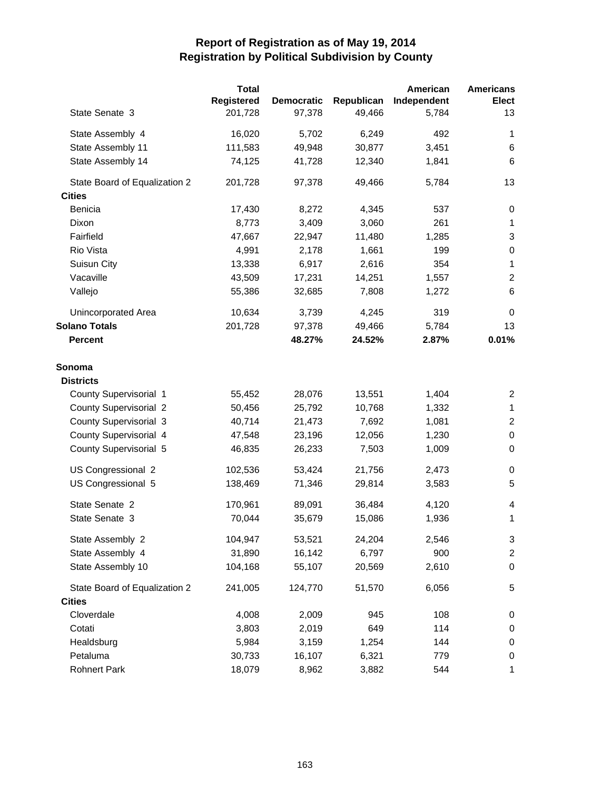|                               | <b>Total</b>      |                   |            | American    | <b>Americans</b> |
|-------------------------------|-------------------|-------------------|------------|-------------|------------------|
|                               | <b>Registered</b> | <b>Democratic</b> | Republican | Independent | <b>Elect</b>     |
| State Senate 3                | 201,728           | 97,378            | 49,466     | 5,784       | 13               |
| State Assembly 4              | 16,020            | 5,702             | 6,249      | 492         | 1                |
| State Assembly 11             | 111,583           | 49,948            | 30,877     | 3,451       | 6                |
| State Assembly 14             | 74,125            | 41,728            | 12,340     | 1,841       | 6                |
| State Board of Equalization 2 | 201,728           | 97,378            | 49,466     | 5,784       | 13               |
| <b>Cities</b>                 |                   |                   |            |             |                  |
| <b>Benicia</b>                | 17,430            | 8,272             | 4,345      | 537         | 0                |
| Dixon                         | 8,773             | 3,409             | 3,060      | 261         | $\mathbf{1}$     |
| Fairfield                     | 47,667            | 22,947            | 11,480     | 1,285       | 3                |
| Rio Vista                     | 4,991             | 2,178             | 1,661      | 199         | 0                |
| Suisun City                   | 13,338            | 6,917             | 2,616      | 354         | 1                |
| Vacaville                     | 43,509            | 17,231            | 14,251     | 1,557       | $\overline{2}$   |
| Vallejo                       | 55,386            | 32,685            | 7,808      | 1,272       | 6                |
| Unincorporated Area           | 10,634            | 3,739             | 4,245      | 319         | $\mathbf 0$      |
| <b>Solano Totals</b>          | 201,728           | 97,378            | 49,466     | 5,784       | 13               |
| <b>Percent</b>                |                   | 48.27%            | 24.52%     | 2.87%       | 0.01%            |
| Sonoma                        |                   |                   |            |             |                  |
| <b>Districts</b>              |                   |                   |            |             |                  |
| County Supervisorial 1        | 55,452            | 28,076            | 13,551     | 1,404       | $\overline{c}$   |
| <b>County Supervisorial 2</b> | 50,456            | 25,792            | 10,768     | 1,332       | $\mathbf{1}$     |
| <b>County Supervisorial 3</b> | 40,714            | 21,473            | 7,692      | 1,081       | $\overline{c}$   |
| County Supervisorial 4        | 47,548            | 23,196            | 12,056     | 1,230       | $\pmb{0}$        |
| County Supervisorial 5        | 46,835            | 26,233            | 7,503      | 1,009       | 0                |
| US Congressional 2            | 102,536           | 53,424            | 21,756     | 2,473       | 0                |
| US Congressional 5            | 138,469           | 71,346            | 29,814     | 3,583       | 5                |
| State Senate 2                | 170,961           | 89,091            | 36,484     | 4,120       | 4                |
| State Senate 3                | 70,044            | 35,679            | 15,086     | 1,936       | 1                |
| State Assembly 2              | 104,947           | 53,521            | 24,204     | 2,546       | 3                |
| State Assembly 4              | 31,890            | 16,142            | 6,797      | 900         | $\overline{2}$   |
| State Assembly 10             | 104,168           | 55,107            | 20,569     | 2,610       | $\pmb{0}$        |
| State Board of Equalization 2 | 241,005           | 124,770           | 51,570     | 6,056       | 5                |
| <b>Cities</b>                 |                   |                   |            |             |                  |
| Cloverdale                    | 4,008             | 2,009             | 945        | 108         | 0                |
| Cotati                        | 3,803             | 2,019             | 649        | 114         | 0                |
| Healdsburg                    | 5,984             | 3,159             | 1,254      | 144         | 0                |
| Petaluma                      | 30,733            | 16,107            | 6,321      | 779         | 0                |
| <b>Rohnert Park</b>           | 18,079            | 8,962             | 3,882      | 544         | 1                |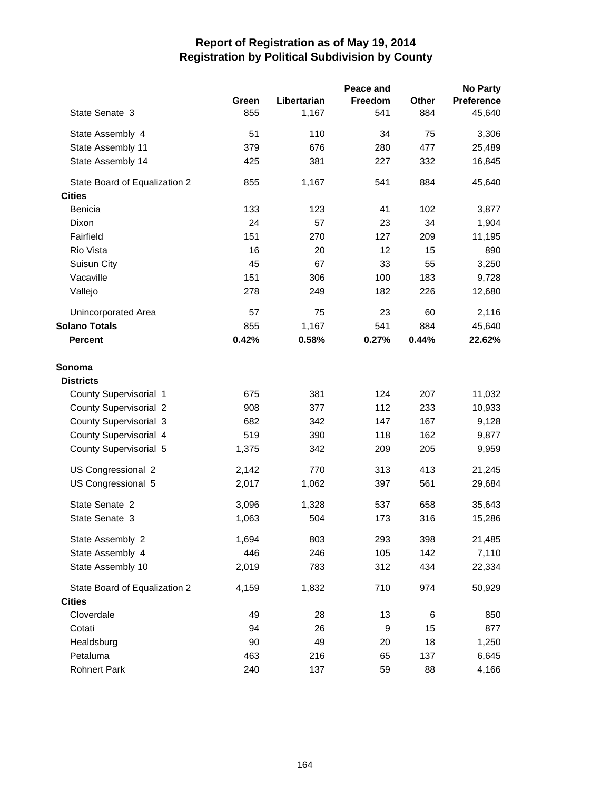|                               |       |             | Peace and |       | <b>No Party</b>   |
|-------------------------------|-------|-------------|-----------|-------|-------------------|
|                               | Green | Libertarian | Freedom   | Other | <b>Preference</b> |
| State Senate 3                | 855   | 1,167       | 541       | 884   | 45,640            |
| State Assembly 4              | 51    | 110         | 34        | 75    | 3,306             |
| State Assembly 11             | 379   | 676         | 280       | 477   | 25,489            |
| State Assembly 14             | 425   | 381         | 227       | 332   | 16,845            |
| State Board of Equalization 2 | 855   | 1,167       | 541       | 884   | 45,640            |
| <b>Cities</b>                 |       |             |           |       |                   |
| <b>Benicia</b>                | 133   | 123         | 41        | 102   | 3,877             |
| Dixon                         | 24    | 57          | 23        | 34    | 1,904             |
| Fairfield                     | 151   | 270         | 127       | 209   | 11,195            |
| Rio Vista                     | 16    | 20          | 12        | 15    | 890               |
| Suisun City                   | 45    | 67          | 33        | 55    | 3,250             |
| Vacaville                     | 151   | 306         | 100       | 183   | 9,728             |
| Vallejo                       | 278   | 249         | 182       | 226   | 12,680            |
| Unincorporated Area           | 57    | 75          | 23        | 60    | 2,116             |
| <b>Solano Totals</b>          | 855   | 1,167       | 541       | 884   | 45,640            |
| <b>Percent</b>                | 0.42% | 0.58%       | 0.27%     | 0.44% | 22.62%            |
| Sonoma                        |       |             |           |       |                   |
| <b>Districts</b>              |       |             |           |       |                   |
| County Supervisorial 1        | 675   | 381         | 124       | 207   | 11,032            |
| <b>County Supervisorial 2</b> | 908   | 377         | 112       | 233   | 10,933            |
| <b>County Supervisorial 3</b> | 682   | 342         | 147       | 167   | 9,128             |
| County Supervisorial 4        | 519   | 390         | 118       | 162   | 9,877             |
| County Supervisorial 5        | 1,375 | 342         | 209       | 205   | 9,959             |
| US Congressional 2            | 2,142 | 770         | 313       | 413   | 21,245            |
| US Congressional 5            | 2,017 | 1,062       | 397       | 561   | 29,684            |
| State Senate 2                | 3,096 | 1,328       | 537       | 658   | 35,643            |
| State Senate 3                | 1,063 | 504         | 173       | 316   | 15,286            |
| State Assembly 2              | 1,694 | 803         | 293       | 398   | 21,485            |
| State Assembly 4              | 446   | 246         | 105       | 142   | 7,110             |
| State Assembly 10             | 2,019 | 783         | 312       | 434   | 22,334            |
| State Board of Equalization 2 | 4,159 | 1,832       | 710       | 974   | 50,929            |
| <b>Cities</b>                 |       |             |           |       |                   |
| Cloverdale                    | 49    | 28          | 13        | 6     | 850               |
| Cotati                        | 94    | 26          | 9         | 15    | 877               |
| Healdsburg                    | 90    | 49          | 20        | 18    | 1,250             |
| Petaluma                      | 463   | 216         | 65        | 137   | 6,645             |
| <b>Rohnert Park</b>           | 240   | 137         | 59        | 88    | 4,166             |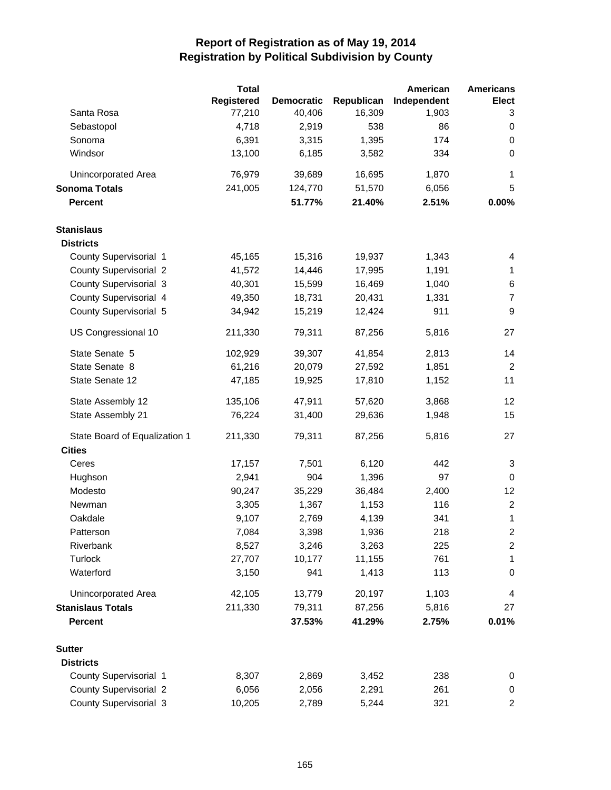|                                                | <b>Total</b>      |                   |            | American    | <b>Americans</b>        |
|------------------------------------------------|-------------------|-------------------|------------|-------------|-------------------------|
|                                                | <b>Registered</b> | <b>Democratic</b> | Republican | Independent | <b>Elect</b>            |
| Santa Rosa                                     | 77,210            | 40,406            | 16,309     | 1,903       | 3                       |
| Sebastopol                                     | 4,718             | 2,919             | 538        | 86          | 0                       |
| Sonoma                                         | 6,391             | 3,315             | 1,395      | 174         | 0                       |
| Windsor                                        | 13,100            | 6,185             | 3,582      | 334         | $\mathbf 0$             |
| Unincorporated Area                            | 76,979            | 39,689            | 16,695     | 1,870       | 1                       |
| <b>Sonoma Totals</b>                           | 241,005           | 124,770           | 51,570     | 6,056       | 5                       |
| <b>Percent</b>                                 |                   | 51.77%            | 21.40%     | 2.51%       | 0.00%                   |
| <b>Stanislaus</b>                              |                   |                   |            |             |                         |
| <b>Districts</b>                               |                   |                   |            |             |                         |
| County Supervisorial 1                         | 45,165            | 15,316            | 19,937     | 1,343       | 4                       |
| <b>County Supervisorial 2</b>                  | 41,572            | 14,446            | 17,995     | 1,191       | $\mathbf{1}$            |
| County Supervisorial 3                         | 40,301            | 15,599            | 16,469     | 1,040       | 6                       |
| County Supervisorial 4                         | 49,350            | 18,731            | 20,431     | 1,331       | $\boldsymbol{7}$        |
| County Supervisorial 5                         | 34,942            | 15,219            | 12,424     | 911         | $\boldsymbol{9}$        |
| US Congressional 10                            | 211,330           | 79,311            | 87,256     | 5,816       | 27                      |
| State Senate 5                                 | 102,929           | 39,307            | 41,854     | 2,813       | 14                      |
| State Senate 8                                 | 61,216            | 20,079            | 27,592     | 1,851       | $\sqrt{2}$              |
| State Senate 12                                | 47,185            | 19,925            | 17,810     | 1,152       | 11                      |
| State Assembly 12                              | 135,106           | 47,911            | 57,620     | 3,868       | 12                      |
| State Assembly 21                              | 76,224            | 31,400            | 29,636     | 1,948       | 15                      |
| State Board of Equalization 1<br><b>Cities</b> | 211,330           | 79,311            | 87,256     | 5,816       | 27                      |
| Ceres                                          | 17,157            | 7,501             | 6,120      | 442         | 3                       |
| Hughson                                        | 2,941             | 904               | 1,396      | 97          | $\mathbf 0$             |
| Modesto                                        | 90,247            | 35,229            | 36,484     | 2,400       | 12                      |
| Newman                                         | 3,305             | 1,367             | 1,153      | 116         | $\overline{2}$          |
| Oakdale                                        | 9,107             | 2,769             | 4,139      | 341         | 1                       |
| Patterson                                      | 7,084             | 3,398             | 1,936      | 218         | $\overline{c}$          |
| Riverbank                                      | 8,527             | 3,246             | 3,263      | 225         | $\overline{\mathbf{c}}$ |
| Turlock                                        | 27,707            | 10,177            | 11,155     | 761         | 1                       |
| Waterford                                      | 3,150             | 941               | 1,413      | 113         | 0                       |
| Unincorporated Area                            | 42,105            | 13,779            | 20,197     | 1,103       | 4                       |
| <b>Stanislaus Totals</b>                       | 211,330           | 79,311            | 87,256     | 5,816       | 27                      |
| <b>Percent</b>                                 |                   | 37.53%            | 41.29%     | 2.75%       | 0.01%                   |
| <b>Sutter</b>                                  |                   |                   |            |             |                         |
| <b>Districts</b>                               |                   |                   |            |             |                         |
| County Supervisorial 1                         | 8,307             | 2,869             | 3,452      | 238         | 0                       |
| <b>County Supervisorial 2</b>                  | 6,056             | 2,056             | 2,291      | 261         | 0                       |
| County Supervisorial 3                         | 10,205            | 2,789             | 5,244      | 321         | $\overline{\mathbf{c}}$ |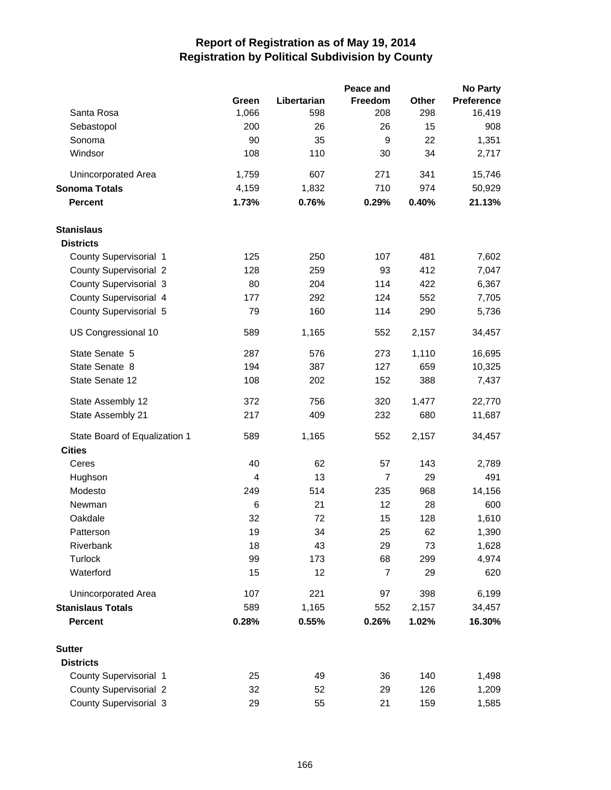|                               |          |             | Peace and             |           | <b>No Party</b>   |
|-------------------------------|----------|-------------|-----------------------|-----------|-------------------|
|                               | Green    | Libertarian | <b>Freedom</b>        | Other     | <b>Preference</b> |
| Santa Rosa                    | 1,066    | 598         | 208                   | 298       | 16,419            |
| Sebastopol                    | 200      | 26          | 26                    | 15        | 908               |
| Sonoma                        | 90       | 35          | 9                     | 22        | 1,351             |
| Windsor                       | 108      | 110         | 30                    | 34        | 2,717             |
| <b>Unincorporated Area</b>    | 1,759    | 607         | 271                   | 341       | 15,746            |
| <b>Sonoma Totals</b>          | 4,159    | 1,832       | 710                   | 974       | 50,929            |
| <b>Percent</b>                | 1.73%    | 0.76%       | 0.29%                 | 0.40%     | 21.13%            |
| <b>Stanislaus</b>             |          |             |                       |           |                   |
| <b>Districts</b>              |          |             |                       |           |                   |
| County Supervisorial 1        | 125      | 250         | 107                   | 481       | 7,602             |
| <b>County Supervisorial 2</b> | 128      | 259         | 93                    | 412       | 7,047             |
| <b>County Supervisorial 3</b> | 80       | 204         | 114                   | 422       | 6,367             |
| County Supervisorial 4        | 177      | 292         | 124                   | 552       | 7,705             |
| County Supervisorial 5        | 79       | 160         | 114                   | 290       | 5,736             |
| US Congressional 10           | 589      | 1,165       | 552                   | 2,157     | 34,457            |
| State Senate 5                | 287      | 576         | 273                   | 1,110     | 16,695            |
| State Senate 8                | 194      | 387         | 127                   | 659       | 10,325            |
| State Senate 12               | 108      | 202         | 152                   | 388       | 7,437             |
| State Assembly 12             | 372      | 756         | 320                   | 1,477     | 22,770            |
| State Assembly 21             | 217      | 409         | 232                   | 680       | 11,687            |
| State Board of Equalization 1 | 589      | 1,165       | 552                   | 2,157     | 34,457            |
| <b>Cities</b>                 |          |             |                       |           |                   |
| Ceres                         | 40       | 62<br>13    | 57                    | 143       | 2,789             |
| Hughson<br>Modesto            | 4<br>249 | 514         | $\overline{7}$<br>235 | 29<br>968 | 491               |
|                               | 6        |             | 12                    | 28        | 14,156<br>600     |
| Newman<br>Oakdale             | 32       | 21<br>72    | 15                    | 128       | 1,610             |
| Patterson                     | 19       | 34          | 25                    | 62        | 1,390             |
| Riverbank                     | 18       | 43          | 29                    | 73        | 1,628             |
| Turlock                       | 99       | 173         | 68                    | 299       | 4,974             |
| Waterford                     | 15       | 12          | $\overline{7}$        | 29        | 620               |
| <b>Unincorporated Area</b>    | 107      | 221         | 97                    | 398       | 6,199             |
| <b>Stanislaus Totals</b>      | 589      | 1,165       | 552                   | 2,157     | 34,457            |
| <b>Percent</b>                | 0.28%    | 0.55%       | 0.26%                 | 1.02%     | 16.30%            |
| <b>Sutter</b>                 |          |             |                       |           |                   |
| <b>Districts</b>              |          |             |                       |           |                   |
| County Supervisorial 1        | 25       | 49          | 36                    | 140       | 1,498             |
| <b>County Supervisorial 2</b> | 32       | 52          | 29                    | 126       | 1,209             |
| County Supervisorial 3        | 29       | 55          | 21                    | 159       | 1,585             |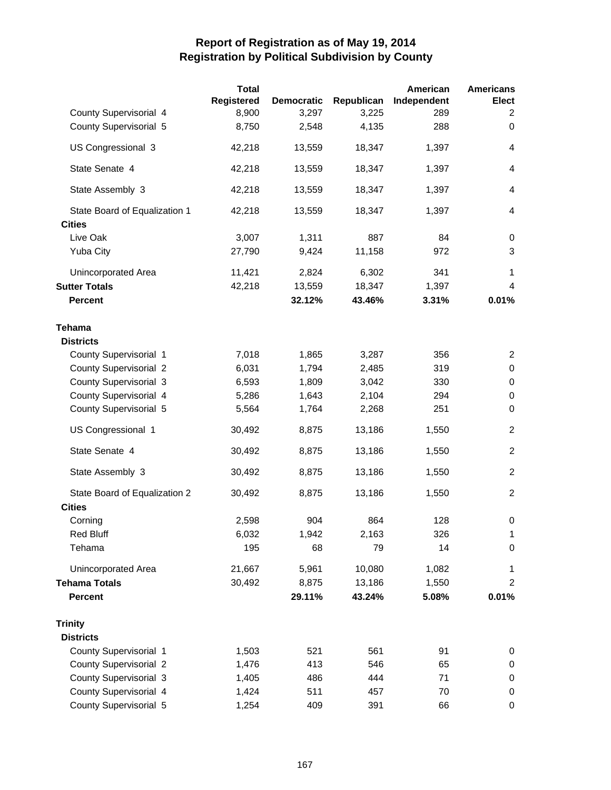|                               | <b>Total</b>      |                   |            | American    | <b>Americans</b> |
|-------------------------------|-------------------|-------------------|------------|-------------|------------------|
|                               | <b>Registered</b> | <b>Democratic</b> | Republican | Independent | <b>Elect</b>     |
| County Supervisorial 4        | 8,900             | 3,297             | 3,225      | 289         | 2                |
| County Supervisorial 5        | 8,750             | 2,548             | 4,135      | 288         | 0                |
| US Congressional 3            | 42,218            | 13,559            | 18,347     | 1,397       | 4                |
| State Senate 4                | 42,218            | 13,559            | 18,347     | 1,397       | 4                |
| State Assembly 3              | 42,218            | 13,559            | 18,347     | 1,397       | $\overline{4}$   |
| State Board of Equalization 1 | 42,218            | 13,559            | 18,347     | 1,397       | 4                |
| <b>Cities</b>                 |                   |                   |            |             |                  |
| Live Oak                      | 3,007             | 1,311             | 887        | 84          | 0                |
| <b>Yuba City</b>              | 27,790            | 9,424             | 11,158     | 972         | 3                |
| Unincorporated Area           | 11,421            | 2,824             | 6,302      | 341         | 1                |
| <b>Sutter Totals</b>          | 42,218            | 13,559            | 18,347     | 1,397       | 4                |
| <b>Percent</b>                |                   | 32.12%            | 43.46%     | 3.31%       | 0.01%            |
| Tehama                        |                   |                   |            |             |                  |
| <b>Districts</b>              |                   |                   |            |             |                  |
| County Supervisorial 1        | 7,018             | 1,865             | 3,287      | 356         | $\overline{2}$   |
| <b>County Supervisorial 2</b> | 6,031             | 1,794             | 2,485      | 319         | $\pmb{0}$        |
| <b>County Supervisorial 3</b> | 6,593             | 1,809             | 3,042      | 330         | 0                |
| County Supervisorial 4        | 5,286             | 1,643             | 2,104      | 294         | 0                |
| County Supervisorial 5        | 5,564             | 1,764             | 2,268      | 251         | 0                |
| US Congressional 1            | 30,492            | 8,875             | 13,186     | 1,550       | $\overline{c}$   |
| State Senate 4                | 30,492            | 8,875             | 13,186     | 1,550       | $\overline{c}$   |
| State Assembly 3              | 30,492            | 8,875             | 13,186     | 1,550       | $\overline{c}$   |
| State Board of Equalization 2 | 30,492            | 8,875             | 13,186     | 1,550       | $\overline{2}$   |
| <b>Cities</b>                 |                   |                   |            |             |                  |
| Corning                       | 2,598             | 904               | 864        | 128         | 0                |
| Red Bluff                     | 6,032             | 1,942             | 2,163      | 326         | 1                |
| Tehama                        | 195               | 68                | 79         | 14          | 0                |
| Unincorporated Area           | 21,667            | 5,961             | 10,080     | 1,082       | 1                |
| <b>Tehama Totals</b>          | 30,492            | 8,875             | 13,186     | 1,550       | 2                |
| <b>Percent</b>                |                   | 29.11%            | 43.24%     | 5.08%       | 0.01%            |
| <b>Trinity</b>                |                   |                   |            |             |                  |
| <b>Districts</b>              |                   |                   |            |             |                  |
| County Supervisorial 1        | 1,503             | 521               | 561        | 91          | 0                |
| <b>County Supervisorial 2</b> | 1,476             | 413               | 546        | 65          | 0                |
| <b>County Supervisorial 3</b> | 1,405             | 486               | 444        | 71          | 0                |
| County Supervisorial 4        | 1,424             | 511               | 457        | 70          | 0                |
| County Supervisorial 5        | 1,254             | 409               | 391        | 66          | 0                |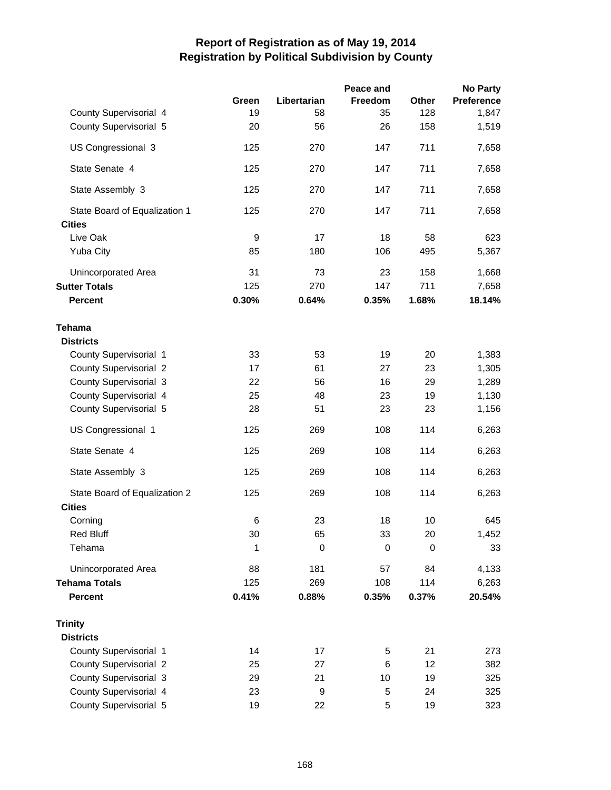|                               |        |             | Peace and      |             | <b>No Party</b>   |
|-------------------------------|--------|-------------|----------------|-------------|-------------------|
|                               | Green  | Libertarian | <b>Freedom</b> | Other       | <b>Preference</b> |
| County Supervisorial 4        | 19     | 58          | 35             | 128         | 1,847             |
| County Supervisorial 5        | 20     | 56          | 26             | 158         | 1,519             |
| US Congressional 3            | 125    | 270         | 147            | 711         | 7,658             |
| State Senate 4                | 125    | 270         | 147            | 711         | 7,658             |
| State Assembly 3              | 125    | 270         | 147            | 711         | 7,658             |
| State Board of Equalization 1 | 125    | 270         | 147            | 711         | 7,658             |
| <b>Cities</b>                 |        |             |                |             |                   |
| Live Oak                      | 9      | 17          | 18             | 58          | 623               |
| <b>Yuba City</b>              | 85     | 180         | 106            | 495         | 5,367             |
| Unincorporated Area           | 31     | 73          | 23             | 158         | 1,668             |
| <b>Sutter Totals</b>          | 125    | 270         | 147            | 711         | 7,658             |
| <b>Percent</b>                | 0.30%  | 0.64%       | 0.35%          | 1.68%       | 18.14%            |
| <b>Tehama</b>                 |        |             |                |             |                   |
| <b>Districts</b>              |        |             |                |             |                   |
| County Supervisorial 1        | 33     | 53          | 19             | 20          | 1,383             |
| <b>County Supervisorial 2</b> | 17     | 61          | 27             | 23          | 1,305             |
| <b>County Supervisorial 3</b> | 22     | 56          | 16             | 29          | 1,289             |
| County Supervisorial 4        | 25     | 48          | 23             | 19          | 1,130             |
| County Supervisorial 5        | 28     | 51          | 23             | 23          | 1,156             |
| US Congressional 1            | 125    | 269         | 108            | 114         | 6,263             |
| State Senate 4                | 125    | 269         | 108            | 114         | 6,263             |
| State Assembly 3              | 125    | 269         | 108            | 114         | 6,263             |
| State Board of Equalization 2 | 125    | 269         | 108            | 114         | 6,263             |
| <b>Cities</b>                 |        |             |                |             |                   |
| Corning                       | 6      | 23          | 18             | 10          | 645               |
| <b>Red Bluff</b>              | $30\,$ | 65          | 33             | 20          | 1,452             |
| Tehama                        | 1      | 0           | 0              | $\mathbf 0$ | 33                |
| Unincorporated Area           | 88     | 181         | 57             | 84          | 4,133             |
| <b>Tehama Totals</b>          | 125    | 269         | 108            | 114         | 6,263             |
| <b>Percent</b>                | 0.41%  | 0.88%       | 0.35%          | 0.37%       | 20.54%            |
| <b>Trinity</b>                |        |             |                |             |                   |
| <b>Districts</b>              |        |             |                |             |                   |
| County Supervisorial 1        | 14     | 17          | 5              | 21          | 273               |
| <b>County Supervisorial 2</b> | 25     | 27          | 6              | 12          | 382               |
| County Supervisorial 3        | 29     | 21          | 10             | 19          | 325               |
| County Supervisorial 4        | 23     | 9           | 5              | 24          | 325               |
| County Supervisorial 5        | 19     | 22          | 5              | 19          | 323               |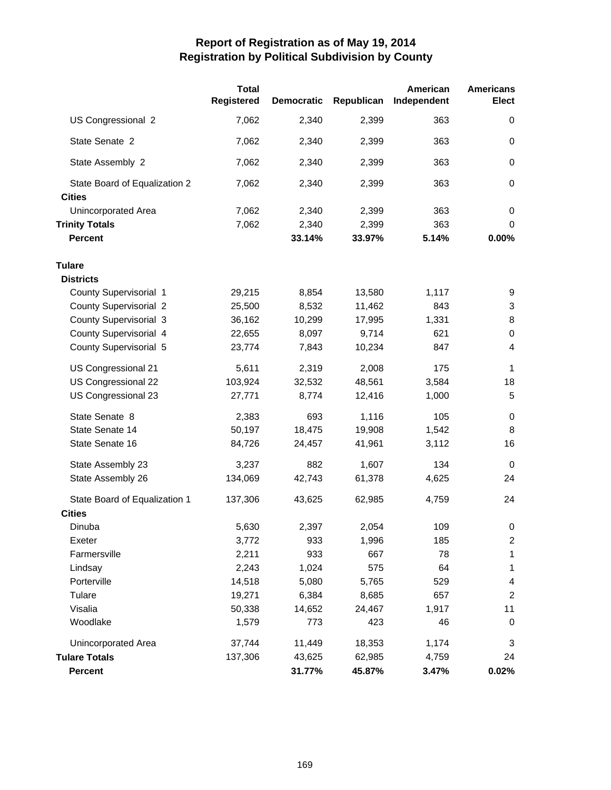|                                                | <b>Total</b><br><b>Registered</b> | <b>Democratic</b> | Republican | American<br>Independent | <b>Americans</b><br>Elect |
|------------------------------------------------|-----------------------------------|-------------------|------------|-------------------------|---------------------------|
| US Congressional 2                             | 7,062                             | 2,340             | 2,399      | 363                     | 0                         |
| State Senate 2                                 | 7,062                             | 2,340             | 2,399      | 363                     | 0                         |
| State Assembly 2                               | 7,062                             | 2,340             | 2,399      | 363                     | 0                         |
| State Board of Equalization 2<br><b>Cities</b> | 7,062                             | 2,340             | 2,399      | 363                     | 0                         |
| <b>Unincorporated Area</b>                     | 7,062                             | 2,340             | 2,399      | 363                     | 0                         |
| <b>Trinity Totals</b>                          | 7,062                             | 2,340             | 2,399      | 363                     | 0                         |
| <b>Percent</b>                                 |                                   | 33.14%            | 33.97%     | 5.14%                   | 0.00%                     |
| <b>Tulare</b>                                  |                                   |                   |            |                         |                           |
| <b>Districts</b>                               |                                   |                   |            |                         |                           |
| County Supervisorial 1                         | 29,215                            | 8,854             | 13,580     | 1,117                   | 9                         |
| <b>County Supervisorial 2</b>                  | 25,500                            | 8,532             | 11,462     | 843                     | 3                         |
| <b>County Supervisorial 3</b>                  | 36,162                            | 10,299            | 17,995     | 1,331                   | 8                         |
| County Supervisorial 4                         | 22,655                            | 8,097             | 9,714      | 621                     | 0                         |
| County Supervisorial 5                         | 23,774                            | 7,843             | 10,234     | 847                     | 4                         |
| US Congressional 21                            | 5,611                             | 2,319             | 2,008      | 175                     | 1                         |
| US Congressional 22                            | 103,924                           | 32,532            | 48,561     | 3,584                   | 18                        |
| US Congressional 23                            | 27,771                            | 8,774             | 12,416     | 1,000                   | 5                         |
| State Senate 8                                 | 2,383                             | 693               | 1,116      | 105                     | 0                         |
| State Senate 14                                | 50,197                            | 18,475            | 19,908     | 1,542                   | 8                         |
| State Senate 16                                | 84,726                            | 24,457            | 41,961     | 3,112                   | 16                        |
| State Assembly 23                              | 3,237                             | 882               | 1,607      | 134                     | $\mathbf 0$               |
| State Assembly 26                              | 134,069                           | 42,743            | 61,378     | 4,625                   | 24                        |
| State Board of Equalization 1                  | 137,306                           | 43,625            | 62,985     | 4,759                   | 24                        |
| <b>Cities</b>                                  |                                   |                   |            |                         |                           |
| Dinuba                                         | 5,630                             | 2,397             | 2,054      | 109                     | 0                         |
| Exeter                                         | 3,772                             | 933               | 1,996      | 185                     | $\overline{\mathbf{c}}$   |
| Farmersville                                   | 2,211                             | 933               | 667        | 78                      | $\mathbf 1$               |
| Lindsay                                        | 2,243                             | 1,024             | 575        | 64                      | 1                         |
| Porterville                                    | 14,518                            | 5,080             | 5,765      | 529                     | 4                         |
| Tulare                                         | 19,271                            | 6,384             | 8,685      | 657                     | $\overline{2}$            |
| Visalia                                        | 50,338                            | 14,652            | 24,467     | 1,917                   | 11                        |
| Woodlake                                       | 1,579                             | 773               | 423        | 46                      | 0                         |
| <b>Unincorporated Area</b>                     | 37,744                            | 11,449            | 18,353     | 1,174                   | 3                         |
| <b>Tulare Totals</b>                           | 137,306                           | 43,625            | 62,985     | 4,759                   | 24                        |
| <b>Percent</b>                                 |                                   | 31.77%            | 45.87%     | 3.47%                   | 0.02%                     |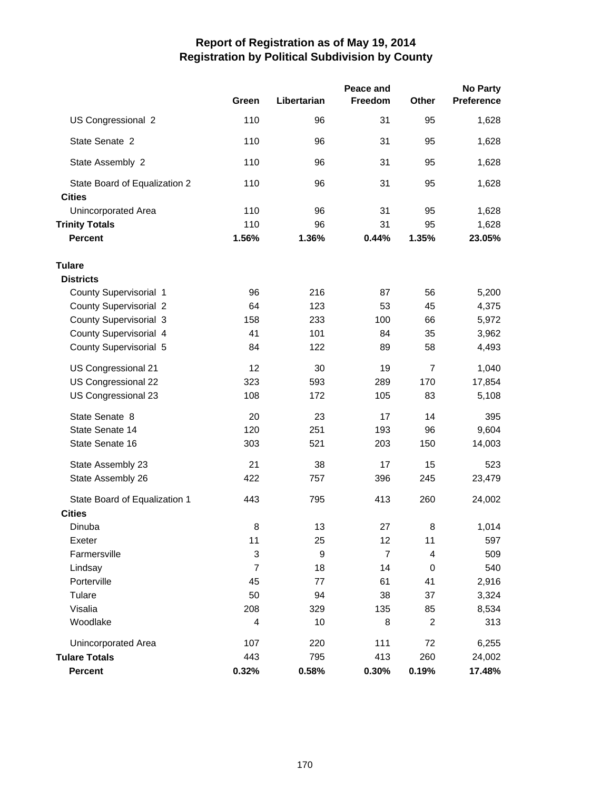|                                                |                |             | Peace and      |                | <b>No Party</b> |
|------------------------------------------------|----------------|-------------|----------------|----------------|-----------------|
|                                                | Green          | Libertarian | Freedom        | Other          | Preference      |
| US Congressional 2                             | 110            | 96          | 31             | 95             | 1,628           |
| State Senate 2                                 | 110            | 96          | 31             | 95             | 1,628           |
| State Assembly 2                               | 110            | 96          | 31             | 95             | 1,628           |
| State Board of Equalization 2<br><b>Cities</b> | 110            | 96          | 31             | 95             | 1,628           |
| <b>Unincorporated Area</b>                     | 110            | 96          | 31             | 95             | 1,628           |
| <b>Trinity Totals</b>                          | 110            | 96          | 31             | 95             | 1,628           |
| <b>Percent</b>                                 | 1.56%          | 1.36%       | 0.44%          | 1.35%          | 23.05%          |
| <b>Tulare</b>                                  |                |             |                |                |                 |
| <b>Districts</b>                               |                |             |                |                |                 |
| County Supervisorial 1                         | 96             | 216         | 87             | 56             | 5,200           |
| <b>County Supervisorial 2</b>                  | 64             | 123         | 53             | 45             | 4,375           |
| County Supervisorial 3                         | 158            | 233         | 100            | 66             | 5,972           |
| County Supervisorial 4                         | 41             | 101         | 84             | 35             | 3,962           |
| County Supervisorial 5                         | 84             | 122         | 89             | 58             | 4,493           |
| US Congressional 21                            | 12             | 30          | 19             | $\overline{7}$ | 1,040           |
| US Congressional 22                            | 323            | 593         | 289            | 170            | 17,854          |
| US Congressional 23                            | 108            | 172         | 105            | 83             | 5,108           |
| State Senate 8                                 | 20             | 23          | 17             | 14             | 395             |
| State Senate 14                                | 120            | 251         | 193            | 96             | 9,604           |
| State Senate 16                                | 303            | 521         | 203            | 150            | 14,003          |
| State Assembly 23                              | 21             | 38          | 17             | 15             | 523             |
| State Assembly 26                              | 422            | 757         | 396            | 245            | 23,479          |
| State Board of Equalization 1                  | 443            | 795         | 413            | 260            | 24,002          |
| <b>Cities</b>                                  |                |             |                |                |                 |
| Dinuba                                         | 8              | 13          | 27             | 8              | 1,014           |
| Exeter                                         | 11             | 25          | 12             | 11             | 597             |
| Farmersville                                   | 3              | 9           | $\overline{7}$ | 4              | 509             |
| Lindsay                                        | $\overline{7}$ | 18          | 14             | 0              | 540             |
| Porterville                                    | 45             | 77          | 61             | 41             | 2,916           |
| Tulare                                         | 50             | 94          | 38             | 37             | 3,324           |
| Visalia                                        | 208            | 329         | 135            | 85             | 8,534           |
| Woodlake                                       | 4              | 10          | 8              | $\overline{c}$ | 313             |
| <b>Unincorporated Area</b>                     | 107            | 220         | 111            | 72             | 6,255           |
| <b>Tulare Totals</b>                           | 443            | 795         | 413            | 260            | 24,002          |
| Percent                                        | 0.32%          | 0.58%       | 0.30%          | 0.19%          | 17.48%          |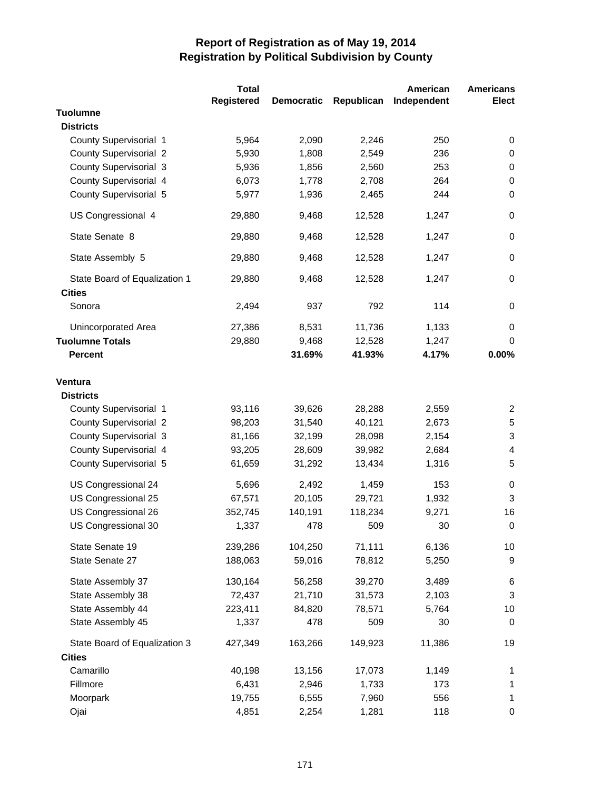|                               | <b>Total</b>      |                   |            | American    | <b>Americans</b> |
|-------------------------------|-------------------|-------------------|------------|-------------|------------------|
|                               | <b>Registered</b> | <b>Democratic</b> | Republican | Independent | <b>Elect</b>     |
| <b>Tuolumne</b>               |                   |                   |            |             |                  |
| <b>Districts</b>              |                   |                   |            |             |                  |
| County Supervisorial 1        | 5,964             | 2,090             | 2,246      | 250         | 0                |
| <b>County Supervisorial 2</b> | 5,930             | 1,808             | 2,549      | 236         | 0                |
| County Supervisorial 3        | 5,936             | 1,856             | 2,560      | 253         | $\pmb{0}$        |
| County Supervisorial 4        | 6,073             | 1,778             | 2,708      | 264         | $\mathbf 0$      |
| County Supervisorial 5        | 5,977             | 1,936             | 2,465      | 244         | $\mathbf 0$      |
| US Congressional 4            | 29,880            | 9,468             | 12,528     | 1,247       | $\mathbf 0$      |
| State Senate 8                | 29,880            | 9,468             | 12,528     | 1,247       | $\mathbf 0$      |
| State Assembly 5              | 29,880            | 9,468             | 12,528     | 1,247       | $\mathbf 0$      |
| State Board of Equalization 1 | 29,880            | 9,468             | 12,528     | 1,247       | $\mathbf 0$      |
| <b>Cities</b>                 |                   |                   |            |             |                  |
| Sonora                        | 2,494             | 937               | 792        | 114         | $\mathbf 0$      |
| Unincorporated Area           | 27,386            | 8,531             | 11,736     | 1,133       | 0                |
| <b>Tuolumne Totals</b>        | 29,880            | 9,468             | 12,528     | 1,247       | $\Omega$         |
| <b>Percent</b>                |                   | 31.69%            | 41.93%     | 4.17%       | 0.00%            |
| <b>Ventura</b>                |                   |                   |            |             |                  |
| <b>Districts</b>              |                   |                   |            |             |                  |
| County Supervisorial 1        | 93,116            | 39,626            | 28,288     | 2,559       | 2                |
| <b>County Supervisorial 2</b> | 98,203            | 31,540            | 40,121     | 2,673       | 5                |
| County Supervisorial 3        | 81,166            | 32,199            | 28,098     | 2,154       | 3                |
| County Supervisorial 4        | 93,205            | 28,609            | 39,982     | 2,684       | 4                |
| County Supervisorial 5        | 61,659            | 31,292            | 13,434     | 1,316       | 5                |
|                               |                   |                   |            |             |                  |
| US Congressional 24           | 5,696             | 2,492             | 1,459      | 153         | 0                |
| US Congressional 25           | 67,571            | 20,105            | 29,721     | 1,932       | 3                |
| US Congressional 26           | 352,745           | 140,191           | 118,234    | 9,271       | 16               |
| US Congressional 30           | 1,337             | 478               | 509        | 30          | $\mathbf 0$      |
| State Senate 19               | 239,286           | 104,250           | 71,111     | 6,136       | 10               |
| State Senate 27               | 188,063           | 59,016            | 78,812     | 5,250       | 9                |
| State Assembly 37             | 130,164           | 56,258            | 39,270     | 3,489       | $\,6$            |
| State Assembly 38             | 72,437            | 21,710            | 31,573     | 2,103       | $\sqrt{3}$       |
| State Assembly 44             | 223,411           | 84,820            | 78,571     | 5,764       | 10               |
| State Assembly 45             | 1,337             | 478               | 509        | 30          | $\mathbf 0$      |
| State Board of Equalization 3 | 427,349           | 163,266           | 149,923    | 11,386      | 19               |
| <b>Cities</b>                 |                   |                   |            |             |                  |
| Camarillo                     | 40,198            | 13,156            | 17,073     | 1,149       | 1                |
| Fillmore                      | 6,431             | 2,946             | 1,733      | 173         | 1                |
| Moorpark                      | 19,755            | 6,555             | 7,960      | 556         | 1                |
| Ojai                          | 4,851             | 2,254             | 1,281      | 118         | 0                |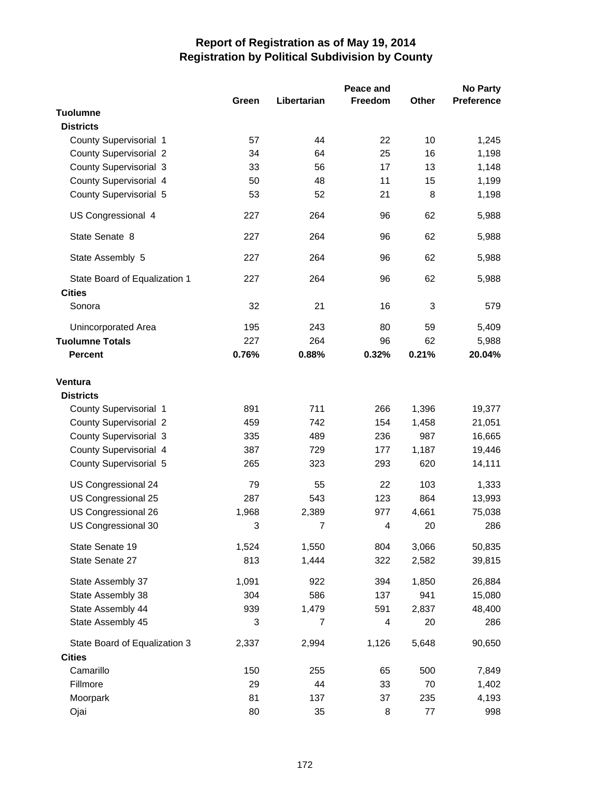|                                                |       |                | Peace and      |        | <b>No Party</b>   |
|------------------------------------------------|-------|----------------|----------------|--------|-------------------|
|                                                | Green | Libertarian    | <b>Freedom</b> | Other  | <b>Preference</b> |
| <b>Tuolumne</b>                                |       |                |                |        |                   |
| <b>Districts</b>                               |       |                |                |        |                   |
| County Supervisorial 1                         | 57    | 44             | 22             | 10     | 1,245             |
| <b>County Supervisorial 2</b>                  | 34    | 64             | 25             | 16     | 1,198             |
| <b>County Supervisorial 3</b>                  | 33    | 56             | 17             | 13     | 1,148             |
| County Supervisorial 4                         | 50    | 48             | 11             | 15     | 1,199             |
| County Supervisorial 5                         | 53    | 52             | 21             | 8      | 1,198             |
| US Congressional 4                             | 227   | 264            | 96             | 62     | 5,988             |
| State Senate 8                                 | 227   | 264            | 96             | 62     | 5,988             |
| State Assembly 5                               | 227   | 264            | 96             | 62     | 5,988             |
| State Board of Equalization 1<br><b>Cities</b> | 227   | 264            | 96             | 62     | 5,988             |
| Sonora                                         | 32    | 21             | 16             | 3      | 579               |
| Unincorporated Area                            | 195   | 243            | 80             | 59     | 5,409             |
| <b>Tuolumne Totals</b>                         | 227   | 264            | 96             | 62     | 5,988             |
| <b>Percent</b>                                 | 0.76% | 0.88%          | 0.32%          | 0.21%  | 20.04%            |
| <b>Ventura</b>                                 |       |                |                |        |                   |
| <b>Districts</b>                               |       |                |                |        |                   |
| <b>County Supervisorial 1</b>                  | 891   | 711            | 266            | 1,396  | 19,377            |
| <b>County Supervisorial 2</b>                  | 459   | 742            | 154            | 1,458  | 21,051            |
| <b>County Supervisorial 3</b>                  | 335   | 489            | 236            | 987    | 16,665            |
| County Supervisorial 4                         | 387   | 729            | 177            | 1,187  | 19,446            |
| County Supervisorial 5                         | 265   | 323            | 293            | 620    | 14,111            |
| US Congressional 24                            | 79    | 55             | 22             | 103    | 1,333             |
| US Congressional 25                            | 287   | 543            | 123            | 864    | 13,993            |
| US Congressional 26                            | 1,968 | 2,389          | 977            | 4,661  | 75,038            |
| US Congressional 30                            | 3     | 7              | 4              | 20     | 286               |
| State Senate 19                                | 1,524 | 1,550          | 804            | 3,066  | 50,835            |
| State Senate 27                                | 813   | 1,444          | 322            | 2,582  | 39,815            |
| State Assembly 37                              | 1,091 | 922            | 394            | 1,850  | 26,884            |
| State Assembly 38                              | 304   | 586            | 137            | 941    | 15,080            |
| State Assembly 44                              | 939   | 1,479          | 591            | 2,837  | 48,400            |
| State Assembly 45                              | 3     | $\overline{7}$ | 4              | 20     | 286               |
| State Board of Equalization 3                  | 2,337 | 2,994          | 1,126          | 5,648  | 90,650            |
| <b>Cities</b>                                  |       |                |                |        |                   |
| Camarillo                                      | 150   | 255            | 65             | 500    | 7,849             |
| Fillmore                                       | 29    | 44             | 33             | 70     | 1,402             |
| Moorpark                                       | 81    | 137            | 37             | 235    | 4,193             |
| Ojai                                           | 80    | 35             | 8              | $77\,$ | 998               |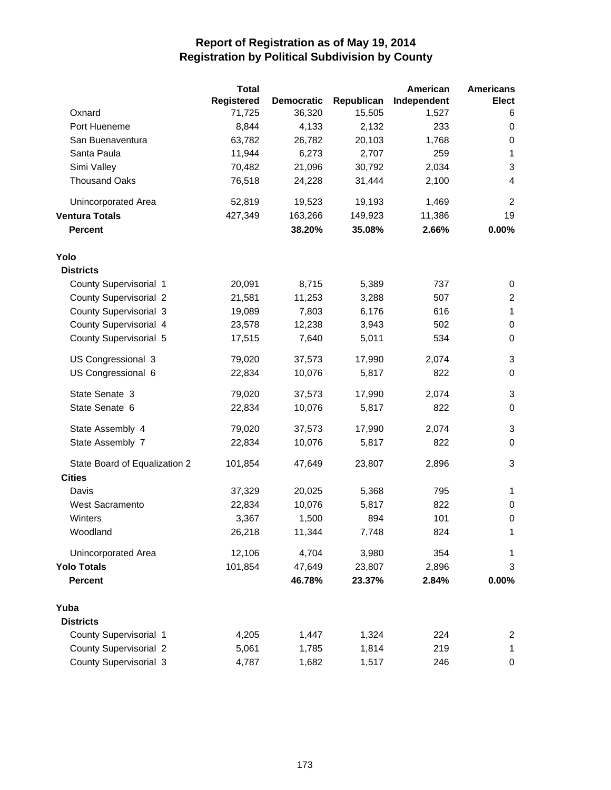|                               | <b>Total</b>      |                   |            | American    | <b>Americans</b>          |
|-------------------------------|-------------------|-------------------|------------|-------------|---------------------------|
|                               | <b>Registered</b> | <b>Democratic</b> | Republican | Independent | <b>Elect</b>              |
| Oxnard                        | 71,725            | 36,320            | 15,505     | 1,527       | 6                         |
| Port Hueneme                  | 8,844             | 4,133             | 2,132      | 233         | 0                         |
| San Buenaventura              | 63,782            | 26,782            | 20,103     | 1,768       | 0                         |
| Santa Paula                   | 11,944            | 6,273             | 2,707      | 259         | 1                         |
| Simi Valley                   | 70,482            | 21,096            | 30,792     | 2,034       | 3                         |
| <b>Thousand Oaks</b>          | 76,518            | 24,228            | 31,444     | 2,100       | 4                         |
| Unincorporated Area           | 52,819            | 19,523            | 19,193     | 1,469       | $\overline{c}$            |
| <b>Ventura Totals</b>         | 427,349           | 163,266           | 149,923    | 11,386      | 19                        |
| <b>Percent</b>                |                   | 38.20%            | 35.08%     | 2.66%       | 0.00%                     |
| Yolo                          |                   |                   |            |             |                           |
| <b>Districts</b>              |                   |                   |            |             |                           |
| County Supervisorial 1        | 20,091            | 8,715             | 5,389      | 737         | 0                         |
| <b>County Supervisorial 2</b> | 21,581            | 11,253            | 3,288      | 507         | $\overline{2}$            |
| County Supervisorial 3        | 19,089            | 7,803             | 6,176      | 616         | 1                         |
| County Supervisorial 4        | 23,578            | 12,238            | 3,943      | 502         | 0                         |
| County Supervisorial 5        | 17,515            | 7,640             | 5,011      | 534         | $\pmb{0}$                 |
| US Congressional 3            | 79,020            | 37,573            | 17,990     | 2,074       | $\mathsf 3$               |
| US Congressional 6            | 22,834            | 10,076            | 5,817      | 822         | 0                         |
| State Senate 3                | 79,020            | 37,573            | 17,990     | 2,074       | $\sqrt{3}$                |
| State Senate 6                | 22,834            | 10,076            | 5,817      | 822         | 0                         |
| State Assembly 4              | 79,020            | 37,573            | 17,990     | 2,074       | $\ensuremath{\mathsf{3}}$ |
| State Assembly 7              | 22,834            | 10,076            | 5,817      | 822         | $\pmb{0}$                 |
| State Board of Equalization 2 | 101,854           | 47,649            | 23,807     | 2,896       | 3                         |
| <b>Cities</b>                 |                   |                   |            |             |                           |
| Davis                         | 37,329            | 20,025            | 5,368      | 795         | 1                         |
| <b>West Sacramento</b>        | 22,834            | 10,076            | 5,817      | 822         | 0                         |
| Winters                       | 3,367             | 1,500             | 894        | 101         | 0                         |
| Woodland                      | 26,218            | 11,344            | 7,748      | 824         | 1                         |
| <b>Unincorporated Area</b>    | 12,106            | 4,704             | 3,980      | 354         | 1                         |
| <b>Yolo Totals</b>            | 101,854           | 47,649            | 23,807     | 2,896       | 3                         |
| <b>Percent</b>                |                   | 46.78%            | 23.37%     | 2.84%       | 0.00%                     |
| Yuba                          |                   |                   |            |             |                           |
| <b>Districts</b>              |                   |                   |            |             |                           |
| County Supervisorial 1        | 4,205             | 1,447             | 1,324      | 224         | 2                         |
| <b>County Supervisorial 2</b> | 5,061             | 1,785             | 1,814      | 219         | 1                         |
| <b>County Supervisorial 3</b> | 4,787             | 1,682             | 1,517      | 246         | 0                         |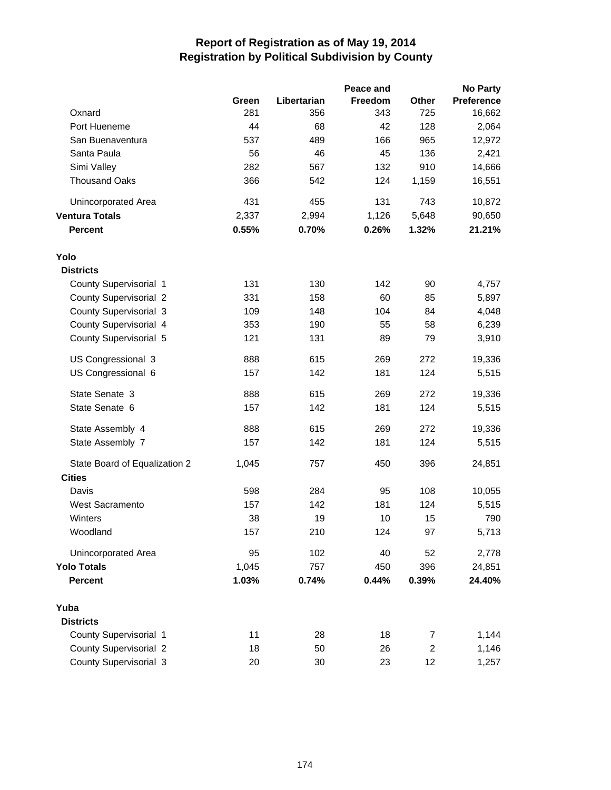|                               |       |             | Peace and |                | <b>No Party</b>   |
|-------------------------------|-------|-------------|-----------|----------------|-------------------|
|                               | Green | Libertarian | Freedom   | Other          | <b>Preference</b> |
| Oxnard                        | 281   | 356         | 343       | 725            | 16,662            |
| Port Hueneme                  | 44    | 68          | 42        | 128            | 2,064             |
| San Buenaventura              | 537   | 489         | 166       | 965            | 12,972            |
| Santa Paula                   | 56    | 46          | 45        | 136            | 2,421             |
| Simi Valley                   | 282   | 567         | 132       | 910            | 14,666            |
| <b>Thousand Oaks</b>          | 366   | 542         | 124       | 1,159          | 16,551            |
| Unincorporated Area           | 431   | 455         | 131       | 743            | 10,872            |
| <b>Ventura Totals</b>         | 2,337 | 2,994       | 1,126     | 5,648          | 90,650            |
| <b>Percent</b>                | 0.55% | 0.70%       | 0.26%     | 1.32%          | 21.21%            |
| Yolo                          |       |             |           |                |                   |
| <b>Districts</b>              |       |             |           |                |                   |
| County Supervisorial 1        | 131   | 130         | 142       | 90             | 4,757             |
| <b>County Supervisorial 2</b> | 331   | 158         | 60        | 85             | 5,897             |
| <b>County Supervisorial 3</b> | 109   | 148         | 104       | 84             | 4,048             |
| County Supervisorial 4        | 353   | 190         | 55        | 58             | 6,239             |
| County Supervisorial 5        | 121   | 131         | 89        | 79             | 3,910             |
| US Congressional 3            | 888   | 615         | 269       | 272            | 19,336            |
| US Congressional 6            | 157   | 142         | 181       | 124            | 5,515             |
| State Senate 3                | 888   | 615         | 269       | 272            | 19,336            |
| State Senate 6                | 157   | 142         | 181       | 124            | 5,515             |
| State Assembly 4              | 888   | 615         | 269       | 272            | 19,336            |
| State Assembly 7              | 157   | 142         | 181       | 124            | 5,515             |
| State Board of Equalization 2 | 1,045 | 757         | 450       | 396            | 24,851            |
| <b>Cities</b>                 |       |             |           |                |                   |
| Davis                         | 598   | 284         | 95        | 108            | 10,055            |
| <b>West Sacramento</b>        | 157   | 142         | 181       | 124            | 5,515             |
| Winters                       | 38    | 19          | 10        | 15             | 790               |
| Woodland                      | 157   | 210         | 124       | 97             | 5,713             |
| Unincorporated Area           | 95    | 102         | 40        | 52             | 2,778             |
| <b>Yolo Totals</b>            | 1,045 | 757         | 450       | 396            | 24,851            |
| <b>Percent</b>                | 1.03% | 0.74%       | 0.44%     | 0.39%          | 24.40%            |
| Yuba                          |       |             |           |                |                   |
| <b>Districts</b>              |       |             |           |                |                   |
| County Supervisorial 1        | 11    | 28          | 18        | $\overline{7}$ | 1,144             |
| <b>County Supervisorial 2</b> | 18    | 50          | 26        | $\overline{c}$ | 1,146             |
| County Supervisorial 3        | 20    | 30          | 23        | 12             | 1,257             |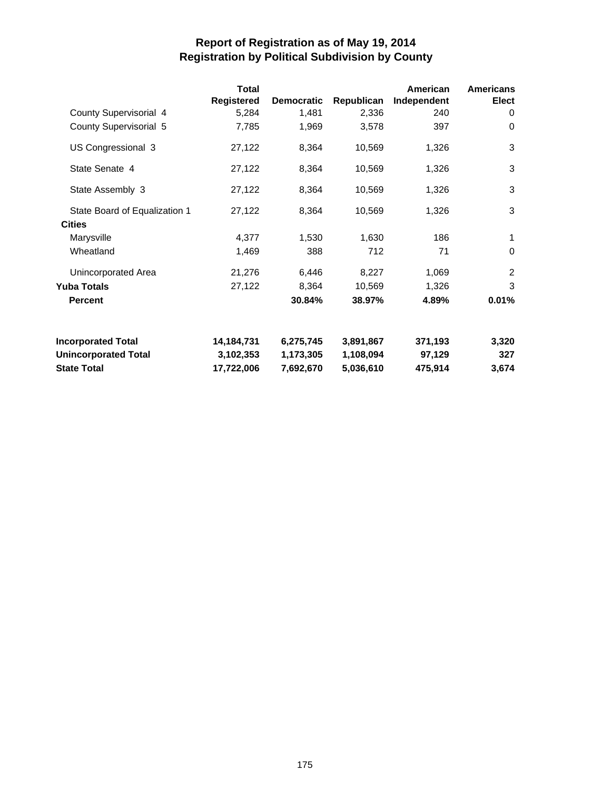|                               | Total             |                   |            | American    | <b>Americans</b> |
|-------------------------------|-------------------|-------------------|------------|-------------|------------------|
|                               | <b>Registered</b> | <b>Democratic</b> | Republican | Independent | Elect            |
| County Supervisorial 4        | 5,284             | 1,481             | 2,336      | 240         | 0                |
| County Supervisorial 5        | 7,785             | 1,969             | 3,578      | 397         | $\Omega$         |
| US Congressional 3            | 27,122            | 8,364             | 10,569     | 1,326       | 3                |
| State Senate 4                | 27,122            | 8,364             | 10,569     | 1,326       | 3                |
| State Assembly 3              | 27,122            | 8,364             | 10,569     | 1,326       | 3                |
| State Board of Equalization 1 | 27,122            | 8,364             | 10,569     | 1,326       | 3                |
| <b>Cities</b>                 |                   |                   |            |             |                  |
| Marysville                    | 4,377             | 1,530             | 1,630      | 186         | 1                |
| Wheatland                     | 1,469             | 388               | 712        | 71          | $\Omega$         |
| Unincorporated Area           | 21,276            | 6,446             | 8,227      | 1,069       | 2                |
| Yuba Totals                   | 27,122            | 8,364             | 10,569     | 1,326       | 3                |
| <b>Percent</b>                |                   | 30.84%            | 38.97%     | 4.89%       | 0.01%            |
| <b>Incorporated Total</b>     | 14,184,731        | 6,275,745         | 3,891,867  | 371,193     | 3,320            |
| <b>Unincorporated Total</b>   | 3,102,353         | 1,173,305         | 1,108,094  | 97,129      | 327              |
| <b>State Total</b>            | 17,722,006        | 7,692,670         | 5,036,610  | 475,914     | 3,674            |